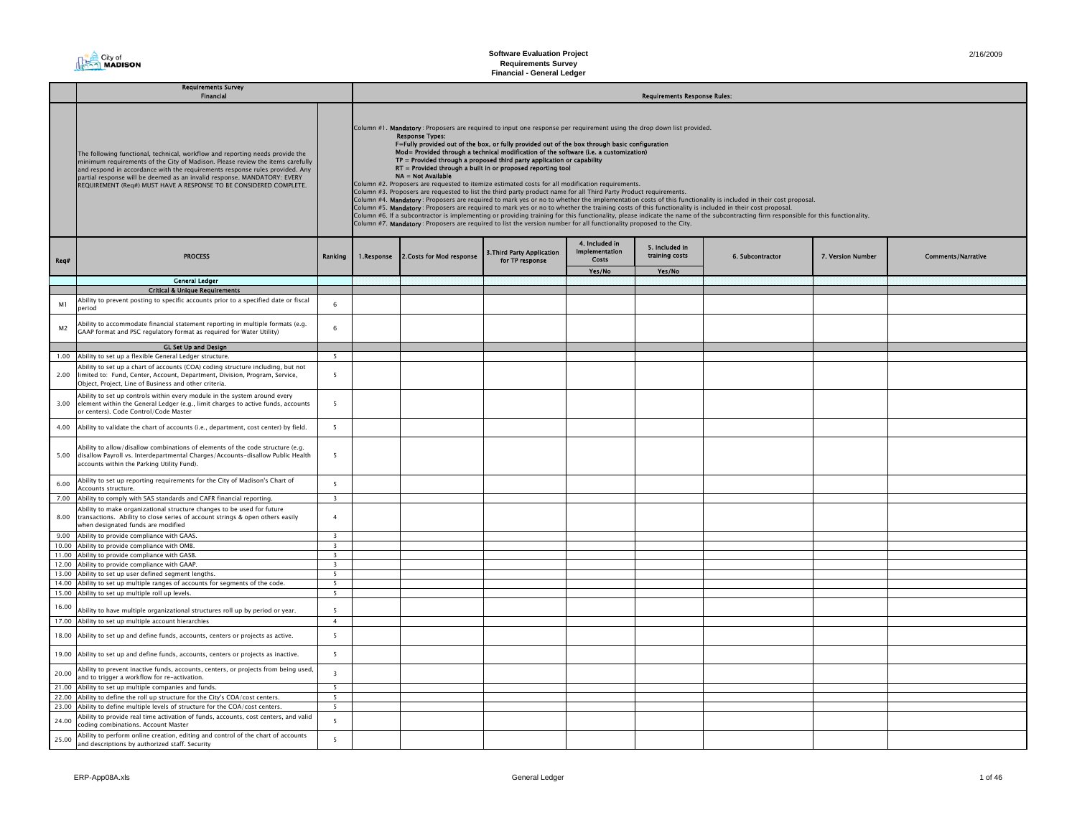

|                | <b>Requirements Survey</b><br><b>Financial</b>                                                                                                                                                                                                                                                                                                                                                    |                                                     | <b>Requirements Response Rules:</b> |                                                                                                                                                                                                                                                                                                                                                                                                                                                                                                                                                                                                                                                                                                                                                                                                                                                                                                                                                                                                                                                                                                                                                                                                                                                                                                                                                                           |                                               |                                                  |                                  |                  |                   |                           |
|----------------|---------------------------------------------------------------------------------------------------------------------------------------------------------------------------------------------------------------------------------------------------------------------------------------------------------------------------------------------------------------------------------------------------|-----------------------------------------------------|-------------------------------------|---------------------------------------------------------------------------------------------------------------------------------------------------------------------------------------------------------------------------------------------------------------------------------------------------------------------------------------------------------------------------------------------------------------------------------------------------------------------------------------------------------------------------------------------------------------------------------------------------------------------------------------------------------------------------------------------------------------------------------------------------------------------------------------------------------------------------------------------------------------------------------------------------------------------------------------------------------------------------------------------------------------------------------------------------------------------------------------------------------------------------------------------------------------------------------------------------------------------------------------------------------------------------------------------------------------------------------------------------------------------------|-----------------------------------------------|--------------------------------------------------|----------------------------------|------------------|-------------------|---------------------------|
|                |                                                                                                                                                                                                                                                                                                                                                                                                   |                                                     |                                     |                                                                                                                                                                                                                                                                                                                                                                                                                                                                                                                                                                                                                                                                                                                                                                                                                                                                                                                                                                                                                                                                                                                                                                                                                                                                                                                                                                           |                                               |                                                  |                                  |                  |                   |                           |
|                | The following functional, technical, workflow and reporting needs provide the<br>minimum requirements of the City of Madison. Please review the items carefully<br>and respond in accordance with the requirements response rules provided. Any<br>partial response will be deemed as an invalid response. MANDATORY: EVERY<br>REQUIREMENT (Reg#) MUST HAVE A RESPONSE TO BE CONSIDERED COMPLETE. |                                                     |                                     | Column #1. Mandatory: Proposers are required to input one response per requirement using the drop down list provided.<br><b>Response Types:</b><br>F=Fully provided out of the box, or fully provided out of the box through basic configuration<br>Mod= Provided through a technical modification of the software (i.e. a customization)<br>TP = Provided through a proposed third party application or capability<br>RT = Provided through a built in or proposed reporting tool<br>NA = Not Available<br>Column #2. Proposers are requested to itemize estimated costs for all modification requirements.<br>Column #3. Proposers are requested to list the third party product name for all Third Party Product requirements.<br>Column #4. Mandatory: Proposers are required to mark yes or no to whether the implementation costs of this functionality is included in their cost proposal.<br>Column #5. Mandatory: Proposers are required to mark yes or no to whether the training costs of this functionality is included in their cost proposal.<br>Column #6. If a subcontractor is implementing or providing training for this functionality, please indicate the name of the subcontracting firm responsible for this functionality.<br>Column #7. Mandatory: Proposers are required to list the version number for all functionality proposed to the City. |                                               |                                                  |                                  |                  |                   |                           |
| Req#           | <b>PROCESS</b>                                                                                                                                                                                                                                                                                                                                                                                    | Ranking                                             | 1.Response                          | 2. Costs for Mod response                                                                                                                                                                                                                                                                                                                                                                                                                                                                                                                                                                                                                                                                                                                                                                                                                                                                                                                                                                                                                                                                                                                                                                                                                                                                                                                                                 | 3. Third Party Application<br>for TP response | 4. Included in<br><b>Implementation</b><br>Costs | 5. Included in<br>training costs | 6. Subcontractor | 7. Version Number | <b>Comments/Narrative</b> |
|                |                                                                                                                                                                                                                                                                                                                                                                                                   |                                                     |                                     |                                                                                                                                                                                                                                                                                                                                                                                                                                                                                                                                                                                                                                                                                                                                                                                                                                                                                                                                                                                                                                                                                                                                                                                                                                                                                                                                                                           |                                               | Yes/No                                           | Yes/No                           |                  |                   |                           |
|                | <b>General Ledger</b>                                                                                                                                                                                                                                                                                                                                                                             |                                                     |                                     |                                                                                                                                                                                                                                                                                                                                                                                                                                                                                                                                                                                                                                                                                                                                                                                                                                                                                                                                                                                                                                                                                                                                                                                                                                                                                                                                                                           |                                               |                                                  |                                  |                  |                   |                           |
|                | <b>Critical &amp; Unique Requirements</b>                                                                                                                                                                                                                                                                                                                                                         |                                                     |                                     |                                                                                                                                                                                                                                                                                                                                                                                                                                                                                                                                                                                                                                                                                                                                                                                                                                                                                                                                                                                                                                                                                                                                                                                                                                                                                                                                                                           |                                               |                                                  |                                  |                  |                   |                           |
| M1             | Ability to prevent posting to specific accounts prior to a specified date or fiscal<br>neriod                                                                                                                                                                                                                                                                                                     | 6                                                   |                                     |                                                                                                                                                                                                                                                                                                                                                                                                                                                                                                                                                                                                                                                                                                                                                                                                                                                                                                                                                                                                                                                                                                                                                                                                                                                                                                                                                                           |                                               |                                                  |                                  |                  |                   |                           |
| M <sub>2</sub> | Ability to accommodate financial statement reporting in multiple formats (e.g.<br>GAAP format and PSC regulatory format as reguired for Water Utility)                                                                                                                                                                                                                                            | 6                                                   |                                     |                                                                                                                                                                                                                                                                                                                                                                                                                                                                                                                                                                                                                                                                                                                                                                                                                                                                                                                                                                                                                                                                                                                                                                                                                                                                                                                                                                           |                                               |                                                  |                                  |                  |                   |                           |
|                | <b>GL Set Up and Design</b>                                                                                                                                                                                                                                                                                                                                                                       |                                                     |                                     |                                                                                                                                                                                                                                                                                                                                                                                                                                                                                                                                                                                                                                                                                                                                                                                                                                                                                                                                                                                                                                                                                                                                                                                                                                                                                                                                                                           |                                               |                                                  |                                  |                  |                   |                           |
|                | 1.00 Ability to set up a flexible General Ledger structure.                                                                                                                                                                                                                                                                                                                                       | 5                                                   |                                     |                                                                                                                                                                                                                                                                                                                                                                                                                                                                                                                                                                                                                                                                                                                                                                                                                                                                                                                                                                                                                                                                                                                                                                                                                                                                                                                                                                           |                                               |                                                  |                                  |                  |                   |                           |
| 2.00           | Ability to set up a chart of accounts (COA) coding structure including, but not<br>limited to: Fund, Center, Account, Department, Division, Program, Service,<br>Object, Project, Line of Business and other criteria.                                                                                                                                                                            | $\overline{5}$                                      |                                     |                                                                                                                                                                                                                                                                                                                                                                                                                                                                                                                                                                                                                                                                                                                                                                                                                                                                                                                                                                                                                                                                                                                                                                                                                                                                                                                                                                           |                                               |                                                  |                                  |                  |                   |                           |
| 3.00           | Ability to set up controls within every module in the system around every<br>element within the General Ledger (e.g., limit charges to active funds, accounts<br>or centers). Code Control/Code Master                                                                                                                                                                                            | $\overline{5}$                                      |                                     |                                                                                                                                                                                                                                                                                                                                                                                                                                                                                                                                                                                                                                                                                                                                                                                                                                                                                                                                                                                                                                                                                                                                                                                                                                                                                                                                                                           |                                               |                                                  |                                  |                  |                   |                           |
| 4.00           | Ability to validate the chart of accounts (i.e., department, cost center) by field.                                                                                                                                                                                                                                                                                                               | 5                                                   |                                     |                                                                                                                                                                                                                                                                                                                                                                                                                                                                                                                                                                                                                                                                                                                                                                                                                                                                                                                                                                                                                                                                                                                                                                                                                                                                                                                                                                           |                                               |                                                  |                                  |                  |                   |                           |
|                | Ability to allow/disallow combinations of elements of the code structure (e.g.<br>5.00 disallow Payroll vs. Interdepartmental Charges/Accounts-disallow Public Health<br>accounts within the Parking Utility Fund).                                                                                                                                                                               | $\overline{5}$                                      |                                     |                                                                                                                                                                                                                                                                                                                                                                                                                                                                                                                                                                                                                                                                                                                                                                                                                                                                                                                                                                                                                                                                                                                                                                                                                                                                                                                                                                           |                                               |                                                  |                                  |                  |                   |                           |
| 6.00           | Ability to set up reporting requirements for the City of Madison's Chart of<br>Accounts structure.                                                                                                                                                                                                                                                                                                | 5                                                   |                                     |                                                                                                                                                                                                                                                                                                                                                                                                                                                                                                                                                                                                                                                                                                                                                                                                                                                                                                                                                                                                                                                                                                                                                                                                                                                                                                                                                                           |                                               |                                                  |                                  |                  |                   |                           |
|                | 7.00 Ability to comply with SAS standards and CAFR financial reporting.                                                                                                                                                                                                                                                                                                                           | $\overline{\mathbf{3}}$                             |                                     |                                                                                                                                                                                                                                                                                                                                                                                                                                                                                                                                                                                                                                                                                                                                                                                                                                                                                                                                                                                                                                                                                                                                                                                                                                                                                                                                                                           |                                               |                                                  |                                  |                  |                   |                           |
| 8.00           | Ability to make organizational structure changes to be used for future<br>transactions. Ability to close series of account strings & open others easily<br>when designated funds are modified                                                                                                                                                                                                     | $\overline{4}$                                      |                                     |                                                                                                                                                                                                                                                                                                                                                                                                                                                                                                                                                                                                                                                                                                                                                                                                                                                                                                                                                                                                                                                                                                                                                                                                                                                                                                                                                                           |                                               |                                                  |                                  |                  |                   |                           |
|                | 9.00 Ability to provide compliance with GAAS.                                                                                                                                                                                                                                                                                                                                                     | $\overline{3}$                                      |                                     |                                                                                                                                                                                                                                                                                                                                                                                                                                                                                                                                                                                                                                                                                                                                                                                                                                                                                                                                                                                                                                                                                                                                                                                                                                                                                                                                                                           |                                               |                                                  |                                  |                  |                   |                           |
|                | 10.00 Ability to provide compliance with OMB.                                                                                                                                                                                                                                                                                                                                                     | $\overline{\mathbf{3}}$                             |                                     |                                                                                                                                                                                                                                                                                                                                                                                                                                                                                                                                                                                                                                                                                                                                                                                                                                                                                                                                                                                                                                                                                                                                                                                                                                                                                                                                                                           |                                               |                                                  |                                  |                  |                   |                           |
|                | 11.00 Ability to provide compliance with GASB.                                                                                                                                                                                                                                                                                                                                                    | $\overline{\mathbf{3}}$                             |                                     |                                                                                                                                                                                                                                                                                                                                                                                                                                                                                                                                                                                                                                                                                                                                                                                                                                                                                                                                                                                                                                                                                                                                                                                                                                                                                                                                                                           |                                               |                                                  |                                  |                  |                   |                           |
|                | 12.00 Ability to provide compliance with GAAP.                                                                                                                                                                                                                                                                                                                                                    | $\overline{\mathbf{3}}$<br>$\overline{\phantom{a}}$ |                                     |                                                                                                                                                                                                                                                                                                                                                                                                                                                                                                                                                                                                                                                                                                                                                                                                                                                                                                                                                                                                                                                                                                                                                                                                                                                                                                                                                                           |                                               |                                                  |                                  |                  |                   |                           |
|                | 13.00 Ability to set up user defined segment lengths.<br>14.00 Ability to set up multiple ranges of accounts for segments of the code.                                                                                                                                                                                                                                                            | 5                                                   |                                     |                                                                                                                                                                                                                                                                                                                                                                                                                                                                                                                                                                                                                                                                                                                                                                                                                                                                                                                                                                                                                                                                                                                                                                                                                                                                                                                                                                           |                                               |                                                  |                                  |                  |                   |                           |
|                | 15.00 Ability to set up multiple roll up levels.                                                                                                                                                                                                                                                                                                                                                  | 5                                                   |                                     |                                                                                                                                                                                                                                                                                                                                                                                                                                                                                                                                                                                                                                                                                                                                                                                                                                                                                                                                                                                                                                                                                                                                                                                                                                                                                                                                                                           |                                               |                                                  |                                  |                  |                   |                           |
| 16.00          | Ability to have multiple organizational structures roll up by period or year.                                                                                                                                                                                                                                                                                                                     | 5                                                   |                                     |                                                                                                                                                                                                                                                                                                                                                                                                                                                                                                                                                                                                                                                                                                                                                                                                                                                                                                                                                                                                                                                                                                                                                                                                                                                                                                                                                                           |                                               |                                                  |                                  |                  |                   |                           |
|                | 17.00 Ability to set up multiple account hierarchies                                                                                                                                                                                                                                                                                                                                              | 4                                                   |                                     |                                                                                                                                                                                                                                                                                                                                                                                                                                                                                                                                                                                                                                                                                                                                                                                                                                                                                                                                                                                                                                                                                                                                                                                                                                                                                                                                                                           |                                               |                                                  |                                  |                  |                   |                           |
|                | 18.00 Ability to set up and define funds, accounts, centers or projects as active.                                                                                                                                                                                                                                                                                                                | 5                                                   |                                     |                                                                                                                                                                                                                                                                                                                                                                                                                                                                                                                                                                                                                                                                                                                                                                                                                                                                                                                                                                                                                                                                                                                                                                                                                                                                                                                                                                           |                                               |                                                  |                                  |                  |                   |                           |
|                | 19.00 Ability to set up and define funds, accounts, centers or projects as inactive.                                                                                                                                                                                                                                                                                                              | $5\overline{5}$                                     |                                     |                                                                                                                                                                                                                                                                                                                                                                                                                                                                                                                                                                                                                                                                                                                                                                                                                                                                                                                                                                                                                                                                                                                                                                                                                                                                                                                                                                           |                                               |                                                  |                                  |                  |                   |                           |
| 20.00          | Ability to prevent inactive funds, accounts, centers, or projects from being used,<br>and to trigger a workflow for re-activation.                                                                                                                                                                                                                                                                | $\overline{\mathbf{3}}$                             |                                     |                                                                                                                                                                                                                                                                                                                                                                                                                                                                                                                                                                                                                                                                                                                                                                                                                                                                                                                                                                                                                                                                                                                                                                                                                                                                                                                                                                           |                                               |                                                  |                                  |                  |                   |                           |
|                | 21.00 Ability to set up multiple companies and funds.                                                                                                                                                                                                                                                                                                                                             | 5 <sup>5</sup>                                      |                                     |                                                                                                                                                                                                                                                                                                                                                                                                                                                                                                                                                                                                                                                                                                                                                                                                                                                                                                                                                                                                                                                                                                                                                                                                                                                                                                                                                                           |                                               |                                                  |                                  |                  |                   |                           |
|                | 22.00 Ability to define the roll up structure for the City's COA/cost centers.                                                                                                                                                                                                                                                                                                                    | 5                                                   |                                     |                                                                                                                                                                                                                                                                                                                                                                                                                                                                                                                                                                                                                                                                                                                                                                                                                                                                                                                                                                                                                                                                                                                                                                                                                                                                                                                                                                           |                                               |                                                  |                                  |                  |                   |                           |
|                | 23.00 Ability to define multiple levels of structure for the COA/cost centers.                                                                                                                                                                                                                                                                                                                    | 5                                                   |                                     |                                                                                                                                                                                                                                                                                                                                                                                                                                                                                                                                                                                                                                                                                                                                                                                                                                                                                                                                                                                                                                                                                                                                                                                                                                                                                                                                                                           |                                               |                                                  |                                  |                  |                   |                           |
| 24.00          | Ability to provide real time activation of funds, accounts, cost centers, and valid<br>coding combinations. Account Master                                                                                                                                                                                                                                                                        | $\overline{5}$                                      |                                     |                                                                                                                                                                                                                                                                                                                                                                                                                                                                                                                                                                                                                                                                                                                                                                                                                                                                                                                                                                                                                                                                                                                                                                                                                                                                                                                                                                           |                                               |                                                  |                                  |                  |                   |                           |
| 25.00          | Ability to perform online creation, editing and control of the chart of accounts<br>and descriptions by authorized staff. Security                                                                                                                                                                                                                                                                | $\overline{5}$                                      |                                     |                                                                                                                                                                                                                                                                                                                                                                                                                                                                                                                                                                                                                                                                                                                                                                                                                                                                                                                                                                                                                                                                                                                                                                                                                                                                                                                                                                           |                                               |                                                  |                                  |                  |                   |                           |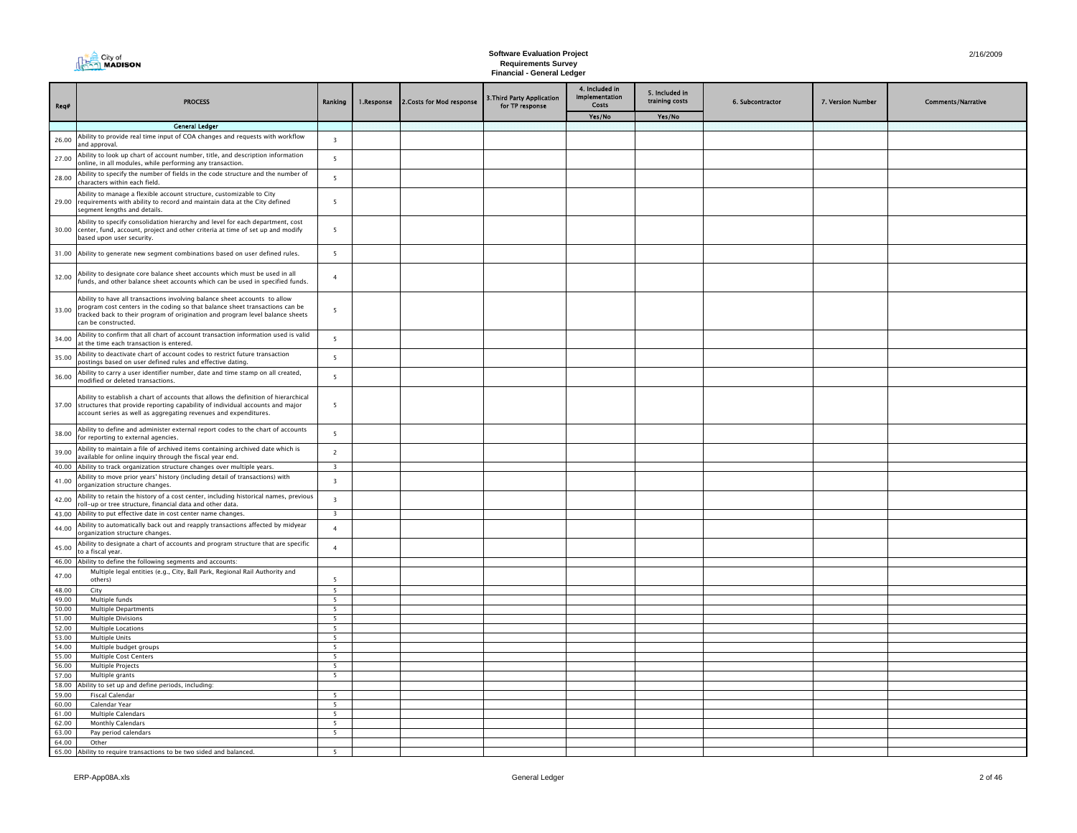| City of<br><b>A<sub>222</sub>1 MADISON</b> |
|--------------------------------------------|
|                                            |

| Req#           | <b>PROCESS</b>                                                                                                                                                                                                                                                     | Ranking                                    | 1.Response | 2. Costs for Mod response | 3. Third Party Application<br>for TP response | 4. Included in<br><b>Implementation</b><br>Costs | 5. Included in<br>training costs | 6. Subcontractor | 7. Version Number | <b>Comments/Narrative</b> |
|----------------|--------------------------------------------------------------------------------------------------------------------------------------------------------------------------------------------------------------------------------------------------------------------|--------------------------------------------|------------|---------------------------|-----------------------------------------------|--------------------------------------------------|----------------------------------|------------------|-------------------|---------------------------|
|                |                                                                                                                                                                                                                                                                    |                                            |            |                           |                                               | Yes/No                                           | Yes/No                           |                  |                   |                           |
|                | <b>General Ledger</b>                                                                                                                                                                                                                                              |                                            |            |                           |                                               |                                                  |                                  |                  |                   |                           |
| 26.00          | Ability to provide real time input of COA changes and requests with workflow<br>and approval                                                                                                                                                                       | $\overline{\mathbf{3}}$                    |            |                           |                                               |                                                  |                                  |                  |                   |                           |
| 27.00          | Ability to look up chart of account number, title, and description information<br>online, in all modules, while performing any transaction.                                                                                                                        | 5                                          |            |                           |                                               |                                                  |                                  |                  |                   |                           |
| 28.00          | Ability to specify the number of fields in the code structure and the number of<br>characters within each field.                                                                                                                                                   | $\overline{5}$                             |            |                           |                                               |                                                  |                                  |                  |                   |                           |
| 29.00          | Ability to manage a flexible account structure, customizable to City<br>requirements with ability to record and maintain data at the City defined<br>segment lengths and details.                                                                                  | 5                                          |            |                           |                                               |                                                  |                                  |                  |                   |                           |
| 30.00          | Ability to specify consolidation hierarchy and level for each department, cost<br>center, fund, account, project and other criteria at time of set up and modify<br>based upon user security.                                                                      | $\overline{5}$                             |            |                           |                                               |                                                  |                                  |                  |                   |                           |
| 31.00          | Ability to generate new segment combinations based on user defined rules.                                                                                                                                                                                          | 5                                          |            |                           |                                               |                                                  |                                  |                  |                   |                           |
| 32.00          | Ability to designate core balance sheet accounts which must be used in all<br>funds, and other balance sheet accounts which can be used in specified funds.                                                                                                        | $\overline{4}$                             |            |                           |                                               |                                                  |                                  |                  |                   |                           |
| 33.00          | Ability to have all transactions involving balance sheet accounts to allow<br>program cost centers in the coding so that balance sheet transactions can be<br>tracked back to their program of origination and program level balance sheets<br>can be constructed. | 5                                          |            |                           |                                               |                                                  |                                  |                  |                   |                           |
| 34.00          | Ability to confirm that all chart of account transaction information used is valid<br>at the time each transaction is entered.                                                                                                                                     | $\overline{\phantom{a}}$                   |            |                           |                                               |                                                  |                                  |                  |                   |                           |
| 35.00          | Ability to deactivate chart of account codes to restrict future transaction<br>postings based on user defined rules and effective dating.                                                                                                                          | 5                                          |            |                           |                                               |                                                  |                                  |                  |                   |                           |
| 36.00          | Ability to carry a user identifier number, date and time stamp on all created,<br>modified or deleted transactions.                                                                                                                                                | $\overline{5}$                             |            |                           |                                               |                                                  |                                  |                  |                   |                           |
|                | Ability to establish a chart of accounts that allows the definition of hierarchical<br>37.00 structures that provide reporting capability of individual accounts and major<br>account series as well as aggregating revenues and expenditures.                     | $\overline{5}$                             |            |                           |                                               |                                                  |                                  |                  |                   |                           |
| 38.00          | Ability to define and administer external report codes to the chart of accounts<br>for reporting to external agencies.                                                                                                                                             | 5                                          |            |                           |                                               |                                                  |                                  |                  |                   |                           |
| 39.00          | Ability to maintain a file of archived items containing archived date which is<br>available for online inquiry through the fiscal year end.                                                                                                                        | $\overline{2}$                             |            |                           |                                               |                                                  |                                  |                  |                   |                           |
|                | 40.00 Ability to track organization structure changes over multiple years.                                                                                                                                                                                         | $\overline{\mathbf{3}}$                    |            |                           |                                               |                                                  |                                  |                  |                   |                           |
| 41.00          | Ability to move prior years' history (including detail of transactions) with<br>organization structure changes.                                                                                                                                                    | $\overline{\mathbf{3}}$                    |            |                           |                                               |                                                  |                                  |                  |                   |                           |
| 42.00          | Ability to retain the history of a cost center, including historical names, previous<br>roll-up or tree structure, financial data and other data.                                                                                                                  | $\overline{\mathbf{3}}$                    |            |                           |                                               |                                                  |                                  |                  |                   |                           |
| 43.00          | Ability to put effective date in cost center name changes.                                                                                                                                                                                                         | $\overline{\mathbf{3}}$                    |            |                           |                                               |                                                  |                                  |                  |                   |                           |
| 44.00          | Ability to automatically back out and reapply transactions affected by midyear<br>organization structure changes.                                                                                                                                                  | $\overline{4}$                             |            |                           |                                               |                                                  |                                  |                  |                   |                           |
| 45.00          | Ability to designate a chart of accounts and program structure that are specific<br>to a fiscal year.                                                                                                                                                              | $\overline{4}$                             |            |                           |                                               |                                                  |                                  |                  |                   |                           |
| 46.00          | Ability to define the following segments and accounts:                                                                                                                                                                                                             |                                            |            |                           |                                               |                                                  |                                  |                  |                   |                           |
| 47.00          | Multiple legal entities (e.g., City, Ball Park, Regional Rail Authority and<br>others)                                                                                                                                                                             | 5                                          |            |                           |                                               |                                                  |                                  |                  |                   |                           |
| 48.00          | City                                                                                                                                                                                                                                                               | 5                                          |            |                           |                                               |                                                  |                                  |                  |                   |                           |
| 49.00          | Multiple funds                                                                                                                                                                                                                                                     | 5                                          |            |                           |                                               |                                                  |                                  |                  |                   |                           |
| 50.00          | <b>Multiple Departments</b>                                                                                                                                                                                                                                        | $\overline{5}$<br>$\overline{\phantom{0}}$ |            |                           |                                               |                                                  |                                  |                  |                   |                           |
| 51.00          | <b>Multiple Divisions</b>                                                                                                                                                                                                                                          | 5                                          |            |                           |                                               |                                                  |                                  |                  |                   |                           |
| 52.00<br>53.00 | Multiple Locations<br>Multiple Units                                                                                                                                                                                                                               | $\overline{\phantom{a}}$                   |            |                           |                                               |                                                  |                                  |                  |                   |                           |
| 54.00          | Multiple budget groups                                                                                                                                                                                                                                             | 5                                          |            |                           |                                               |                                                  |                                  |                  |                   |                           |
| 55.00          | <b>Multiple Cost Centers</b>                                                                                                                                                                                                                                       | $\overline{5}$                             |            |                           |                                               |                                                  |                                  |                  |                   |                           |
| 56.00          | Multiple Projects                                                                                                                                                                                                                                                  | $\overline{5}$                             |            |                           |                                               |                                                  |                                  |                  |                   |                           |
| 57.00          | Multiple grants                                                                                                                                                                                                                                                    | - 5                                        |            |                           |                                               |                                                  |                                  |                  |                   |                           |
| 58.00          | Ability to set up and define periods, including:                                                                                                                                                                                                                   |                                            |            |                           |                                               |                                                  |                                  |                  |                   |                           |
| 59.00          | <b>Fiscal Calendar</b>                                                                                                                                                                                                                                             | 5                                          |            |                           |                                               |                                                  |                                  |                  |                   |                           |
| 60.00          | Calendar Year                                                                                                                                                                                                                                                      | $\overline{\phantom{0}}$                   |            |                           |                                               |                                                  |                                  |                  |                   |                           |
| 61.00          | <b>Multiple Calendars</b>                                                                                                                                                                                                                                          | $\overline{5}$                             |            |                           |                                               |                                                  |                                  |                  |                   |                           |
| 62.00          | <b>Monthly Calendars</b>                                                                                                                                                                                                                                           | 5                                          |            |                           |                                               |                                                  |                                  |                  |                   |                           |
| 63.00<br>64.00 | Pay period calendars<br>Other                                                                                                                                                                                                                                      | 5                                          |            |                           |                                               |                                                  |                                  |                  |                   |                           |
| 65.00          | Ability to require transactions to be two sided and balanced.                                                                                                                                                                                                      |                                            |            |                           |                                               |                                                  |                                  |                  |                   |                           |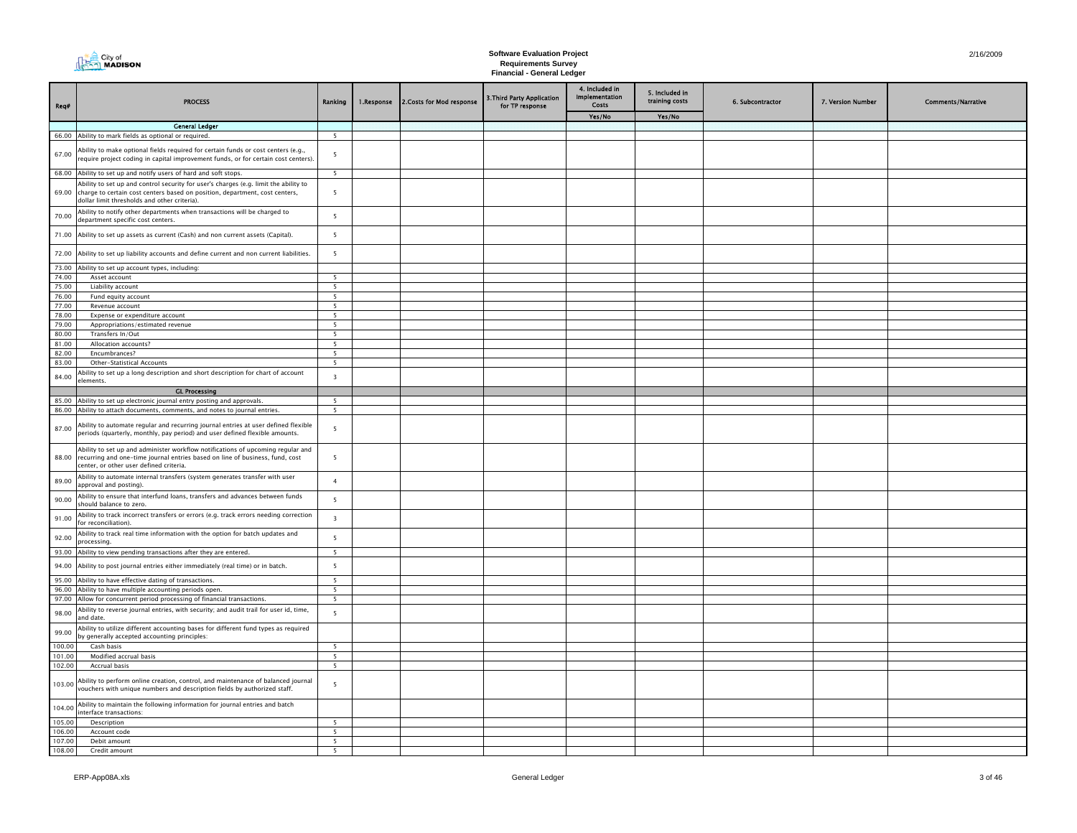|                  | City of<br>$\overline{\eta}$ MADISON                                                                                                                                                                                |                         |            |                           | <b>Software Evaluation Project</b><br><b>Requirements Survey</b><br><b>Financial - General Ledger</b> |                                           |                                  |                  |                   | 2/16/2009                 |
|------------------|---------------------------------------------------------------------------------------------------------------------------------------------------------------------------------------------------------------------|-------------------------|------------|---------------------------|-------------------------------------------------------------------------------------------------------|-------------------------------------------|----------------------------------|------------------|-------------------|---------------------------|
| Req#             | <b>PROCESS</b>                                                                                                                                                                                                      | Ranking                 | 1.Response | 2. Costs for Mod response | .Third Party Application<br>for TP response                                                           | 4. Included in<br>Implementation<br>Costs | 5. Included in<br>training costs | 6. Subcontractor | 7. Version Number | <b>Comments/Narrative</b> |
|                  | <b>General Ledger</b>                                                                                                                                                                                               |                         |            |                           |                                                                                                       | Yes/No                                    | Yes/No                           |                  |                   |                           |
|                  | 66.00 Ability to mark fields as optional or required.                                                                                                                                                               | 5                       |            |                           |                                                                                                       |                                           |                                  |                  |                   |                           |
| 67.00            | Ability to make optional fields required for certain funds or cost centers (e.g.,<br>require project coding in capital improvement funds, or for certain cost centers).                                             | 5                       |            |                           |                                                                                                       |                                           |                                  |                  |                   |                           |
|                  | 68.00 Ability to set up and notify users of hard and soft stops.                                                                                                                                                    | 5 <sup>5</sup>          |            |                           |                                                                                                       |                                           |                                  |                  |                   |                           |
| 69.00            | Ability to set up and control security for user's charges (e.g. limit the ability to<br>charge to certain cost centers based on position, department, cost centers,<br>dollar limit thresholds and other criteria). | 5                       |            |                           |                                                                                                       |                                           |                                  |                  |                   |                           |
| 70.00            | Ability to notify other departments when transactions will be charged to<br>department specific cost centers.                                                                                                       | 5                       |            |                           |                                                                                                       |                                           |                                  |                  |                   |                           |
| 71.00            | Ability to set up assets as current (Cash) and non current assets (Capital).                                                                                                                                        | 5                       |            |                           |                                                                                                       |                                           |                                  |                  |                   |                           |
| 72.00            | Ability to set up liability accounts and define current and non current liabilities.                                                                                                                                | 5                       |            |                           |                                                                                                       |                                           |                                  |                  |                   |                           |
|                  | 73.00 Ability to set up account types, including:                                                                                                                                                                   |                         |            |                           |                                                                                                       |                                           |                                  |                  |                   |                           |
| 74.00            | Asset account                                                                                                                                                                                                       | 5                       |            |                           |                                                                                                       |                                           |                                  |                  |                   |                           |
| 75.00<br>76.00   | Liability account                                                                                                                                                                                                   | 5 <sup>5</sup>          |            |                           |                                                                                                       |                                           |                                  |                  |                   |                           |
| 77.00            | Fund equity account<br>Revenue account                                                                                                                                                                              | -5<br>5 <sup>5</sup>    |            |                           |                                                                                                       |                                           |                                  |                  |                   |                           |
| 78.00            | Expense or expenditure account                                                                                                                                                                                      | - 5                     |            |                           |                                                                                                       |                                           |                                  |                  |                   |                           |
| 79.00            | Appropriations/estimated revenue                                                                                                                                                                                    | 5                       |            |                           |                                                                                                       |                                           |                                  |                  |                   |                           |
| 80.00            | Transfers In/Out                                                                                                                                                                                                    | - 5                     |            |                           |                                                                                                       |                                           |                                  |                  |                   |                           |
| 81.00            | Allocation accounts?                                                                                                                                                                                                | - 5                     |            |                           |                                                                                                       |                                           |                                  |                  |                   |                           |
| 82.00            | Encumbrances?                                                                                                                                                                                                       | - 5                     |            |                           |                                                                                                       |                                           |                                  |                  |                   |                           |
| 83.00            | Other-Statistical Accounts                                                                                                                                                                                          | - 5                     |            |                           |                                                                                                       |                                           |                                  |                  |                   |                           |
| 84.00            | Ability to set up a long description and short description for chart of account                                                                                                                                     | $\overline{\mathbf{3}}$ |            |                           |                                                                                                       |                                           |                                  |                  |                   |                           |
|                  | elements.                                                                                                                                                                                                           |                         |            |                           |                                                                                                       |                                           |                                  |                  |                   |                           |
|                  | <b>GL Processing</b>                                                                                                                                                                                                |                         |            |                           |                                                                                                       |                                           |                                  |                  |                   |                           |
|                  | 85.00 Ability to set up electronic journal entry posting and approvals.<br>86.00 Ability to attach documents, comments, and notes to journal entries.                                                               | -5<br>- 5               |            |                           |                                                                                                       |                                           |                                  |                  |                   |                           |
| 87.00            | Ability to automate regular and recurring journal entries at user defined flexible<br>periods (quarterly, monthly, pay period) and user defined flexible amounts.                                                   | 5                       |            |                           |                                                                                                       |                                           |                                  |                  |                   |                           |
| 88.00            | Ability to set up and administer workflow notifications of upcoming regular and<br>recurring and one-time journal entries based on line of business, fund, cost<br>center, or other user defined criteria.          | 5                       |            |                           |                                                                                                       |                                           |                                  |                  |                   |                           |
| 89.00            | Ability to automate internal transfers (system generates transfer with user<br>approval and posting).                                                                                                               | $\overline{a}$          |            |                           |                                                                                                       |                                           |                                  |                  |                   |                           |
| 90.00            | Ability to ensure that interfund loans, transfers and advances between funds<br>should balance to zero.                                                                                                             | $\overline{5}$          |            |                           |                                                                                                       |                                           |                                  |                  |                   |                           |
| 91.00            | Ability to track incorrect transfers or errors (e.g. track errors needing correction<br>for reconciliation).                                                                                                        | $\overline{\mathbf{3}}$ |            |                           |                                                                                                       |                                           |                                  |                  |                   |                           |
| 92.00            | Ability to track real time information with the option for batch updates and<br>processina.                                                                                                                         | $\overline{5}$          |            |                           |                                                                                                       |                                           |                                  |                  |                   |                           |
|                  | 93.00 Ability to view pending transactions after they are entered.                                                                                                                                                  | 5                       |            |                           |                                                                                                       |                                           |                                  |                  |                   |                           |
| 94.00            | Ability to post journal entries either immediately (real time) or in batch.                                                                                                                                         | $5\phantom{a}$          |            |                           |                                                                                                       |                                           |                                  |                  |                   |                           |
|                  | 95.00 Ability to have effective dating of transactions.                                                                                                                                                             | -5                      |            |                           |                                                                                                       |                                           |                                  |                  |                   |                           |
|                  | 96.00 Ability to have multiple accounting periods open.                                                                                                                                                             | - 5                     |            |                           |                                                                                                       |                                           |                                  |                  |                   |                           |
|                  | 97.00 Allow for concurrent period processing of financial transactions.                                                                                                                                             | 5                       |            |                           |                                                                                                       |                                           |                                  |                  |                   |                           |
| 98.00            | Ability to reverse journal entries, with security; and audit trail for user id, time,<br>and date.                                                                                                                  | 5                       |            |                           |                                                                                                       |                                           |                                  |                  |                   |                           |
| 99.00            | Ability to utilize different accounting bases for different fund types as required<br>by generally accepted accounting principles:                                                                                  |                         |            |                           |                                                                                                       |                                           |                                  |                  |                   |                           |
| 100.00           | Cash basis                                                                                                                                                                                                          | - 5                     |            |                           |                                                                                                       |                                           |                                  |                  |                   |                           |
| 101.00           | Modified accrual basis                                                                                                                                                                                              | 5                       |            |                           |                                                                                                       |                                           |                                  |                  |                   |                           |
| 102.00           | Accrual basis                                                                                                                                                                                                       | - 5                     |            |                           |                                                                                                       |                                           |                                  |                  |                   |                           |
| 103.00           | Ability to perform online creation, control, and maintenance of balanced journal<br>vouchers with unique numbers and description fields by authorized staff.                                                        | 5                       |            |                           |                                                                                                       |                                           |                                  |                  |                   |                           |
| 104.00           | Ability to maintain the following information for journal entries and batch<br>interface transactions:                                                                                                              |                         |            |                           |                                                                                                       |                                           |                                  |                  |                   |                           |
| 105.00           | Description                                                                                                                                                                                                         | 5                       |            |                           |                                                                                                       |                                           |                                  |                  |                   |                           |
| 106.00           | Account code                                                                                                                                                                                                        | - 5                     |            |                           |                                                                                                       |                                           |                                  |                  |                   |                           |
| 107.00<br>108.00 | Debit amount<br>Credit amount                                                                                                                                                                                       | -5<br>5                 |            |                           |                                                                                                       |                                           |                                  |                  |                   |                           |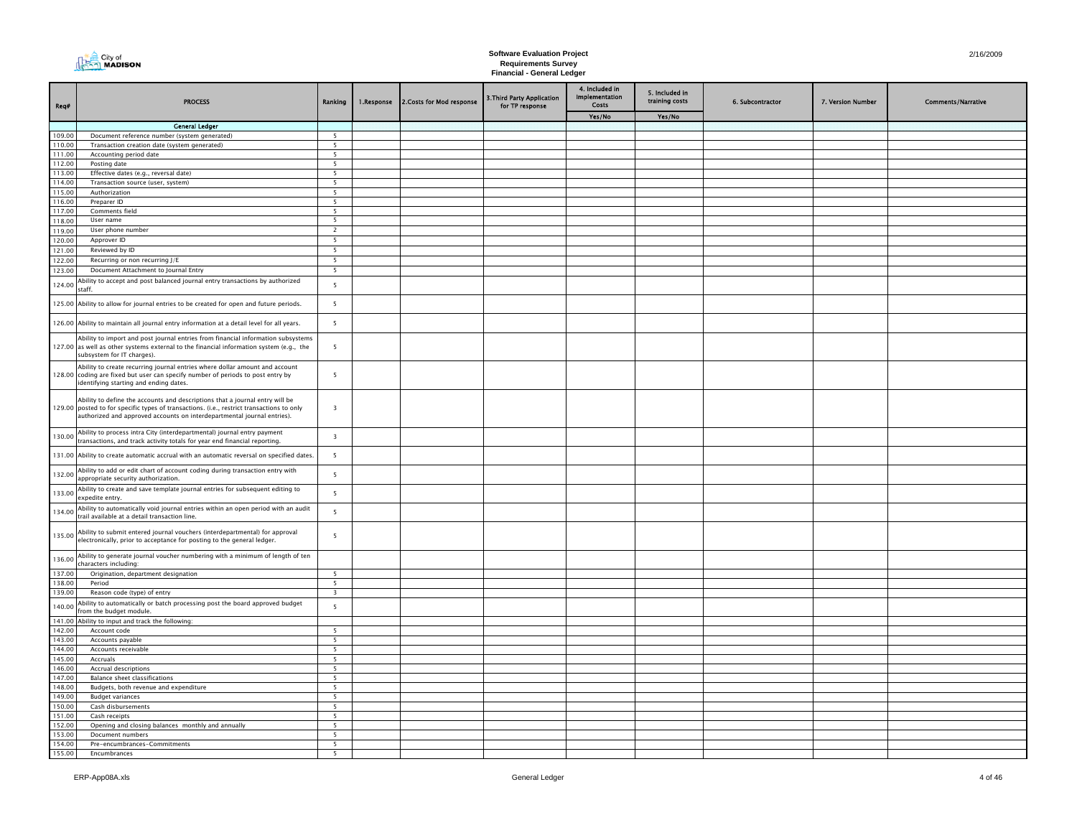| Req#             | <b>PROCESS</b>                                                                                                                                                                                                                                       | Ranking                  | 1.Response | 2. Costs for Mod response | 3. Third Party Application<br>for TP response | 4. Included in<br>Implementation<br>Costs | 5. Included in<br>training costs | 6. Subcontractor | 7. Version Number | <b>Comments/Narrative</b> |
|------------------|------------------------------------------------------------------------------------------------------------------------------------------------------------------------------------------------------------------------------------------------------|--------------------------|------------|---------------------------|-----------------------------------------------|-------------------------------------------|----------------------------------|------------------|-------------------|---------------------------|
|                  |                                                                                                                                                                                                                                                      |                          |            |                           |                                               | Yes/No                                    | Yes/No                           |                  |                   |                           |
|                  | <b>General Ledger</b>                                                                                                                                                                                                                                |                          |            |                           |                                               |                                           |                                  |                  |                   |                           |
| 109.00           | Document reference number (system generated)                                                                                                                                                                                                         | $\overline{5}$           |            |                           |                                               |                                           |                                  |                  |                   |                           |
| 110.00           | Transaction creation date (system generated)                                                                                                                                                                                                         | $\overline{5}$           |            |                           |                                               |                                           |                                  |                  |                   |                           |
| 111.00<br>112.00 | Accounting period date<br>Posting date                                                                                                                                                                                                               | 5<br>5                   |            |                           |                                               |                                           |                                  |                  |                   |                           |
| 113.00           | Effective dates (e.g., reversal date)                                                                                                                                                                                                                | 5                        |            |                           |                                               |                                           |                                  |                  |                   |                           |
| 114.00           | Transaction source (user, system)                                                                                                                                                                                                                    | 5                        |            |                           |                                               |                                           |                                  |                  |                   |                           |
| 115.00           | Authorization                                                                                                                                                                                                                                        | 5                        |            |                           |                                               |                                           |                                  |                  |                   |                           |
| 116.00           | Preparer ID                                                                                                                                                                                                                                          | 5                        |            |                           |                                               |                                           |                                  |                  |                   |                           |
| 117.00           | Comments field                                                                                                                                                                                                                                       | 5                        |            |                           |                                               |                                           |                                  |                  |                   |                           |
| 118.00           | User name                                                                                                                                                                                                                                            | $\overline{\phantom{a}}$ |            |                           |                                               |                                           |                                  |                  |                   |                           |
| 119.00           | User phone number                                                                                                                                                                                                                                    | $\overline{2}$           |            |                           |                                               |                                           |                                  |                  |                   |                           |
| 120.00           | Approver ID                                                                                                                                                                                                                                          | 5                        |            |                           |                                               |                                           |                                  |                  |                   |                           |
| 121.00           | Reviewed by ID                                                                                                                                                                                                                                       | 5<br>- 5                 |            |                           |                                               |                                           |                                  |                  |                   |                           |
| 122.00           | Recurring or non recurring J/E                                                                                                                                                                                                                       |                          |            |                           |                                               |                                           |                                  |                  |                   |                           |
| 123.00           | Document Attachment to Journal Entry                                                                                                                                                                                                                 | 5                        |            |                           |                                               |                                           |                                  |                  |                   |                           |
| 124.00           | Ability to accept and post balanced journal entry transactions by authorized<br>staff.                                                                                                                                                               | 5                        |            |                           |                                               |                                           |                                  |                  |                   |                           |
|                  | 125.00 Ability to allow for journal entries to be created for open and future periods.                                                                                                                                                               | 5                        |            |                           |                                               |                                           |                                  |                  |                   |                           |
|                  | 126.00 Ability to maintain all journal entry information at a detail level for all years.                                                                                                                                                            | 5                        |            |                           |                                               |                                           |                                  |                  |                   |                           |
|                  | Ability to import and post journal entries from financial information subsystems<br>127.00 as well as other systems external to the financial information system (e.g., the<br>subsystem for IT charges).                                            | 5                        |            |                           |                                               |                                           |                                  |                  |                   |                           |
|                  | Ability to create recurring journal entries where dollar amount and account<br>128.00 coding are fixed but user can specify number of periods to post entry by<br>identifying starting and ending dates.                                             | 5                        |            |                           |                                               |                                           |                                  |                  |                   |                           |
|                  | Ability to define the accounts and descriptions that a journal entry will be<br>129.00 posted to for specific types of transactions. (i.e., restrict transactions to only<br>authorized and approved accounts on interdepartmental journal entries). | $\overline{\mathbf{3}}$  |            |                           |                                               |                                           |                                  |                  |                   |                           |
| 130.00           | Ability to process intra City (interdepartmental) journal entry payment<br>transactions, and track activity totals for year end financial reporting.                                                                                                 | $\overline{\mathbf{3}}$  |            |                           |                                               |                                           |                                  |                  |                   |                           |
|                  | 131.00 Ability to create automatic accrual with an automatic reversal on specified dates.                                                                                                                                                            | 5                        |            |                           |                                               |                                           |                                  |                  |                   |                           |
| 132.00           | Ability to add or edit chart of account coding during transaction entry with<br>appropriate security authorization.                                                                                                                                  | 5                        |            |                           |                                               |                                           |                                  |                  |                   |                           |
| 133.00           | Ability to create and save template journal entries for subsequent editing to<br>expedite entry.                                                                                                                                                     | 5                        |            |                           |                                               |                                           |                                  |                  |                   |                           |
| 134.00           | Ability to automatically void journal entries within an open period with an audit<br>trail available at a detail transaction line.                                                                                                                   | 5                        |            |                           |                                               |                                           |                                  |                  |                   |                           |
| 135.00           | Ability to submit entered journal vouchers (interdepartmental) for approval<br>electronically, prior to acceptance for posting to the general ledger.                                                                                                | 5                        |            |                           |                                               |                                           |                                  |                  |                   |                           |
| 136.00           | Ability to generate journal voucher numbering with a minimum of length of ten<br>characters including:                                                                                                                                               |                          |            |                           |                                               |                                           |                                  |                  |                   |                           |
| 137.00           | Origination, department designation                                                                                                                                                                                                                  | 5                        |            |                           |                                               |                                           |                                  |                  |                   |                           |
| 138.00           | Period                                                                                                                                                                                                                                               | 5                        |            |                           |                                               |                                           |                                  |                  |                   |                           |
| 139.00           | Reason code (type) of entry                                                                                                                                                                                                                          | $\overline{\mathbf{3}}$  |            |                           |                                               |                                           |                                  |                  |                   |                           |
| 140.00           | Ability to automatically or batch processing post the board approved budget<br>rom the budget module.                                                                                                                                                | 5                        |            |                           |                                               |                                           |                                  |                  |                   |                           |
| 141.00<br>142.00 | Ability to input and track the following:<br>Account code                                                                                                                                                                                            | 5                        |            |                           |                                               |                                           |                                  |                  |                   |                           |
| 143.00           | Accounts payable                                                                                                                                                                                                                                     | 5                        |            |                           |                                               |                                           |                                  |                  |                   |                           |
| 144.00           | Accounts receivable                                                                                                                                                                                                                                  | $5\overline{ }$          |            |                           |                                               |                                           |                                  |                  |                   |                           |
| 145.00           | Accruals                                                                                                                                                                                                                                             | 5                        |            |                           |                                               |                                           |                                  |                  |                   |                           |
| 146.00           | Accrual descriptions                                                                                                                                                                                                                                 | 5                        |            |                           |                                               |                                           |                                  |                  |                   |                           |
| 147.00           | <b>Balance sheet classifications</b>                                                                                                                                                                                                                 | 5                        |            |                           |                                               |                                           |                                  |                  |                   |                           |
| 148.00           | Budgets, both revenue and expenditure                                                                                                                                                                                                                | $\overline{\phantom{a}}$ |            |                           |                                               |                                           |                                  |                  |                   |                           |
| 149.00           | <b>Budget variances</b>                                                                                                                                                                                                                              | $\overline{\phantom{0}}$ |            |                           |                                               |                                           |                                  |                  |                   |                           |
| 150.00           | Cash disbursements                                                                                                                                                                                                                                   | $5\overline{ }$          |            |                           |                                               |                                           |                                  |                  |                   |                           |
| 151.00           | Cash receipts                                                                                                                                                                                                                                        | 5                        |            |                           |                                               |                                           |                                  |                  |                   |                           |
| 152.00<br>153.00 | Opening and closing balances monthly and annually<br>Document numbers                                                                                                                                                                                | 5<br>5                   |            |                           |                                               |                                           |                                  |                  |                   |                           |
| 154.00           | Pre-encumbrances-Commitments                                                                                                                                                                                                                         | 5                        |            |                           |                                               |                                           |                                  |                  |                   |                           |
| 155.00           | <b>Fncumbrances</b>                                                                                                                                                                                                                                  | 5                        |            |                           |                                               |                                           |                                  |                  |                   |                           |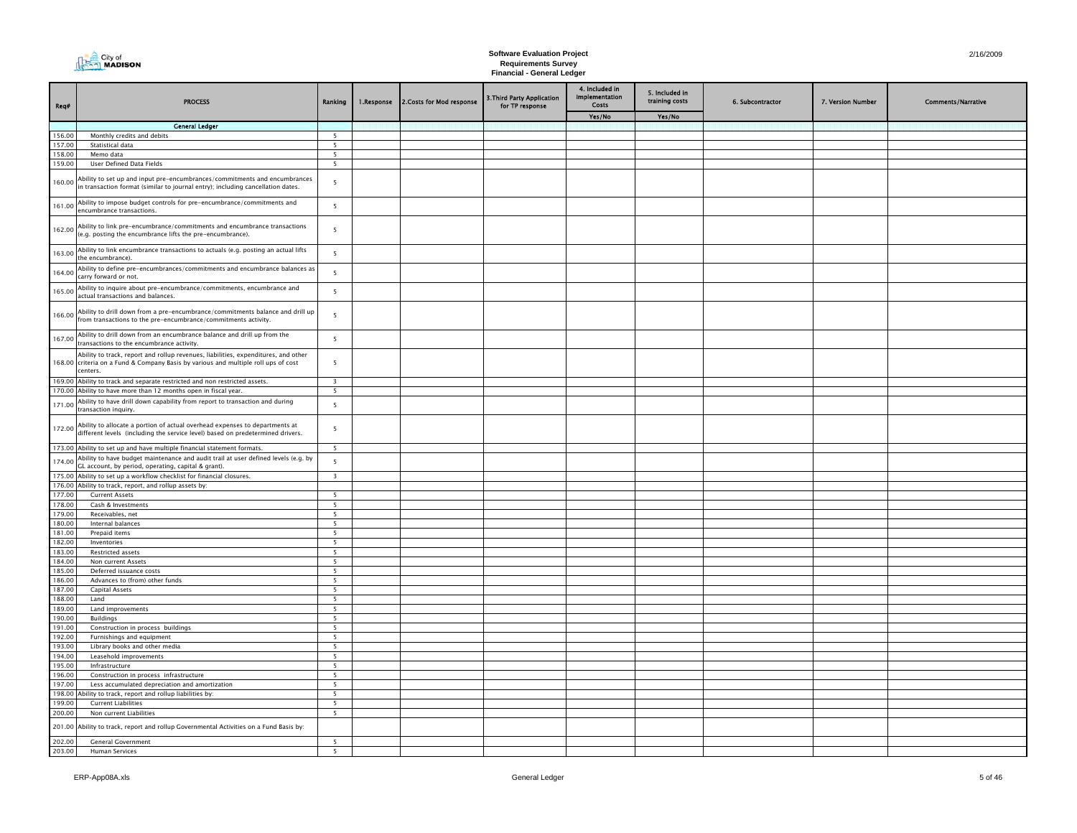| City of<br>$\sim$ Madison |
|---------------------------|
|                           |

| Req#             | <b>PROCESS</b>                                                                                                                                                                       | Ranking                       | 1.Response | 2. Costs for Mod response | 3. Third Party Application<br>for TP response | 4. Included in<br>Implementation<br>Costs | 5. Included in<br>training costs | 6. Subcontractor | 7. Version Number | <b>Comments/Narrative</b> |
|------------------|--------------------------------------------------------------------------------------------------------------------------------------------------------------------------------------|-------------------------------|------------|---------------------------|-----------------------------------------------|-------------------------------------------|----------------------------------|------------------|-------------------|---------------------------|
|                  |                                                                                                                                                                                      |                               |            |                           |                                               | Yes/No                                    | Yes/No                           |                  |                   |                           |
|                  | <b>General Ledger</b>                                                                                                                                                                |                               |            |                           |                                               |                                           |                                  |                  |                   |                           |
| 156.00<br>157.00 | Monthly credits and debits<br>Statistical data                                                                                                                                       | 5<br>5                        |            |                           |                                               |                                           |                                  |                  |                   |                           |
| 158.00           | Memo data                                                                                                                                                                            | $5\overline{ }$               |            |                           |                                               |                                           |                                  |                  |                   |                           |
| 159.00           | User Defined Data Fields                                                                                                                                                             | $5^{\circ}$                   |            |                           |                                               |                                           |                                  |                  |                   |                           |
| 160.00           | Ability to set up and input pre-encumbrances/commitments and encumbrances<br>in transaction format (similar to journal entry); including cancellation dates.                         | 5                             |            |                           |                                               |                                           |                                  |                  |                   |                           |
| 161.00           | Ability to impose budget controls for pre-encumbrance/commitments and<br>encumbrance transactions.                                                                                   | $\overline{\phantom{a}}$      |            |                           |                                               |                                           |                                  |                  |                   |                           |
| 162.00           | Ability to link pre-encumbrance/commitments and encumbrance transactions<br>(e.g. posting the encumbrance lifts the pre-encumbrance).                                                | 5                             |            |                           |                                               |                                           |                                  |                  |                   |                           |
| 163.00           | Ability to link encumbrance transactions to actuals (e.g. posting an actual lifts<br>he encumbrance).                                                                                | 5                             |            |                           |                                               |                                           |                                  |                  |                   |                           |
| 164.00           | Ability to define pre-encumbrances/commitments and encumbrance balances as<br>carry forward or not.                                                                                  | 5                             |            |                           |                                               |                                           |                                  |                  |                   |                           |
| 165.00           | Ability to inquire about pre-encumbrance/commitments, encumbrance and<br>actual transactions and balances.                                                                           | 5                             |            |                           |                                               |                                           |                                  |                  |                   |                           |
| 166.00           | Ability to drill down from a pre-encumbrance/commitments balance and drill up<br>from transactions to the pre-encumbrance/commitments activity.                                      | 5                             |            |                           |                                               |                                           |                                  |                  |                   |                           |
| 167.00           | Ability to drill down from an encumbrance balance and drill up from the<br>transactions to the encumbrance activity.                                                                 | 5                             |            |                           |                                               |                                           |                                  |                  |                   |                           |
|                  | Ability to track, report and rollup revenues, liabilities, expenditures, and other<br>168.00 criteria on a Fund & Company Basis by various and multiple roll ups of cost<br>centers. | $\overline{5}$                |            |                           |                                               |                                           |                                  |                  |                   |                           |
|                  | 169.00 Ability to track and separate restricted and non restricted assets.                                                                                                           | $\overline{\mathbf{3}}$       |            |                           |                                               |                                           |                                  |                  |                   |                           |
|                  | 170.00 Ability to have more than 12 months open in fiscal year.                                                                                                                      | 5                             |            |                           |                                               |                                           |                                  |                  |                   |                           |
| 171.00           | Ability to have drill down capability from report to transaction and during<br>transaction inquiry.                                                                                  | $\overline{5}$                |            |                           |                                               |                                           |                                  |                  |                   |                           |
| 172.00           | Ability to allocate a portion of actual overhead expenses to departments at<br>different levels (including the service level) based on predetermined drivers.                        | 5                             |            |                           |                                               |                                           |                                  |                  |                   |                           |
|                  | 173.00 Ability to set up and have multiple financial statement formats.                                                                                                              | 5                             |            |                           |                                               |                                           |                                  |                  |                   |                           |
| 174.00           | Ability to have budget maintenance and audit trail at user defined levels (e.g. by<br>GL account, by period, operating, capital & grant).                                            | 5                             |            |                           |                                               |                                           |                                  |                  |                   |                           |
|                  | 175.00 Ability to set up a workflow checklist for financial closures.                                                                                                                | $\overline{\mathbf{3}}$       |            |                           |                                               |                                           |                                  |                  |                   |                           |
| 177.00           | 176.00 Ability to track, report, and rollup assets by:<br><b>Current Assets</b>                                                                                                      | 5                             |            |                           |                                               |                                           |                                  |                  |                   |                           |
| 178.00           | Cash & Investments                                                                                                                                                                   | 5                             |            |                           |                                               |                                           |                                  |                  |                   |                           |
| 179.00           | Receivables, net                                                                                                                                                                     | 5                             |            |                           |                                               |                                           |                                  |                  |                   |                           |
| 180.00           | Internal balances                                                                                                                                                                    | 5                             |            |                           |                                               |                                           |                                  |                  |                   |                           |
| 181.00           | Prepaid items                                                                                                                                                                        | 5                             |            |                           |                                               |                                           |                                  |                  |                   |                           |
| 182.00<br>183.00 | Inventories                                                                                                                                                                          | 5<br>$\overline{\phantom{a}}$ |            |                           |                                               |                                           |                                  |                  |                   |                           |
| 184.00           | Restricted assets<br>Non current Assets                                                                                                                                              | 5                             |            |                           |                                               |                                           |                                  |                  |                   |                           |
| 185.00           | Deferred issuance costs                                                                                                                                                              | 5                             |            |                           |                                               |                                           |                                  |                  |                   |                           |
| 186.00           | Advances to (from) other funds                                                                                                                                                       | 5                             |            |                           |                                               |                                           |                                  |                  |                   |                           |
| 187.00           | Capital Assets                                                                                                                                                                       | 5                             |            |                           |                                               |                                           |                                  |                  |                   |                           |
| 188.00           | Land                                                                                                                                                                                 | $5^{\circ}$                   |            |                           |                                               |                                           |                                  |                  |                   |                           |
| 189.00           | Land improvements                                                                                                                                                                    | 5                             |            |                           |                                               |                                           |                                  |                  |                   |                           |
| 190.00<br>191.00 | <b>Buildings</b><br>Construction in process buildings                                                                                                                                | $5\overline{ }$<br>5          |            |                           |                                               |                                           |                                  |                  |                   |                           |
| 192.00           | Furnishings and equipment                                                                                                                                                            | 5                             |            |                           |                                               |                                           |                                  |                  |                   |                           |
| 193.00           | Library books and other media                                                                                                                                                        | $\overline{5}$                |            |                           |                                               |                                           |                                  |                  |                   |                           |
| 194.00           | Leasehold improvements                                                                                                                                                               | $\overline{\phantom{a}}$      |            |                           |                                               |                                           |                                  |                  |                   |                           |
| 195.00           | Infrastructure                                                                                                                                                                       | 5                             |            |                           |                                               |                                           |                                  |                  |                   |                           |
| 196.00           | Construction in process infrastructure                                                                                                                                               | 5                             |            |                           |                                               |                                           |                                  |                  |                   |                           |
| 197.00<br>198.00 | Less accumulated depreciation and amortization<br>Ability to track, report and rollup liabilities by:                                                                                | 5<br>$\overline{\phantom{0}}$ |            |                           |                                               |                                           |                                  |                  |                   |                           |
| 199.00           | <b>Current Liabilities</b>                                                                                                                                                           | 5                             |            |                           |                                               |                                           |                                  |                  |                   |                           |
| 200.00           | Non current Liabilities                                                                                                                                                              | 5                             |            |                           |                                               |                                           |                                  |                  |                   |                           |
| 201.00           | Ability to track, report and rollup Governmental Activities on a Fund Basis by:                                                                                                      |                               |            |                           |                                               |                                           |                                  |                  |                   |                           |
| 202.00           | <b>General Government</b>                                                                                                                                                            | 5                             |            |                           |                                               |                                           |                                  |                  |                   |                           |
| 203.00           | Human Services                                                                                                                                                                       | $\overline{\phantom{0}}$      |            |                           |                                               |                                           |                                  |                  |                   |                           |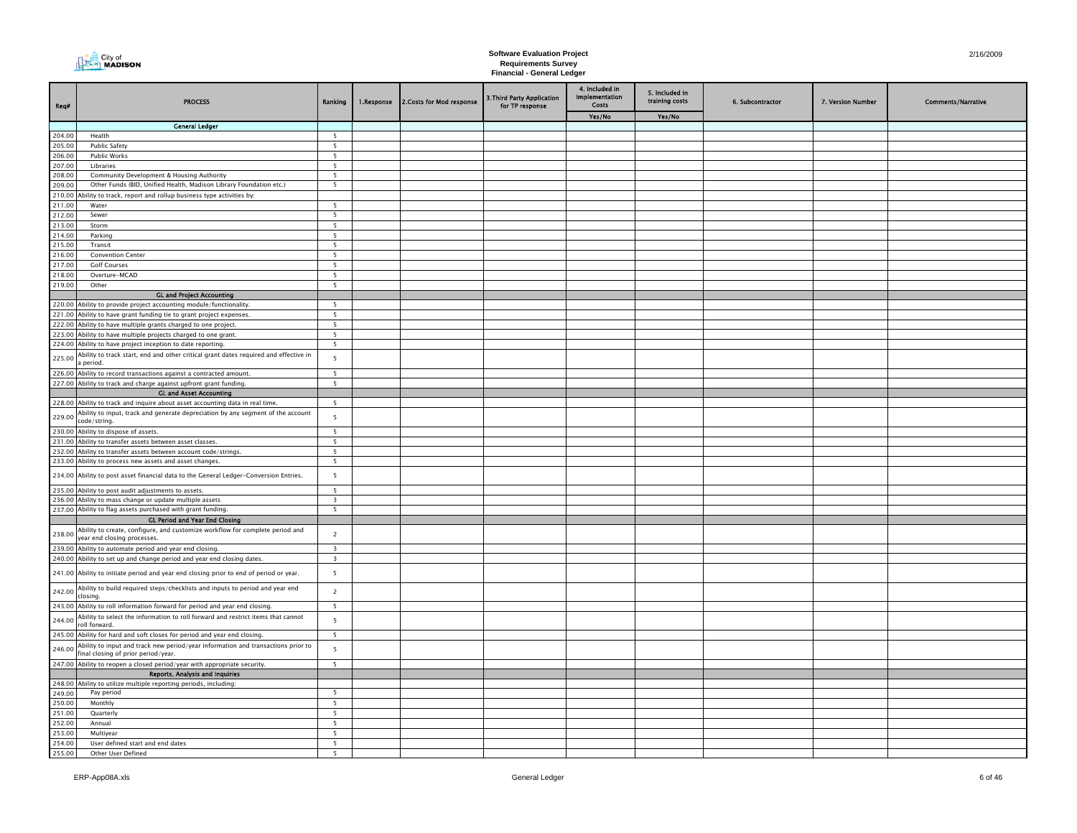| City of<br>ร\ MADISON |
|-----------------------|
|-----------------------|

| Req#             | <b>PROCESS</b>                                                                                                                                      | Ranking                  | 1.Response | 2.Costs for Mod response | 3. Third Party Application<br>for TP response | 4. Included in<br>Implementation<br><b>Costs</b> | 5. Included in<br>training costs | 6. Subcontractor | 7. Version Number | <b>Comments/Narrative</b> |
|------------------|-----------------------------------------------------------------------------------------------------------------------------------------------------|--------------------------|------------|--------------------------|-----------------------------------------------|--------------------------------------------------|----------------------------------|------------------|-------------------|---------------------------|
|                  |                                                                                                                                                     |                          |            |                          |                                               | Yes/No                                           | Yes/No                           |                  |                   |                           |
|                  | <b>General Ledger</b>                                                                                                                               |                          |            |                          |                                               |                                                  |                                  |                  |                   |                           |
| 204.00           | Health                                                                                                                                              | 5                        |            |                          |                                               |                                                  |                                  |                  |                   |                           |
| 205.00           | <b>Public Safety</b>                                                                                                                                | 5                        |            |                          |                                               |                                                  |                                  |                  |                   |                           |
| 206.00<br>207.00 | <b>Public Works</b>                                                                                                                                 | 5                        |            |                          |                                               |                                                  |                                  |                  |                   |                           |
| 208.00           | Libraries<br>Community Development & Housing Authority                                                                                              | 5<br>5                   |            |                          |                                               |                                                  |                                  |                  |                   |                           |
| 209.00           | Other Funds (BID, Unified Health, Madison Library Foundation etc.)                                                                                  | $\overline{5}$           |            |                          |                                               |                                                  |                                  |                  |                   |                           |
| 210.00           | Ability to track, report and rollup business type activities by:                                                                                    |                          |            |                          |                                               |                                                  |                                  |                  |                   |                           |
| 211.00           | Water                                                                                                                                               | 5                        |            |                          |                                               |                                                  |                                  |                  |                   |                           |
| 212.00           | Sewer                                                                                                                                               | $\overline{\phantom{0}}$ |            |                          |                                               |                                                  |                                  |                  |                   |                           |
| 213.00           | Storm                                                                                                                                               | 5                        |            |                          |                                               |                                                  |                                  |                  |                   |                           |
| 214.00           | Parking                                                                                                                                             | 5                        |            |                          |                                               |                                                  |                                  |                  |                   |                           |
| 215.00           | Transit                                                                                                                                             | 5                        |            |                          |                                               |                                                  |                                  |                  |                   |                           |
| 216.00           | <b>Convention Center</b>                                                                                                                            | 5                        |            |                          |                                               |                                                  |                                  |                  |                   |                           |
| 217.00           | <b>Golf Courses</b>                                                                                                                                 | 5                        |            |                          |                                               |                                                  |                                  |                  |                   |                           |
| 218.00           | Overture-MCAD                                                                                                                                       | $5\overline{ }$          |            |                          |                                               |                                                  |                                  |                  |                   |                           |
| 219.00           | Other                                                                                                                                               | 5                        |            |                          |                                               |                                                  |                                  |                  |                   |                           |
|                  | <b>GL and Project Accounting</b>                                                                                                                    |                          |            |                          |                                               |                                                  |                                  |                  |                   |                           |
|                  | 220.00 Ability to provide project accounting module/functionality                                                                                   | 5                        |            |                          |                                               |                                                  |                                  |                  |                   |                           |
|                  | 221.00 Ability to have grant funding tie to grant project expenses.                                                                                 | 5                        |            |                          |                                               |                                                  |                                  |                  |                   |                           |
|                  | 222.00 Ability to have multiple grants charged to one project.                                                                                      | 5<br>5                   |            |                          |                                               |                                                  |                                  |                  |                   |                           |
|                  | 223.00 Ability to have multiple projects charged to one grant.                                                                                      | $\overline{\phantom{0}}$ |            |                          |                                               |                                                  |                                  |                  |                   |                           |
|                  | 224.00 Ability to have project inception to date reporting.<br>Ability to track start, end and other critical grant dates required and effective in |                          |            |                          |                                               |                                                  |                                  |                  |                   |                           |
| 225.00           | period.                                                                                                                                             | 5                        |            |                          |                                               |                                                  |                                  |                  |                   |                           |
|                  | 226.00 Ability to record transactions against a contracted amount.                                                                                  | 5                        |            |                          |                                               |                                                  |                                  |                  |                   |                           |
|                  | 227.00 Ability to track and charge against upfront grant funding.                                                                                   | $5\overline{ }$          |            |                          |                                               |                                                  |                                  |                  |                   |                           |
|                  | <b>GL and Asset Accounting</b>                                                                                                                      |                          |            |                          |                                               |                                                  |                                  |                  |                   |                           |
|                  | 228.00 Ability to track and inquire about asset accounting data in real time.                                                                       | 5                        |            |                          |                                               |                                                  |                                  |                  |                   |                           |
| 229.00           | Ability to input, track and generate depreciation by any segment of the account<br>code/string.                                                     | 5                        |            |                          |                                               |                                                  |                                  |                  |                   |                           |
|                  | 230.00 Ability to dispose of assets.                                                                                                                | 5                        |            |                          |                                               |                                                  |                                  |                  |                   |                           |
|                  | 231.00 Ability to transfer assets between asset classes.                                                                                            | 5                        |            |                          |                                               |                                                  |                                  |                  |                   |                           |
|                  | 232.00 Ability to transfer assets between account code/strings.                                                                                     | 5                        |            |                          |                                               |                                                  |                                  |                  |                   |                           |
|                  | 233.00 Ability to process new assets and asset changes.                                                                                             | $\overline{5}$           |            |                          |                                               |                                                  |                                  |                  |                   |                           |
|                  | 234.00 Ability to post asset financial data to the General Ledger-Conversion Entries.                                                               | 5                        |            |                          |                                               |                                                  |                                  |                  |                   |                           |
|                  | 235.00 Ability to post audit adjustments to assets.                                                                                                 | 5                        |            |                          |                                               |                                                  |                                  |                  |                   |                           |
|                  | 236.00 Ability to mass change or update multiple assets                                                                                             | $\overline{\mathbf{3}}$  |            |                          |                                               |                                                  |                                  |                  |                   |                           |
|                  | 237.00 Ability to flag assets purchased with grant funding.                                                                                         | $5^{\circ}$              |            |                          |                                               |                                                  |                                  |                  |                   |                           |
|                  | <b>GL Period and Year End Closing</b>                                                                                                               |                          |            |                          |                                               |                                                  |                                  |                  |                   |                           |
| 238.00           | Ability to create, configure, and customize workflow for complete period and<br>year end closing processes.                                         | $\overline{\mathbf{c}}$  |            |                          |                                               |                                                  |                                  |                  |                   |                           |
|                  | 239.00 Ability to automate period and year end closing.                                                                                             | $\overline{\mathbf{3}}$  |            |                          |                                               |                                                  |                                  |                  |                   |                           |
|                  | 240.00 Ability to set up and change period and year end closing dates.                                                                              | $\overline{\mathbf{3}}$  |            |                          |                                               |                                                  |                                  |                  |                   |                           |
|                  | 241.00 Ability to initiate period and year end closing prior to end of period or year.                                                              | 5                        |            |                          |                                               |                                                  |                                  |                  |                   |                           |
| 242.00           | Ability to build required steps/checklists and inputs to period and year end<br>closing.                                                            | $\overline{2}$           |            |                          |                                               |                                                  |                                  |                  |                   |                           |
| 243.00           | Ability to roll information forward for period and year end closing.                                                                                | 5                        |            |                          |                                               |                                                  |                                  |                  |                   |                           |
|                  | Ability to select the information to roll forward and restrict items that cannot                                                                    |                          |            |                          |                                               |                                                  |                                  |                  |                   |                           |
| 244.00           | roll forward.<br>245.00 Ability for hard and soft closes for period and year end closing.                                                           | 5<br>$5\overline{5}$     |            |                          |                                               |                                                  |                                  |                  |                   |                           |
|                  | Ability to input and track new period/year information and transactions prior to                                                                    |                          |            |                          |                                               |                                                  |                                  |                  |                   |                           |
| 246.00           | final closing of prior period/year.<br>247.00 Ability to reopen a closed period/year with appropriate security.                                     | $5\phantom{.0}$<br>5     |            |                          |                                               |                                                  |                                  |                  |                   |                           |
|                  | Reports, Analysis and Inquiries                                                                                                                     |                          |            |                          |                                               |                                                  |                                  |                  |                   |                           |
|                  | 248.00 Ability to utilize multiple reporting periods, including:                                                                                    |                          |            |                          |                                               |                                                  |                                  |                  |                   |                           |
| 249.00           | Pay period                                                                                                                                          | 5                        |            |                          |                                               |                                                  |                                  |                  |                   |                           |
| 250.00           | Monthly                                                                                                                                             | 5                        |            |                          |                                               |                                                  |                                  |                  |                   |                           |
| 251.00           | Quarterly                                                                                                                                           | 5                        |            |                          |                                               |                                                  |                                  |                  |                   |                           |
| 252.00           | Annual                                                                                                                                              | 5                        |            |                          |                                               |                                                  |                                  |                  |                   |                           |
| 253.00           | Multiyear                                                                                                                                           | $5\overline{5}$          |            |                          |                                               |                                                  |                                  |                  |                   |                           |
| 254.00           | User defined start and end dates                                                                                                                    | 5                        |            |                          |                                               |                                                  |                                  |                  |                   |                           |
| 255.00           | Other User Defined                                                                                                                                  | 5                        |            |                          |                                               |                                                  |                                  |                  |                   |                           |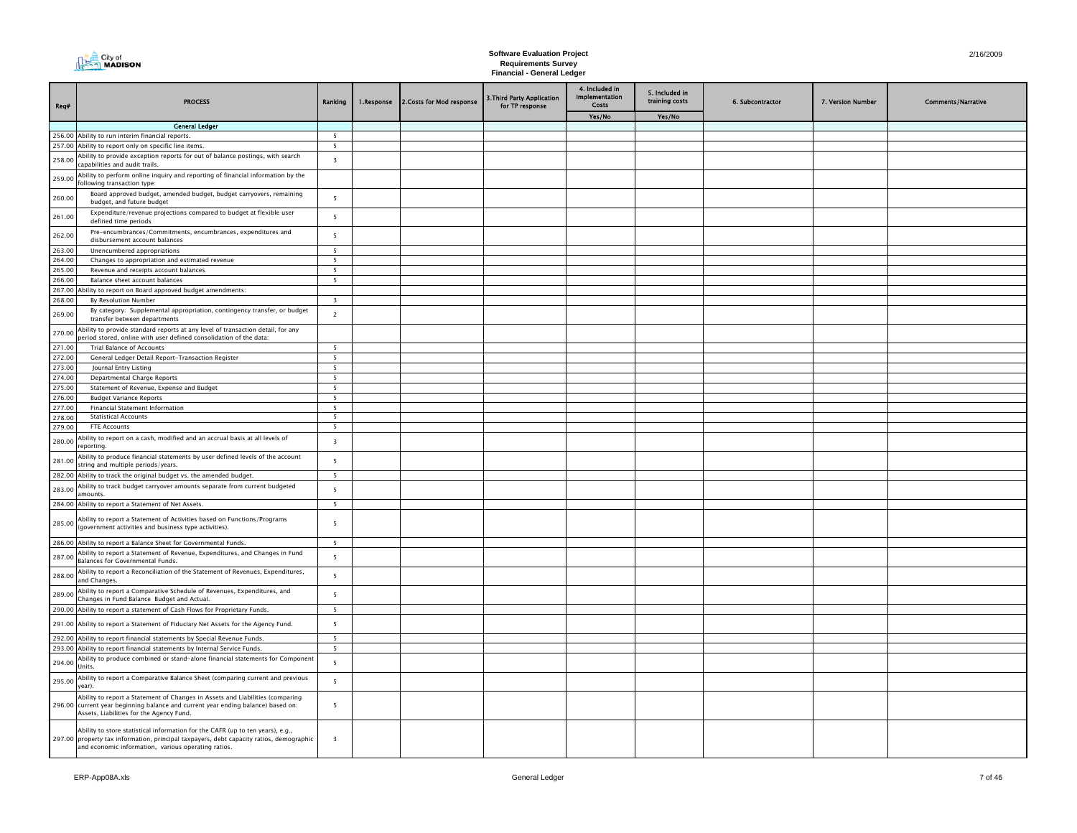| Req#             | <b>PROCESS</b>                                                                                                                                                                                                                   | Ranking                  | 1.Response | 2.Costs for Mod response | 3. Third Party Application<br>for TP response | 4. Included in<br>Implementation<br>Costs | 5. Included in<br>training costs | 6. Subcontractor | 7. Version Number | <b>Comments/Narrative</b> |
|------------------|----------------------------------------------------------------------------------------------------------------------------------------------------------------------------------------------------------------------------------|--------------------------|------------|--------------------------|-----------------------------------------------|-------------------------------------------|----------------------------------|------------------|-------------------|---------------------------|
|                  |                                                                                                                                                                                                                                  |                          |            |                          |                                               | Yes/No                                    | Yes/No                           |                  |                   |                           |
|                  | <b>General Ledger</b><br>256.00 Ability to run interim financial reports.                                                                                                                                                        | 5                        |            |                          |                                               |                                           |                                  |                  |                   |                           |
|                  | 257.00 Ability to report only on specific line items.                                                                                                                                                                            | 5                        |            |                          |                                               |                                           |                                  |                  |                   |                           |
| 258.00           | Ability to provide exception reports for out of balance postings, with search<br>capabilities and audit trails.                                                                                                                  | $\overline{\mathbf{3}}$  |            |                          |                                               |                                           |                                  |                  |                   |                           |
| 259.00           | Ability to perform online inquiry and reporting of financial information by the<br>following transaction type:                                                                                                                   |                          |            |                          |                                               |                                           |                                  |                  |                   |                           |
| 260.00           | Board approved budget, amended budget, budget carryovers, remaining<br>budget, and future budget                                                                                                                                 | 5                        |            |                          |                                               |                                           |                                  |                  |                   |                           |
| 261.00           | Expenditure/revenue projections compared to budget at flexible user<br>defined time periods                                                                                                                                      | 5                        |            |                          |                                               |                                           |                                  |                  |                   |                           |
| 262.00           | Pre-encumbrances/Commitments, encumbrances, expenditures and<br>disbursement account balances                                                                                                                                    | 5                        |            |                          |                                               |                                           |                                  |                  |                   |                           |
| 263.00           | Unencumbered appropriations                                                                                                                                                                                                      | $\overline{5}$           |            |                          |                                               |                                           |                                  |                  |                   |                           |
| 264.00<br>265.00 | Changes to appropriation and estimated revenue<br>Revenue and receipts account balances                                                                                                                                          | 5<br>5                   |            |                          |                                               |                                           |                                  |                  |                   |                           |
| 266.00           | Balance sheet account balances                                                                                                                                                                                                   | $\overline{\phantom{0}}$ |            |                          |                                               |                                           |                                  |                  |                   |                           |
| 267.00           | bility to report on Board approved budget amendments:                                                                                                                                                                            |                          |            |                          |                                               |                                           |                                  |                  |                   |                           |
| 268,00           | <b>By Resolution Number</b>                                                                                                                                                                                                      | $\overline{\mathbf{3}}$  |            |                          |                                               |                                           |                                  |                  |                   |                           |
| 269.00           | By category: Supplemental appropriation, contingency transfer, or budget<br>transfer between departments                                                                                                                         | $\overline{2}$           |            |                          |                                               |                                           |                                  |                  |                   |                           |
| 270.00           | Ability to provide standard reports at any level of transaction detail, for any<br>period stored, online with user defined consolidation of the data:                                                                            |                          |            |                          |                                               |                                           |                                  |                  |                   |                           |
| 271.00           | Trial Balance of Accounts                                                                                                                                                                                                        | $\overline{\phantom{0}}$ |            |                          |                                               |                                           |                                  |                  |                   |                           |
| 272.00           | General Ledger Detail Report-Transaction Register                                                                                                                                                                                | 5                        |            |                          |                                               |                                           |                                  |                  |                   |                           |
| 273.00<br>274.00 | Journal Entry Listing                                                                                                                                                                                                            | 5                        |            |                          |                                               |                                           |                                  |                  |                   |                           |
| 275.00           | <b>Departmental Charge Reports</b><br>Statement of Revenue, Expense and Budget                                                                                                                                                   | 5<br>5                   |            |                          |                                               |                                           |                                  |                  |                   |                           |
| 276.00           | <b>Budget Variance Reports</b>                                                                                                                                                                                                   | $\overline{5}$           |            |                          |                                               |                                           |                                  |                  |                   |                           |
| 277.00           | Financial Statement Information                                                                                                                                                                                                  | 5                        |            |                          |                                               |                                           |                                  |                  |                   |                           |
| 278.00           | <b>Statistical Accounts</b>                                                                                                                                                                                                      | 5                        |            |                          |                                               |                                           |                                  |                  |                   |                           |
| 279.00           | <b>FTE Accounts</b>                                                                                                                                                                                                              | - 5                      |            |                          |                                               |                                           |                                  |                  |                   |                           |
| 280.00           | Ability to report on a cash, modified and an accrual basis at all levels of<br>reportina.                                                                                                                                        | $\overline{\mathbf{3}}$  |            |                          |                                               |                                           |                                  |                  |                   |                           |
| 281.00           | Ability to produce financial statements by user defined levels of the account<br>string and multiple periods/years.                                                                                                              | 5                        |            |                          |                                               |                                           |                                  |                  |                   |                           |
|                  | 282.00 Ability to track the original budget vs. the amended budget.                                                                                                                                                              | 5                        |            |                          |                                               |                                           |                                  |                  |                   |                           |
| 283.00           | Ability to track budget carryover amounts separate from current budgeted<br>amounts.                                                                                                                                             | 5                        |            |                          |                                               |                                           |                                  |                  |                   |                           |
|                  | 284.00 Ability to report a Statement of Net Assets.                                                                                                                                                                              | 5                        |            |                          |                                               |                                           |                                  |                  |                   |                           |
| 285.00           | Ability to report a Statement of Activities based on Functions/Programs<br>(government activities and business type activities).                                                                                                 | 5                        |            |                          |                                               |                                           |                                  |                  |                   |                           |
|                  | 286.00 Ability to report a Balance Sheet for Governmental Funds.                                                                                                                                                                 | 5                        |            |                          |                                               |                                           |                                  |                  |                   |                           |
| 287.00           | Ability to report a Statement of Revenue, Expenditures, and Changes in Fund<br>Balances for Governmental Funds.                                                                                                                  | 5                        |            |                          |                                               |                                           |                                  |                  |                   |                           |
| 288.00           | Ability to report a Reconciliation of the Statement of Revenues, Expenditures,<br>and Changes.                                                                                                                                   | 5                        |            |                          |                                               |                                           |                                  |                  |                   |                           |
| 289.00           | Ability to report a Comparative Schedule of Revenues, Expenditures, and<br>Changes in Fund Balance Budget and Actual.                                                                                                            | 5                        |            |                          |                                               |                                           |                                  |                  |                   |                           |
|                  | 290.00 Ability to report a statement of Cash Flows for Proprietary Funds.                                                                                                                                                        | 5                        |            |                          |                                               |                                           |                                  |                  |                   |                           |
|                  | 291.00 Ability to report a Statement of Fiduciary Net Assets for the Agency Fund.                                                                                                                                                | 5                        |            |                          |                                               |                                           |                                  |                  |                   |                           |
|                  | 292.00 Ability to report financial statements by Special Revenue Funds.<br>293.00 Ability to report financial statements by Internal Service Funds.                                                                              | 5<br>5                   |            |                          |                                               |                                           |                                  |                  |                   |                           |
|                  | Ability to produce combined or stand-alone financial statements for Component                                                                                                                                                    |                          |            |                          |                                               |                                           |                                  |                  |                   |                           |
| 294.00           | Units.<br>Ability to report a Comparative Balance Sheet (comparing current and previous                                                                                                                                          | 5                        |            |                          |                                               |                                           |                                  |                  |                   |                           |
| 295.00           | year).<br>Ability to report a Statement of Changes in Assets and Liabilities (comparing                                                                                                                                          | 5                        |            |                          |                                               |                                           |                                  |                  |                   |                           |
|                  | 296.00 current year beginning balance and current year ending balance) based on:<br>Assets, Liabilities for the Agency Fund.                                                                                                     | 5                        |            |                          |                                               |                                           |                                  |                  |                   |                           |
|                  | Ability to store statistical information for the CAFR (up to ten years), e.g.,<br>297.00 property tax information, principal taxpayers, debt capacity ratios, demographic<br>and economic information, various operating ratios. | $\overline{3}$           |            |                          |                                               |                                           |                                  |                  |                   |                           |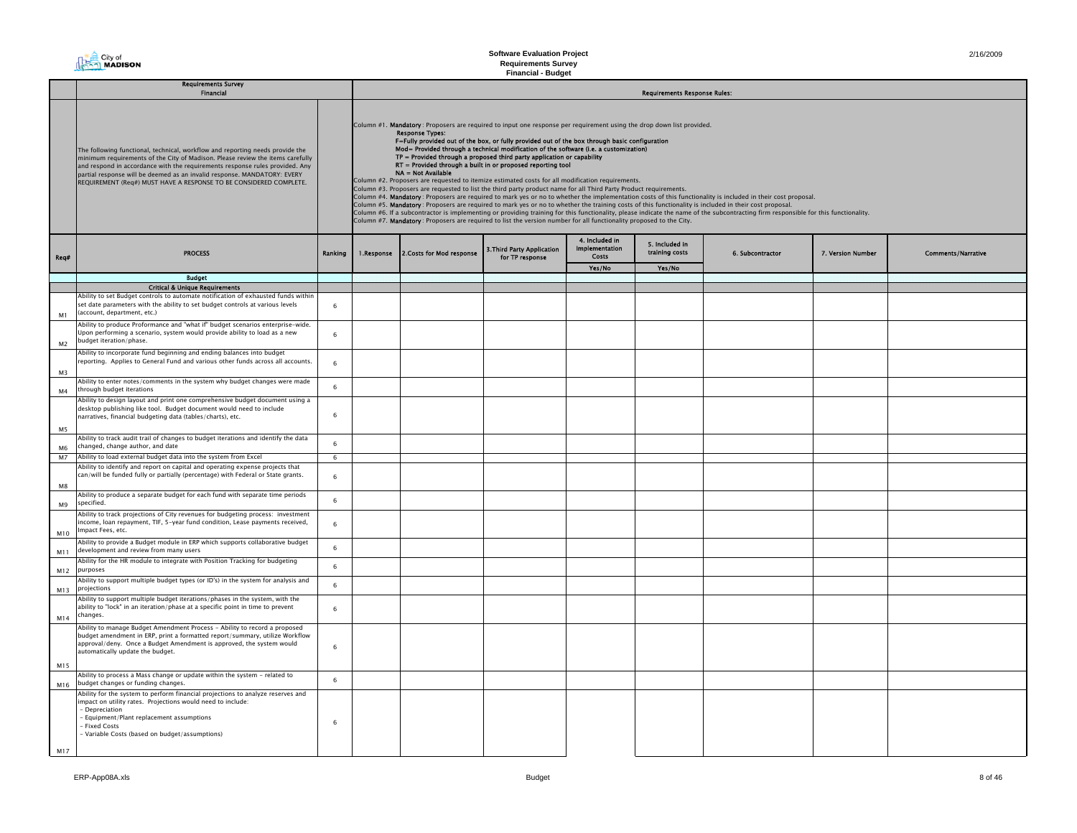**Requirements Survey Financial - Budget**

|                | Requirements Survey<br>Financial                                                                                                                                                                                                                                                                                                                                                                  |         | <b>Requirements Response Rules:</b> |                                                                                                                                                                                                                                                                                                                                                                                                                                                                                                                                                                                                                                                                                                                                                                                                                                                                                                                                                                                                                                                                                                                                                                                                                                                                                                                                                                           |                                               |                                           |                                  |                  |                   |                           |  |  |
|----------------|---------------------------------------------------------------------------------------------------------------------------------------------------------------------------------------------------------------------------------------------------------------------------------------------------------------------------------------------------------------------------------------------------|---------|-------------------------------------|---------------------------------------------------------------------------------------------------------------------------------------------------------------------------------------------------------------------------------------------------------------------------------------------------------------------------------------------------------------------------------------------------------------------------------------------------------------------------------------------------------------------------------------------------------------------------------------------------------------------------------------------------------------------------------------------------------------------------------------------------------------------------------------------------------------------------------------------------------------------------------------------------------------------------------------------------------------------------------------------------------------------------------------------------------------------------------------------------------------------------------------------------------------------------------------------------------------------------------------------------------------------------------------------------------------------------------------------------------------------------|-----------------------------------------------|-------------------------------------------|----------------------------------|------------------|-------------------|---------------------------|--|--|
|                | The following functional, technical, workflow and reporting needs provide the<br>minimum requirements of the City of Madison. Please review the items carefully<br>and respond in accordance with the requirements response rules provided. Any<br>partial response will be deemed as an invalid response. MANDATORY: EVERY<br>REQUIREMENT (Req#) MUST HAVE A RESPONSE TO BE CONSIDERED COMPLETE. |         |                                     | Column #1. Mandatory: Proposers are required to input one response per requirement using the drop down list provided.<br><b>Response Types:</b><br>F=Fully provided out of the box, or fully provided out of the box through basic configuration<br>Mod= Provided through a technical modification of the software (i.e. a customization)<br>TP = Provided through a proposed third party application or capability<br>RT = Provided through a built in or proposed reporting tool<br>NA = Not Available<br>Column #2. Proposers are requested to itemize estimated costs for all modification requirements.<br>Column #3. Proposers are requested to list the third party product name for all Third Party Product requirements.<br>Column #4. Mandatory: Proposers are required to mark yes or no to whether the implementation costs of this functionality is included in their cost proposal.<br>Column #5. Mandatory: Proposers are required to mark yes or no to whether the training costs of this functionality is included in their cost proposal.<br>Column #6. If a subcontractor is implementing or providing training for this functionality, please indicate the name of the subcontracting firm responsible for this functionality.<br>Column #7. Mandatory: Proposers are required to list the version number for all functionality proposed to the City. |                                               |                                           |                                  |                  |                   |                           |  |  |
| Req#           | <b>PROCESS</b>                                                                                                                                                                                                                                                                                                                                                                                    | Ranking | 1.Response                          | 2. Costs for Mod response                                                                                                                                                                                                                                                                                                                                                                                                                                                                                                                                                                                                                                                                                                                                                                                                                                                                                                                                                                                                                                                                                                                                                                                                                                                                                                                                                 | 3. Third Party Application<br>for TP response | 4. Included in<br>Implementation<br>Costs | 5. Included in<br>training costs | 6. Subcontractor | 7. Version Number | <b>Comments/Narrative</b> |  |  |
|                |                                                                                                                                                                                                                                                                                                                                                                                                   |         |                                     |                                                                                                                                                                                                                                                                                                                                                                                                                                                                                                                                                                                                                                                                                                                                                                                                                                                                                                                                                                                                                                                                                                                                                                                                                                                                                                                                                                           |                                               | Yes/No                                    | Yes/No                           |                  |                   |                           |  |  |
|                | <b>Budget</b>                                                                                                                                                                                                                                                                                                                                                                                     |         |                                     |                                                                                                                                                                                                                                                                                                                                                                                                                                                                                                                                                                                                                                                                                                                                                                                                                                                                                                                                                                                                                                                                                                                                                                                                                                                                                                                                                                           |                                               |                                           |                                  |                  |                   |                           |  |  |
| M1             | <b>Critical &amp; Unique Requirements</b><br>Ability to set Budget controls to automate notification of exhausted funds within<br>set date parameters with the ability to set budget controls at various levels<br>(account, department, etc.)                                                                                                                                                    | 6       |                                     |                                                                                                                                                                                                                                                                                                                                                                                                                                                                                                                                                                                                                                                                                                                                                                                                                                                                                                                                                                                                                                                                                                                                                                                                                                                                                                                                                                           |                                               |                                           |                                  |                  |                   |                           |  |  |
| M <sub>2</sub> | Ability to produce Proformance and "what if" budget scenarios enterprise-wide.<br>Upon performing a scenario, system would provide ability to load as a new<br>budget iteration/phase.                                                                                                                                                                                                            | 6       |                                     |                                                                                                                                                                                                                                                                                                                                                                                                                                                                                                                                                                                                                                                                                                                                                                                                                                                                                                                                                                                                                                                                                                                                                                                                                                                                                                                                                                           |                                               |                                           |                                  |                  |                   |                           |  |  |
| M <sub>3</sub> | Ability to incorporate fund beginning and ending balances into budget<br>reporting. Applies to General Fund and various other funds across all accounts.                                                                                                                                                                                                                                          | 6       |                                     |                                                                                                                                                                                                                                                                                                                                                                                                                                                                                                                                                                                                                                                                                                                                                                                                                                                                                                                                                                                                                                                                                                                                                                                                                                                                                                                                                                           |                                               |                                           |                                  |                  |                   |                           |  |  |
| M4             | Ability to enter notes/comments in the system why budget changes were made<br>through budget iterations                                                                                                                                                                                                                                                                                           | 6       |                                     |                                                                                                                                                                                                                                                                                                                                                                                                                                                                                                                                                                                                                                                                                                                                                                                                                                                                                                                                                                                                                                                                                                                                                                                                                                                                                                                                                                           |                                               |                                           |                                  |                  |                   |                           |  |  |
| M5             | Ability to design layout and print one comprehensive budget document using a<br>desktop publishing like tool. Budget document would need to include<br>narratives, financial budgeting data (tables/charts), etc.                                                                                                                                                                                 | 6       |                                     |                                                                                                                                                                                                                                                                                                                                                                                                                                                                                                                                                                                                                                                                                                                                                                                                                                                                                                                                                                                                                                                                                                                                                                                                                                                                                                                                                                           |                                               |                                           |                                  |                  |                   |                           |  |  |
| M6             | Ability to track audit trail of changes to budget iterations and identify the data<br>changed, change author, and date                                                                                                                                                                                                                                                                            | 6       |                                     |                                                                                                                                                                                                                                                                                                                                                                                                                                                                                                                                                                                                                                                                                                                                                                                                                                                                                                                                                                                                                                                                                                                                                                                                                                                                                                                                                                           |                                               |                                           |                                  |                  |                   |                           |  |  |
| M <sub>7</sub> | Ability to load external budget data into the system from Excel                                                                                                                                                                                                                                                                                                                                   | 6       |                                     |                                                                                                                                                                                                                                                                                                                                                                                                                                                                                                                                                                                                                                                                                                                                                                                                                                                                                                                                                                                                                                                                                                                                                                                                                                                                                                                                                                           |                                               |                                           |                                  |                  |                   |                           |  |  |
| M8             | Ability to identify and report on capital and operating expense projects that<br>can/will be funded fully or partially (percentage) with Federal or State grants.                                                                                                                                                                                                                                 | 6       |                                     |                                                                                                                                                                                                                                                                                                                                                                                                                                                                                                                                                                                                                                                                                                                                                                                                                                                                                                                                                                                                                                                                                                                                                                                                                                                                                                                                                                           |                                               |                                           |                                  |                  |                   |                           |  |  |
| M9             | Ability to produce a separate budget for each fund with separate time periods<br>specified.                                                                                                                                                                                                                                                                                                       | 6       |                                     |                                                                                                                                                                                                                                                                                                                                                                                                                                                                                                                                                                                                                                                                                                                                                                                                                                                                                                                                                                                                                                                                                                                                                                                                                                                                                                                                                                           |                                               |                                           |                                  |                  |                   |                           |  |  |
| M10            | Ability to track projections of City revenues for budgeting process: investment<br>ncome, loan repayment, TIF, 5-year fund condition, Lease payments received,<br>Impact Fees, etc.                                                                                                                                                                                                               | 6       |                                     |                                                                                                                                                                                                                                                                                                                                                                                                                                                                                                                                                                                                                                                                                                                                                                                                                                                                                                                                                                                                                                                                                                                                                                                                                                                                                                                                                                           |                                               |                                           |                                  |                  |                   |                           |  |  |
| M11            | Ability to provide a Budget module in ERP which supports collaborative budget<br>development and review from many users                                                                                                                                                                                                                                                                           | 6       |                                     |                                                                                                                                                                                                                                                                                                                                                                                                                                                                                                                                                                                                                                                                                                                                                                                                                                                                                                                                                                                                                                                                                                                                                                                                                                                                                                                                                                           |                                               |                                           |                                  |                  |                   |                           |  |  |
| M12            | Ability for the HR module to integrate with Position Tracking for budgeting<br>purposes                                                                                                                                                                                                                                                                                                           | 6       |                                     |                                                                                                                                                                                                                                                                                                                                                                                                                                                                                                                                                                                                                                                                                                                                                                                                                                                                                                                                                                                                                                                                                                                                                                                                                                                                                                                                                                           |                                               |                                           |                                  |                  |                   |                           |  |  |
| M13            | Ability to support multiple budget types (or ID's) in the system for analysis and<br>projections                                                                                                                                                                                                                                                                                                  | 6       |                                     |                                                                                                                                                                                                                                                                                                                                                                                                                                                                                                                                                                                                                                                                                                                                                                                                                                                                                                                                                                                                                                                                                                                                                                                                                                                                                                                                                                           |                                               |                                           |                                  |                  |                   |                           |  |  |
| M14            | Ability to support multiple budget iterations/phases in the system, with the<br>ability to "lock" in an iteration/phase at a specific point in time to prevent<br>changes.                                                                                                                                                                                                                        | 6       |                                     |                                                                                                                                                                                                                                                                                                                                                                                                                                                                                                                                                                                                                                                                                                                                                                                                                                                                                                                                                                                                                                                                                                                                                                                                                                                                                                                                                                           |                                               |                                           |                                  |                  |                   |                           |  |  |
| M15            | Ability to manage Budget Amendment Process - Ability to record a proposed<br>budget amendment in ERP, print a formatted report/summary, utilize Workflow<br>approval/deny. Once a Budget Amendment is approved, the system would<br>automatically update the budget.                                                                                                                              | 6       |                                     |                                                                                                                                                                                                                                                                                                                                                                                                                                                                                                                                                                                                                                                                                                                                                                                                                                                                                                                                                                                                                                                                                                                                                                                                                                                                                                                                                                           |                                               |                                           |                                  |                  |                   |                           |  |  |
| M16            | Ability to process a Mass change or update within the system - related to<br>budget changes or funding changes.                                                                                                                                                                                                                                                                                   | 6       |                                     |                                                                                                                                                                                                                                                                                                                                                                                                                                                                                                                                                                                                                                                                                                                                                                                                                                                                                                                                                                                                                                                                                                                                                                                                                                                                                                                                                                           |                                               |                                           |                                  |                  |                   |                           |  |  |
| M17            | Ability for the system to perform financial projections to analyze reserves and<br>mpact on utility rates. Projections would need to include:<br>- Depreciation<br>- Equipment/Plant replacement assumptions<br>- Fixed Costs<br>- Variable Costs (based on budget/assumptions)                                                                                                                   | 6       |                                     |                                                                                                                                                                                                                                                                                                                                                                                                                                                                                                                                                                                                                                                                                                                                                                                                                                                                                                                                                                                                                                                                                                                                                                                                                                                                                                                                                                           |                                               |                                           |                                  |                  |                   |                           |  |  |

**The City of**<br>The MADISON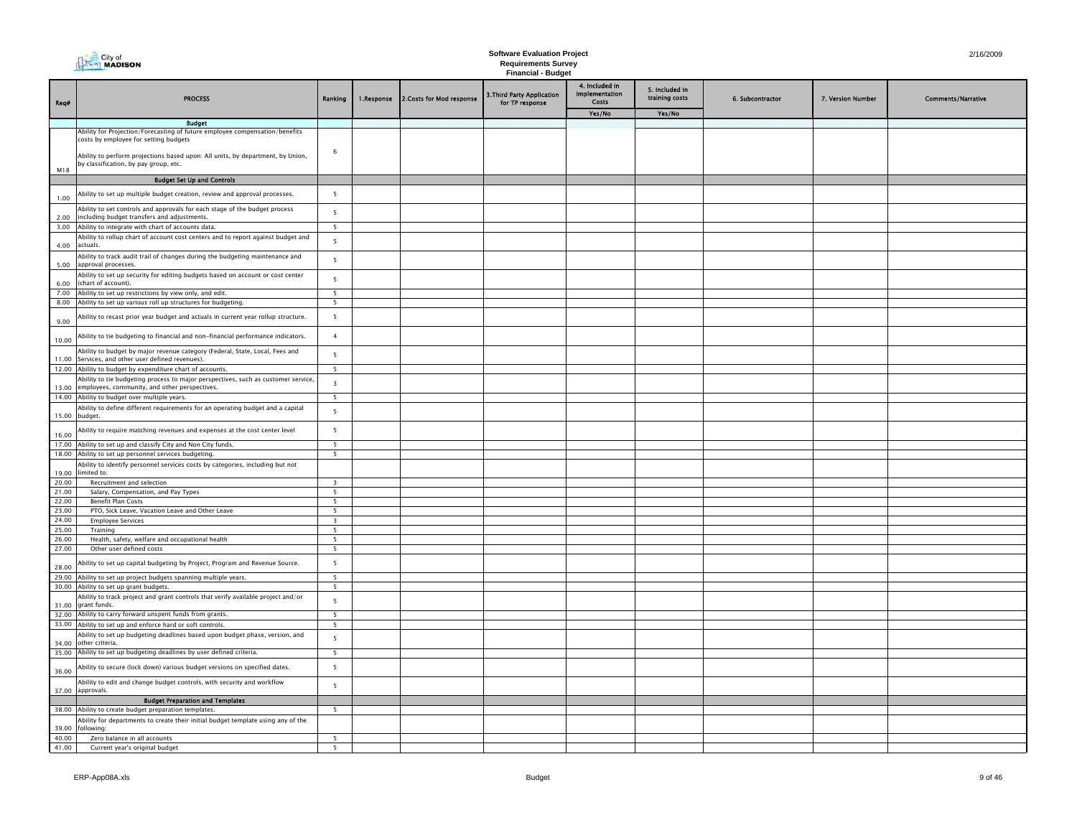|                | MADISON<br><b>Requirements Survey</b><br><b>Financial - Budget</b>                                                                                                                                                                              |                              |            |                           |                                               |                                                     |                                            |                  |                   |                           |
|----------------|-------------------------------------------------------------------------------------------------------------------------------------------------------------------------------------------------------------------------------------------------|------------------------------|------------|---------------------------|-----------------------------------------------|-----------------------------------------------------|--------------------------------------------|------------------|-------------------|---------------------------|
| Req#           | <b>PROCESS</b>                                                                                                                                                                                                                                  | Ranking                      | 1.Response | 2. Costs for Mod response | 3. Third Party Application<br>for TP response | 4. Included in<br>Implementation<br>Costs<br>Yes/No | 5. Included in<br>training costs<br>Yes/No | 6. Subcontractor | 7. Version Number | <b>Comments/Narrative</b> |
|                | <b>Budget</b>                                                                                                                                                                                                                                   |                              |            |                           |                                               |                                                     |                                            |                  |                   |                           |
|                | Ability for Projection/Forecasting of future employee compensation/benefits<br>costs by employee for setting budgets<br>Ability to perform projections based upon: All units, by department, by Union,<br>by classification, by pay group, etc. | 6                            |            |                           |                                               |                                                     |                                            |                  |                   |                           |
| M18            |                                                                                                                                                                                                                                                 |                              |            |                           |                                               |                                                     |                                            |                  |                   |                           |
|                | <b>Budget Set Up and Controls</b>                                                                                                                                                                                                               |                              |            |                           |                                               |                                                     |                                            |                  |                   |                           |
| 1.00           | Ability to set up multiple budget creation, review and approval processes.                                                                                                                                                                      | $\overline{5}$               |            |                           |                                               |                                                     |                                            |                  |                   |                           |
| 2.00           | Ability to set controls and approvals for each stage of the budget process<br>including budget transfers and adjustments.                                                                                                                       | 5                            |            |                           |                                               |                                                     |                                            |                  |                   |                           |
|                | 3.00 Ability to integrate with chart of accounts data.                                                                                                                                                                                          | 5                            |            |                           |                                               |                                                     |                                            |                  |                   |                           |
| 4.00           | Ability to rollup chart of account cost centers and to report against budget and<br>actuals                                                                                                                                                     | 5                            |            |                           |                                               |                                                     |                                            |                  |                   |                           |
| 5.00           | Ability to track audit trail of changes during the budgeting maintenance and<br>approval processes.                                                                                                                                             | 5                            |            |                           |                                               |                                                     |                                            |                  |                   |                           |
| 6.00           | Ability to set up security for editing budgets based on account or cost center<br>(chart of account).                                                                                                                                           | 5                            |            |                           |                                               |                                                     |                                            |                  |                   |                           |
|                | 7.00 Ability to set up restrictions by view only, and edit.                                                                                                                                                                                     | 5                            |            |                           |                                               |                                                     |                                            |                  |                   |                           |
|                | 8.00 Ability to set up various roll up structures for budgeting.                                                                                                                                                                                | - 5                          |            |                           |                                               |                                                     |                                            |                  |                   |                           |
| 9.00           | Ability to recast prior year budget and actuals in current year rollup structure.                                                                                                                                                               | 5                            |            |                           |                                               |                                                     |                                            |                  |                   |                           |
| 10.00          | Ability to tie budgeting to financial and non-financial performance indicators.                                                                                                                                                                 | $\overline{4}$               |            |                           |                                               |                                                     |                                            |                  |                   |                           |
| 11.00          | Ability to budget by major revenue category (Federal, State, Local, Fees and<br>Services, and other user defined revenues).                                                                                                                     | 5                            |            |                           |                                               |                                                     |                                            |                  |                   |                           |
|                | 12.00 Ability to budget by expenditure chart of accounts.                                                                                                                                                                                       | $\overline{5}$               |            |                           |                                               |                                                     |                                            |                  |                   |                           |
|                | Ability to tie budgeting process to major perspectives, such as customer service,<br>13.00 employees, community, and other perspectives.                                                                                                        | $\overline{\mathbf{3}}$      |            |                           |                                               |                                                     |                                            |                  |                   |                           |
|                | 14.00 Ability to budget over multiple years.                                                                                                                                                                                                    | 5                            |            |                           |                                               |                                                     |                                            |                  |                   |                           |
| 15.00 budget.  | Ability to define different requirements for an operating budget and a capital                                                                                                                                                                  | 5                            |            |                           |                                               |                                                     |                                            |                  |                   |                           |
| 16.00          | Ability to require matching revenues and expenses at the cost center level                                                                                                                                                                      | 5                            |            |                           |                                               |                                                     |                                            |                  |                   |                           |
|                | 17.00 Ability to set up and classify City and Non City funds.<br>18.00 Ability to set up personnel services budgeting.                                                                                                                          | 5<br>5                       |            |                           |                                               |                                                     |                                            |                  |                   |                           |
| 19.00          | Ability to identify personnel services costs by categories, including but not<br>imited to:                                                                                                                                                     |                              |            |                           |                                               |                                                     |                                            |                  |                   |                           |
| 20.00          | Recruitment and selection                                                                                                                                                                                                                       | $\overline{\mathbf{3}}$      |            |                           |                                               |                                                     |                                            |                  |                   |                           |
| 21.00          | Salary, Compensation, and Pay Types                                                                                                                                                                                                             | -5                           |            |                           |                                               |                                                     |                                            |                  |                   |                           |
| 22.00<br>23.00 | <b>Benefit Plan Costs</b>                                                                                                                                                                                                                       | 5                            |            |                           |                                               |                                                     |                                            |                  |                   |                           |
| 24.00          | PTO, Sick Leave, Vacation Leave and Other Leave<br><b>Employee Services</b>                                                                                                                                                                     | 5<br>$\overline{\mathbf{3}}$ |            |                           |                                               |                                                     |                                            |                  |                   |                           |
| 25.00          | Training                                                                                                                                                                                                                                        | 5                            |            |                           |                                               |                                                     |                                            |                  |                   |                           |
| 26.00          | Health, safety, welfare and occupational health                                                                                                                                                                                                 | 5                            |            |                           |                                               |                                                     |                                            |                  |                   |                           |
| 27.00          | Other user defined costs                                                                                                                                                                                                                        | 5                            |            |                           |                                               |                                                     |                                            |                  |                   |                           |
| 28.00          | bility to set up capital budgeting by Project, Program and Revenue Source.                                                                                                                                                                      | 5                            |            |                           |                                               |                                                     |                                            |                  |                   |                           |
|                | 29.00 Ability to set up project budgets spanning multiple years.                                                                                                                                                                                | $\overline{5}$               |            |                           |                                               |                                                     |                                            |                  |                   |                           |
|                | 30.00 Ability to set up grant budgets.                                                                                                                                                                                                          | 5                            |            |                           |                                               |                                                     |                                            |                  |                   |                           |
|                | Ability to track project and grant controls that verify available project and/or<br>31.00 grant funds.                                                                                                                                          | 5                            |            |                           |                                               |                                                     |                                            |                  |                   |                           |
|                | 32.00 Ability to carry forward unspent funds from grants.                                                                                                                                                                                       | 5                            |            |                           |                                               |                                                     |                                            |                  |                   |                           |
|                | 33.00 Ability to set up and enforce hard or soft controls.                                                                                                                                                                                      | $\overline{\phantom{0}}$     |            |                           |                                               |                                                     |                                            |                  |                   |                           |
|                | Ability to set up budgeting deadlines based upon budget phase, version, and<br>34.00 other criteria.                                                                                                                                            | 5                            |            |                           |                                               |                                                     |                                            |                  |                   |                           |
|                | 35.00 Ability to set up budgeting deadlines by user defined criteria.                                                                                                                                                                           | 5                            |            |                           |                                               |                                                     |                                            |                  |                   |                           |
| 36.00          | bility to secure (lock down) various budget versions on specified dates.                                                                                                                                                                        | 5                            |            |                           |                                               |                                                     |                                            |                  |                   |                           |
|                | Ability to edit and change budget controls, with security and workflow<br>37.00 approvals.                                                                                                                                                      | 5                            |            |                           |                                               |                                                     |                                            |                  |                   |                           |
|                | <b>Budget Preparation and Templates</b>                                                                                                                                                                                                         |                              |            |                           |                                               |                                                     |                                            |                  |                   |                           |
|                | 38.00 Ability to create budget preparation templates.                                                                                                                                                                                           | -5                           |            |                           |                                               |                                                     |                                            |                  |                   |                           |
| 39.00          | Ability for departments to create their initial budget template using any of the<br>ollowing:                                                                                                                                                   |                              |            |                           |                                               |                                                     |                                            |                  |                   |                           |
| 40.00          | Zero balance in all accounts                                                                                                                                                                                                                    | - 5                          |            |                           |                                               |                                                     |                                            |                  |                   |                           |
| 41.00          | Current year's original budget                                                                                                                                                                                                                  | $5\overline{5}$              |            |                           |                                               |                                                     |                                            |                  |                   |                           |

├

**The City of**<br> **The City of**<br> **MADISON**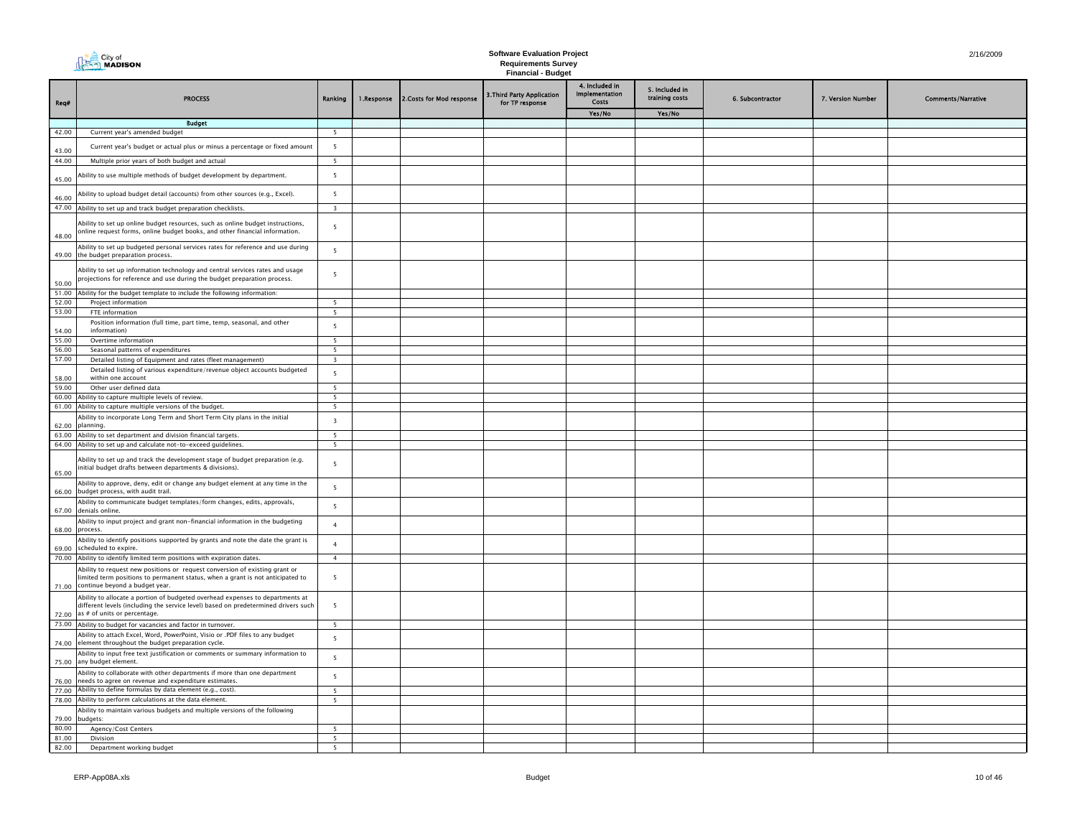|                | MADISON<br><b>Requirements Survey</b><br><b>Financial - Budget</b>                                                                                                                                        |                          |            |                           |                                               |                                           |                                  |                  |                   |                           |
|----------------|-----------------------------------------------------------------------------------------------------------------------------------------------------------------------------------------------------------|--------------------------|------------|---------------------------|-----------------------------------------------|-------------------------------------------|----------------------------------|------------------|-------------------|---------------------------|
| Req#           | <b>PROCESS</b>                                                                                                                                                                                            | Ranking                  | 1.Response | 2. Costs for Mod response | 3. Third Party Application<br>for TP response | 4. Included in<br>Implementation<br>Costs | 5. Included in<br>training costs | 6. Subcontractor | 7. Version Number | <b>Comments/Narrative</b> |
|                |                                                                                                                                                                                                           |                          |            |                           |                                               | Yes/No                                    | Yes/No                           |                  |                   |                           |
| 42.00          | <b>Budget</b><br>Current year's amended budget                                                                                                                                                            | 5                        |            |                           |                                               |                                           |                                  |                  |                   |                           |
|                |                                                                                                                                                                                                           | 5                        |            |                           |                                               |                                           |                                  |                  |                   |                           |
| 43.00<br>44.00 | Current year's budget or actual plus or minus a percentage or fixed amount                                                                                                                                | $\overline{5}$           |            |                           |                                               |                                           |                                  |                  |                   |                           |
|                | Multiple prior years of both budget and actual                                                                                                                                                            |                          |            |                           |                                               |                                           |                                  |                  |                   |                           |
| 45.00          | Ability to use multiple methods of budget development by department.                                                                                                                                      | 5                        |            |                           |                                               |                                           |                                  |                  |                   |                           |
| 46.00          | Ability to upload budget detail (accounts) from other sources (e.g., Excel).                                                                                                                              | 5                        |            |                           |                                               |                                           |                                  |                  |                   |                           |
|                | 47.00 Ability to set up and track budget preparation checklists.                                                                                                                                          | $\overline{\mathbf{3}}$  |            |                           |                                               |                                           |                                  |                  |                   |                           |
| 48.00          | Ability to set up online budget resources, such as online budget instructions,<br>online request forms, online budget books, and other financial information.                                             | - 5                      |            |                           |                                               |                                           |                                  |                  |                   |                           |
|                | Ability to set up budgeted personal services rates for reference and use during<br>49.00 the budget preparation process.                                                                                  | 5                        |            |                           |                                               |                                           |                                  |                  |                   |                           |
| 50.00          | Ability to set up information technology and central services rates and usage<br>projections for reference and use during the budget preparation process.                                                 | - 5                      |            |                           |                                               |                                           |                                  |                  |                   |                           |
|                | 51.00 Ability for the budget template to include the following information:                                                                                                                               |                          |            |                           |                                               |                                           |                                  |                  |                   |                           |
| 52.00          | Project information                                                                                                                                                                                       | 5                        |            |                           |                                               |                                           |                                  |                  |                   |                           |
| 53.00          | FTE information                                                                                                                                                                                           | $\overline{5}$           |            |                           |                                               |                                           |                                  |                  |                   |                           |
| 54.00          | Position information (full time, part time, temp, seasonal, and other<br>information)                                                                                                                     | $\overline{5}$           |            |                           |                                               |                                           |                                  |                  |                   |                           |
| 55.00          | Overtime information                                                                                                                                                                                      | $\overline{5}$           |            |                           |                                               |                                           |                                  |                  |                   |                           |
| 56.00          | Seasonal patterns of expenditures                                                                                                                                                                         | $\overline{\phantom{a}}$ |            |                           |                                               |                                           |                                  |                  |                   |                           |
| 57.00          | Detailed listing of Equipment and rates (fleet management)                                                                                                                                                | 3                        |            |                           |                                               |                                           |                                  |                  |                   |                           |
| 58.00          | Detailed listing of various expenditure/revenue object accounts budgeted<br>within one account                                                                                                            | 5                        |            |                           |                                               |                                           |                                  |                  |                   |                           |
| 59.00          | Other user defined data                                                                                                                                                                                   | 5                        |            |                           |                                               |                                           |                                  |                  |                   |                           |
|                | 60.00 Ability to capture multiple levels of review.                                                                                                                                                       | - 5                      |            |                           |                                               |                                           |                                  |                  |                   |                           |
|                | 61.00 Ability to capture multiple versions of the budget.                                                                                                                                                 | $\overline{5}$           |            |                           |                                               |                                           |                                  |                  |                   |                           |
|                | Ability to incorporate Long Term and Short Term City plans in the initial<br>62.00 planning.                                                                                                              | $\overline{\mathbf{3}}$  |            |                           |                                               |                                           |                                  |                  |                   |                           |
|                | 63.00 Ability to set department and division financial targets.                                                                                                                                           | 5                        |            |                           |                                               |                                           |                                  |                  |                   |                           |
|                | 64.00 Ability to set up and calculate not-to-exceed guidelines.                                                                                                                                           | 5                        |            |                           |                                               |                                           |                                  |                  |                   |                           |
| 65.00          | Ability to set up and track the development stage of budget preparation (e.g.<br>initial budget drafts between departments & divisions).                                                                  | 5                        |            |                           |                                               |                                           |                                  |                  |                   |                           |
|                | Ability to approve, deny, edit or change any budget element at any time in the<br>66.00 budget process, with audit trail.                                                                                 | 5                        |            |                           |                                               |                                           |                                  |                  |                   |                           |
|                | Ability to communicate budget templates/form changes, edits, approvals,<br>67.00 denials online.                                                                                                          | 5                        |            |                           |                                               |                                           |                                  |                  |                   |                           |
| 68.00 process. | Ability to input project and grant non-financial information in the budgeting                                                                                                                             | $\overline{4}$           |            |                           |                                               |                                           |                                  |                  |                   |                           |
|                | Ability to identify positions supported by grants and note the date the grant is<br>69.00 scheduled to expire.                                                                                            | $\overline{4}$           |            |                           |                                               |                                           |                                  |                  |                   |                           |
|                | 70.00 Ability to identify limited term positions with expiration dates.                                                                                                                                   | $\overline{4}$           |            |                           |                                               |                                           |                                  |                  |                   |                           |
|                | Ability to request new positions or request conversion of existing grant or<br>limited term positions to permanent status, when a grant is not anticipated to<br>71.00 continue beyond a budget year.     | 5                        |            |                           |                                               |                                           |                                  |                  |                   |                           |
|                | Ability to allocate a portion of budgeted overhead expenses to departments at<br>different levels (including the service level) based on predetermined drivers such<br>72.00 as # of units or percentage. | 5                        |            |                           |                                               |                                           |                                  |                  |                   |                           |
|                | 73.00 Ability to budget for vacancies and factor in turnover.                                                                                                                                             | - 5                      |            |                           |                                               |                                           |                                  |                  |                   |                           |
|                | Ability to attach Excel, Word, PowerPoint, Visio or .PDF files to any budget<br>74.00 element throughout the budget preparation cycle.                                                                    | 5                        |            |                           |                                               |                                           |                                  |                  |                   |                           |
|                | Ability to input free text justification or comments or summary information to<br>75.00 any budget element.                                                                                               | 5                        |            |                           |                                               |                                           |                                  |                  |                   |                           |
|                | Ability to collaborate with other departments if more than one department<br>76.00 needs to agree on revenue and expenditure estimates.                                                                   | 5                        |            |                           |                                               |                                           |                                  |                  |                   |                           |
|                | 77.00 Ability to define formulas by data element (e.g., cost).                                                                                                                                            | 5                        |            |                           |                                               |                                           |                                  |                  |                   |                           |
|                | 78.00 Ability to perform calculations at the data element.                                                                                                                                                | - 5                      |            |                           |                                               |                                           |                                  |                  |                   |                           |
|                | Ability to maintain various budgets and multiple versions of the following<br>79.00 budgets:                                                                                                              |                          |            |                           |                                               |                                           |                                  |                  |                   |                           |
| 80.00          | Agency/Cost Centers                                                                                                                                                                                       | - 5                      |            |                           |                                               |                                           |                                  |                  |                   |                           |
| 81.00<br>82.00 | Division                                                                                                                                                                                                  | 5                        |            |                           |                                               |                                           |                                  |                  |                   |                           |
|                | Department working budget                                                                                                                                                                                 | -5                       |            |                           |                                               |                                           |                                  |                  |                   |                           |

**The City of**<br> **The City of**<br> **MADISON**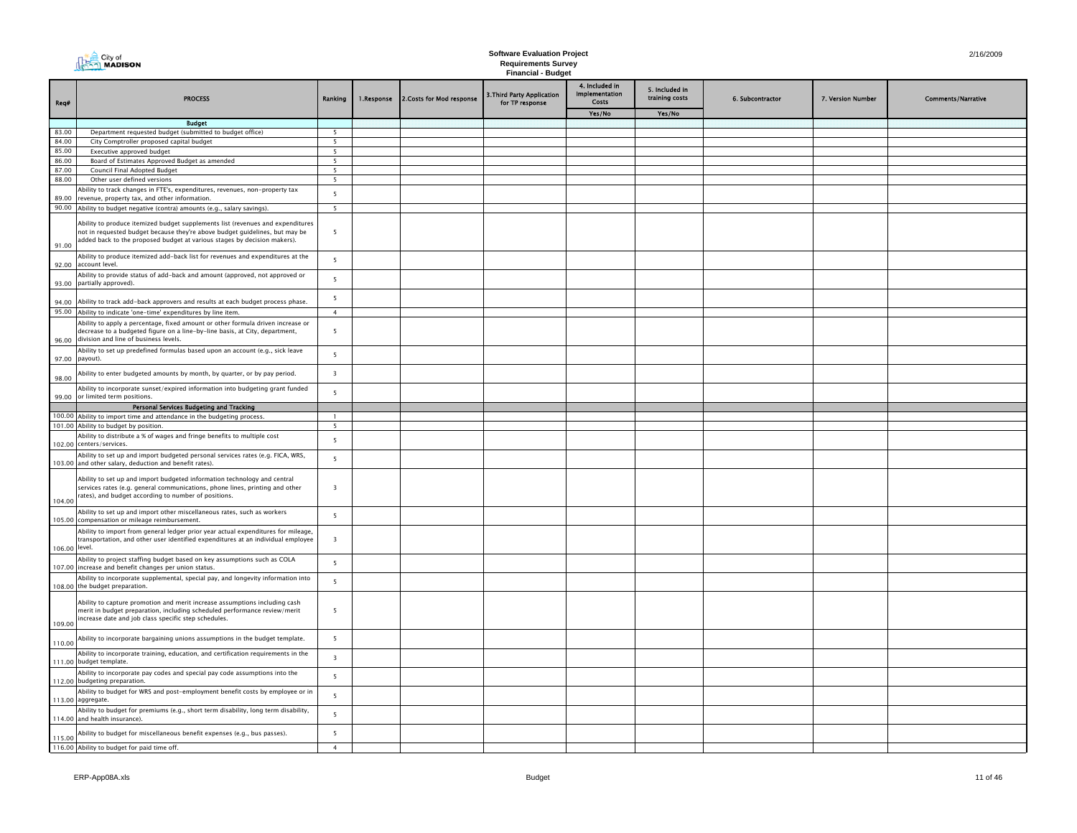| City of<br><b>AAMADISON</b> |
|-----------------------------|
|-----------------------------|

| Req#           | <b>PROCESS</b>                                                                                                                                                                                                                            | Ranking                                    | 1.Response | 2. Costs for Mod response | 3. Third Party Application<br>for TP response | 4. Included in<br>Implementation<br>Costs | 5. Included in<br>training costs | 6. Subcontractor | 7. Version Number | <b>Comments/Narrative</b> |
|----------------|-------------------------------------------------------------------------------------------------------------------------------------------------------------------------------------------------------------------------------------------|--------------------------------------------|------------|---------------------------|-----------------------------------------------|-------------------------------------------|----------------------------------|------------------|-------------------|---------------------------|
|                |                                                                                                                                                                                                                                           |                                            |            |                           |                                               | Yes/No                                    | Yes/No                           |                  |                   |                           |
|                | <b>Budget</b>                                                                                                                                                                                                                             |                                            |            |                           |                                               |                                           |                                  |                  |                   |                           |
| 83.00          | Department requested budget (submitted to budget office)                                                                                                                                                                                  | $\overline{\phantom{0}}$<br>$\overline{5}$ |            |                           |                                               |                                           |                                  |                  |                   |                           |
| 84.00<br>85.00 | City Comptroller proposed capital budget<br>Executive approved budget                                                                                                                                                                     | $5\overline{5}$                            |            |                           |                                               |                                           |                                  |                  |                   |                           |
| 86.00          | Board of Estimates Approved Budget as amended                                                                                                                                                                                             | 5                                          |            |                           |                                               |                                           |                                  |                  |                   |                           |
| 87.00          | Council Final Adopted Budget                                                                                                                                                                                                              | 5                                          |            |                           |                                               |                                           |                                  |                  |                   |                           |
| 88.00          | Other user defined versions                                                                                                                                                                                                               | 5                                          |            |                           |                                               |                                           |                                  |                  |                   |                           |
|                | Ability to track changes in FTE's, expenditures, revenues, non-property tax                                                                                                                                                               | $\overline{\phantom{0}}$                   |            |                           |                                               |                                           |                                  |                  |                   |                           |
| 89.00          | revenue, property tax, and other information.                                                                                                                                                                                             |                                            |            |                           |                                               |                                           |                                  |                  |                   |                           |
|                | 90.00 Ability to budget negative (contra) amounts (e.g., salary savings).                                                                                                                                                                 | 5                                          |            |                           |                                               |                                           |                                  |                  |                   |                           |
| 91.00          | Ability to produce itemized budget supplements list (revenues and expenditures<br>not in requested budget because they're above budget guidelines, but may be<br>added back to the proposed budget at various stages by decision makers). | 5                                          |            |                           |                                               |                                           |                                  |                  |                   |                           |
| 92.00          | Ability to produce itemized add-back list for revenues and expenditures at the<br>account level                                                                                                                                           | 5                                          |            |                           |                                               |                                           |                                  |                  |                   |                           |
|                | Ability to provide status of add-back and amount (approved, not approved or<br>93.00 partially approved).                                                                                                                                 | 5                                          |            |                           |                                               |                                           |                                  |                  |                   |                           |
|                | 94.00 Ability to track add-back approvers and results at each budget process phase.                                                                                                                                                       | $5\overline{5}$                            |            |                           |                                               |                                           |                                  |                  |                   |                           |
|                | 95.00 Ability to indicate 'one-time' expenditures by line item.                                                                                                                                                                           | $\overline{4}$                             |            |                           |                                               |                                           |                                  |                  |                   |                           |
|                | Ability to apply a percentage, fixed amount or other formula driven increase or<br>decrease to a budgeted figure on a line-by-line basis, at City, department,<br>96.00 division and line of business levels.                             | 5                                          |            |                           |                                               |                                           |                                  |                  |                   |                           |
|                | Ability to set up predefined formulas based upon an account (e.g., sick leave<br>97.00 payout).                                                                                                                                           | $5\overline{5}$                            |            |                           |                                               |                                           |                                  |                  |                   |                           |
| 98.00          | Ability to enter budgeted amounts by month, by quarter, or by pay period.                                                                                                                                                                 | $\overline{\mathbf{3}}$                    |            |                           |                                               |                                           |                                  |                  |                   |                           |
|                | Ability to incorporate sunset/expired information into budgeting grant funded<br>99.00 or limited term positions.                                                                                                                         | 5                                          |            |                           |                                               |                                           |                                  |                  |                   |                           |
|                | Personal Services Budgeting and Tracking<br>100.00 Ability to import time and attendance in the budgeting process.                                                                                                                        | $\mathbf{1}$                               |            |                           |                                               |                                           |                                  |                  |                   |                           |
|                | 101.00 Ability to budget by position.                                                                                                                                                                                                     | 5                                          |            |                           |                                               |                                           |                                  |                  |                   |                           |
|                | Ability to distribute a % of wages and fringe benefits to multiple cost<br>102.00 centers/services.                                                                                                                                       | $5\overline{5}$                            |            |                           |                                               |                                           |                                  |                  |                   |                           |
|                | Ability to set up and import budgeted personal services rates (e.g. FICA, WRS,<br>103.00 and other salary, deduction and benefit rates).                                                                                                  | $5\overline{5}$                            |            |                           |                                               |                                           |                                  |                  |                   |                           |
| 104.00         | Ability to set up and import budgeted information technology and central<br>services rates (e.g. general communications, phone lines, printing and other<br>rates), and budget according to number of positions.                          | $\overline{\mathbf{3}}$                    |            |                           |                                               |                                           |                                  |                  |                   |                           |
|                | Ability to set up and import other miscellaneous rates, such as workers<br>105.00 compensation or mileage reimbursement.                                                                                                                  | $\overline{\phantom{0}}$                   |            |                           |                                               |                                           |                                  |                  |                   |                           |
|                | Ability to import from general ledger prior year actual expenditures for mileage,<br>transportation, and other user identified expenditures at an individual employee<br>106.00 level.                                                    | $\overline{\mathbf{3}}$                    |            |                           |                                               |                                           |                                  |                  |                   |                           |
|                | Ability to project staffing budget based on key assumptions such as COLA<br>107.00 increase and benefit changes per union status.                                                                                                         | $5\overline{5}$                            |            |                           |                                               |                                           |                                  |                  |                   |                           |
|                | Ability to incorporate supplemental, special pay, and longevity information into<br>108.00 the budget preparation.                                                                                                                        | 5                                          |            |                           |                                               |                                           |                                  |                  |                   |                           |
| 109.00         | Ability to capture promotion and merit increase assumptions including cash<br>merit in budget preparation, including scheduled performance review/merit<br>increase date and job class specific step schedules.                           | 5                                          |            |                           |                                               |                                           |                                  |                  |                   |                           |
| 110.00         | Ability to incorporate bargaining unions assumptions in the budget template.                                                                                                                                                              | 5                                          |            |                           |                                               |                                           |                                  |                  |                   |                           |
|                | Ability to incorporate training, education, and certification requirements in the<br>111.00 budget template.                                                                                                                              | $\overline{\mathbf{3}}$                    |            |                           |                                               |                                           |                                  |                  |                   |                           |
|                | Ability to incorporate pay codes and special pay code assumptions into the<br>112.00 budgeting preparation.                                                                                                                               | 5                                          |            |                           |                                               |                                           |                                  |                  |                   |                           |
|                | Ability to budget for WRS and post-employment benefit costs by employee or in<br>113.00 aggregate.                                                                                                                                        | 5                                          |            |                           |                                               |                                           |                                  |                  |                   |                           |
|                | Ability to budget for premiums (e.g., short term disability, long term disability,<br>114.00 and health insurance).                                                                                                                       | 5                                          |            |                           |                                               |                                           |                                  |                  |                   |                           |
| 115.00         | Ability to budget for miscellaneous benefit expenses (e.g., bus passes).                                                                                                                                                                  | 5                                          |            |                           |                                               |                                           |                                  |                  |                   |                           |
|                | 116.00 Ability to budget for paid time off.                                                                                                                                                                                               | $\overline{4}$                             |            |                           |                                               |                                           |                                  |                  |                   |                           |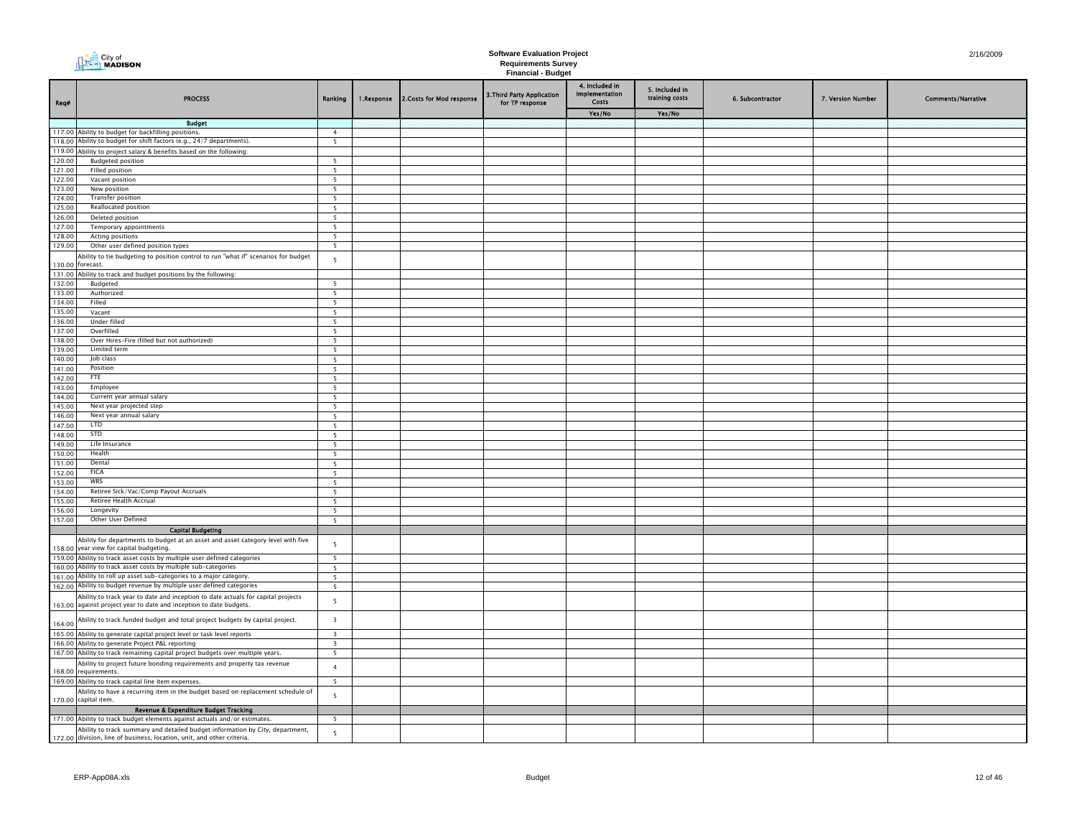|                  | <b>DEAR</b> City of<br><b>MADISON</b>                                                                                                                   |                                   |            |                           | <b>Software Evaluation Project</b>                      |                                                  |                                  |                  |                   | 2/16/2009                 |
|------------------|---------------------------------------------------------------------------------------------------------------------------------------------------------|-----------------------------------|------------|---------------------------|---------------------------------------------------------|--------------------------------------------------|----------------------------------|------------------|-------------------|---------------------------|
|                  |                                                                                                                                                         |                                   |            |                           | <b>Requirements Survey</b><br><b>Financial - Budget</b> |                                                  |                                  |                  |                   |                           |
| Req#             | <b>PROCESS</b>                                                                                                                                          | Ranking                           | 1.Response | 2. Costs for Mod response | 3. Third Party Application<br>for TP response           | 4. Included in<br><b>Implementation</b><br>Costs | 5. Included in<br>training costs | 6. Subcontractor | 7. Version Number | <b>Comments/Narrative</b> |
|                  |                                                                                                                                                         |                                   |            |                           |                                                         | Yes/No                                           | Yes/No                           |                  |                   |                           |
|                  | <b>Budget</b>                                                                                                                                           | $\overline{4}$                    |            |                           |                                                         |                                                  |                                  |                  |                   |                           |
|                  | 117.00 Ability to budget for backfilling positions.<br>118.00 Ability to budget for shift factors (e.g., 24/7 departments).                             | 5                                 |            |                           |                                                         |                                                  |                                  |                  |                   |                           |
|                  | 119.00 Ability to project salary & benefits based on the following:                                                                                     |                                   |            |                           |                                                         |                                                  |                                  |                  |                   |                           |
| 120.00           | <b>Budgeted position</b>                                                                                                                                | -5                                |            |                           |                                                         |                                                  |                                  |                  |                   |                           |
| 121.00           | Filled position                                                                                                                                         | -5                                |            |                           |                                                         |                                                  |                                  |                  |                   |                           |
| 122.00           | Vacant position                                                                                                                                         | - 5                               |            |                           |                                                         |                                                  |                                  |                  |                   |                           |
| 123.00           | New position<br>Transfer position                                                                                                                       | $5\overline{5}$                   |            |                           |                                                         |                                                  |                                  |                  |                   |                           |
| 124.00<br>125.00 | Reallocated position                                                                                                                                    | -5<br>5                           |            |                           |                                                         |                                                  |                                  |                  |                   |                           |
| 126.00           | Deleted position                                                                                                                                        | - 5                               |            |                           |                                                         |                                                  |                                  |                  |                   |                           |
| 127.00           | Temporary appointments                                                                                                                                  | $\overline{5}$                    |            |                           |                                                         |                                                  |                                  |                  |                   |                           |
| 128.00           | Acting positions                                                                                                                                        | 5                                 |            |                           |                                                         |                                                  |                                  |                  |                   |                           |
| 129.00           | Other user defined position types                                                                                                                       | 5                                 |            |                           |                                                         |                                                  |                                  |                  |                   |                           |
|                  | Ability to tie budgeting to position control to run "what if" scenarios for budget<br>130.00 forecast.                                                  | $5\overline{5}$                   |            |                           |                                                         |                                                  |                                  |                  |                   |                           |
| 132.00           | 131.00 Ability to track and budget positions by the following:                                                                                          | $\overline{5}$                    |            |                           |                                                         |                                                  |                                  |                  |                   |                           |
| 133.00           | Budgeted<br>Authorized                                                                                                                                  | 5                                 |            |                           |                                                         |                                                  |                                  |                  |                   |                           |
| 134.00           | Filled                                                                                                                                                  | 5                                 |            |                           |                                                         |                                                  |                                  |                  |                   |                           |
| 135.00           | Vacant                                                                                                                                                  | 5                                 |            |                           |                                                         |                                                  |                                  |                  |                   |                           |
| 136.00           | Under filled                                                                                                                                            | 5                                 |            |                           |                                                         |                                                  |                                  |                  |                   |                           |
| 137.00           | Overfilled                                                                                                                                              | -5                                |            |                           |                                                         |                                                  |                                  |                  |                   |                           |
| 138.00<br>139.00 | Over Hires-Fire (filled but not authorized)<br>Limited term                                                                                             | - 5<br>- 5                        |            |                           |                                                         |                                                  |                                  |                  |                   |                           |
| 140.00           | Job class                                                                                                                                               | - 5                               |            |                           |                                                         |                                                  |                                  |                  |                   |                           |
| 141.00           | Position                                                                                                                                                | 5                                 |            |                           |                                                         |                                                  |                                  |                  |                   |                           |
| 142.00           | FTF                                                                                                                                                     | 5                                 |            |                           |                                                         |                                                  |                                  |                  |                   |                           |
| 143.00           | Employee                                                                                                                                                | - 5                               |            |                           |                                                         |                                                  |                                  |                  |                   |                           |
| 144.00           | Current year annual salary                                                                                                                              | 5                                 |            |                           |                                                         |                                                  |                                  |                  |                   |                           |
| 145.00<br>146.00 | Next year projected step<br>Next year annual salary                                                                                                     | $\overline{5}$<br>$5\overline{5}$ |            |                           |                                                         |                                                  |                                  |                  |                   |                           |
| 147.00           | <b>LTD</b>                                                                                                                                              | $\overline{\phantom{a}}$          |            |                           |                                                         |                                                  |                                  |                  |                   |                           |
| 148.00           | STD                                                                                                                                                     | $\overline{5}$                    |            |                           |                                                         |                                                  |                                  |                  |                   |                           |
| 149.00           | Life Insurance                                                                                                                                          | $\overline{5}$                    |            |                           |                                                         |                                                  |                                  |                  |                   |                           |
| 150.00           | Health                                                                                                                                                  | $\overline{\phantom{0}}$          |            |                           |                                                         |                                                  |                                  |                  |                   |                           |
| 151.00           | Dental                                                                                                                                                  | $\overline{5}$                    |            |                           |                                                         |                                                  |                                  |                  |                   |                           |
| 152.00           | <b>FICA</b><br>WRS                                                                                                                                      | $\overline{5}$                    |            |                           |                                                         |                                                  |                                  |                  |                   |                           |
| 153.00<br>154.00 | Retiree Sick/Vac/Comp Payout Accruals                                                                                                                   | 5                                 |            |                           |                                                         |                                                  |                                  |                  |                   |                           |
| 155.00           | Retiree Health Accrual                                                                                                                                  | 5                                 |            |                           |                                                         |                                                  |                                  |                  |                   |                           |
| 156.00           | Longevity                                                                                                                                               | 5                                 |            |                           |                                                         |                                                  |                                  |                  |                   |                           |
| 157.00           | Other User Defined                                                                                                                                      | - 5                               |            |                           |                                                         |                                                  |                                  |                  |                   |                           |
|                  | <b>Capital Budgeting</b>                                                                                                                                |                                   |            |                           |                                                         |                                                  |                                  |                  |                   |                           |
|                  | Ability for departments to budget at an asset and asset category level with five<br>158.00 year view for capital budgeting.                             | 5                                 |            |                           |                                                         |                                                  |                                  |                  |                   |                           |
|                  | 159.00 Ability to track asset costs by multiple user defined categories                                                                                 | - 5                               |            |                           |                                                         |                                                  |                                  |                  |                   |                           |
|                  | 160.00 Ability to track asset costs by multiple sub-categories                                                                                          | - 5                               |            |                           |                                                         |                                                  |                                  |                  |                   |                           |
|                  | 161.00 Ability to roll up asset sub-categories to a major category.                                                                                     | $5\overline{5}$                   |            |                           |                                                         |                                                  |                                  |                  |                   |                           |
|                  | 162.00 Ability to budget revenue by multiple user defined categories                                                                                    | 5                                 |            |                           |                                                         |                                                  |                                  |                  |                   |                           |
|                  | Ability to track year to date and inception to date actuals for capital projects<br>163.00 against project year to date and inception to date budgets.  | 5                                 |            |                           |                                                         |                                                  |                                  |                  |                   |                           |
| 164.00           | Ability to track funded budget and total project budgets by capital project.                                                                            | $\overline{\mathbf{3}}$           |            |                           |                                                         |                                                  |                                  |                  |                   |                           |
|                  | 165.00 Ability to generate capital project level or task level reports                                                                                  | $\overline{3}$<br>$\overline{z}$  |            |                           |                                                         |                                                  |                                  |                  |                   |                           |
|                  | 166.00 Ability to generate Project P&L reporting<br>167.00 Ability to track remaining capital project budgets over multiple years.                      | $\overline{5}$                    |            |                           |                                                         |                                                  |                                  |                  |                   |                           |
|                  | Ability to project future bonding requirements and property tax revenue<br>168.00 requirements.                                                         | $\overline{4}$                    |            |                           |                                                         |                                                  |                                  |                  |                   |                           |
|                  | 169.00 Ability to track capital line item expenses.                                                                                                     | 5                                 |            |                           |                                                         |                                                  |                                  |                  |                   |                           |
|                  | Ability to have a recurring item in the budget based on replacement schedule of                                                                         |                                   |            |                           |                                                         |                                                  |                                  |                  |                   |                           |
|                  | 170.00 capital item.                                                                                                                                    | 5                                 |            |                           |                                                         |                                                  |                                  |                  |                   |                           |
|                  | Revenue & Expenditure Budget Tracking                                                                                                                   |                                   |            |                           |                                                         |                                                  |                                  |                  |                   |                           |
|                  | 171.00 Ability to track budget elements against actuals and/or estimates.                                                                               | -5                                |            |                           |                                                         |                                                  |                                  |                  |                   |                           |
|                  | Ability to track summary and detailed budget information by City, department,<br>172.00 division, line of business, location, unit, and other criteria. | 5                                 |            |                           |                                                         |                                                  |                                  |                  |                   |                           |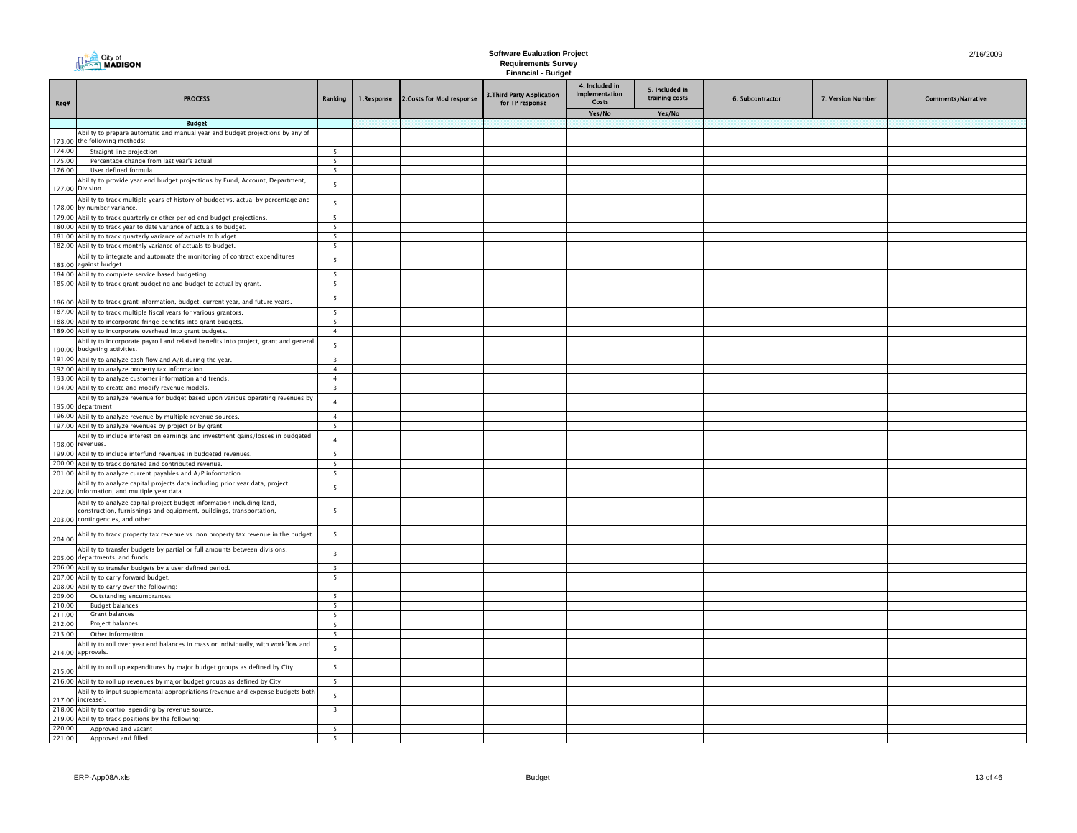| City of<br><b>AN MADISON</b> |
|------------------------------|
|------------------------------|

|                  |                                                                                                                                                                                  |                                 |            |                           | rmanoiar baago                                |                                           |                                  |                  |                   |                           |
|------------------|----------------------------------------------------------------------------------------------------------------------------------------------------------------------------------|---------------------------------|------------|---------------------------|-----------------------------------------------|-------------------------------------------|----------------------------------|------------------|-------------------|---------------------------|
| Req#             | <b>PROCESS</b>                                                                                                                                                                   | Ranking                         | 1.Response | 2. Costs for Mod response | 3. Third Party Application<br>for TP response | 4. Included in<br>Implementation<br>Costs | 5. Included in<br>training costs | 6. Subcontractor | 7. Version Number | <b>Comments/Narrative</b> |
|                  |                                                                                                                                                                                  |                                 |            |                           |                                               | Yes/No                                    | Yes/No                           |                  |                   |                           |
|                  | <b>Budget</b>                                                                                                                                                                    |                                 |            |                           |                                               |                                           |                                  |                  |                   |                           |
|                  | Ability to prepare automatic and manual year end budget projections by any of                                                                                                    |                                 |            |                           |                                               |                                           |                                  |                  |                   |                           |
|                  | 173.00 the following methods:                                                                                                                                                    |                                 |            |                           |                                               |                                           |                                  |                  |                   |                           |
| 174.00           | Straight line projection                                                                                                                                                         | -5                              |            |                           |                                               |                                           |                                  |                  |                   |                           |
| 175.00           | Percentage change from last year's actual                                                                                                                                        | 5                               |            |                           |                                               |                                           |                                  |                  |                   |                           |
| 176.00           | User defined formula                                                                                                                                                             | 5 <sup>5</sup>                  |            |                           |                                               |                                           |                                  |                  |                   |                           |
|                  | Ability to provide year end budget projections by Fund, Account, Department,<br>177.00 Division.                                                                                 | 5                               |            |                           |                                               |                                           |                                  |                  |                   |                           |
|                  | Ability to track multiple years of history of budget vs. actual by percentage and<br>178.00 by number variance.                                                                  | $\overline{5}$                  |            |                           |                                               |                                           |                                  |                  |                   |                           |
|                  | 179.00 Ability to track quarterly or other period end budget projections.                                                                                                        | 5                               |            |                           |                                               |                                           |                                  |                  |                   |                           |
|                  | 180.00 Ability to track year to date variance of actuals to budget.                                                                                                              | $\overline{5}$                  |            |                           |                                               |                                           |                                  |                  |                   |                           |
|                  | 181.00 Ability to track quarterly variance of actuals to budget.<br>182.00 Ability to track monthly variance of actuals to budget.                                               | - 5<br>$\overline{\phantom{a}}$ |            |                           |                                               |                                           |                                  |                  |                   |                           |
|                  | Ability to integrate and automate the monitoring of contract expenditures                                                                                                        |                                 |            |                           |                                               |                                           |                                  |                  |                   |                           |
|                  | 183.00 against budget.                                                                                                                                                           | 5<br>$\overline{5}$             |            |                           |                                               |                                           |                                  |                  |                   |                           |
|                  | 184.00 Ability to complete service based budgeting.<br>185.00 Ability to track grant budgeting and budget to actual by grant.                                                    | 5                               |            |                           |                                               |                                           |                                  |                  |                   |                           |
|                  |                                                                                                                                                                                  |                                 |            |                           |                                               |                                           |                                  |                  |                   |                           |
|                  | 186.00 Ability to track grant information, budget, current year, and future years.                                                                                               | $\overline{5}$                  |            |                           |                                               |                                           |                                  |                  |                   |                           |
|                  | 187.00 Ability to track multiple fiscal years for various grantors.                                                                                                              | 5                               |            |                           |                                               |                                           |                                  |                  |                   |                           |
|                  | 188.00 Ability to incorporate fringe benefits into grant budgets.                                                                                                                | 5                               |            |                           |                                               |                                           |                                  |                  |                   |                           |
|                  | 189.00 Ability to incorporate overhead into grant budgets.                                                                                                                       | $\overline{4}$                  |            |                           |                                               |                                           |                                  |                  |                   |                           |
|                  | Ability to incorporate payroll and related benefits into project, grant and general<br>190.00 budgeting activities.                                                              | 5                               |            |                           |                                               |                                           |                                  |                  |                   |                           |
|                  | 191.00 Ability to analyze cash flow and A/R during the year.                                                                                                                     | $\overline{\mathbf{3}}$         |            |                           |                                               |                                           |                                  |                  |                   |                           |
|                  | 192.00 Ability to analyze property tax information.                                                                                                                              | $\overline{4}$                  |            |                           |                                               |                                           |                                  |                  |                   |                           |
|                  | 193.00 Ability to analyze customer information and trends.                                                                                                                       | $\overline{4}$                  |            |                           |                                               |                                           |                                  |                  |                   |                           |
|                  | 194.00 Ability to create and modify revenue models.                                                                                                                              | $\overline{\mathbf{3}}$         |            |                           |                                               |                                           |                                  |                  |                   |                           |
|                  | Ability to analyze revenue for budget based upon various operating revenues by<br>195.00 department                                                                              | $\overline{4}$                  |            |                           |                                               |                                           |                                  |                  |                   |                           |
|                  | 196.00 Ability to analyze revenue by multiple revenue sources.                                                                                                                   | $\overline{4}$                  |            |                           |                                               |                                           |                                  |                  |                   |                           |
|                  | 197.00 Ability to analyze revenues by project or by grant                                                                                                                        | $\overline{5}$                  |            |                           |                                               |                                           |                                  |                  |                   |                           |
|                  | Ability to include interest on earnings and investment gains/losses in budgeted<br>198.00 revenues.                                                                              | $\overline{4}$                  |            |                           |                                               |                                           |                                  |                  |                   |                           |
|                  | 199.00 Ability to include interfund revenues in budgeted revenues.                                                                                                               | - 5                             |            |                           |                                               |                                           |                                  |                  |                   |                           |
|                  | 200.00 Ability to track donated and contributed revenue.                                                                                                                         | - 5                             |            |                           |                                               |                                           |                                  |                  |                   |                           |
|                  | 201.00 Ability to analyze current payables and A/P information.                                                                                                                  | 5                               |            |                           |                                               |                                           |                                  |                  |                   |                           |
|                  | Ability to analyze capital projects data including prior year data, project<br>202.00 information, and multiple year data.                                                       | 5                               |            |                           |                                               |                                           |                                  |                  |                   |                           |
|                  | Ability to analyze capital project budget information including land,<br>construction, furnishings and equipment, buildings, transportation,<br>203.00 contingencies, and other. | 5                               |            |                           |                                               |                                           |                                  |                  |                   |                           |
| 204.00           | Ability to track property tax revenue vs. non property tax revenue in the budget.                                                                                                | $5\overline{5}$                 |            |                           |                                               |                                           |                                  |                  |                   |                           |
|                  | Ability to transfer budgets by partial or full amounts between divisions,<br>205.00 departments, and funds.                                                                      | $\overline{\mathbf{3}}$         |            |                           |                                               |                                           |                                  |                  |                   |                           |
|                  | 206.00 Ability to transfer budgets by a user defined period.                                                                                                                     | $\overline{\mathbf{z}}$         |            |                           |                                               |                                           |                                  |                  |                   |                           |
|                  | 207.00 Ability to carry forward budget.                                                                                                                                          | $\overline{\phantom{a}}$        |            |                           |                                               |                                           |                                  |                  |                   |                           |
|                  | 208.00 Ability to carry over the following:                                                                                                                                      |                                 |            |                           |                                               |                                           |                                  |                  |                   |                           |
| 209.00           | Outstanding encumbrances                                                                                                                                                         | 5                               |            |                           |                                               |                                           |                                  |                  |                   |                           |
| 210.00           | <b>Budget balances</b><br>Grant balances                                                                                                                                         | 5                               |            |                           |                                               |                                           |                                  |                  |                   |                           |
| 211.00<br>212.00 | Project balances                                                                                                                                                                 | 5<br>5                          |            |                           |                                               |                                           |                                  |                  |                   |                           |
| 213.00           | Other information                                                                                                                                                                | 5                               |            |                           |                                               |                                           |                                  |                  |                   |                           |
|                  | Ability to roll over year end balances in mass or individually, with workflow and                                                                                                |                                 |            |                           |                                               |                                           |                                  |                  |                   |                           |
|                  | 214.00 approvals.                                                                                                                                                                | 5                               |            |                           |                                               |                                           |                                  |                  |                   |                           |
| 215.00           | Ability to roll up expenditures by major budget groups as defined by City                                                                                                        | $5\overline{5}$                 |            |                           |                                               |                                           |                                  |                  |                   |                           |
|                  | 216.00 Ability to roll up revenues by major budget groups as defined by City                                                                                                     | -5                              |            |                           |                                               |                                           |                                  |                  |                   |                           |
|                  | Ability to input supplemental appropriations (revenue and expense budgets both<br>217.00 increase).                                                                              | 5                               |            |                           |                                               |                                           |                                  |                  |                   |                           |
|                  | 218.00 Ability to control spending by revenue source.                                                                                                                            | $\overline{\mathbf{z}}$         |            |                           |                                               |                                           |                                  |                  |                   |                           |
|                  | 219.00 Ability to track positions by the following:                                                                                                                              |                                 |            |                           |                                               |                                           |                                  |                  |                   |                           |
| 220.00           | Approved and vacant                                                                                                                                                              | $\overline{\phantom{a}}$        |            |                           |                                               |                                           |                                  |                  |                   |                           |
| 221.00           | Approved and filled                                                                                                                                                              | $\overline{\phantom{a}}$        |            |                           |                                               |                                           |                                  |                  |                   |                           |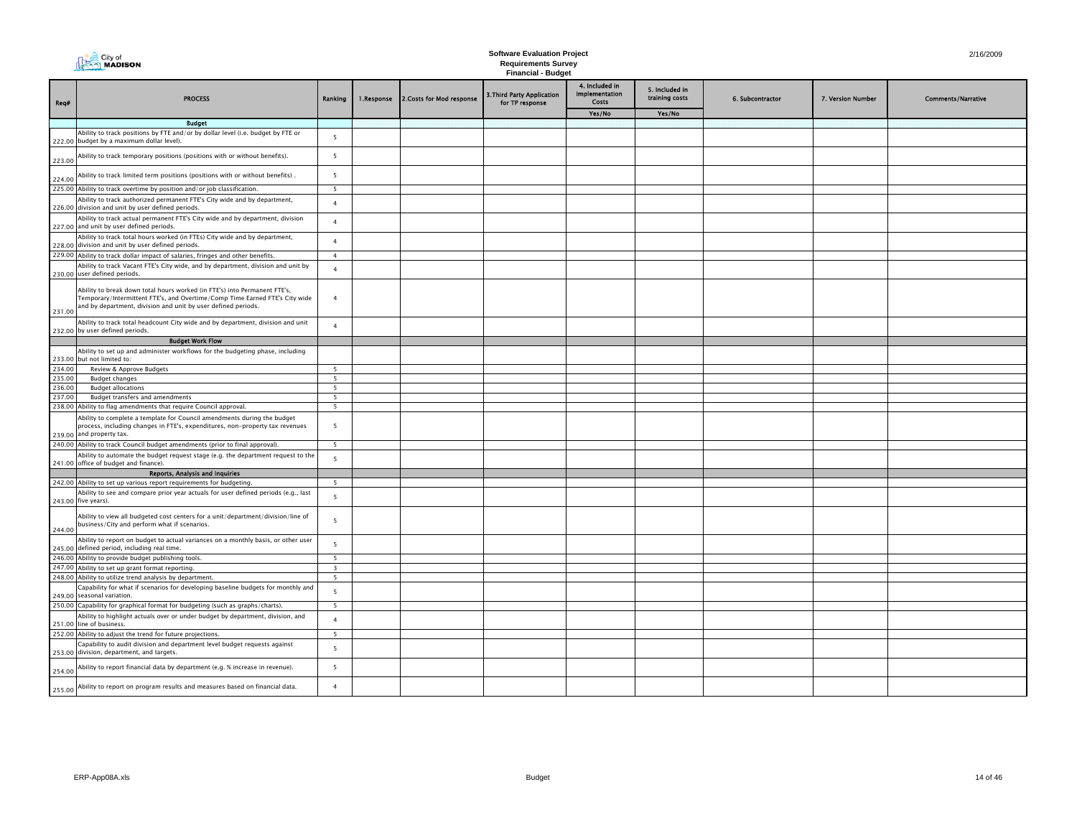|        | $\triangleq$ City of<br><b>MADISON</b>                                                                                                                                                                                    |                          |            |                           | <b>Software Evaluation Project</b><br><b>Requirements Survey</b><br><b>Financial - Budget</b> |                                                         |                                  |                  |                   | 2/16/2009                 |
|--------|---------------------------------------------------------------------------------------------------------------------------------------------------------------------------------------------------------------------------|--------------------------|------------|---------------------------|-----------------------------------------------------------------------------------------------|---------------------------------------------------------|----------------------------------|------------------|-------------------|---------------------------|
| Req#   | <b>PROCESS</b>                                                                                                                                                                                                            | Ranking                  | 1.Response | 2. Costs for Mod response | 3. Third Party Application<br>for TP response                                                 | 4. Included in<br><b>Implementation</b><br><b>Costs</b> | 5. Included in<br>training costs | 6. Subcontractor | 7. Version Number | <b>Comments/Narrative</b> |
|        |                                                                                                                                                                                                                           |                          |            |                           |                                                                                               | Yes/No                                                  | Yes/No                           |                  |                   |                           |
|        | <b>Budget</b>                                                                                                                                                                                                             |                          |            |                           |                                                                                               |                                                         |                                  |                  |                   |                           |
|        | Ability to track positions by FTE and/or by dollar level (i.e. budget by FTE or<br>222.00 budget by a maximum dollar level).                                                                                              | 5                        |            |                           |                                                                                               |                                                         |                                  |                  |                   |                           |
| 223.00 | Ability to track temporary positions (positions with or without benefits).                                                                                                                                                | 5                        |            |                           |                                                                                               |                                                         |                                  |                  |                   |                           |
| 224.00 | Ability to track limited term positions (positions with or without benefits).                                                                                                                                             | 5                        |            |                           |                                                                                               |                                                         |                                  |                  |                   |                           |
|        | 225.00 Ability to track overtime by position and/or job classification.                                                                                                                                                   | 5                        |            |                           |                                                                                               |                                                         |                                  |                  |                   |                           |
|        | Ability to track authorized permanent FTE's City wide and by department,<br>226.00 division and unit by user defined periods.                                                                                             | $\overline{4}$           |            |                           |                                                                                               |                                                         |                                  |                  |                   |                           |
|        | Ability to track actual permanent FTE's City wide and by department, division<br>227.00 and unit by user defined periods.                                                                                                 | $\overline{4}$           |            |                           |                                                                                               |                                                         |                                  |                  |                   |                           |
|        | Ability to track total hours worked (in FTEs) City wide and by department,<br>228.00 division and unit by user defined periods.                                                                                           | $\overline{4}$           |            |                           |                                                                                               |                                                         |                                  |                  |                   |                           |
|        | 229.00 Ability to track dollar impact of salaries, fringes and other benefits.                                                                                                                                            | $\overline{4}$           |            |                           |                                                                                               |                                                         |                                  |                  |                   |                           |
|        | Ability to track Vacant FTE's City wide, and by department, division and unit by<br>230.00 user defined periods.                                                                                                          | $\overline{4}$           |            |                           |                                                                                               |                                                         |                                  |                  |                   |                           |
| 231.00 | Ability to break down total hours worked (in FTE's) into Permanent FTE's,<br>Temporary/Intermittent FTE's, and Overtime/Comp Time Earned FTE's City wide<br>and by department, division and unit by user defined periods. | $\overline{a}$           |            |                           |                                                                                               |                                                         |                                  |                  |                   |                           |
|        | Ability to track total headcount City wide and by department, division and unit<br>232.00 by user defined periods.                                                                                                        | $\overline{4}$           |            |                           |                                                                                               |                                                         |                                  |                  |                   |                           |
|        | <b>Budget Work Flow</b>                                                                                                                                                                                                   |                          |            |                           |                                                                                               |                                                         |                                  |                  |                   |                           |
|        | Ability to set up and administer workflows for the budgeting phase, including<br>233.00 but not limited to:                                                                                                               |                          |            |                           |                                                                                               |                                                         |                                  |                  |                   |                           |
| 234.00 | Review & Approve Budgets                                                                                                                                                                                                  | 5                        |            |                           |                                                                                               |                                                         |                                  |                  |                   |                           |
| 235.00 | <b>Budget changes</b>                                                                                                                                                                                                     | $\overline{\phantom{a}}$ |            |                           |                                                                                               |                                                         |                                  |                  |                   |                           |
| 236.00 | <b>Budget allocations</b>                                                                                                                                                                                                 | 5                        |            |                           |                                                                                               |                                                         |                                  |                  |                   |                           |
| 237.00 | <b>Budget transfers and amendments</b><br>238.00 Ability to flag amendments that require Council approval.                                                                                                                | $\overline{\phantom{a}}$ |            |                           |                                                                                               |                                                         |                                  |                  |                   |                           |
|        | Ability to complete a template for Council amendments during the budget<br>process, including changes in FTE's, expenditures, non-property tax revenues<br>239.00 and property tax.                                       | $5^{\circ}$<br>5         |            |                           |                                                                                               |                                                         |                                  |                  |                   |                           |
|        | 240.00 Ability to track Council budget amendments (prior to final approval).                                                                                                                                              | 5                        |            |                           |                                                                                               |                                                         |                                  |                  |                   |                           |
|        | Ability to automate the budget request stage (e.g. the department request to the<br>241.00 office of budget and finance).                                                                                                 | $\overline{\phantom{0}}$ |            |                           |                                                                                               |                                                         |                                  |                  |                   |                           |
|        | Reports, Analysis and Inquiries                                                                                                                                                                                           |                          |            |                           |                                                                                               |                                                         |                                  |                  |                   |                           |
|        | 242.00 Ability to set up various report requirements for budgeting.                                                                                                                                                       | $\overline{5}$           |            |                           |                                                                                               |                                                         |                                  |                  |                   |                           |
|        | Ability to see and compare prior year actuals for user defined periods (e.g., last<br>243.00 five years).                                                                                                                 | 5                        |            |                           |                                                                                               |                                                         |                                  |                  |                   |                           |
| 244.00 | Ability to view all budgeted cost centers for a unit/department/division/line of<br>business/City and perform what if scenarios.                                                                                          | 5                        |            |                           |                                                                                               |                                                         |                                  |                  |                   |                           |
|        | Ability to report on budget to actual variances on a monthly basis, or other user<br>245.00 defined period, including real time.                                                                                          | 5                        |            |                           |                                                                                               |                                                         |                                  |                  |                   |                           |
|        | 246.00 Ability to provide budget publishing tools.                                                                                                                                                                        | 5                        |            |                           |                                                                                               |                                                         |                                  |                  |                   |                           |
|        | 247.00 Ability to set up grant format reporting.                                                                                                                                                                          | $\overline{\mathbf{3}}$  |            |                           |                                                                                               |                                                         |                                  |                  |                   |                           |
|        | 248.00 Ability to utilize trend analysis by department.                                                                                                                                                                   | 5                        |            |                           |                                                                                               |                                                         |                                  |                  |                   |                           |
|        | Capability for what if scenarios for developing baseline budgets for monthly and<br>249.00 seasonal variation.                                                                                                            | 5                        |            |                           |                                                                                               |                                                         |                                  |                  |                   |                           |
|        | 250.00 Capability for graphical format for budgeting (such as graphs/charts).                                                                                                                                             | 5                        |            |                           |                                                                                               |                                                         |                                  |                  |                   |                           |
|        | Ability to highlight actuals over or under budget by department, division, and<br>251.00 line of business.                                                                                                                | $\overline{4}$           |            |                           |                                                                                               |                                                         |                                  |                  |                   |                           |
|        | 252.00 Ability to adjust the trend for future projections.                                                                                                                                                                | 5                        |            |                           |                                                                                               |                                                         |                                  |                  |                   |                           |
|        | Capability to audit division and department level budget requests against<br>253.00 division, department, and targets.                                                                                                    | 5                        |            |                           |                                                                                               |                                                         |                                  |                  |                   |                           |
| 254.00 | Ability to report financial data by department (e.g. % increase in revenue).                                                                                                                                              | 5                        |            |                           |                                                                                               |                                                         |                                  |                  |                   |                           |
| 255.00 | Ability to report on program results and measures based on financial data.                                                                                                                                                | $\overline{4}$           |            |                           |                                                                                               |                                                         |                                  |                  |                   |                           |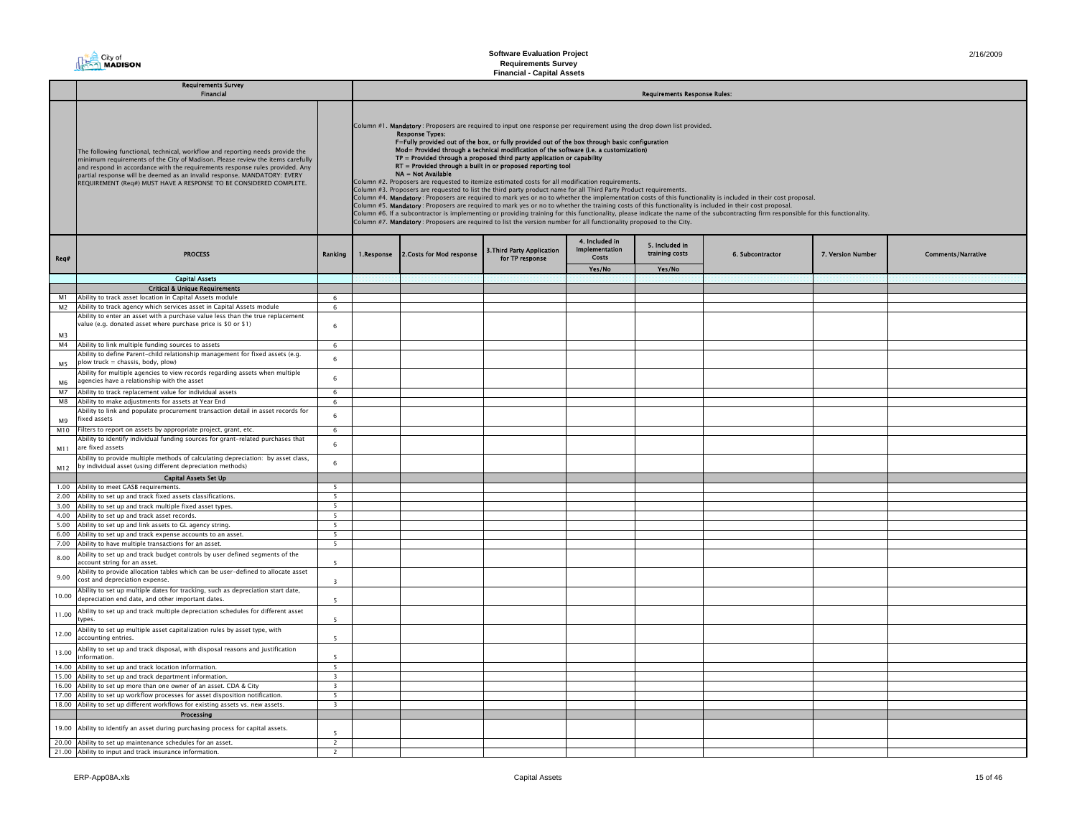# **The City of**<br>The **MADISON**

# **Software Evaluation Project Requirements Survey Financial - Capital Assets**

|                      | <b>Requirements Survey</b><br>Financial                                                                                                                                                                                                                                                                                                                                                           |                          | <b>Requirements Response Rules:</b>                                                                                                                                                                                                                                                                                                                                                                                                                                                                                                                                                                                                                                                                                                                                                                                                                                                                                                                                                                                                                                                                                                                                                                                                                                                                                                                                         |                                               |                                                  |                                  |                  |                   |                           |  |  |
|----------------------|---------------------------------------------------------------------------------------------------------------------------------------------------------------------------------------------------------------------------------------------------------------------------------------------------------------------------------------------------------------------------------------------------|--------------------------|-----------------------------------------------------------------------------------------------------------------------------------------------------------------------------------------------------------------------------------------------------------------------------------------------------------------------------------------------------------------------------------------------------------------------------------------------------------------------------------------------------------------------------------------------------------------------------------------------------------------------------------------------------------------------------------------------------------------------------------------------------------------------------------------------------------------------------------------------------------------------------------------------------------------------------------------------------------------------------------------------------------------------------------------------------------------------------------------------------------------------------------------------------------------------------------------------------------------------------------------------------------------------------------------------------------------------------------------------------------------------------|-----------------------------------------------|--------------------------------------------------|----------------------------------|------------------|-------------------|---------------------------|--|--|
|                      |                                                                                                                                                                                                                                                                                                                                                                                                   |                          |                                                                                                                                                                                                                                                                                                                                                                                                                                                                                                                                                                                                                                                                                                                                                                                                                                                                                                                                                                                                                                                                                                                                                                                                                                                                                                                                                                             |                                               |                                                  |                                  |                  |                   |                           |  |  |
|                      | The following functional, technical, workflow and reporting needs provide the<br>minimum requirements of the City of Madison. Please review the items carefully<br>and respond in accordance with the requirements response rules provided. Any<br>partial response will be deemed as an invalid response. MANDATORY: EVERY<br>REQUIREMENT (Req#) MUST HAVE A RESPONSE TO BE CONSIDERED COMPLETE. |                          | Column #1. Mandatory: Proposers are required to input one response per requirement using the drop down list provided.<br><b>Response Types:</b><br>F=Fully provided out of the box, or fully provided out of the box through basic configuration<br>Mod= Provided through a technical modification of the software (i.e. a customization)<br>$TP =$ Provided through a proposed third party application or capability<br>RT = Provided through a built in or proposed reporting tool<br>NA = Not Available<br>Column #2. Proposers are requested to itemize estimated costs for all modification requirements.<br>Column #3. Proposers are requested to list the third party product name for all Third Party Product requirements.<br>Column #4. Mandatory: Proposers are required to mark yes or no to whether the implementation costs of this functionality is included in their cost proposal.<br>Column #5. Mandatory: Proposers are required to mark yes or no to whether the training costs of this functionality is included in their cost proposal.<br>Column #6. If a subcontractor is implementing or providing training for this functionality, please indicate the name of the subcontracting firm responsible for this functionality.<br>Column #7. Mandatory: Proposers are required to list the version number for all functionality proposed to the City. |                                               |                                                  |                                  |                  |                   |                           |  |  |
| Req#                 | <b>PROCESS</b>                                                                                                                                                                                                                                                                                                                                                                                    | Ranking                  | 1.Response 2.Costs for Mod response                                                                                                                                                                                                                                                                                                                                                                                                                                                                                                                                                                                                                                                                                                                                                                                                                                                                                                                                                                                                                                                                                                                                                                                                                                                                                                                                         | 3. Third Party Application<br>for TP response | 4. Included in<br><b>Implementation</b><br>Costs | 5. Included in<br>training costs | 6. Subcontractor | 7. Version Number | <b>Comments/Narrative</b> |  |  |
|                      |                                                                                                                                                                                                                                                                                                                                                                                                   |                          |                                                                                                                                                                                                                                                                                                                                                                                                                                                                                                                                                                                                                                                                                                                                                                                                                                                                                                                                                                                                                                                                                                                                                                                                                                                                                                                                                                             |                                               | Yes/No                                           | Yes/No                           |                  |                   |                           |  |  |
|                      | <b>Capital Assets</b>                                                                                                                                                                                                                                                                                                                                                                             |                          |                                                                                                                                                                                                                                                                                                                                                                                                                                                                                                                                                                                                                                                                                                                                                                                                                                                                                                                                                                                                                                                                                                                                                                                                                                                                                                                                                                             |                                               |                                                  |                                  |                  |                   |                           |  |  |
|                      | <b>Critical &amp; Unique Requirements</b>                                                                                                                                                                                                                                                                                                                                                         |                          |                                                                                                                                                                                                                                                                                                                                                                                                                                                                                                                                                                                                                                                                                                                                                                                                                                                                                                                                                                                                                                                                                                                                                                                                                                                                                                                                                                             |                                               |                                                  |                                  |                  |                   |                           |  |  |
| M1                   | Ability to track asset location in Capital Assets module                                                                                                                                                                                                                                                                                                                                          | 6                        |                                                                                                                                                                                                                                                                                                                                                                                                                                                                                                                                                                                                                                                                                                                                                                                                                                                                                                                                                                                                                                                                                                                                                                                                                                                                                                                                                                             |                                               |                                                  |                                  |                  |                   |                           |  |  |
| M <sub>2</sub>       | Ability to track agency which services asset in Capital Assets module                                                                                                                                                                                                                                                                                                                             | 6                        |                                                                                                                                                                                                                                                                                                                                                                                                                                                                                                                                                                                                                                                                                                                                                                                                                                                                                                                                                                                                                                                                                                                                                                                                                                                                                                                                                                             |                                               |                                                  |                                  |                  |                   |                           |  |  |
|                      | Ability to enter an asset with a purchase value less than the true replacement                                                                                                                                                                                                                                                                                                                    |                          |                                                                                                                                                                                                                                                                                                                                                                                                                                                                                                                                                                                                                                                                                                                                                                                                                                                                                                                                                                                                                                                                                                                                                                                                                                                                                                                                                                             |                                               |                                                  |                                  |                  |                   |                           |  |  |
| M <sup>3</sup>       | value (e.g. donated asset where purchase price is \$0 or \$1)                                                                                                                                                                                                                                                                                                                                     | 6                        |                                                                                                                                                                                                                                                                                                                                                                                                                                                                                                                                                                                                                                                                                                                                                                                                                                                                                                                                                                                                                                                                                                                                                                                                                                                                                                                                                                             |                                               |                                                  |                                  |                  |                   |                           |  |  |
| M4                   | Ability to link multiple funding sources to assets                                                                                                                                                                                                                                                                                                                                                | 6                        |                                                                                                                                                                                                                                                                                                                                                                                                                                                                                                                                                                                                                                                                                                                                                                                                                                                                                                                                                                                                                                                                                                                                                                                                                                                                                                                                                                             |                                               |                                                  |                                  |                  |                   |                           |  |  |
|                      | Ability to define Parent-child relationship management for fixed assets (e.g.                                                                                                                                                                                                                                                                                                                     |                          |                                                                                                                                                                                                                                                                                                                                                                                                                                                                                                                                                                                                                                                                                                                                                                                                                                                                                                                                                                                                                                                                                                                                                                                                                                                                                                                                                                             |                                               |                                                  |                                  |                  |                   |                           |  |  |
| M5                   | plow truck = chassis, body, plow)<br>Ability for multiple agencies to view records regarding assets when multiple                                                                                                                                                                                                                                                                                 | 6                        |                                                                                                                                                                                                                                                                                                                                                                                                                                                                                                                                                                                                                                                                                                                                                                                                                                                                                                                                                                                                                                                                                                                                                                                                                                                                                                                                                                             |                                               |                                                  |                                  |                  |                   |                           |  |  |
| <b>M<sub>6</sub></b> | agencies have a relationship with the asset                                                                                                                                                                                                                                                                                                                                                       | 6                        |                                                                                                                                                                                                                                                                                                                                                                                                                                                                                                                                                                                                                                                                                                                                                                                                                                                                                                                                                                                                                                                                                                                                                                                                                                                                                                                                                                             |                                               |                                                  |                                  |                  |                   |                           |  |  |
| M <sub>7</sub>       | Ability to track replacement value for individual assets                                                                                                                                                                                                                                                                                                                                          | 6                        |                                                                                                                                                                                                                                                                                                                                                                                                                                                                                                                                                                                                                                                                                                                                                                                                                                                                                                                                                                                                                                                                                                                                                                                                                                                                                                                                                                             |                                               |                                                  |                                  |                  |                   |                           |  |  |
| M8                   | Ability to make adjustments for assets at Year End                                                                                                                                                                                                                                                                                                                                                | 6                        |                                                                                                                                                                                                                                                                                                                                                                                                                                                                                                                                                                                                                                                                                                                                                                                                                                                                                                                                                                                                                                                                                                                                                                                                                                                                                                                                                                             |                                               |                                                  |                                  |                  |                   |                           |  |  |
| M9                   | Ability to link and populate procurement transaction detail in asset records for<br>fixed assets                                                                                                                                                                                                                                                                                                  | 6                        |                                                                                                                                                                                                                                                                                                                                                                                                                                                                                                                                                                                                                                                                                                                                                                                                                                                                                                                                                                                                                                                                                                                                                                                                                                                                                                                                                                             |                                               |                                                  |                                  |                  |                   |                           |  |  |
| M10                  | Filters to report on assets by appropriate project, grant, etc.                                                                                                                                                                                                                                                                                                                                   | 6                        |                                                                                                                                                                                                                                                                                                                                                                                                                                                                                                                                                                                                                                                                                                                                                                                                                                                                                                                                                                                                                                                                                                                                                                                                                                                                                                                                                                             |                                               |                                                  |                                  |                  |                   |                           |  |  |
| M11                  | Ability to identify individual funding sources for grant-related purchases that<br>are fixed assets                                                                                                                                                                                                                                                                                               | 6                        |                                                                                                                                                                                                                                                                                                                                                                                                                                                                                                                                                                                                                                                                                                                                                                                                                                                                                                                                                                                                                                                                                                                                                                                                                                                                                                                                                                             |                                               |                                                  |                                  |                  |                   |                           |  |  |
| M12                  | Ability to provide multiple methods of calculating depreciation: by asset class,<br>by individual asset (using different depreciation methods)                                                                                                                                                                                                                                                    | 6                        |                                                                                                                                                                                                                                                                                                                                                                                                                                                                                                                                                                                                                                                                                                                                                                                                                                                                                                                                                                                                                                                                                                                                                                                                                                                                                                                                                                             |                                               |                                                  |                                  |                  |                   |                           |  |  |
|                      | <b>Capital Assets Set Up</b>                                                                                                                                                                                                                                                                                                                                                                      |                          |                                                                                                                                                                                                                                                                                                                                                                                                                                                                                                                                                                                                                                                                                                                                                                                                                                                                                                                                                                                                                                                                                                                                                                                                                                                                                                                                                                             |                                               |                                                  |                                  |                  |                   |                           |  |  |
|                      | 1.00 Ability to meet GASB requirements.                                                                                                                                                                                                                                                                                                                                                           | 5 <sup>5</sup>           |                                                                                                                                                                                                                                                                                                                                                                                                                                                                                                                                                                                                                                                                                                                                                                                                                                                                                                                                                                                                                                                                                                                                                                                                                                                                                                                                                                             |                                               |                                                  |                                  |                  |                   |                           |  |  |
|                      | 2.00 Ability to set up and track fixed assets classifications.                                                                                                                                                                                                                                                                                                                                    | $\overline{\phantom{0}}$ |                                                                                                                                                                                                                                                                                                                                                                                                                                                                                                                                                                                                                                                                                                                                                                                                                                                                                                                                                                                                                                                                                                                                                                                                                                                                                                                                                                             |                                               |                                                  |                                  |                  |                   |                           |  |  |
|                      | 3.00 Ability to set up and track multiple fixed asset types.                                                                                                                                                                                                                                                                                                                                      | $\overline{\phantom{0}}$ |                                                                                                                                                                                                                                                                                                                                                                                                                                                                                                                                                                                                                                                                                                                                                                                                                                                                                                                                                                                                                                                                                                                                                                                                                                                                                                                                                                             |                                               |                                                  |                                  |                  |                   |                           |  |  |
|                      | 4.00 Ability to set up and track asset records.                                                                                                                                                                                                                                                                                                                                                   | 5                        |                                                                                                                                                                                                                                                                                                                                                                                                                                                                                                                                                                                                                                                                                                                                                                                                                                                                                                                                                                                                                                                                                                                                                                                                                                                                                                                                                                             |                                               |                                                  |                                  |                  |                   |                           |  |  |
|                      | 5.00 Ability to set up and link assets to GL agency string.                                                                                                                                                                                                                                                                                                                                       | $5\overline{5}$          |                                                                                                                                                                                                                                                                                                                                                                                                                                                                                                                                                                                                                                                                                                                                                                                                                                                                                                                                                                                                                                                                                                                                                                                                                                                                                                                                                                             |                                               |                                                  |                                  |                  |                   |                           |  |  |
|                      | 6.00 Ability to set up and track expense accounts to an asset.                                                                                                                                                                                                                                                                                                                                    | 5                        |                                                                                                                                                                                                                                                                                                                                                                                                                                                                                                                                                                                                                                                                                                                                                                                                                                                                                                                                                                                                                                                                                                                                                                                                                                                                                                                                                                             |                                               |                                                  |                                  |                  |                   |                           |  |  |
|                      | 7.00 Ability to have multiple transactions for an asset.                                                                                                                                                                                                                                                                                                                                          | 5                        |                                                                                                                                                                                                                                                                                                                                                                                                                                                                                                                                                                                                                                                                                                                                                                                                                                                                                                                                                                                                                                                                                                                                                                                                                                                                                                                                                                             |                                               |                                                  |                                  |                  |                   |                           |  |  |
| 8.00                 | Ability to set up and track budget controls by user defined segments of the<br>account string for an asset.                                                                                                                                                                                                                                                                                       | 5                        |                                                                                                                                                                                                                                                                                                                                                                                                                                                                                                                                                                                                                                                                                                                                                                                                                                                                                                                                                                                                                                                                                                                                                                                                                                                                                                                                                                             |                                               |                                                  |                                  |                  |                   |                           |  |  |
| 9.00                 | Ability to provide allocation tables which can be user-defined to allocate asset<br>cost and depreciation expense.                                                                                                                                                                                                                                                                                | $\overline{3}$           |                                                                                                                                                                                                                                                                                                                                                                                                                                                                                                                                                                                                                                                                                                                                                                                                                                                                                                                                                                                                                                                                                                                                                                                                                                                                                                                                                                             |                                               |                                                  |                                  |                  |                   |                           |  |  |
| 10.00                | Ability to set up multiple dates for tracking, such as depreciation start date,<br>depreciation end date, and other important dates.                                                                                                                                                                                                                                                              | $\overline{5}$           |                                                                                                                                                                                                                                                                                                                                                                                                                                                                                                                                                                                                                                                                                                                                                                                                                                                                                                                                                                                                                                                                                                                                                                                                                                                                                                                                                                             |                                               |                                                  |                                  |                  |                   |                           |  |  |
| 11.00                | Ability to set up and track multiple depreciation schedules for different asset<br>:ypes                                                                                                                                                                                                                                                                                                          | 5                        |                                                                                                                                                                                                                                                                                                                                                                                                                                                                                                                                                                                                                                                                                                                                                                                                                                                                                                                                                                                                                                                                                                                                                                                                                                                                                                                                                                             |                                               |                                                  |                                  |                  |                   |                           |  |  |
| 12.00                | Ability to set up multiple asset capitalization rules by asset type, with<br>accounting entries.                                                                                                                                                                                                                                                                                                  | $\overline{5}$           |                                                                                                                                                                                                                                                                                                                                                                                                                                                                                                                                                                                                                                                                                                                                                                                                                                                                                                                                                                                                                                                                                                                                                                                                                                                                                                                                                                             |                                               |                                                  |                                  |                  |                   |                           |  |  |
| 13.00                | Ability to set up and track disposal, with disposal reasons and justification<br>information.                                                                                                                                                                                                                                                                                                     | $\overline{\phantom{a}}$ |                                                                                                                                                                                                                                                                                                                                                                                                                                                                                                                                                                                                                                                                                                                                                                                                                                                                                                                                                                                                                                                                                                                                                                                                                                                                                                                                                                             |                                               |                                                  |                                  |                  |                   |                           |  |  |
|                      | 14.00 Ability to set up and track location information.                                                                                                                                                                                                                                                                                                                                           | 5                        |                                                                                                                                                                                                                                                                                                                                                                                                                                                                                                                                                                                                                                                                                                                                                                                                                                                                                                                                                                                                                                                                                                                                                                                                                                                                                                                                                                             |                                               |                                                  |                                  |                  |                   |                           |  |  |
|                      | 15.00 Ability to set up and track department information.                                                                                                                                                                                                                                                                                                                                         | $\overline{\mathbf{3}}$  |                                                                                                                                                                                                                                                                                                                                                                                                                                                                                                                                                                                                                                                                                                                                                                                                                                                                                                                                                                                                                                                                                                                                                                                                                                                                                                                                                                             |                                               |                                                  |                                  |                  |                   |                           |  |  |
|                      | 16.00 Ability to set up more than one owner of an asset. CDA & City                                                                                                                                                                                                                                                                                                                               | $\overline{\mathbf{3}}$  |                                                                                                                                                                                                                                                                                                                                                                                                                                                                                                                                                                                                                                                                                                                                                                                                                                                                                                                                                                                                                                                                                                                                                                                                                                                                                                                                                                             |                                               |                                                  |                                  |                  |                   |                           |  |  |
|                      | 17.00 Ability to set up workflow processes for asset disposition notification.                                                                                                                                                                                                                                                                                                                    | $\overline{\phantom{0}}$ |                                                                                                                                                                                                                                                                                                                                                                                                                                                                                                                                                                                                                                                                                                                                                                                                                                                                                                                                                                                                                                                                                                                                                                                                                                                                                                                                                                             |                                               |                                                  |                                  |                  |                   |                           |  |  |
|                      | 18.00 Ability to set up different workflows for existing assets vs. new assets.                                                                                                                                                                                                                                                                                                                   | $\overline{\mathbf{3}}$  |                                                                                                                                                                                                                                                                                                                                                                                                                                                                                                                                                                                                                                                                                                                                                                                                                                                                                                                                                                                                                                                                                                                                                                                                                                                                                                                                                                             |                                               |                                                  |                                  |                  |                   |                           |  |  |
|                      | Processing                                                                                                                                                                                                                                                                                                                                                                                        |                          |                                                                                                                                                                                                                                                                                                                                                                                                                                                                                                                                                                                                                                                                                                                                                                                                                                                                                                                                                                                                                                                                                                                                                                                                                                                                                                                                                                             |                                               |                                                  |                                  |                  |                   |                           |  |  |
|                      |                                                                                                                                                                                                                                                                                                                                                                                                   |                          |                                                                                                                                                                                                                                                                                                                                                                                                                                                                                                                                                                                                                                                                                                                                                                                                                                                                                                                                                                                                                                                                                                                                                                                                                                                                                                                                                                             |                                               |                                                  |                                  |                  |                   |                           |  |  |
| 19.00                | Ability to identify an asset during purchasing process for capital assets.                                                                                                                                                                                                                                                                                                                        | 5                        |                                                                                                                                                                                                                                                                                                                                                                                                                                                                                                                                                                                                                                                                                                                                                                                                                                                                                                                                                                                                                                                                                                                                                                                                                                                                                                                                                                             |                                               |                                                  |                                  |                  |                   |                           |  |  |
|                      | 20.00 Ability to set up maintenance schedules for an asset.                                                                                                                                                                                                                                                                                                                                       | $\overline{2}$           |                                                                                                                                                                                                                                                                                                                                                                                                                                                                                                                                                                                                                                                                                                                                                                                                                                                                                                                                                                                                                                                                                                                                                                                                                                                                                                                                                                             |                                               |                                                  |                                  |                  |                   |                           |  |  |
|                      | 21.00 Ability to input and track insurance information                                                                                                                                                                                                                                                                                                                                            | $\overline{2}$           |                                                                                                                                                                                                                                                                                                                                                                                                                                                                                                                                                                                                                                                                                                                                                                                                                                                                                                                                                                                                                                                                                                                                                                                                                                                                                                                                                                             |                                               |                                                  |                                  |                  |                   |                           |  |  |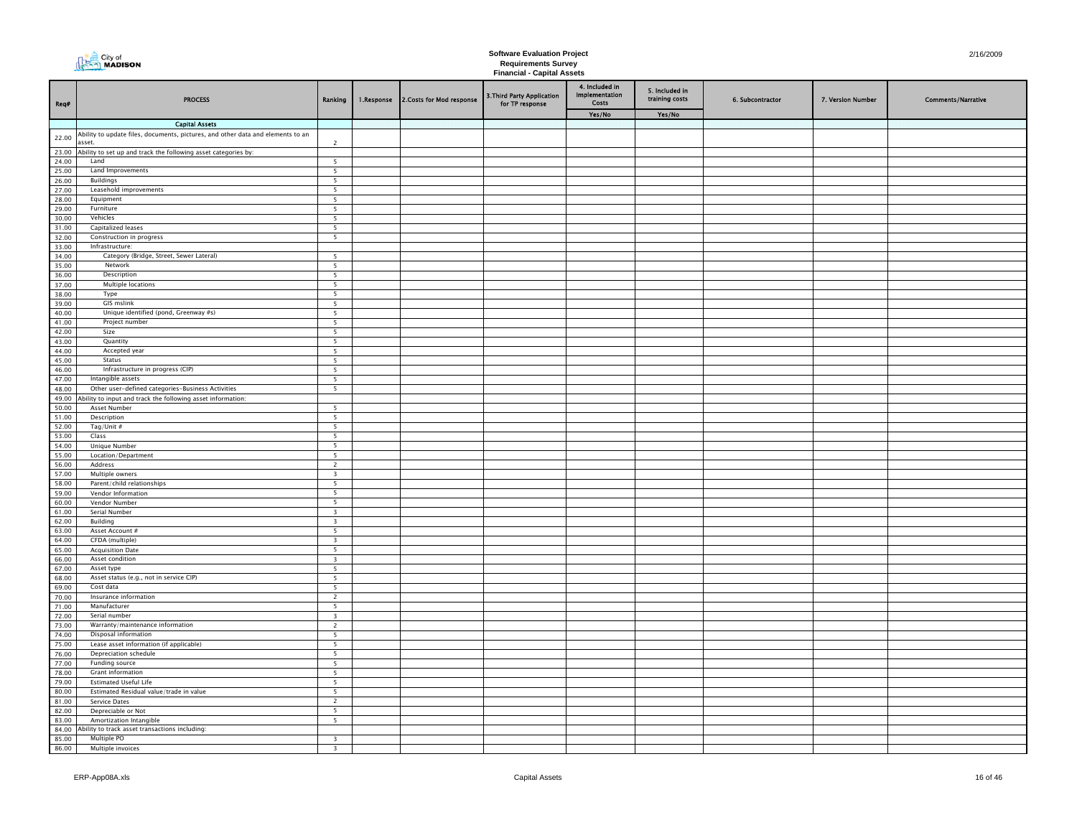|                | <b>City of</b><br><b>MADISON</b>                                                                         |                                                      |            |                          | <b>Software Evaluation Project</b>                              |                |                                  |                  |                   | 2/16/2009                 |
|----------------|----------------------------------------------------------------------------------------------------------|------------------------------------------------------|------------|--------------------------|-----------------------------------------------------------------|----------------|----------------------------------|------------------|-------------------|---------------------------|
|                |                                                                                                          |                                                      |            |                          | <b>Requirements Survey</b><br><b>Financial - Capital Assets</b> |                |                                  |                  |                   |                           |
|                |                                                                                                          |                                                      |            |                          |                                                                 | 4. Included in |                                  |                  |                   |                           |
|                | <b>PROCESS</b>                                                                                           |                                                      |            |                          | 3. Third Party Application                                      | Implementation | 5. Included in<br>training costs |                  |                   |                           |
| Req#           |                                                                                                          | Ranking                                              | 1.Response | 2.Costs for Mod response | for TP response                                                 | Costs          |                                  | 6. Subcontractor | 7. Version Number | <b>Comments/Narrative</b> |
|                |                                                                                                          |                                                      |            |                          |                                                                 | Yes/No         | Yes/No                           |                  |                   |                           |
|                | <b>Capital Assets</b><br>Ability to update files, documents, pictures, and other data and elements to an |                                                      |            |                          |                                                                 |                |                                  |                  |                   |                           |
| 22.00          | asset.                                                                                                   | $\overline{2}$                                       |            |                          |                                                                 |                |                                  |                  |                   |                           |
|                | 23.00 Ability to set up and track the following asset categories by:                                     |                                                      |            |                          |                                                                 |                |                                  |                  |                   |                           |
| 24.00<br>25.00 | Land<br>Land Improvements                                                                                | 5<br>5                                               |            |                          |                                                                 |                |                                  |                  |                   |                           |
| 26.00          | Buildings                                                                                                | $\overline{5}$                                       |            |                          |                                                                 |                |                                  |                  |                   |                           |
| 27.00          | Leasehold improvements                                                                                   | 5                                                    |            |                          |                                                                 |                |                                  |                  |                   |                           |
| 28.00          | Equipment                                                                                                | $\overline{5}$                                       |            |                          |                                                                 |                |                                  |                  |                   |                           |
| 29.00<br>30.00 | Furniture<br>Vehicles                                                                                    | 5<br>5                                               |            |                          |                                                                 |                |                                  |                  |                   |                           |
| 31.00          | Capitalized leases                                                                                       | 5                                                    |            |                          |                                                                 |                |                                  |                  |                   |                           |
| 32.00          | Construction in progress                                                                                 | 5                                                    |            |                          |                                                                 |                |                                  |                  |                   |                           |
| 33.00          | Infrastructure:<br>Category (Bridge, Street, Sewer Lateral)                                              |                                                      |            |                          |                                                                 |                |                                  |                  |                   |                           |
| 34.00<br>35.00 | Network                                                                                                  | $\overline{\phantom{0}}$<br>$\overline{\phantom{0}}$ |            |                          |                                                                 |                |                                  |                  |                   |                           |
| 36.00          | Description                                                                                              | $\overline{\phantom{0}}$                             |            |                          |                                                                 |                |                                  |                  |                   |                           |
| 37.00          | Multiple locations                                                                                       | $\overline{\phantom{0}}$                             |            |                          |                                                                 |                |                                  |                  |                   |                           |
| 38.00          | Type<br>GIS mslink                                                                                       | $\overline{\phantom{a}}$                             |            |                          |                                                                 |                |                                  |                  |                   |                           |
| 39.00<br>40.00 | Unique identified (pond, Greenway #s)                                                                    | $\overline{\phantom{0}}$<br>$\overline{\mathbf{5}}$  |            |                          |                                                                 |                |                                  |                  |                   |                           |
| 41.00          | Project number                                                                                           | $\overline{5}$                                       |            |                          |                                                                 |                |                                  |                  |                   |                           |
| 42.00          | Size                                                                                                     | $\overline{\phantom{0}}$                             |            |                          |                                                                 |                |                                  |                  |                   |                           |
| 43.00          | Quantity                                                                                                 | 5                                                    |            |                          |                                                                 |                |                                  |                  |                   |                           |
| 44.00<br>45.00 | Accepted year<br><b>Status</b>                                                                           | $5\overline{5}$<br>5                                 |            |                          |                                                                 |                |                                  |                  |                   |                           |
| 46.00          | Infrastructure in progress (CIP)                                                                         | 5                                                    |            |                          |                                                                 |                |                                  |                  |                   |                           |
| 47.00          | Intangible assets                                                                                        | $5 -$                                                |            |                          |                                                                 |                |                                  |                  |                   |                           |
| 48.00          | Other user-defined categories-Business Activities                                                        | 5                                                    |            |                          |                                                                 |                |                                  |                  |                   |                           |
| 50.00          | 49.00 Ability to input and track the following asset information:<br>Asset Number                        | 5                                                    |            |                          |                                                                 |                |                                  |                  |                   |                           |
| 51.00          | Description                                                                                              | 5                                                    |            |                          |                                                                 |                |                                  |                  |                   |                           |
| 52.00          | Tag/Unit #                                                                                               | 5                                                    |            |                          |                                                                 |                |                                  |                  |                   |                           |
| 53.00          | Class                                                                                                    | 5                                                    |            |                          |                                                                 |                |                                  |                  |                   |                           |
| 54.00<br>55.00 | Unique Number<br>Location/Department                                                                     | 5<br>5                                               |            |                          |                                                                 |                |                                  |                  |                   |                           |
| 56.00          | Address                                                                                                  | $\overline{2}$                                       |            |                          |                                                                 |                |                                  |                  |                   |                           |
| 57.00          | Multiple owners                                                                                          | $\overline{\mathbf{3}}$                              |            |                          |                                                                 |                |                                  |                  |                   |                           |
| 58.00          | Parent/child relationships                                                                               | 5<br>5                                               |            |                          |                                                                 |                |                                  |                  |                   |                           |
| 59.00<br>60.00 | Vendor Information<br>Vendor Number                                                                      | 5                                                    |            |                          |                                                                 |                |                                  |                  |                   |                           |
| 61.00          | Serial Number                                                                                            | $\overline{\mathbf{3}}$                              |            |                          |                                                                 |                |                                  |                  |                   |                           |
| 62.00          | Building                                                                                                 | $\overline{\mathbf{3}}$                              |            |                          |                                                                 |                |                                  |                  |                   |                           |
| 63.00<br>64.00 | Asset Account #<br>CFDA (multiple)                                                                       | 5<br>$\overline{\mathbf{3}}$                         |            |                          |                                                                 |                |                                  |                  |                   |                           |
| 65.00          | <b>Acquisition Date</b>                                                                                  | 5                                                    |            |                          |                                                                 |                |                                  |                  |                   |                           |
| 66.00          | Asset condition                                                                                          | $\overline{\mathbf{3}}$                              |            |                          |                                                                 |                |                                  |                  |                   |                           |
| 67.00          | Asset type                                                                                               | 5                                                    |            |                          |                                                                 |                |                                  |                  |                   |                           |
| 68.00<br>69.00 | Asset status (e.g., not in service CIP)<br>Cost data                                                     | $\overline{\phantom{a}}$<br>$\overline{\phantom{a}}$ |            |                          |                                                                 |                |                                  |                  |                   |                           |
| 70.00          | Insurance information                                                                                    | $\overline{2}$                                       |            |                          |                                                                 |                |                                  |                  |                   |                           |
| 71.00          | Manufacturer                                                                                             | 5                                                    |            |                          |                                                                 |                |                                  |                  |                   |                           |
| 72.00          | Serial number                                                                                            | $\overline{\mathbf{3}}$                              |            |                          |                                                                 |                |                                  |                  |                   |                           |
| 73.00<br>74.00 | Warranty/maintenance information<br>Disposal information                                                 | $\overline{2}$<br>5                                  |            |                          |                                                                 |                |                                  |                  |                   |                           |
| 75.00          | Lease asset information (if applicable)                                                                  | $\overline{\phantom{0}}$                             |            |                          |                                                                 |                |                                  |                  |                   |                           |
| 76.00          | Depreciation schedule                                                                                    | 5                                                    |            |                          |                                                                 |                |                                  |                  |                   |                           |
| 77.00          | Funding source                                                                                           | $\overline{\phantom{0}}$                             |            |                          |                                                                 |                |                                  |                  |                   |                           |
| 78.00<br>79.00 | Grant information<br>Estimated Useful Life                                                               | $\overline{\phantom{0}}$<br>$\overline{\phantom{0}}$ |            |                          |                                                                 |                |                                  |                  |                   |                           |
| 80.00          | Estimated Residual value/trade in value                                                                  | 5                                                    |            |                          |                                                                 |                |                                  |                  |                   |                           |
| 81.00          | Service Dates                                                                                            | $\overline{2}$                                       |            |                          |                                                                 |                |                                  |                  |                   |                           |
| 82.00          | Depreciable or Not                                                                                       | $\overline{\phantom{0}}$                             |            |                          |                                                                 |                |                                  |                  |                   |                           |
| 83.00          | Amortization Intangible<br>84.00 Ability to track asset transactions including:                          | $\overline{\phantom{0}}$                             |            |                          |                                                                 |                |                                  |                  |                   |                           |
| 85.00          | Multiple PO                                                                                              | $\overline{\mathbf{3}}$                              |            |                          |                                                                 |                |                                  |                  |                   |                           |
|                | 86.00 Multiple invoices                                                                                  | $\overline{\mathbf{3}}$                              |            |                          |                                                                 |                |                                  |                  |                   |                           |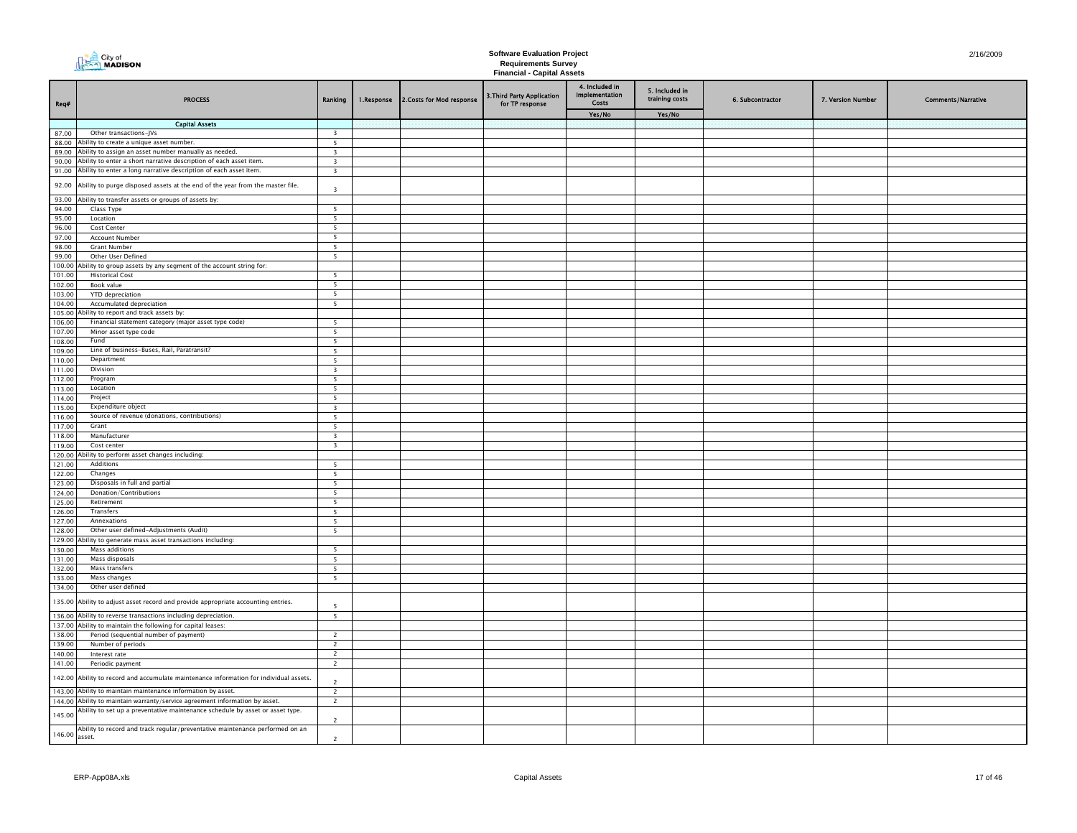|                  | <b>City of</b><br><b>MADISON</b>                                                                                                                |                                                      |            |                          | <b>Software Evaluation Project</b><br><b>Requirements Survey</b><br><b>Financial - Capital Assets</b> | 2/16/2009                                        |                                  |                  |                   |                           |
|------------------|-------------------------------------------------------------------------------------------------------------------------------------------------|------------------------------------------------------|------------|--------------------------|-------------------------------------------------------------------------------------------------------|--------------------------------------------------|----------------------------------|------------------|-------------------|---------------------------|
| Req#             | <b>PROCESS</b>                                                                                                                                  | Ranking                                              | 1.Response | 2.Costs for Mod response | 3. Third Party Application<br>for TP response                                                         | 4. Included in<br>Implementation<br><b>Costs</b> | 5. Included in<br>training costs | 6. Subcontractor | 7. Version Number | <b>Comments/Narrative</b> |
|                  | <b>Capital Assets</b>                                                                                                                           |                                                      |            |                          |                                                                                                       | Yes/No                                           | Yes/No                           |                  |                   |                           |
| 87.00            | Other transactions-JVs                                                                                                                          | $\overline{\mathbf{3}}$                              |            |                          |                                                                                                       |                                                  |                                  |                  |                   |                           |
|                  | 88.00 Ability to create a unique asset number.                                                                                                  | $\overline{\phantom{0}}$                             |            |                          |                                                                                                       |                                                  |                                  |                  |                   |                           |
| 89.00            | Ability to assign an asset number manually as needed.                                                                                           | $\overline{\mathbf{3}}$                              |            |                          |                                                                                                       |                                                  |                                  |                  |                   |                           |
|                  | 90.00 Ability to enter a short narrative description of each asset item.                                                                        | $\overline{\mathbf{3}}$                              |            |                          |                                                                                                       |                                                  |                                  |                  |                   |                           |
|                  | 91.00 Ability to enter a long narrative description of each asset item.                                                                         | $\overline{\mathbf{3}}$                              |            |                          |                                                                                                       |                                                  |                                  |                  |                   |                           |
| 92.00            | Ability to purge disposed assets at the end of the year from the master file.                                                                   | $\overline{3}$                                       |            |                          |                                                                                                       |                                                  |                                  |                  |                   |                           |
| 94.00            | 93.00 Ability to transfer assets or groups of assets by:<br>Class Type                                                                          | 5                                                    |            |                          |                                                                                                       |                                                  |                                  |                  |                   |                           |
| 95.00            | Location                                                                                                                                        | $\overline{\phantom{0}}$                             |            |                          |                                                                                                       |                                                  |                                  |                  |                   |                           |
| 96.00            | Cost Center                                                                                                                                     | 5                                                    |            |                          |                                                                                                       |                                                  |                                  |                  |                   |                           |
| 97.00            | <b>Account Number</b>                                                                                                                           | $\overline{\phantom{0}}$                             |            |                          |                                                                                                       |                                                  |                                  |                  |                   |                           |
| 98.00            | <b>Grant Number</b>                                                                                                                             | $\overline{\phantom{0}}$                             |            |                          |                                                                                                       |                                                  |                                  |                  |                   |                           |
| 99.00            | Other User Defined                                                                                                                              | $\overline{5}$                                       |            |                          |                                                                                                       |                                                  |                                  |                  |                   |                           |
|                  | 100.00 Ability to group assets by any segment of the account string for:                                                                        |                                                      |            |                          |                                                                                                       |                                                  |                                  |                  |                   |                           |
| 101.00           | <b>Historical Cost</b>                                                                                                                          | $\overline{\phantom{0}}$<br>$\overline{\phantom{0}}$ |            |                          |                                                                                                       |                                                  |                                  |                  |                   |                           |
| 102.00<br>103.00 | Book value<br>YTD depreciation                                                                                                                  | $\overline{5}$                                       |            |                          |                                                                                                       |                                                  |                                  |                  |                   |                           |
| 104.00           | Accumulated depreciation                                                                                                                        | $\overline{\phantom{0}}$                             |            |                          |                                                                                                       |                                                  |                                  |                  |                   |                           |
|                  | 105.00 Ability to report and track assets by:                                                                                                   |                                                      |            |                          |                                                                                                       |                                                  |                                  |                  |                   |                           |
| 106.00           | Financial statement category (major asset type code)                                                                                            | 5                                                    |            |                          |                                                                                                       |                                                  |                                  |                  |                   |                           |
| 107.00           | Minor asset type code                                                                                                                           | 5                                                    |            |                          |                                                                                                       |                                                  |                                  |                  |                   |                           |
| 108.00           | Fund                                                                                                                                            | 5                                                    |            |                          |                                                                                                       |                                                  |                                  |                  |                   |                           |
| 109.00           | Line of business-Buses, Rail, Paratransit?<br>Department                                                                                        | 5 <sup>5</sup>                                       |            |                          |                                                                                                       |                                                  |                                  |                  |                   |                           |
| 110.00<br>111.00 | Division                                                                                                                                        | $\overline{5}$<br>$\overline{\mathbf{3}}$            |            |                          |                                                                                                       |                                                  |                                  |                  |                   |                           |
| 112.00           | Program                                                                                                                                         | $\overline{\phantom{0}}$                             |            |                          |                                                                                                       |                                                  |                                  |                  |                   |                           |
| 113.00           | Location                                                                                                                                        | $\overline{\phantom{0}}$                             |            |                          |                                                                                                       |                                                  |                                  |                  |                   |                           |
| 114.00           | Project                                                                                                                                         | 5 <sup>5</sup>                                       |            |                          |                                                                                                       |                                                  |                                  |                  |                   |                           |
| 115.00           | Expenditure object                                                                                                                              | $\overline{\mathbf{3}}$                              |            |                          |                                                                                                       |                                                  |                                  |                  |                   |                           |
| 116.00           | Source of revenue (donations, contributions)                                                                                                    | 5                                                    |            |                          |                                                                                                       |                                                  |                                  |                  |                   |                           |
| 117.00           | Grant<br>Manufacturer                                                                                                                           | 5                                                    |            |                          |                                                                                                       |                                                  |                                  |                  |                   |                           |
| 118.00<br>119.00 | Cost center                                                                                                                                     | $\overline{\mathbf{3}}$<br>$\overline{\mathbf{3}}$   |            |                          |                                                                                                       |                                                  |                                  |                  |                   |                           |
| 120.00           | bility to perform asset changes including:                                                                                                      |                                                      |            |                          |                                                                                                       |                                                  |                                  |                  |                   |                           |
| 121.00           | Additions                                                                                                                                       | 5                                                    |            |                          |                                                                                                       |                                                  |                                  |                  |                   |                           |
| 122.00           | Changes                                                                                                                                         | 5                                                    |            |                          |                                                                                                       |                                                  |                                  |                  |                   |                           |
| 123.00           | Disposals in full and partial                                                                                                                   | 5                                                    |            |                          |                                                                                                       |                                                  |                                  |                  |                   |                           |
| 124.00           | Donation/Contributions                                                                                                                          | $\overline{\phantom{0}}$                             |            |                          |                                                                                                       |                                                  |                                  |                  |                   |                           |
| 125.00<br>126.00 | Retirement<br>Transfers                                                                                                                         | $\overline{\phantom{0}}$<br>$\overline{5}$           |            |                          |                                                                                                       |                                                  |                                  |                  |                   |                           |
| 127.00           | Annexations                                                                                                                                     | $\overline{\phantom{0}}$                             |            |                          |                                                                                                       |                                                  |                                  |                  |                   |                           |
| 128.00           | Other user defined-Adjustments (Audit)                                                                                                          | $\overline{\phantom{0}}$                             |            |                          |                                                                                                       |                                                  |                                  |                  |                   |                           |
| 129.00           | Ability to generate mass asset transactions including:                                                                                          |                                                      |            |                          |                                                                                                       |                                                  |                                  |                  |                   |                           |
| 130.00           | Mass additions                                                                                                                                  | 5                                                    |            |                          |                                                                                                       |                                                  |                                  |                  |                   |                           |
| 131.00           | Mass disposals                                                                                                                                  | $\overline{5}$                                       |            |                          |                                                                                                       |                                                  |                                  |                  |                   |                           |
| 132.00           | Mass transfers<br>Mass changes                                                                                                                  | 5<br>$\overline{\phantom{0}}$                        |            |                          |                                                                                                       |                                                  |                                  |                  |                   |                           |
| 133.00<br>134.00 | Other user defined                                                                                                                              |                                                      |            |                          |                                                                                                       |                                                  |                                  |                  |                   |                           |
| 135.00           | Ability to adjust asset record and provide appropriate accounting entries.                                                                      | $\overline{5}$                                       |            |                          |                                                                                                       |                                                  |                                  |                  |                   |                           |
|                  | 136.00 Ability to reverse transactions including depreciation.                                                                                  | $\overline{\phantom{a}}$                             |            |                          |                                                                                                       |                                                  |                                  |                  |                   |                           |
|                  | 137.00 Ability to maintain the following for capital leases:                                                                                    |                                                      |            |                          |                                                                                                       |                                                  |                                  |                  |                   |                           |
| 138.00           | Period (sequential number of payment)                                                                                                           | $\overline{2}$                                       |            |                          |                                                                                                       |                                                  |                                  |                  |                   |                           |
| 139.00           | Number of periods                                                                                                                               | $\overline{2}$                                       |            |                          |                                                                                                       |                                                  |                                  |                  |                   |                           |
| 140.00           | Interest rate                                                                                                                                   | $\overline{2}$                                       |            |                          |                                                                                                       |                                                  |                                  |                  |                   |                           |
| 141.00           | Periodic payment                                                                                                                                | $\overline{2}$                                       |            |                          |                                                                                                       |                                                  |                                  |                  |                   |                           |
| 142.00           | Ability to record and accumulate maintenance information for individual assets.<br>143.00 Ability to maintain maintenance information by asset. | $\overline{\phantom{0}}$                             |            |                          |                                                                                                       |                                                  |                                  |                  |                   |                           |
|                  | 144.00 Ability to maintain warranty/service agreement information by asset.                                                                     | $\overline{2}$<br>$\overline{2}$                     |            |                          |                                                                                                       |                                                  |                                  |                  |                   |                           |
|                  | Ability to set up a preventative maintenance schedule by asset or asset type.                                                                   |                                                      |            |                          |                                                                                                       |                                                  |                                  |                  |                   |                           |
| 145.00           | Ability to record and track regular/preventative maintenance performed on an                                                                    | $\overline{2}$                                       |            |                          |                                                                                                       |                                                  |                                  |                  |                   |                           |
| 146.00           | asset.                                                                                                                                          | $\overline{c}$                                       |            |                          |                                                                                                       |                                                  |                                  |                  |                   |                           |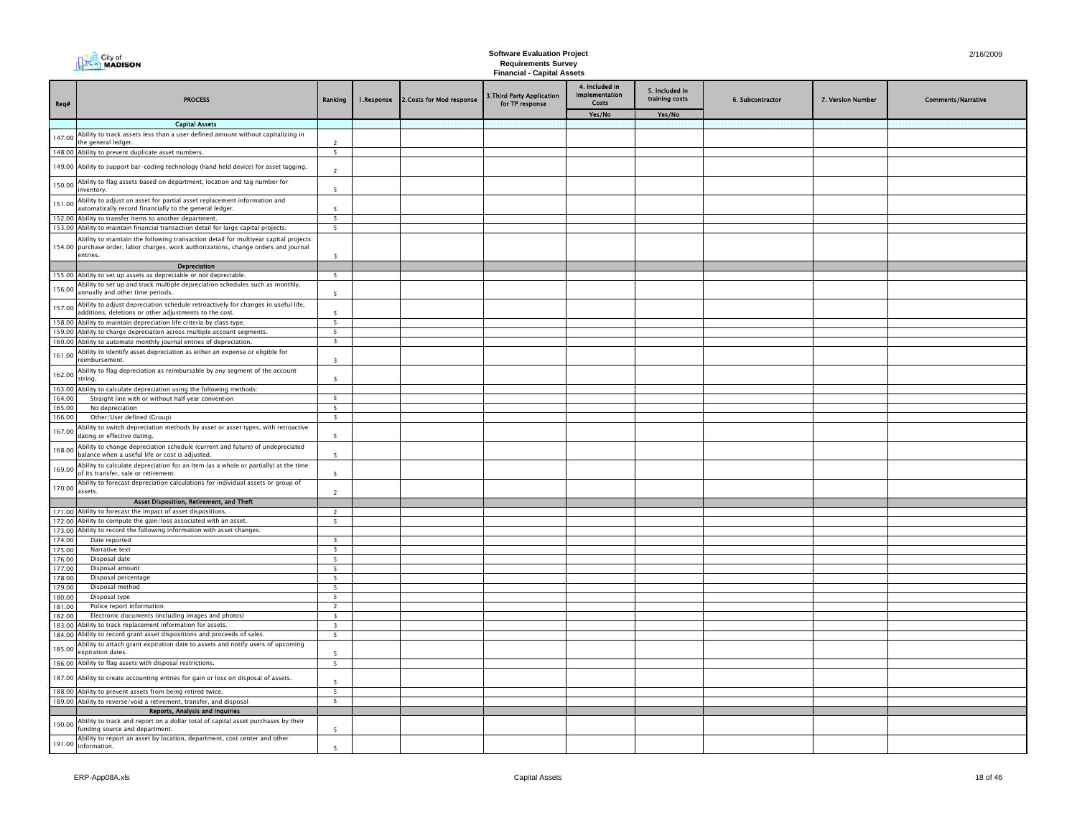|                  | <b>The City of</b><br><b>MADISON</b>                                                                                                                                                                           |                              |            |                           | <b>Software Evaluation Project</b>                              |                                                         |                                  |                  |                   | 2/16/2009                 |
|------------------|----------------------------------------------------------------------------------------------------------------------------------------------------------------------------------------------------------------|------------------------------|------------|---------------------------|-----------------------------------------------------------------|---------------------------------------------------------|----------------------------------|------------------|-------------------|---------------------------|
|                  |                                                                                                                                                                                                                |                              |            |                           | <b>Requirements Survey</b><br><b>Financial - Capital Assets</b> |                                                         |                                  |                  |                   |                           |
| Req#             | <b>PROCESS</b>                                                                                                                                                                                                 | Ranking                      | 1.Response | 2. Costs for Mod response | 3. Third Party Application<br>for TP response                   | 4. Included in<br><b>Implementation</b><br><b>Costs</b> | 5. Included in<br>training costs | 6. Subcontractor | 7. Version Number | <b>Comments/Narrative</b> |
|                  |                                                                                                                                                                                                                |                              |            |                           |                                                                 | Yes/No                                                  | Yes/No                           |                  |                   |                           |
|                  | <b>Capital Assets</b>                                                                                                                                                                                          |                              |            |                           |                                                                 |                                                         |                                  |                  |                   |                           |
| 147.00           | Ability to track assets less than a user defined amount without capitalizing in<br>he general ledger.                                                                                                          | $\overline{2}$               |            |                           |                                                                 |                                                         |                                  |                  |                   |                           |
|                  | 148.00 Ability to prevent duplicate asset numbers.                                                                                                                                                             | 5 <sup>5</sup>               |            |                           |                                                                 |                                                         |                                  |                  |                   |                           |
|                  | 149.00 Ability to support bar-coding technology (hand held device) for asset tagging.                                                                                                                          | $\overline{\phantom{a}}$     |            |                           |                                                                 |                                                         |                                  |                  |                   |                           |
| 150.00           | Ability to flag assets based on department, location and tag number for<br>nventory.                                                                                                                           | 5                            |            |                           |                                                                 |                                                         |                                  |                  |                   |                           |
| 151.00           | Ability to adjust an asset for partial asset replacement information and<br>utomatically record financially to the general ledger.                                                                             | 5                            |            |                           |                                                                 |                                                         |                                  |                  |                   |                           |
|                  | 152.00 Ability to transfer items to another department.                                                                                                                                                        | 5                            |            |                           |                                                                 |                                                         |                                  |                  |                   |                           |
|                  | 153.00 Ability to maintain financial transaction detail for large capital projects.                                                                                                                            | $\overline{5}$               |            |                           |                                                                 |                                                         |                                  |                  |                   |                           |
|                  | Ability to maintain the following transaction detail for multiyear capital projects:<br>154.00 purchase order, labor charges, work authorizations, change orders and journal<br>entries.                       | $\overline{3}$               |            |                           |                                                                 |                                                         |                                  |                  |                   |                           |
|                  | Depreciation                                                                                                                                                                                                   |                              |            |                           |                                                                 |                                                         |                                  |                  |                   |                           |
|                  | 155.00 Ability to set up assets as depreciable or not depreciable.                                                                                                                                             | 5                            |            |                           |                                                                 |                                                         |                                  |                  |                   |                           |
| 156.00           | Ability to set up and track multiple depreciation schedules such as monthly,<br>annually and other time periods.                                                                                               | 5                            |            |                           |                                                                 |                                                         |                                  |                  |                   |                           |
| 157.00           | Ability to adjust depreciation schedule retroactively for changes in useful life,<br>dditions, deletions or other adjustments to the cost.                                                                     | 5                            |            |                           |                                                                 |                                                         |                                  |                  |                   |                           |
|                  | 158.00 Ability to maintain depreciation life criteria by class type.                                                                                                                                           | $\overline{5}$               |            |                           |                                                                 |                                                         |                                  |                  |                   |                           |
|                  | 159.00 Ability to charge depreciation across multiple account segments.<br>160.00 Ability to automate monthly journal entries of depreciation.                                                                 | 5<br>$\overline{\mathbf{3}}$ |            |                           |                                                                 |                                                         |                                  |                  |                   |                           |
| 161.00           | Ability to identify asset depreciation as either an expense or eligible for<br>eimbursement.                                                                                                                   | $\overline{\mathbf{3}}$      |            |                           |                                                                 |                                                         |                                  |                  |                   |                           |
| 162.00           | Ability to flag depreciation as reimbursable by any segment of the account<br>string.                                                                                                                          | $\overline{\mathbf{3}}$      |            |                           |                                                                 |                                                         |                                  |                  |                   |                           |
|                  | 163.00 Ability to calculate depreciation using the following methods:                                                                                                                                          |                              |            |                           |                                                                 |                                                         |                                  |                  |                   |                           |
| 164.00           | Straight line with or without half year convention                                                                                                                                                             | $\overline{5}$               |            |                           |                                                                 |                                                         |                                  |                  |                   |                           |
| 165.00           | No depreciation                                                                                                                                                                                                | -5                           |            |                           |                                                                 |                                                         |                                  |                  |                   |                           |
| 166.00           | Other/User defined (Group)                                                                                                                                                                                     | $\overline{\mathbf{3}}$      |            |                           |                                                                 |                                                         |                                  |                  |                   |                           |
| 167.00           | Ability to switch depreciation methods by asset or asset types, with retroactive<br>dating or effective dating.                                                                                                | <b>S</b>                     |            |                           |                                                                 |                                                         |                                  |                  |                   |                           |
| 168.00           | Ability to change depreciation schedule (current and future) of undepreciated<br>balance when a useful life or cost is adjusted.                                                                               | <b>S</b>                     |            |                           |                                                                 |                                                         |                                  |                  |                   |                           |
| 169.00           | Ability to calculate depreciation for an item (as a whole or partially) at the time<br>of its transfer, sale or retirement.<br>Ability to forecast depreciation calculations for individual assets or group of | $\overline{\phantom{a}}$     |            |                           |                                                                 |                                                         |                                  |                  |                   |                           |
| 170.00           | assets.                                                                                                                                                                                                        | $\overline{z}$               |            |                           |                                                                 |                                                         |                                  |                  |                   |                           |
|                  | Asset Disposition, Retirement, and Theft                                                                                                                                                                       |                              |            |                           |                                                                 |                                                         |                                  |                  |                   |                           |
|                  | 171.00 Ability to forecast the impact of asset dispositions.                                                                                                                                                   | $\overline{z}$               |            |                           |                                                                 |                                                         |                                  |                  |                   |                           |
|                  | 172.00 Ability to compute the gain/loss associated with an asset.                                                                                                                                              | -5                           |            |                           |                                                                 |                                                         |                                  |                  |                   |                           |
| 174.00           | 173.00 Ability to record the following information with asset changes:<br>Date reported                                                                                                                        | $\mathbf{R}$                 |            |                           |                                                                 |                                                         |                                  |                  |                   |                           |
| 175.00           | Narrative text                                                                                                                                                                                                 | $\overline{3}$               |            |                           |                                                                 |                                                         |                                  |                  |                   |                           |
| 176.00           | Disposal date                                                                                                                                                                                                  | 5                            |            |                           |                                                                 |                                                         |                                  |                  |                   |                           |
| 177.00           | Disposal amount                                                                                                                                                                                                | -5                           |            |                           |                                                                 |                                                         |                                  |                  |                   |                           |
| 178.00           | Disposal percentage                                                                                                                                                                                            | 5                            |            |                           |                                                                 |                                                         |                                  |                  |                   |                           |
| 179.00<br>180.00 | Disposal method<br>Disposal type                                                                                                                                                                               | -5<br>5                      |            |                           |                                                                 |                                                         |                                  |                  |                   |                           |
| 181.00           | Police report information                                                                                                                                                                                      | $\overline{\phantom{0}}$     |            |                           |                                                                 |                                                         |                                  |                  |                   |                           |
| 182.00           | Electronic documents (including images and photos)                                                                                                                                                             | $\overline{\mathbf{3}}$      |            |                           |                                                                 |                                                         |                                  |                  |                   |                           |
|                  | 183.00 Ability to track replacement information for assets.                                                                                                                                                    | $\overline{3}$               |            |                           |                                                                 |                                                         |                                  |                  |                   |                           |
|                  | 184.00 Ability to record grant asset dispositions and proceeds of sales.                                                                                                                                       | 5                            |            |                           |                                                                 |                                                         |                                  |                  |                   |                           |
| 185.00           | Ability to attach grant expiration date to assets and notify users of upcoming<br>expiration dates.                                                                                                            | 5                            |            |                           |                                                                 |                                                         |                                  |                  |                   |                           |
|                  | 186.00 Ability to flag assets with disposal restrictions.                                                                                                                                                      | 5                            |            |                           |                                                                 |                                                         |                                  |                  |                   |                           |
|                  | 187.00 Ability to create accounting entries for gain or loss on disposal of assets.<br>188.00 Ability to prevent assets from being retired twice.                                                              | 5<br>5                       |            |                           |                                                                 |                                                         |                                  |                  |                   |                           |
|                  | 189.00 Ability to reverse/void a retirement, transfer, and disposal                                                                                                                                            | 5 <sup>2</sup>               |            |                           |                                                                 |                                                         |                                  |                  |                   |                           |
|                  | Reports, Analysis and Inquiries                                                                                                                                                                                |                              |            |                           |                                                                 |                                                         |                                  |                  |                   |                           |
| 190.00           | Ability to track and report on a dollar total of capital asset purchases by their<br>funding source and department.                                                                                            | 5                            |            |                           |                                                                 |                                                         |                                  |                  |                   |                           |
| 191.00           | Ability to report an asset by location, department, cost center and other<br>information.                                                                                                                      | $\overline{\phantom{a}}$     |            |                           |                                                                 |                                                         |                                  |                  |                   |                           |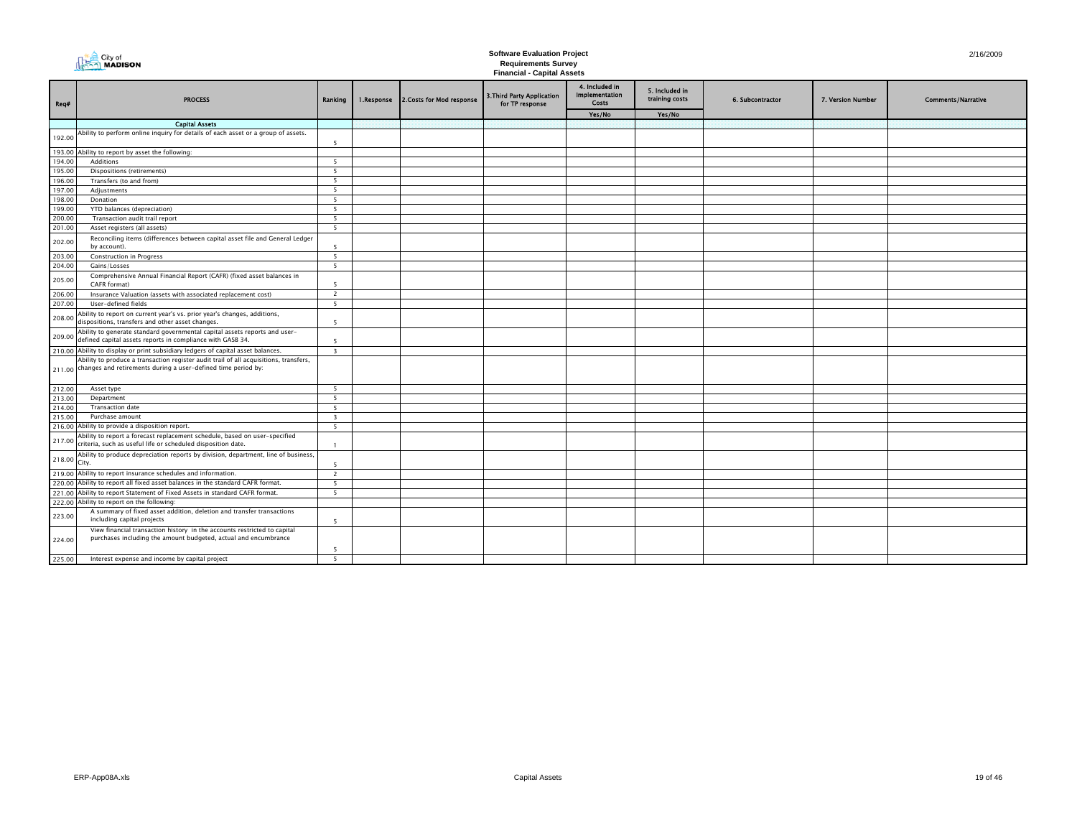|                  | <b>DEAR</b> City of<br>Read <b>MADISON</b>                                                                                                                    |                          | <b>Software Evaluation Project</b> | 2/16/2009                 |                                                                 |                                                  |                                  |                  |                   |                           |
|------------------|---------------------------------------------------------------------------------------------------------------------------------------------------------------|--------------------------|------------------------------------|---------------------------|-----------------------------------------------------------------|--------------------------------------------------|----------------------------------|------------------|-------------------|---------------------------|
|                  |                                                                                                                                                               |                          |                                    |                           | <b>Requirements Survey</b><br><b>Financial - Capital Assets</b> |                                                  |                                  |                  |                   |                           |
| Req#             | <b>PROCESS</b>                                                                                                                                                | Ranking                  | 1.Response                         | 2. Costs for Mod response | 3. Third Party Application<br>for TP response                   | 4. Included in<br>Implementation<br><b>Costs</b> | 5. Included in<br>training costs | 6. Subcontractor | 7. Version Number | <b>Comments/Narrative</b> |
|                  |                                                                                                                                                               |                          |                                    |                           |                                                                 | Yes/No                                           | Yes/No                           |                  |                   |                           |
|                  | <b>Capital Assets</b>                                                                                                                                         |                          |                                    |                           |                                                                 |                                                  |                                  |                  |                   |                           |
| 192.00           | Ability to perform online inquiry for details of each asset or a group of assets.                                                                             | $\overline{\phantom{a}}$ |                                    |                           |                                                                 |                                                  |                                  |                  |                   |                           |
| 193.00           | Ability to report by asset the following:                                                                                                                     |                          |                                    |                           |                                                                 |                                                  |                                  |                  |                   |                           |
| 194.00           | Additions                                                                                                                                                     | - 5                      |                                    |                           |                                                                 |                                                  |                                  |                  |                   |                           |
| 195.00           | Dispositions (retirements)                                                                                                                                    | 5                        |                                    |                           |                                                                 |                                                  |                                  |                  |                   |                           |
| 196.00           | Transfers (to and from)                                                                                                                                       | 5                        |                                    |                           |                                                                 |                                                  |                                  |                  |                   |                           |
| 197.00           | Adjustments                                                                                                                                                   | 5                        |                                    |                           |                                                                 |                                                  |                                  |                  |                   |                           |
| 198.00           | Donation                                                                                                                                                      | 5                        |                                    |                           |                                                                 |                                                  |                                  |                  |                   |                           |
| 199.00           | YTD balances (depreciation)                                                                                                                                   | 5                        |                                    |                           |                                                                 |                                                  |                                  |                  |                   |                           |
| 200.00           | Transaction audit trail report                                                                                                                                | 5                        |                                    |                           |                                                                 |                                                  |                                  |                  |                   |                           |
| 201.00           | Asset registers (all assets)                                                                                                                                  | 5                        |                                    |                           |                                                                 |                                                  |                                  |                  |                   |                           |
| 202.00           | Reconciling items (differences between capital asset file and General Ledger<br>by account).                                                                  | $\overline{\phantom{a}}$ |                                    |                           |                                                                 |                                                  |                                  |                  |                   |                           |
| 203.00           | <b>Construction in Progress</b>                                                                                                                               | -5                       |                                    |                           |                                                                 |                                                  |                                  |                  |                   |                           |
| 204.00<br>205.00 | Gains/Losses<br>Comprehensive Annual Financial Report (CAFR) (fixed asset balances in                                                                         | -5                       |                                    |                           |                                                                 |                                                  |                                  |                  |                   |                           |
|                  | CAFR format)                                                                                                                                                  | -5                       |                                    |                           |                                                                 |                                                  |                                  |                  |                   |                           |
| 206.00           | Insurance Valuation (assets with associated replacement cost)                                                                                                 | $\overline{2}$           |                                    |                           |                                                                 |                                                  |                                  |                  |                   |                           |
| 207.00           | User-defined fields                                                                                                                                           | -5                       |                                    |                           |                                                                 |                                                  |                                  |                  |                   |                           |
| 208.00           | Ability to report on current year's vs. prior year's changes, additions,<br>dispositions, transfers and other asset changes.                                  | $\overline{\phantom{a}}$ |                                    |                           |                                                                 |                                                  |                                  |                  |                   |                           |
| 209.00           | Ability to generate standard governmental capital assets reports and user-<br>defined capital assets reports in compliance with GASB 34.                      | $\overline{\phantom{a}}$ |                                    |                           |                                                                 |                                                  |                                  |                  |                   |                           |
|                  | 210.00 Ability to display or print subsidiary ledgers of capital asset balances.                                                                              | $\overline{\mathbf{3}}$  |                                    |                           |                                                                 |                                                  |                                  |                  |                   |                           |
|                  | Ability to produce a transaction register audit trail of all acquisitions, transfers,<br>211.00 changes and retirements during a user-defined time period by: |                          |                                    |                           |                                                                 |                                                  |                                  |                  |                   |                           |
| 212.00           | Asset type                                                                                                                                                    | 5                        |                                    |                           |                                                                 |                                                  |                                  |                  |                   |                           |
| 213.00           | Department                                                                                                                                                    | 5                        |                                    |                           |                                                                 |                                                  |                                  |                  |                   |                           |
| 214.00           | <b>Transaction date</b>                                                                                                                                       | 5                        |                                    |                           |                                                                 |                                                  |                                  |                  |                   |                           |
| 215.00           | Purchase amount                                                                                                                                               | $\overline{\mathbf{3}}$  |                                    |                           |                                                                 |                                                  |                                  |                  |                   |                           |
| 216.00           | Ability to provide a disposition report.                                                                                                                      | 5                        |                                    |                           |                                                                 |                                                  |                                  |                  |                   |                           |
| 217.00           | Ability to report a forecast replacement schedule, based on user-specified<br>criteria, such as useful life or scheduled disposition date.                    |                          |                                    |                           |                                                                 |                                                  |                                  |                  |                   |                           |
| 218.00           | Ability to produce depreciation reports by division, department, line of business,<br>City.                                                                   | -5                       |                                    |                           |                                                                 |                                                  |                                  |                  |                   |                           |
|                  | 219.00 Ability to report insurance schedules and information.                                                                                                 | $\overline{2}$           |                                    |                           |                                                                 |                                                  |                                  |                  |                   |                           |
|                  | 220.00 Ability to report all fixed asset balances in the standard CAFR format.                                                                                | -5                       |                                    |                           |                                                                 |                                                  |                                  |                  |                   |                           |
| 221.00           | Ability to report Statement of Fixed Assets in standard CAFR format.                                                                                          | 5                        |                                    |                           |                                                                 |                                                  |                                  |                  |                   |                           |
| 222.00           | Ability to report on the following:                                                                                                                           |                          |                                    |                           |                                                                 |                                                  |                                  |                  |                   |                           |
| 223.00           | A summary of fixed asset addition, deletion and transfer transactions<br>including capital projects                                                           | - 5                      |                                    |                           |                                                                 |                                                  |                                  |                  |                   |                           |
| 224.00           | View financial transaction history in the accounts restricted to capital<br>purchases including the amount budgeted, actual and encumbrance                   |                          |                                    |                           |                                                                 |                                                  |                                  |                  |                   |                           |
|                  |                                                                                                                                                               | -5                       |                                    |                           |                                                                 |                                                  |                                  |                  |                   |                           |
| 225.00           | Interest expense and income by capital project                                                                                                                | 5                        |                                    |                           |                                                                 |                                                  |                                  |                  |                   |                           |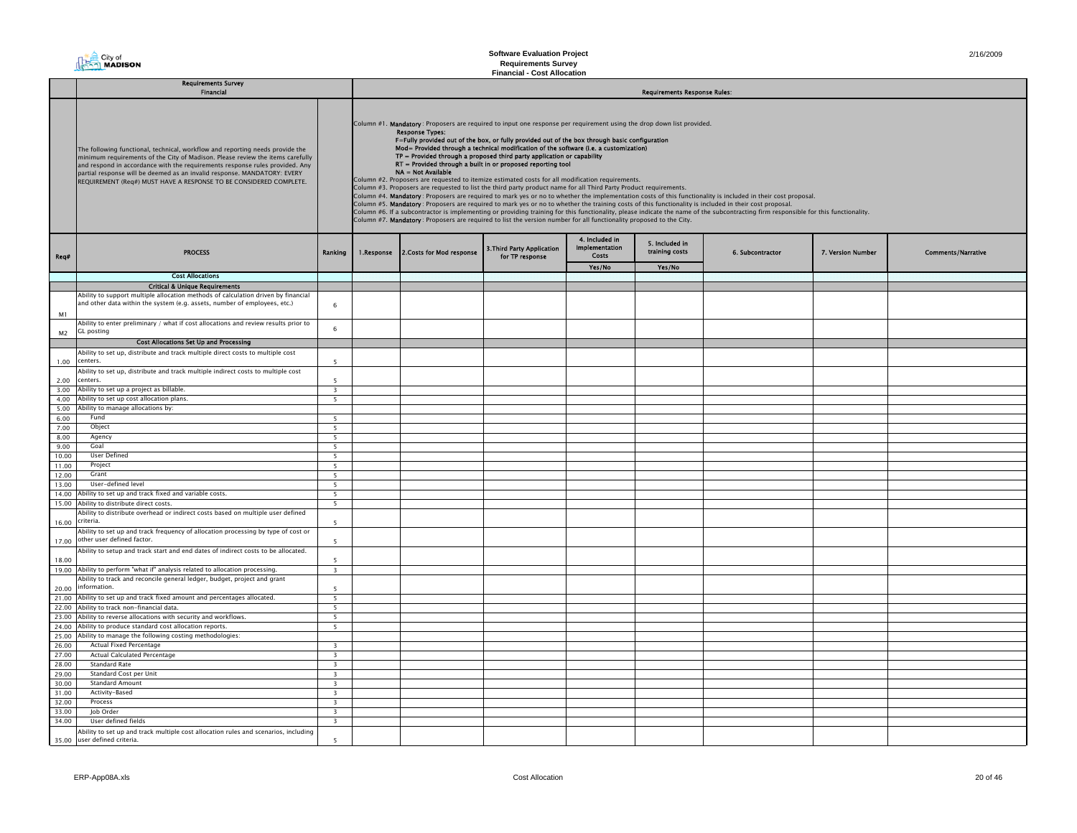**City of**<br> **City of**<br> **MADISON** 

#### **Software Evaluation Project Requirements Survey Financial - Cost Allocation**

|                | <b>Requirements Survey</b>                                                                                                                                                                                                                                                                                                                                                                        |                                                     | <b>Requirements Response Rules:</b> |                                                                                                                                                                                                                                                                                                                                                                                                                                                                                                                                                                                                                                                                                                                                                                                                                                                                                                                                                                                                                                                                                                                                                                                                                                                                                                                                                                           |                                                      |                                                  |                                  |                  |                   |                           |  |  |  |
|----------------|---------------------------------------------------------------------------------------------------------------------------------------------------------------------------------------------------------------------------------------------------------------------------------------------------------------------------------------------------------------------------------------------------|-----------------------------------------------------|-------------------------------------|---------------------------------------------------------------------------------------------------------------------------------------------------------------------------------------------------------------------------------------------------------------------------------------------------------------------------------------------------------------------------------------------------------------------------------------------------------------------------------------------------------------------------------------------------------------------------------------------------------------------------------------------------------------------------------------------------------------------------------------------------------------------------------------------------------------------------------------------------------------------------------------------------------------------------------------------------------------------------------------------------------------------------------------------------------------------------------------------------------------------------------------------------------------------------------------------------------------------------------------------------------------------------------------------------------------------------------------------------------------------------|------------------------------------------------------|--------------------------------------------------|----------------------------------|------------------|-------------------|---------------------------|--|--|--|
|                | Financial                                                                                                                                                                                                                                                                                                                                                                                         |                                                     |                                     |                                                                                                                                                                                                                                                                                                                                                                                                                                                                                                                                                                                                                                                                                                                                                                                                                                                                                                                                                                                                                                                                                                                                                                                                                                                                                                                                                                           |                                                      |                                                  |                                  |                  |                   |                           |  |  |  |
|                | The following functional, technical, workflow and reporting needs provide the<br>minimum requirements of the City of Madison. Please review the items carefully<br>and respond in accordance with the requirements response rules provided. Any<br>partial response will be deemed as an invalid response. MANDATORY: EVERY<br>REQUIREMENT (Req#) MUST HAVE A RESPONSE TO BE CONSIDERED COMPLETE. |                                                     |                                     | Column #1. Mandatory: Proposers are required to input one response per requirement using the drop down list provided.<br><b>Response Types:</b><br>F=Fully provided out of the box, or fully provided out of the box through basic configuration<br>Mod= Provided through a technical modification of the software (i.e. a customization)<br>TP = Provided through a proposed third party application or capability<br>RT = Provided through a built in or proposed reporting tool<br>NA = Not Available<br>Column #2. Proposers are requested to itemize estimated costs for all modification requirements.<br>Column #3. Proposers are requested to list the third party product name for all Third Party Product requirements.<br>Column #4. Mandatory: Proposers are required to mark yes or no to whether the implementation costs of this functionality is included in their cost proposal.<br>Column #5. Mandatory: Proposers are required to mark yes or no to whether the training costs of this functionality is included in their cost proposal.<br>Column #6. If a subcontractor is implementing or providing training for this functionality, please indicate the name of the subcontracting firm responsible for this functionality.<br>Column #7. Mandatory: Proposers are required to list the version number for all functionality proposed to the City. |                                                      |                                                  |                                  |                  |                   |                           |  |  |  |
| Req#           | <b>PROCESS</b>                                                                                                                                                                                                                                                                                                                                                                                    | Ranking                                             | 1.Response                          | 2. Costs for Mod response                                                                                                                                                                                                                                                                                                                                                                                                                                                                                                                                                                                                                                                                                                                                                                                                                                                                                                                                                                                                                                                                                                                                                                                                                                                                                                                                                 | <b>3. Third Party Application</b><br>for TP response | 4. Included in<br>Implementation<br><b>Costs</b> | 5. Included in<br>training costs | 6. Subcontractor | 7. Version Number | <b>Comments/Narrative</b> |  |  |  |
|                |                                                                                                                                                                                                                                                                                                                                                                                                   |                                                     |                                     |                                                                                                                                                                                                                                                                                                                                                                                                                                                                                                                                                                                                                                                                                                                                                                                                                                                                                                                                                                                                                                                                                                                                                                                                                                                                                                                                                                           |                                                      | Yes/No                                           | Yes/No                           |                  |                   |                           |  |  |  |
|                | <b>Cost Allocations</b><br><b>Critical &amp; Unique Requirements</b>                                                                                                                                                                                                                                                                                                                              |                                                     |                                     |                                                                                                                                                                                                                                                                                                                                                                                                                                                                                                                                                                                                                                                                                                                                                                                                                                                                                                                                                                                                                                                                                                                                                                                                                                                                                                                                                                           |                                                      |                                                  |                                  |                  |                   |                           |  |  |  |
|                | Ability to support multiple allocation methods of calculation driven by financial                                                                                                                                                                                                                                                                                                                 |                                                     |                                     |                                                                                                                                                                                                                                                                                                                                                                                                                                                                                                                                                                                                                                                                                                                                                                                                                                                                                                                                                                                                                                                                                                                                                                                                                                                                                                                                                                           |                                                      |                                                  |                                  |                  |                   |                           |  |  |  |
| M1             | and other data within the system (e.g. assets, number of employees, etc.)                                                                                                                                                                                                                                                                                                                         | 6                                                   |                                     |                                                                                                                                                                                                                                                                                                                                                                                                                                                                                                                                                                                                                                                                                                                                                                                                                                                                                                                                                                                                                                                                                                                                                                                                                                                                                                                                                                           |                                                      |                                                  |                                  |                  |                   |                           |  |  |  |
| M <sub>2</sub> | Ability to enter preliminary / what if cost allocations and review results prior to<br><b>GL</b> posting                                                                                                                                                                                                                                                                                          | 6                                                   |                                     |                                                                                                                                                                                                                                                                                                                                                                                                                                                                                                                                                                                                                                                                                                                                                                                                                                                                                                                                                                                                                                                                                                                                                                                                                                                                                                                                                                           |                                                      |                                                  |                                  |                  |                   |                           |  |  |  |
|                | <b>Cost Allocations Set Up and Processing</b>                                                                                                                                                                                                                                                                                                                                                     |                                                     |                                     |                                                                                                                                                                                                                                                                                                                                                                                                                                                                                                                                                                                                                                                                                                                                                                                                                                                                                                                                                                                                                                                                                                                                                                                                                                                                                                                                                                           |                                                      |                                                  |                                  |                  |                   |                           |  |  |  |
|                | Ability to set up, distribute and track multiple direct costs to multiple cost                                                                                                                                                                                                                                                                                                                    |                                                     |                                     |                                                                                                                                                                                                                                                                                                                                                                                                                                                                                                                                                                                                                                                                                                                                                                                                                                                                                                                                                                                                                                                                                                                                                                                                                                                                                                                                                                           |                                                      |                                                  |                                  |                  |                   |                           |  |  |  |
| 1.00           | centers.                                                                                                                                                                                                                                                                                                                                                                                          | 5                                                   |                                     |                                                                                                                                                                                                                                                                                                                                                                                                                                                                                                                                                                                                                                                                                                                                                                                                                                                                                                                                                                                                                                                                                                                                                                                                                                                                                                                                                                           |                                                      |                                                  |                                  |                  |                   |                           |  |  |  |
| 2.00           | Ability to set up, distribute and track multiple indirect costs to multiple cost<br>centers.                                                                                                                                                                                                                                                                                                      | $\overline{\phantom{a}}$                            |                                     |                                                                                                                                                                                                                                                                                                                                                                                                                                                                                                                                                                                                                                                                                                                                                                                                                                                                                                                                                                                                                                                                                                                                                                                                                                                                                                                                                                           |                                                      |                                                  |                                  |                  |                   |                           |  |  |  |
| 3.00           | Ability to set up a project as billable.                                                                                                                                                                                                                                                                                                                                                          | $\overline{\mathbf{3}}$                             |                                     |                                                                                                                                                                                                                                                                                                                                                                                                                                                                                                                                                                                                                                                                                                                                                                                                                                                                                                                                                                                                                                                                                                                                                                                                                                                                                                                                                                           |                                                      |                                                  |                                  |                  |                   |                           |  |  |  |
| 4.00           | Ability to set up cost allocation plans.                                                                                                                                                                                                                                                                                                                                                          | 5                                                   |                                     |                                                                                                                                                                                                                                                                                                                                                                                                                                                                                                                                                                                                                                                                                                                                                                                                                                                                                                                                                                                                                                                                                                                                                                                                                                                                                                                                                                           |                                                      |                                                  |                                  |                  |                   |                           |  |  |  |
| 5.00           | Ability to manage allocations by:                                                                                                                                                                                                                                                                                                                                                                 |                                                     |                                     |                                                                                                                                                                                                                                                                                                                                                                                                                                                                                                                                                                                                                                                                                                                                                                                                                                                                                                                                                                                                                                                                                                                                                                                                                                                                                                                                                                           |                                                      |                                                  |                                  |                  |                   |                           |  |  |  |
| 6.00           | Fund                                                                                                                                                                                                                                                                                                                                                                                              | $\overline{\phantom{0}}$                            |                                     |                                                                                                                                                                                                                                                                                                                                                                                                                                                                                                                                                                                                                                                                                                                                                                                                                                                                                                                                                                                                                                                                                                                                                                                                                                                                                                                                                                           |                                                      |                                                  |                                  |                  |                   |                           |  |  |  |
| 7.00           | Object                                                                                                                                                                                                                                                                                                                                                                                            | 5                                                   |                                     |                                                                                                                                                                                                                                                                                                                                                                                                                                                                                                                                                                                                                                                                                                                                                                                                                                                                                                                                                                                                                                                                                                                                                                                                                                                                                                                                                                           |                                                      |                                                  |                                  |                  |                   |                           |  |  |  |
| 8.00           | Agency                                                                                                                                                                                                                                                                                                                                                                                            | 5                                                   |                                     |                                                                                                                                                                                                                                                                                                                                                                                                                                                                                                                                                                                                                                                                                                                                                                                                                                                                                                                                                                                                                                                                                                                                                                                                                                                                                                                                                                           |                                                      |                                                  |                                  |                  |                   |                           |  |  |  |
| 9.00           | Goal<br><b>User Defined</b>                                                                                                                                                                                                                                                                                                                                                                       | $\overline{\phantom{0}}$                            |                                     |                                                                                                                                                                                                                                                                                                                                                                                                                                                                                                                                                                                                                                                                                                                                                                                                                                                                                                                                                                                                                                                                                                                                                                                                                                                                                                                                                                           |                                                      |                                                  |                                  |                  |                   |                           |  |  |  |
| 10.00<br>11.00 | Project                                                                                                                                                                                                                                                                                                                                                                                           | 5<br>5                                              |                                     |                                                                                                                                                                                                                                                                                                                                                                                                                                                                                                                                                                                                                                                                                                                                                                                                                                                                                                                                                                                                                                                                                                                                                                                                                                                                                                                                                                           |                                                      |                                                  |                                  |                  |                   |                           |  |  |  |
| 12.00          | Grant                                                                                                                                                                                                                                                                                                                                                                                             | 5                                                   |                                     |                                                                                                                                                                                                                                                                                                                                                                                                                                                                                                                                                                                                                                                                                                                                                                                                                                                                                                                                                                                                                                                                                                                                                                                                                                                                                                                                                                           |                                                      |                                                  |                                  |                  |                   |                           |  |  |  |
| 13.00          | User-defined level                                                                                                                                                                                                                                                                                                                                                                                | 5                                                   |                                     |                                                                                                                                                                                                                                                                                                                                                                                                                                                                                                                                                                                                                                                                                                                                                                                                                                                                                                                                                                                                                                                                                                                                                                                                                                                                                                                                                                           |                                                      |                                                  |                                  |                  |                   |                           |  |  |  |
| 14.00          | Ability to set up and track fixed and variable costs.                                                                                                                                                                                                                                                                                                                                             | $\overline{5}$                                      |                                     |                                                                                                                                                                                                                                                                                                                                                                                                                                                                                                                                                                                                                                                                                                                                                                                                                                                                                                                                                                                                                                                                                                                                                                                                                                                                                                                                                                           |                                                      |                                                  |                                  |                  |                   |                           |  |  |  |
|                | 15.00 Ability to distribute direct costs.                                                                                                                                                                                                                                                                                                                                                         | $\overline{\phantom{0}}$                            |                                     |                                                                                                                                                                                                                                                                                                                                                                                                                                                                                                                                                                                                                                                                                                                                                                                                                                                                                                                                                                                                                                                                                                                                                                                                                                                                                                                                                                           |                                                      |                                                  |                                  |                  |                   |                           |  |  |  |
| 16.00          | Ability to distribute overhead or indirect costs based on multiple user defined<br>criteria.                                                                                                                                                                                                                                                                                                      | 5                                                   |                                     |                                                                                                                                                                                                                                                                                                                                                                                                                                                                                                                                                                                                                                                                                                                                                                                                                                                                                                                                                                                                                                                                                                                                                                                                                                                                                                                                                                           |                                                      |                                                  |                                  |                  |                   |                           |  |  |  |
| 17.00          | Ability to set up and track frequency of allocation processing by type of cost or<br>other user defined factor.                                                                                                                                                                                                                                                                                   | 5                                                   |                                     |                                                                                                                                                                                                                                                                                                                                                                                                                                                                                                                                                                                                                                                                                                                                                                                                                                                                                                                                                                                                                                                                                                                                                                                                                                                                                                                                                                           |                                                      |                                                  |                                  |                  |                   |                           |  |  |  |
|                | Ability to setup and track start and end dates of indirect costs to be allocated.                                                                                                                                                                                                                                                                                                                 |                                                     |                                     |                                                                                                                                                                                                                                                                                                                                                                                                                                                                                                                                                                                                                                                                                                                                                                                                                                                                                                                                                                                                                                                                                                                                                                                                                                                                                                                                                                           |                                                      |                                                  |                                  |                  |                   |                           |  |  |  |
| 18.00          | 19.00 Ability to perform "what if" analysis related to allocation processing.                                                                                                                                                                                                                                                                                                                     | $\overline{\phantom{a}}$<br>$\overline{\mathbf{3}}$ |                                     |                                                                                                                                                                                                                                                                                                                                                                                                                                                                                                                                                                                                                                                                                                                                                                                                                                                                                                                                                                                                                                                                                                                                                                                                                                                                                                                                                                           |                                                      |                                                  |                                  |                  |                   |                           |  |  |  |
|                | Ability to track and reconcile general ledger, budget, project and grant                                                                                                                                                                                                                                                                                                                          |                                                     |                                     |                                                                                                                                                                                                                                                                                                                                                                                                                                                                                                                                                                                                                                                                                                                                                                                                                                                                                                                                                                                                                                                                                                                                                                                                                                                                                                                                                                           |                                                      |                                                  |                                  |                  |                   |                           |  |  |  |
| 20.00          | information.                                                                                                                                                                                                                                                                                                                                                                                      | 5                                                   |                                     |                                                                                                                                                                                                                                                                                                                                                                                                                                                                                                                                                                                                                                                                                                                                                                                                                                                                                                                                                                                                                                                                                                                                                                                                                                                                                                                                                                           |                                                      |                                                  |                                  |                  |                   |                           |  |  |  |
| 21.00          | Ability to set up and track fixed amount and percentages allocated.                                                                                                                                                                                                                                                                                                                               | 5                                                   |                                     |                                                                                                                                                                                                                                                                                                                                                                                                                                                                                                                                                                                                                                                                                                                                                                                                                                                                                                                                                                                                                                                                                                                                                                                                                                                                                                                                                                           |                                                      |                                                  |                                  |                  |                   |                           |  |  |  |
|                | 22.00 Ability to track non-financial data.                                                                                                                                                                                                                                                                                                                                                        | $\overline{\phantom{0}}$                            |                                     |                                                                                                                                                                                                                                                                                                                                                                                                                                                                                                                                                                                                                                                                                                                                                                                                                                                                                                                                                                                                                                                                                                                                                                                                                                                                                                                                                                           |                                                      |                                                  |                                  |                  |                   |                           |  |  |  |
|                | 23.00 Ability to reverse allocations with security and workflows.                                                                                                                                                                                                                                                                                                                                 | 5                                                   |                                     |                                                                                                                                                                                                                                                                                                                                                                                                                                                                                                                                                                                                                                                                                                                                                                                                                                                                                                                                                                                                                                                                                                                                                                                                                                                                                                                                                                           |                                                      |                                                  |                                  |                  |                   |                           |  |  |  |
| 24.00          | Ability to produce standard cost allocation reports.                                                                                                                                                                                                                                                                                                                                              | 5                                                   |                                     |                                                                                                                                                                                                                                                                                                                                                                                                                                                                                                                                                                                                                                                                                                                                                                                                                                                                                                                                                                                                                                                                                                                                                                                                                                                                                                                                                                           |                                                      |                                                  |                                  |                  |                   |                           |  |  |  |
|                | 25.00 Ability to manage the following costing methodologies:                                                                                                                                                                                                                                                                                                                                      |                                                     |                                     |                                                                                                                                                                                                                                                                                                                                                                                                                                                                                                                                                                                                                                                                                                                                                                                                                                                                                                                                                                                                                                                                                                                                                                                                                                                                                                                                                                           |                                                      |                                                  |                                  |                  |                   |                           |  |  |  |
| 26.00          | Actual Fixed Percentage                                                                                                                                                                                                                                                                                                                                                                           | $\overline{\mathbf{3}}$                             |                                     |                                                                                                                                                                                                                                                                                                                                                                                                                                                                                                                                                                                                                                                                                                                                                                                                                                                                                                                                                                                                                                                                                                                                                                                                                                                                                                                                                                           |                                                      |                                                  |                                  |                  |                   |                           |  |  |  |
| 27.00          | Actual Calculated Percentage<br><b>Standard Rate</b>                                                                                                                                                                                                                                                                                                                                              | $\overline{\mathbf{3}}$<br>$\overline{\mathbf{3}}$  |                                     |                                                                                                                                                                                                                                                                                                                                                                                                                                                                                                                                                                                                                                                                                                                                                                                                                                                                                                                                                                                                                                                                                                                                                                                                                                                                                                                                                                           |                                                      |                                                  |                                  |                  |                   |                           |  |  |  |
| 28.00<br>29.00 | Standard Cost per Unit                                                                                                                                                                                                                                                                                                                                                                            | $\overline{\mathbf{3}}$                             |                                     |                                                                                                                                                                                                                                                                                                                                                                                                                                                                                                                                                                                                                                                                                                                                                                                                                                                                                                                                                                                                                                                                                                                                                                                                                                                                                                                                                                           |                                                      |                                                  |                                  |                  |                   |                           |  |  |  |
| 30.00          | <b>Standard Amount</b>                                                                                                                                                                                                                                                                                                                                                                            | $\overline{\mathbf{3}}$                             |                                     |                                                                                                                                                                                                                                                                                                                                                                                                                                                                                                                                                                                                                                                                                                                                                                                                                                                                                                                                                                                                                                                                                                                                                                                                                                                                                                                                                                           |                                                      |                                                  |                                  |                  |                   |                           |  |  |  |
| 31.00          | Activity-Based                                                                                                                                                                                                                                                                                                                                                                                    | $\overline{\mathbf{3}}$                             |                                     |                                                                                                                                                                                                                                                                                                                                                                                                                                                                                                                                                                                                                                                                                                                                                                                                                                                                                                                                                                                                                                                                                                                                                                                                                                                                                                                                                                           |                                                      |                                                  |                                  |                  |                   |                           |  |  |  |
| 32.00          | Process                                                                                                                                                                                                                                                                                                                                                                                           | $\overline{\mathbf{3}}$                             |                                     |                                                                                                                                                                                                                                                                                                                                                                                                                                                                                                                                                                                                                                                                                                                                                                                                                                                                                                                                                                                                                                                                                                                                                                                                                                                                                                                                                                           |                                                      |                                                  |                                  |                  |                   |                           |  |  |  |
| 33.00          | Job Order                                                                                                                                                                                                                                                                                                                                                                                         | $\overline{\mathbf{3}}$                             |                                     |                                                                                                                                                                                                                                                                                                                                                                                                                                                                                                                                                                                                                                                                                                                                                                                                                                                                                                                                                                                                                                                                                                                                                                                                                                                                                                                                                                           |                                                      |                                                  |                                  |                  |                   |                           |  |  |  |
| 34.00          | User defined fields                                                                                                                                                                                                                                                                                                                                                                               | $\overline{\mathbf{3}}$                             |                                     |                                                                                                                                                                                                                                                                                                                                                                                                                                                                                                                                                                                                                                                                                                                                                                                                                                                                                                                                                                                                                                                                                                                                                                                                                                                                                                                                                                           |                                                      |                                                  |                                  |                  |                   |                           |  |  |  |
|                | Ability to set up and track multiple cost allocation rules and scenarios, including<br>35.00 user defined criteria.                                                                                                                                                                                                                                                                               | $\overline{\phantom{a}}$                            |                                     |                                                                                                                                                                                                                                                                                                                                                                                                                                                                                                                                                                                                                                                                                                                                                                                                                                                                                                                                                                                                                                                                                                                                                                                                                                                                                                                                                                           |                                                      |                                                  |                                  |                  |                   |                           |  |  |  |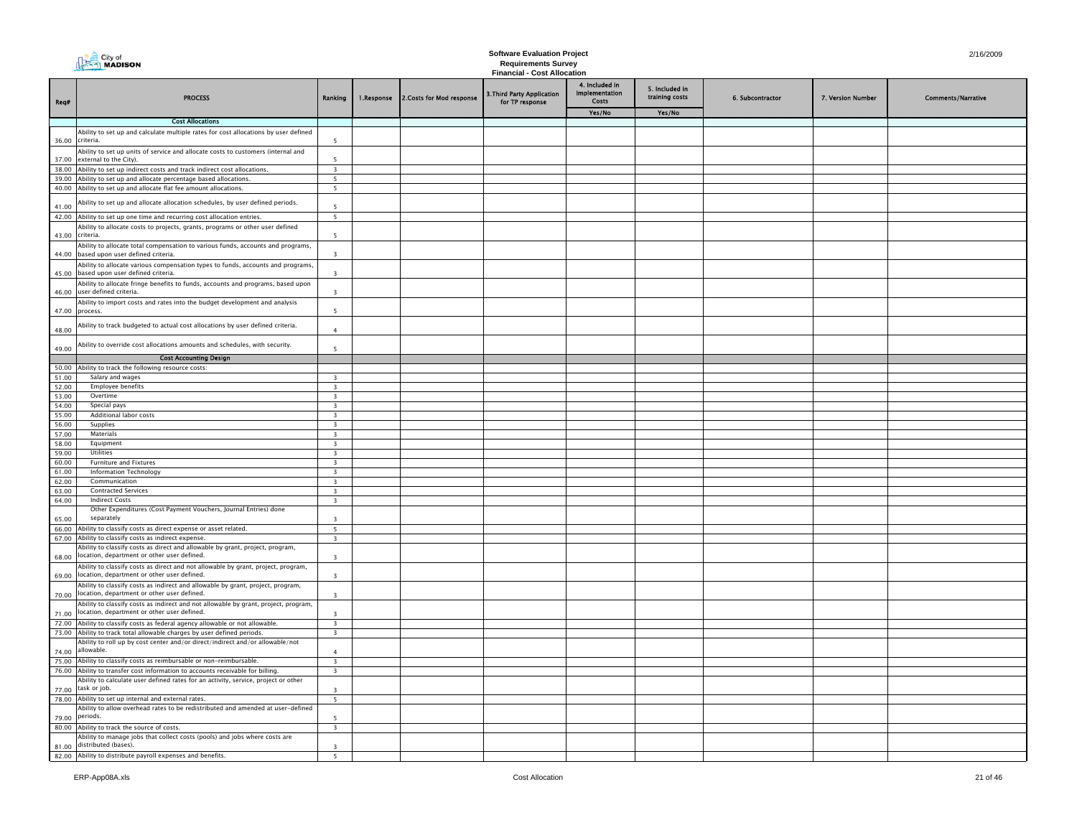|                | $\triangleq$ City of                                                                                                                                                |                                                    |            |                           | <b>Software Evaluation Project</b>                               |                                                  |                                  |                  |                   | 2/16/2009                 |
|----------------|---------------------------------------------------------------------------------------------------------------------------------------------------------------------|----------------------------------------------------|------------|---------------------------|------------------------------------------------------------------|--------------------------------------------------|----------------------------------|------------------|-------------------|---------------------------|
|                | <b>THE City of</b> City of                                                                                                                                          |                                                    |            |                           | <b>Requirements Survey</b><br><b>Financial - Cost Allocation</b> |                                                  |                                  |                  |                   |                           |
| Req#           | <b>PROCESS</b>                                                                                                                                                      | Ranking                                            | 1.Response | 2. Costs for Mod response | 3. Third Party Application<br>for TP response                    | 4. Included in<br>Implementation<br><b>Costs</b> | 5. Included in<br>training costs | 6. Subcontractor | 7. Version Number | <b>Comments/Narrative</b> |
|                |                                                                                                                                                                     |                                                    |            |                           |                                                                  | Yes/No                                           | Yes/No                           |                  |                   |                           |
|                | <b>Cost Allocations</b>                                                                                                                                             |                                                    |            |                           |                                                                  |                                                  |                                  |                  |                   |                           |
| 36.00          | Ability to set up and calculate multiple rates for cost allocations by user defined<br>criteria.                                                                    | 5                                                  |            |                           |                                                                  |                                                  |                                  |                  |                   |                           |
| 37.00          | Ability to set up units of service and allocate costs to customers (internal and<br>external to the City).                                                          |                                                    |            |                           |                                                                  |                                                  |                                  |                  |                   |                           |
|                | 38.00 Ability to set up indirect costs and track indirect cost allocations.                                                                                         | $\overline{\mathbf{3}}$                            |            |                           |                                                                  |                                                  |                                  |                  |                   |                           |
|                | 39.00 Ability to set up and allocate percentage based allocations.                                                                                                  | 5                                                  |            |                           |                                                                  |                                                  |                                  |                  |                   |                           |
|                | 40.00 Ability to set up and allocate flat fee amount allocations.                                                                                                   | $5 -$                                              |            |                           |                                                                  |                                                  |                                  |                  |                   |                           |
| 41.00          | Ability to set up and allocate allocation schedules, by user defined periods.                                                                                       |                                                    |            |                           |                                                                  |                                                  |                                  |                  |                   |                           |
|                | 42.00 Ability to set up one time and recurring cost allocation entries.                                                                                             | 5                                                  |            |                           |                                                                  |                                                  |                                  |                  |                   |                           |
| 43.00          | Ability to allocate costs to projects, grants, programs or other user defined<br>criteria.                                                                          | 5                                                  |            |                           |                                                                  |                                                  |                                  |                  |                   |                           |
| 44.00          | Ability to allocate total compensation to various funds, accounts and programs,<br>based upon user defined criteria.                                                |                                                    |            |                           |                                                                  |                                                  |                                  |                  |                   |                           |
| 45.00          | Ability to allocate various compensation types to funds, accounts and programs,<br>based upon user defined criteria.                                                |                                                    |            |                           |                                                                  |                                                  |                                  |                  |                   |                           |
|                | Ability to allocate fringe benefits to funds, accounts and programs, based upon<br>46.00 user defined criteria.                                                     | $\overline{3}$                                     |            |                           |                                                                  |                                                  |                                  |                  |                   |                           |
|                | Ability to import costs and rates into the budget development and analysis<br>47.00 process.                                                                        | 5                                                  |            |                           |                                                                  |                                                  |                                  |                  |                   |                           |
| 48.00          | Ability to track budgeted to actual cost allocations by user defined criteria.                                                                                      | $\overline{4}$                                     |            |                           |                                                                  |                                                  |                                  |                  |                   |                           |
| 49.00          | Ability to override cost allocations amounts and schedules, with security.<br><b>Cost Accounting Design</b>                                                         | -5                                                 |            |                           |                                                                  |                                                  |                                  |                  |                   |                           |
| 50.00          | Ability to track the following resource costs:                                                                                                                      |                                                    |            |                           |                                                                  |                                                  |                                  |                  |                   |                           |
| 51.00          | Salary and wages                                                                                                                                                    | $\overline{3}$                                     |            |                           |                                                                  |                                                  |                                  |                  |                   |                           |
| 52.00          | <b>Employee benefits</b>                                                                                                                                            | $\overline{\mathbf{3}}$                            |            |                           |                                                                  |                                                  |                                  |                  |                   |                           |
| 53.00          | Overtime                                                                                                                                                            | $\overline{\mathbf{3}}$                            |            |                           |                                                                  |                                                  |                                  |                  |                   |                           |
| 54.00          | Special pays                                                                                                                                                        | $\overline{3}$                                     |            |                           |                                                                  |                                                  |                                  |                  |                   |                           |
| 55.00          | Additional labor costs                                                                                                                                              | $\overline{\mathbf{3}}$                            |            |                           |                                                                  |                                                  |                                  |                  |                   |                           |
| 56.00<br>57.00 | Supplies<br>Materials                                                                                                                                               | $\overline{3}$                                     |            |                           |                                                                  |                                                  |                                  |                  |                   |                           |
| 58.00          | Equipment                                                                                                                                                           | $\overline{\mathbf{3}}$<br>$\overline{\mathbf{3}}$ |            |                           |                                                                  |                                                  |                                  |                  |                   |                           |
| 59.00          | Utilities                                                                                                                                                           | $\overline{\mathbf{3}}$                            |            |                           |                                                                  |                                                  |                                  |                  |                   |                           |
| 60.00          | <b>Furniture and Fixtures</b>                                                                                                                                       | $\overline{\mathbf{3}}$                            |            |                           |                                                                  |                                                  |                                  |                  |                   |                           |
| 61.00          | <b>Information Technology</b>                                                                                                                                       | $\overline{\mathbf{3}}$                            |            |                           |                                                                  |                                                  |                                  |                  |                   |                           |
| 62.00          | Communication                                                                                                                                                       | $\overline{\mathbf{3}}$                            |            |                           |                                                                  |                                                  |                                  |                  |                   |                           |
| 63.00<br>64.00 | <b>Contracted Services</b><br><b>Indirect Costs</b>                                                                                                                 | $\overline{\mathbf{3}}$<br>$\overline{\mathbf{3}}$ |            |                           |                                                                  |                                                  |                                  |                  |                   |                           |
|                | Other Expenditures (Cost Payment Vouchers, Journal Entries) done                                                                                                    |                                                    |            |                           |                                                                  |                                                  |                                  |                  |                   |                           |
| 65.00          | separately                                                                                                                                                          | $\overline{\mathbf{3}}$                            |            |                           |                                                                  |                                                  |                                  |                  |                   |                           |
| 66.00          | Ability to classify costs as direct expense or asset related.                                                                                                       | $5\overline{5}$                                    |            |                           |                                                                  |                                                  |                                  |                  |                   |                           |
| 67.00          | Ability to classify costs as indirect expense.                                                                                                                      | $\overline{\mathbf{3}}$                            |            |                           |                                                                  |                                                  |                                  |                  |                   |                           |
| 68.00          | Ability to classify costs as direct and allowable by grant, project, program,<br>location, department or other user defined.                                        | $\overline{3}$                                     |            |                           |                                                                  |                                                  |                                  |                  |                   |                           |
| 69.00          | Ability to classify costs as direct and not allowable by grant, project, program,<br>location, department or other user defined.                                    | $\overline{\mathbf{3}}$                            |            |                           |                                                                  |                                                  |                                  |                  |                   |                           |
| 70.00          | Ability to classify costs as indirect and allowable by grant, project, program,<br>location, department or other user defined.                                      | $\overline{\mathbf{3}}$                            |            |                           |                                                                  |                                                  |                                  |                  |                   |                           |
| 71.00          | Ability to classify costs as indirect and not allowable by grant, project, program,<br>location, department or other user defined.                                  | $\overline{3}$                                     |            |                           |                                                                  |                                                  |                                  |                  |                   |                           |
|                | 72.00 Ability to classify costs as federal agency allowable or not allowable.                                                                                       | $\overline{\mathbf{3}}$                            |            |                           |                                                                  |                                                  |                                  |                  |                   |                           |
|                | 73.00 Ability to track total allowable charges by user defined periods.                                                                                             | $\overline{\mathbf{3}}$                            |            |                           |                                                                  |                                                  |                                  |                  |                   |                           |
| 74.00          | Ability to roll up by cost center and/or direct/indirect and/or allowable/not<br>allowable.                                                                         | $\overline{4}$                                     |            |                           |                                                                  |                                                  |                                  |                  |                   |                           |
|                | 75.00 Ability to classify costs as reimbursable or non-reimbursable.                                                                                                | $\overline{\mathbf{3}}$                            |            |                           |                                                                  |                                                  |                                  |                  |                   |                           |
|                | 76.00 Ability to transfer cost information to accounts receivable for billing<br>Ability to calculate user defined rates for an activity, service, project or other | $\overline{\mathbf{3}}$                            |            |                           |                                                                  |                                                  |                                  |                  |                   |                           |
| 77.00          | task or job.<br>78.00 Ability to set up internal and external rates.                                                                                                | $\overline{\mathbf{3}}$<br>$\overline{5}$          |            |                           |                                                                  |                                                  |                                  |                  |                   |                           |
|                | Ability to allow overhead rates to be redistributed and amended at user-defined                                                                                     |                                                    |            |                           |                                                                  |                                                  |                                  |                  |                   |                           |
| 79.00          | periods.<br>80.00 Ability to track the source of costs.                                                                                                             | $\overline{\mathbf{3}}$                            |            |                           |                                                                  |                                                  |                                  |                  |                   |                           |
|                | Ability to manage jobs that collect costs (pools) and jobs where costs are                                                                                          |                                                    |            |                           |                                                                  |                                                  |                                  |                  |                   |                           |
| 81.00          | distributed (bases).                                                                                                                                                | $\overline{\mathbf{3}}$                            |            |                           |                                                                  |                                                  |                                  |                  |                   |                           |
|                | 82.00 Ability to distribute payroll expenses and benefits.                                                                                                          | 5                                                  |            |                           |                                                                  |                                                  |                                  |                  |                   |                           |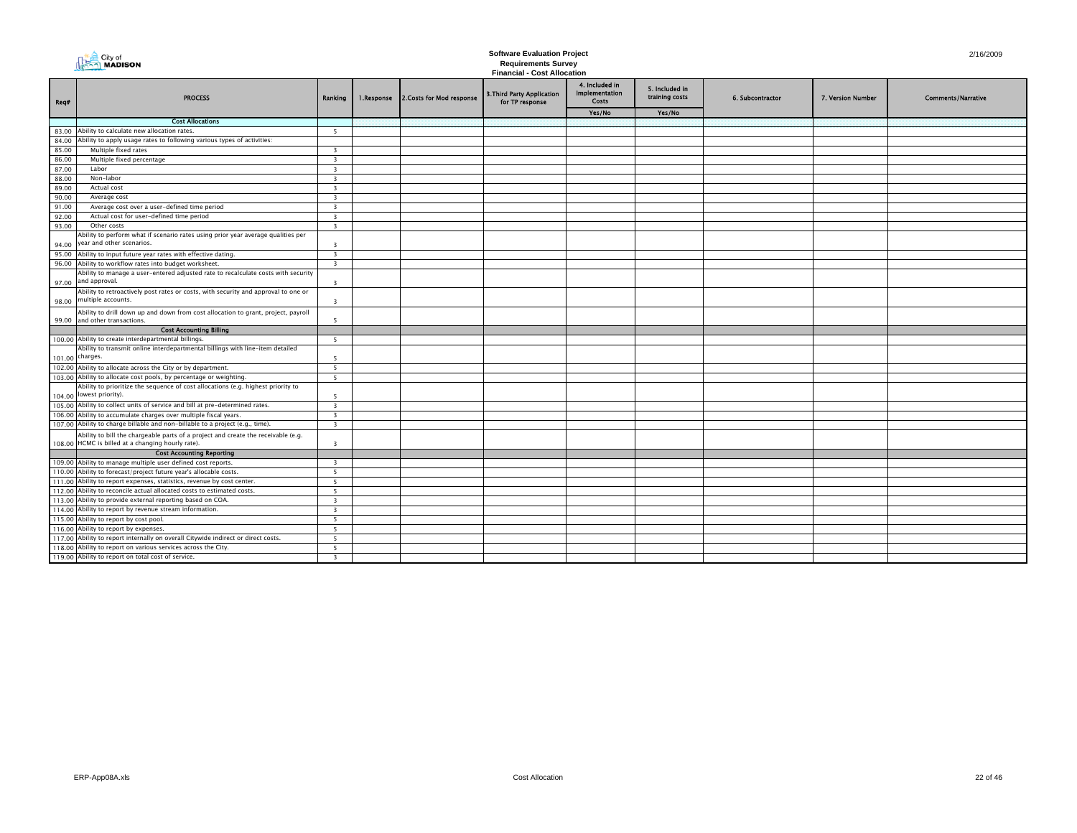|        | City of<br><b>NADISON</b>                                                                                          |                          |            | <b>Software Evaluation Project</b><br><b>Requirements Survey</b><br><b>Financial - Cost Allocation</b> | 2/16/2009                                     |                                                  |                                  |                  |                   |                           |
|--------|--------------------------------------------------------------------------------------------------------------------|--------------------------|------------|--------------------------------------------------------------------------------------------------------|-----------------------------------------------|--------------------------------------------------|----------------------------------|------------------|-------------------|---------------------------|
| Req#   | <b>PROCESS</b>                                                                                                     | Ranking                  | 1.Response | 2. Costs for Mod response                                                                              | 3. Third Party Application<br>for TP response | 4. Included in<br><b>Implementation</b><br>Costs | 5. Included in<br>training costs | 6. Subcontractor | 7. Version Number | <b>Comments/Narrative</b> |
|        |                                                                                                                    |                          |            |                                                                                                        |                                               | Yes/No                                           | Yes/No                           |                  |                   |                           |
|        | <b>Cost Allocations</b>                                                                                            |                          |            |                                                                                                        |                                               |                                                  |                                  |                  |                   |                           |
|        | 83.00 Ability to calculate new allocation rates.                                                                   | - 5                      |            |                                                                                                        |                                               |                                                  |                                  |                  |                   |                           |
| 84.00  | Ability to apply usage rates to following various types of activities:                                             |                          |            |                                                                                                        |                                               |                                                  |                                  |                  |                   |                           |
| 85.00  | Multiple fixed rates                                                                                               | $\overline{\mathbf{3}}$  |            |                                                                                                        |                                               |                                                  |                                  |                  |                   |                           |
| 86.00  | Multiple fixed percentage                                                                                          | $\overline{\mathbf{3}}$  |            |                                                                                                        |                                               |                                                  |                                  |                  |                   |                           |
| 87.00  | Labor                                                                                                              | $\overline{\mathbf{3}}$  |            |                                                                                                        |                                               |                                                  |                                  |                  |                   |                           |
| 88.00  | Non-labor                                                                                                          | $\overline{\mathbf{3}}$  |            |                                                                                                        |                                               |                                                  |                                  |                  |                   |                           |
| 89.00  | Actual cost                                                                                                        | $\overline{\mathbf{3}}$  |            |                                                                                                        |                                               |                                                  |                                  |                  |                   |                           |
| 90.00  | Average cost                                                                                                       | $\overline{\mathbf{3}}$  |            |                                                                                                        |                                               |                                                  |                                  |                  |                   |                           |
| 91.00  | Average cost over a user-defined time period                                                                       | $\overline{\mathbf{3}}$  |            |                                                                                                        |                                               |                                                  |                                  |                  |                   |                           |
| 92.00  | Actual cost for user-defined time period<br>Other costs                                                            | $\overline{\mathbf{3}}$  |            |                                                                                                        |                                               |                                                  |                                  |                  |                   |                           |
| 93.00  | Ability to perform what if scenario rates using prior year average qualities per                                   | $\overline{3}$           |            |                                                                                                        |                                               |                                                  |                                  |                  |                   |                           |
| 94.00  | year and other scenarios.                                                                                          | $\overline{\mathbf{3}}$  |            |                                                                                                        |                                               |                                                  |                                  |                  |                   |                           |
|        | 95.00 Ability to input future year rates with effective dating.                                                    | $\overline{\mathbf{3}}$  |            |                                                                                                        |                                               |                                                  |                                  |                  |                   |                           |
|        | 96.00 Ability to workflow rates into budget worksheet.                                                             | $\overline{\mathbf{3}}$  |            |                                                                                                        |                                               |                                                  |                                  |                  |                   |                           |
|        | Ability to manage a user-entered adjusted rate to recalculate costs with security<br>97.00 and approval.           | $\overline{\mathbf{3}}$  |            |                                                                                                        |                                               |                                                  |                                  |                  |                   |                           |
|        | Ability to retroactively post rates or costs, with security and approval to one or<br>98.00 multiple accounts.     | $\overline{\mathbf{3}}$  |            |                                                                                                        |                                               |                                                  |                                  |                  |                   |                           |
|        | Ability to drill down up and down from cost allocation to grant, project, payroll<br>99.00 and other transactions. | - 5                      |            |                                                                                                        |                                               |                                                  |                                  |                  |                   |                           |
|        | <b>Cost Accounting Billing</b>                                                                                     |                          |            |                                                                                                        |                                               |                                                  |                                  |                  |                   |                           |
|        | 100.00 Ability to create interdepartmental billings.                                                               | -5                       |            |                                                                                                        |                                               |                                                  |                                  |                  |                   |                           |
|        | Ability to transmit online interdepartmental billings with line-item detailed                                      |                          |            |                                                                                                        |                                               |                                                  |                                  |                  |                   |                           |
|        | 101.00 charges.                                                                                                    | -5                       |            |                                                                                                        |                                               |                                                  |                                  |                  |                   |                           |
|        | 102.00 Ability to allocate across the City or by department.                                                       | -5                       |            |                                                                                                        |                                               |                                                  |                                  |                  |                   |                           |
|        | 103.00 Ability to allocate cost pools, by percentage or weighting.                                                 | -5                       |            |                                                                                                        |                                               |                                                  |                                  |                  |                   |                           |
|        | Ability to prioritize the sequence of cost allocations (e.g. highest priority to                                   |                          |            |                                                                                                        |                                               |                                                  |                                  |                  |                   |                           |
|        | 104.00 lowest priority).                                                                                           | -5                       |            |                                                                                                        |                                               |                                                  |                                  |                  |                   |                           |
|        | 105.00 Ability to collect units of service and bill at pre-determined rates.                                       | $\overline{3}$           |            |                                                                                                        |                                               |                                                  |                                  |                  |                   |                           |
|        | 106.00 Ability to accumulate charges over multiple fiscal years                                                    | $\overline{\mathbf{z}}$  |            |                                                                                                        |                                               |                                                  |                                  |                  |                   |                           |
|        | 107.00 Ability to charge billable and non-billable to a project (e.g., time).                                      | $\overline{\mathbf{3}}$  |            |                                                                                                        |                                               |                                                  |                                  |                  |                   |                           |
|        | Ability to bill the chargeable parts of a project and create the receivable (e.g.                                  |                          |            |                                                                                                        |                                               |                                                  |                                  |                  |                   |                           |
| 108.00 | HCMC is billed at a changing hourly rate).                                                                         | $\overline{\mathbf{3}}$  |            |                                                                                                        |                                               |                                                  |                                  |                  |                   |                           |
|        | <b>Cost Accounting Reporting</b>                                                                                   |                          |            |                                                                                                        |                                               |                                                  |                                  |                  |                   |                           |
|        | 109.00 Ability to manage multiple user defined cost reports.                                                       | $\overline{3}$           |            |                                                                                                        |                                               |                                                  |                                  |                  |                   |                           |
|        | 110.00 Ability to forecast/project future year's allocable costs.                                                  | 5                        |            |                                                                                                        |                                               |                                                  |                                  |                  |                   |                           |
|        | 111.00 Ability to report expenses, statistics, revenue by cost center.                                             | $\overline{\phantom{a}}$ |            |                                                                                                        |                                               |                                                  |                                  |                  |                   |                           |
|        | 112.00 Ability to reconcile actual allocated costs to estimated costs.                                             | -5                       |            |                                                                                                        |                                               |                                                  |                                  |                  |                   |                           |
|        | 113.00 Ability to provide external reporting based on COA.                                                         | $\overline{\mathbf{3}}$  |            |                                                                                                        |                                               |                                                  |                                  |                  |                   |                           |
|        | 114.00 Ability to report by revenue stream information.                                                            | $\overline{3}$           |            |                                                                                                        |                                               |                                                  |                                  |                  |                   |                           |
|        | 115.00 Ability to report by cost pool                                                                              | $\overline{\phantom{a}}$ |            |                                                                                                        |                                               |                                                  |                                  |                  |                   |                           |
|        | 116.00 Ability to report by expenses.                                                                              | 5 <sup>5</sup>           |            |                                                                                                        |                                               |                                                  |                                  |                  |                   |                           |
|        | 117.00 Ability to report internally on overall Citywide indirect or direct costs.                                  | - 5                      |            |                                                                                                        |                                               |                                                  |                                  |                  |                   |                           |
|        | 118.00 Ability to report on various services across the City.                                                      | -5                       |            |                                                                                                        |                                               |                                                  |                                  |                  |                   |                           |
|        | 119.00 Ability to report on total cost of service.                                                                 | $\overline{\mathbf{3}}$  |            |                                                                                                        |                                               |                                                  |                                  |                  |                   |                           |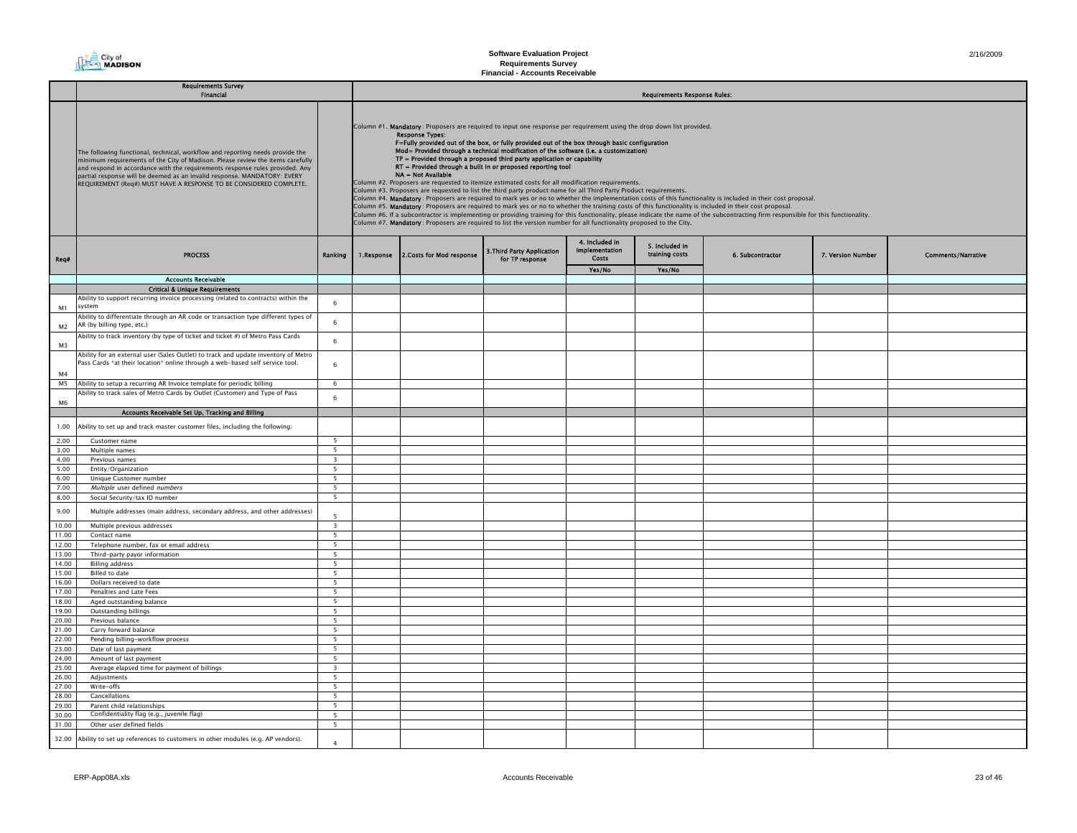

|                      | <b>Requirements Survey</b><br><b>Financial</b>                                                                                                                                                                                                                                                                                                                                                    |                                                      | <b>Requirements Response Rules:</b> |                                                                                                                                                                                                                                                                                                                                                                                                                                                                                                                                                                                                                                                                                                                                                                                                                                                                                                                                                                                                                                                                                                                                                                                                                                                                                                                                                                           |                                                      |                                                  |                                  |                  |                   |                           |  |  |  |  |
|----------------------|---------------------------------------------------------------------------------------------------------------------------------------------------------------------------------------------------------------------------------------------------------------------------------------------------------------------------------------------------------------------------------------------------|------------------------------------------------------|-------------------------------------|---------------------------------------------------------------------------------------------------------------------------------------------------------------------------------------------------------------------------------------------------------------------------------------------------------------------------------------------------------------------------------------------------------------------------------------------------------------------------------------------------------------------------------------------------------------------------------------------------------------------------------------------------------------------------------------------------------------------------------------------------------------------------------------------------------------------------------------------------------------------------------------------------------------------------------------------------------------------------------------------------------------------------------------------------------------------------------------------------------------------------------------------------------------------------------------------------------------------------------------------------------------------------------------------------------------------------------------------------------------------------|------------------------------------------------------|--------------------------------------------------|----------------------------------|------------------|-------------------|---------------------------|--|--|--|--|
|                      | The following functional, technical, workflow and reporting needs provide the<br>minimum requirements of the City of Madison. Please review the items carefully<br>and respond in accordance with the requirements response rules provided. Any<br>partial response will be deemed as an invalid response. MANDATORY: EVERY<br>REQUIREMENT (Req#) MUST HAVE A RESPONSE TO BE CONSIDERED COMPLETE. |                                                      |                                     | Column #1. Mandatory: Proposers are required to input one response per requirement using the drop down list provided.<br><b>Response Types:</b><br>F=Fully provided out of the box, or fully provided out of the box through basic configuration<br>Mod= Provided through a technical modification of the software (i.e. a customization)<br>TP = Provided through a proposed third party application or capability<br>RT = Provided through a built in or proposed reporting tool<br>NA = Not Available<br>Column #2. Proposers are requested to itemize estimated costs for all modification requirements.<br>Column #3. Proposers are requested to list the third party product name for all Third Party Product requirements.<br>Column #4. Mandatory: Proposers are required to mark yes or no to whether the implementation costs of this functionality is included in their cost proposal.<br>Column #5. Mandatory: Proposers are required to mark yes or no to whether the training costs of this functionality is included in their cost proposal.<br>Column #6. If a subcontractor is implementing or providing training for this functionality, please indicate the name of the subcontracting firm responsible for this functionality.<br>Column #7. Mandatory: Proposers are required to list the version number for all functionality proposed to the City. |                                                      |                                                  |                                  |                  |                   |                           |  |  |  |  |
| Req#                 | <b>PROCESS</b>                                                                                                                                                                                                                                                                                                                                                                                    | Ranking                                              |                                     | 1.Response 2.Costs for Mod response                                                                                                                                                                                                                                                                                                                                                                                                                                                                                                                                                                                                                                                                                                                                                                                                                                                                                                                                                                                                                                                                                                                                                                                                                                                                                                                                       | <b>3. Third Party Application</b><br>for TP response | 4. Included in<br><b>Implementation</b><br>Costs | 5. Included in<br>training costs | 6. Subcontractor | 7. Version Number | <b>Comments/Narrative</b> |  |  |  |  |
|                      |                                                                                                                                                                                                                                                                                                                                                                                                   |                                                      |                                     |                                                                                                                                                                                                                                                                                                                                                                                                                                                                                                                                                                                                                                                                                                                                                                                                                                                                                                                                                                                                                                                                                                                                                                                                                                                                                                                                                                           |                                                      | Yes/No                                           | Yes/No                           |                  |                   |                           |  |  |  |  |
|                      | <b>Accounts Receivable</b>                                                                                                                                                                                                                                                                                                                                                                        |                                                      |                                     |                                                                                                                                                                                                                                                                                                                                                                                                                                                                                                                                                                                                                                                                                                                                                                                                                                                                                                                                                                                                                                                                                                                                                                                                                                                                                                                                                                           |                                                      |                                                  |                                  |                  |                   |                           |  |  |  |  |
|                      | <b>Critical &amp; Unique Requirements</b>                                                                                                                                                                                                                                                                                                                                                         |                                                      |                                     |                                                                                                                                                                                                                                                                                                                                                                                                                                                                                                                                                                                                                                                                                                                                                                                                                                                                                                                                                                                                                                                                                                                                                                                                                                                                                                                                                                           |                                                      |                                                  |                                  |                  |                   |                           |  |  |  |  |
|                      | Ability to support recurring invoice processing (related to contracts) within the<br>system                                                                                                                                                                                                                                                                                                       | 6                                                    |                                     |                                                                                                                                                                                                                                                                                                                                                                                                                                                                                                                                                                                                                                                                                                                                                                                                                                                                                                                                                                                                                                                                                                                                                                                                                                                                                                                                                                           |                                                      |                                                  |                                  |                  |                   |                           |  |  |  |  |
| M1<br>M <sub>2</sub> | Ability to differentiate through an AR code or transaction type different types of<br>AR (by billing type, etc.)                                                                                                                                                                                                                                                                                  | 6                                                    |                                     |                                                                                                                                                                                                                                                                                                                                                                                                                                                                                                                                                                                                                                                                                                                                                                                                                                                                                                                                                                                                                                                                                                                                                                                                                                                                                                                                                                           |                                                      |                                                  |                                  |                  |                   |                           |  |  |  |  |
| M3                   | Ability to track inventory (by type of ticket and ticket #) of Metro Pass Cards                                                                                                                                                                                                                                                                                                                   | 6                                                    |                                     |                                                                                                                                                                                                                                                                                                                                                                                                                                                                                                                                                                                                                                                                                                                                                                                                                                                                                                                                                                                                                                                                                                                                                                                                                                                                                                                                                                           |                                                      |                                                  |                                  |                  |                   |                           |  |  |  |  |
| M <sub>4</sub>       | Ability for an external user (Sales Outlet) to track and update inventory of Metro<br>Pass Cards *at their location* online through a web-based self service tool.                                                                                                                                                                                                                                | 6                                                    |                                     |                                                                                                                                                                                                                                                                                                                                                                                                                                                                                                                                                                                                                                                                                                                                                                                                                                                                                                                                                                                                                                                                                                                                                                                                                                                                                                                                                                           |                                                      |                                                  |                                  |                  |                   |                           |  |  |  |  |
|                      | M5 Ability to setup a recurring AR Invoice template for periodic billing                                                                                                                                                                                                                                                                                                                          | -6                                                   |                                     |                                                                                                                                                                                                                                                                                                                                                                                                                                                                                                                                                                                                                                                                                                                                                                                                                                                                                                                                                                                                                                                                                                                                                                                                                                                                                                                                                                           |                                                      |                                                  |                                  |                  |                   |                           |  |  |  |  |
|                      | Ability to track sales of Metro Cards by Outlet (Customer) and Type of Pass                                                                                                                                                                                                                                                                                                                       |                                                      |                                     |                                                                                                                                                                                                                                                                                                                                                                                                                                                                                                                                                                                                                                                                                                                                                                                                                                                                                                                                                                                                                                                                                                                                                                                                                                                                                                                                                                           |                                                      |                                                  |                                  |                  |                   |                           |  |  |  |  |
| M6                   |                                                                                                                                                                                                                                                                                                                                                                                                   | 6                                                    |                                     |                                                                                                                                                                                                                                                                                                                                                                                                                                                                                                                                                                                                                                                                                                                                                                                                                                                                                                                                                                                                                                                                                                                                                                                                                                                                                                                                                                           |                                                      |                                                  |                                  |                  |                   |                           |  |  |  |  |
|                      | Accounts Receivable Set Up, Tracking and Billing                                                                                                                                                                                                                                                                                                                                                  |                                                      |                                     |                                                                                                                                                                                                                                                                                                                                                                                                                                                                                                                                                                                                                                                                                                                                                                                                                                                                                                                                                                                                                                                                                                                                                                                                                                                                                                                                                                           |                                                      |                                                  |                                  |                  |                   |                           |  |  |  |  |
| 1.00                 | bility to set up and track master customer files, including the following:                                                                                                                                                                                                                                                                                                                        |                                                      |                                     |                                                                                                                                                                                                                                                                                                                                                                                                                                                                                                                                                                                                                                                                                                                                                                                                                                                                                                                                                                                                                                                                                                                                                                                                                                                                                                                                                                           |                                                      |                                                  |                                  |                  |                   |                           |  |  |  |  |
| 2.00                 | Customer name                                                                                                                                                                                                                                                                                                                                                                                     | 5                                                    |                                     |                                                                                                                                                                                                                                                                                                                                                                                                                                                                                                                                                                                                                                                                                                                                                                                                                                                                                                                                                                                                                                                                                                                                                                                                                                                                                                                                                                           |                                                      |                                                  |                                  |                  |                   |                           |  |  |  |  |
| 3.00                 | Multiple names                                                                                                                                                                                                                                                                                                                                                                                    | $\overline{\phantom{0}}$                             |                                     |                                                                                                                                                                                                                                                                                                                                                                                                                                                                                                                                                                                                                                                                                                                                                                                                                                                                                                                                                                                                                                                                                                                                                                                                                                                                                                                                                                           |                                                      |                                                  |                                  |                  |                   |                           |  |  |  |  |
| 4.00                 | Previous names                                                                                                                                                                                                                                                                                                                                                                                    | $\overline{\mathbf{3}}$                              |                                     |                                                                                                                                                                                                                                                                                                                                                                                                                                                                                                                                                                                                                                                                                                                                                                                                                                                                                                                                                                                                                                                                                                                                                                                                                                                                                                                                                                           |                                                      |                                                  |                                  |                  |                   |                           |  |  |  |  |
| 5.00<br>6.00         | Entity/Organization                                                                                                                                                                                                                                                                                                                                                                               | 5<br>5 <sup>5</sup>                                  |                                     |                                                                                                                                                                                                                                                                                                                                                                                                                                                                                                                                                                                                                                                                                                                                                                                                                                                                                                                                                                                                                                                                                                                                                                                                                                                                                                                                                                           |                                                      |                                                  |                                  |                  |                   |                           |  |  |  |  |
| 7.00                 | Unique Customer number<br>Multiple user defined numbers                                                                                                                                                                                                                                                                                                                                           | $\overline{\phantom{0}}$                             |                                     |                                                                                                                                                                                                                                                                                                                                                                                                                                                                                                                                                                                                                                                                                                                                                                                                                                                                                                                                                                                                                                                                                                                                                                                                                                                                                                                                                                           |                                                      |                                                  |                                  |                  |                   |                           |  |  |  |  |
| 8.00                 | Social Security/tax ID number                                                                                                                                                                                                                                                                                                                                                                     | 5                                                    |                                     |                                                                                                                                                                                                                                                                                                                                                                                                                                                                                                                                                                                                                                                                                                                                                                                                                                                                                                                                                                                                                                                                                                                                                                                                                                                                                                                                                                           |                                                      |                                                  |                                  |                  |                   |                           |  |  |  |  |
| 9.00                 | Multiple addresses (main address, secondary address, and other addresses)                                                                                                                                                                                                                                                                                                                         | $\overline{\phantom{a}}$                             |                                     |                                                                                                                                                                                                                                                                                                                                                                                                                                                                                                                                                                                                                                                                                                                                                                                                                                                                                                                                                                                                                                                                                                                                                                                                                                                                                                                                                                           |                                                      |                                                  |                                  |                  |                   |                           |  |  |  |  |
| 10.00                | Multiple previous addresses                                                                                                                                                                                                                                                                                                                                                                       | $\overline{3}$                                       |                                     |                                                                                                                                                                                                                                                                                                                                                                                                                                                                                                                                                                                                                                                                                                                                                                                                                                                                                                                                                                                                                                                                                                                                                                                                                                                                                                                                                                           |                                                      |                                                  |                                  |                  |                   |                           |  |  |  |  |
| 11.00                | Contact name                                                                                                                                                                                                                                                                                                                                                                                      | - 5                                                  |                                     |                                                                                                                                                                                                                                                                                                                                                                                                                                                                                                                                                                                                                                                                                                                                                                                                                                                                                                                                                                                                                                                                                                                                                                                                                                                                                                                                                                           |                                                      |                                                  |                                  |                  |                   |                           |  |  |  |  |
| 12.00                | Telephone number, fax or email address                                                                                                                                                                                                                                                                                                                                                            | 5                                                    |                                     |                                                                                                                                                                                                                                                                                                                                                                                                                                                                                                                                                                                                                                                                                                                                                                                                                                                                                                                                                                                                                                                                                                                                                                                                                                                                                                                                                                           |                                                      |                                                  |                                  |                  |                   |                           |  |  |  |  |
| 13.00                | Third-party payor information                                                                                                                                                                                                                                                                                                                                                                     | 5                                                    |                                     |                                                                                                                                                                                                                                                                                                                                                                                                                                                                                                                                                                                                                                                                                                                                                                                                                                                                                                                                                                                                                                                                                                                                                                                                                                                                                                                                                                           |                                                      |                                                  |                                  |                  |                   |                           |  |  |  |  |
| 14.00                | <b>Billing address</b>                                                                                                                                                                                                                                                                                                                                                                            | 5 <sup>7</sup>                                       |                                     |                                                                                                                                                                                                                                                                                                                                                                                                                                                                                                                                                                                                                                                                                                                                                                                                                                                                                                                                                                                                                                                                                                                                                                                                                                                                                                                                                                           |                                                      |                                                  |                                  |                  |                   |                           |  |  |  |  |
| 15.00                | Billed to date                                                                                                                                                                                                                                                                                                                                                                                    | $\overline{\phantom{0}}$<br>$\overline{\phantom{a}}$ |                                     |                                                                                                                                                                                                                                                                                                                                                                                                                                                                                                                                                                                                                                                                                                                                                                                                                                                                                                                                                                                                                                                                                                                                                                                                                                                                                                                                                                           |                                                      |                                                  |                                  |                  |                   |                           |  |  |  |  |
| 16.00<br>17.00       | Dollars received to date<br>Penalties and Late Fees                                                                                                                                                                                                                                                                                                                                               | $5\overline{ }$                                      |                                     |                                                                                                                                                                                                                                                                                                                                                                                                                                                                                                                                                                                                                                                                                                                                                                                                                                                                                                                                                                                                                                                                                                                                                                                                                                                                                                                                                                           |                                                      |                                                  |                                  |                  |                   |                           |  |  |  |  |
| 18.00                | Aged outstanding balance                                                                                                                                                                                                                                                                                                                                                                          | 5                                                    |                                     |                                                                                                                                                                                                                                                                                                                                                                                                                                                                                                                                                                                                                                                                                                                                                                                                                                                                                                                                                                                                                                                                                                                                                                                                                                                                                                                                                                           |                                                      |                                                  |                                  |                  |                   |                           |  |  |  |  |
| 19.00                | Outstanding billings                                                                                                                                                                                                                                                                                                                                                                              | 5                                                    |                                     |                                                                                                                                                                                                                                                                                                                                                                                                                                                                                                                                                                                                                                                                                                                                                                                                                                                                                                                                                                                                                                                                                                                                                                                                                                                                                                                                                                           |                                                      |                                                  |                                  |                  |                   |                           |  |  |  |  |
| 20.00                | Previous balance                                                                                                                                                                                                                                                                                                                                                                                  | 5 <sup>5</sup>                                       |                                     |                                                                                                                                                                                                                                                                                                                                                                                                                                                                                                                                                                                                                                                                                                                                                                                                                                                                                                                                                                                                                                                                                                                                                                                                                                                                                                                                                                           |                                                      |                                                  |                                  |                  |                   |                           |  |  |  |  |
| 21.00                | Carry forward balance                                                                                                                                                                                                                                                                                                                                                                             | 5                                                    |                                     |                                                                                                                                                                                                                                                                                                                                                                                                                                                                                                                                                                                                                                                                                                                                                                                                                                                                                                                                                                                                                                                                                                                                                                                                                                                                                                                                                                           |                                                      |                                                  |                                  |                  |                   |                           |  |  |  |  |
| 22.00                | Pending billing-workflow process                                                                                                                                                                                                                                                                                                                                                                  | 5                                                    |                                     |                                                                                                                                                                                                                                                                                                                                                                                                                                                                                                                                                                                                                                                                                                                                                                                                                                                                                                                                                                                                                                                                                                                                                                                                                                                                                                                                                                           |                                                      |                                                  |                                  |                  |                   |                           |  |  |  |  |
| 23.00                | Date of last payment                                                                                                                                                                                                                                                                                                                                                                              | $5 -$                                                |                                     |                                                                                                                                                                                                                                                                                                                                                                                                                                                                                                                                                                                                                                                                                                                                                                                                                                                                                                                                                                                                                                                                                                                                                                                                                                                                                                                                                                           |                                                      |                                                  |                                  |                  |                   |                           |  |  |  |  |
| 24.00                | Amount of last payment                                                                                                                                                                                                                                                                                                                                                                            | $\overline{\phantom{0}}$                             |                                     |                                                                                                                                                                                                                                                                                                                                                                                                                                                                                                                                                                                                                                                                                                                                                                                                                                                                                                                                                                                                                                                                                                                                                                                                                                                                                                                                                                           |                                                      |                                                  |                                  |                  |                   |                           |  |  |  |  |
| 25.00                | Average elapsed time for payment of billings                                                                                                                                                                                                                                                                                                                                                      | $\overline{\mathbf{3}}$                              |                                     |                                                                                                                                                                                                                                                                                                                                                                                                                                                                                                                                                                                                                                                                                                                                                                                                                                                                                                                                                                                                                                                                                                                                                                                                                                                                                                                                                                           |                                                      |                                                  |                                  |                  |                   |                           |  |  |  |  |
| 26.00                | Adjustments                                                                                                                                                                                                                                                                                                                                                                                       | 5                                                    |                                     |                                                                                                                                                                                                                                                                                                                                                                                                                                                                                                                                                                                                                                                                                                                                                                                                                                                                                                                                                                                                                                                                                                                                                                                                                                                                                                                                                                           |                                                      |                                                  |                                  |                  |                   |                           |  |  |  |  |
| 27.00                | Write-offs                                                                                                                                                                                                                                                                                                                                                                                        | 5                                                    |                                     |                                                                                                                                                                                                                                                                                                                                                                                                                                                                                                                                                                                                                                                                                                                                                                                                                                                                                                                                                                                                                                                                                                                                                                                                                                                                                                                                                                           |                                                      |                                                  |                                  |                  |                   |                           |  |  |  |  |
| 28.00                | Cancellations                                                                                                                                                                                                                                                                                                                                                                                     | 5                                                    |                                     |                                                                                                                                                                                                                                                                                                                                                                                                                                                                                                                                                                                                                                                                                                                                                                                                                                                                                                                                                                                                                                                                                                                                                                                                                                                                                                                                                                           |                                                      |                                                  |                                  |                  |                   |                           |  |  |  |  |
| 29.00                | Parent child relationships<br>Confidentiality flag (e.g., juvenile flag)                                                                                                                                                                                                                                                                                                                          | 5                                                    |                                     |                                                                                                                                                                                                                                                                                                                                                                                                                                                                                                                                                                                                                                                                                                                                                                                                                                                                                                                                                                                                                                                                                                                                                                                                                                                                                                                                                                           |                                                      |                                                  |                                  |                  |                   |                           |  |  |  |  |
| 30.00<br>31.00       | Other user defined fields                                                                                                                                                                                                                                                                                                                                                                         | 5 <sup>5</sup><br>5 <sup>5</sup>                     |                                     |                                                                                                                                                                                                                                                                                                                                                                                                                                                                                                                                                                                                                                                                                                                                                                                                                                                                                                                                                                                                                                                                                                                                                                                                                                                                                                                                                                           |                                                      |                                                  |                                  |                  |                   |                           |  |  |  |  |
|                      |                                                                                                                                                                                                                                                                                                                                                                                                   |                                                      |                                     |                                                                                                                                                                                                                                                                                                                                                                                                                                                                                                                                                                                                                                                                                                                                                                                                                                                                                                                                                                                                                                                                                                                                                                                                                                                                                                                                                                           |                                                      |                                                  |                                  |                  |                   |                           |  |  |  |  |
| 32.00                | Ability to set up references to customers in other modules (e.g. AP vendors).                                                                                                                                                                                                                                                                                                                     | $\overline{a}$                                       |                                     |                                                                                                                                                                                                                                                                                                                                                                                                                                                                                                                                                                                                                                                                                                                                                                                                                                                                                                                                                                                                                                                                                                                                                                                                                                                                                                                                                                           |                                                      |                                                  |                                  |                  |                   |                           |  |  |  |  |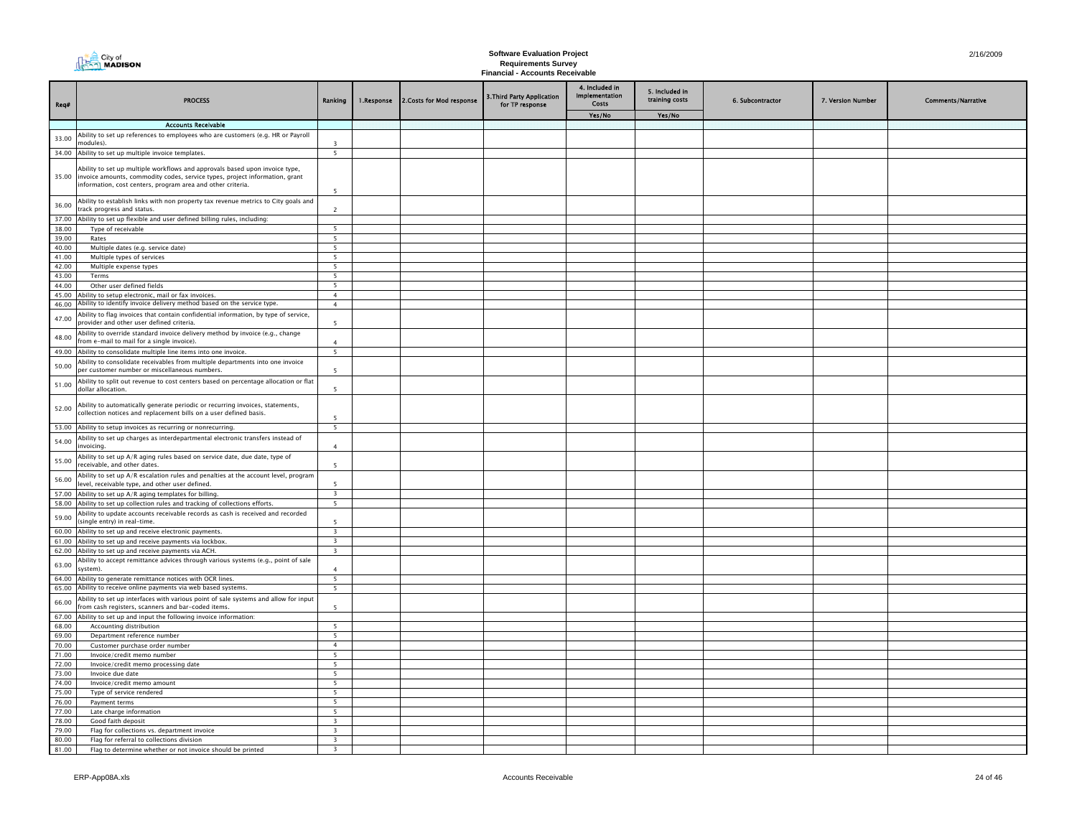| City of        |
|----------------|
| <b>NADISON</b> |

| Req#           | <b>PROCESS</b>                                                                                                                                                                                                            | Ranking                                            | 1.Response | 2. Costs for Mod response | 3. Third Party Application<br>for TP response | 4. Included in<br><b>Implementation</b><br>Costs | 5. Included in<br>training costs | 6. Subcontractor | 7. Version Number | <b>Comments/Narrative</b> |
|----------------|---------------------------------------------------------------------------------------------------------------------------------------------------------------------------------------------------------------------------|----------------------------------------------------|------------|---------------------------|-----------------------------------------------|--------------------------------------------------|----------------------------------|------------------|-------------------|---------------------------|
|                |                                                                                                                                                                                                                           |                                                    |            |                           |                                               | Yes/No                                           | Yes/No                           |                  |                   |                           |
|                | <b>Accounts Receivable</b>                                                                                                                                                                                                |                                                    |            |                           |                                               |                                                  |                                  |                  |                   |                           |
| 33.00          | Ability to set up references to employees who are customers (e.g. HR or Payroll<br>nodules).                                                                                                                              |                                                    |            |                           |                                               |                                                  |                                  |                  |                   |                           |
|                | 34.00 Ability to set up multiple invoice templates.                                                                                                                                                                       | 5                                                  |            |                           |                                               |                                                  |                                  |                  |                   |                           |
| 35.00          | Ability to set up multiple workflows and approvals based upon invoice type,<br>invoice amounts, commodity codes, service types, project information, grant<br>information, cost centers, program area and other criteria. | 5                                                  |            |                           |                                               |                                                  |                                  |                  |                   |                           |
| 36.00          | Ability to establish links with non property tax revenue metrics to City goals and<br>track progress and status.                                                                                                          | $\overline{\phantom{0}}$                           |            |                           |                                               |                                                  |                                  |                  |                   |                           |
| 37.00          | Ability to set up flexible and user defined billing rules, including:                                                                                                                                                     |                                                    |            |                           |                                               |                                                  |                                  |                  |                   |                           |
| 38.00          | Type of receivable                                                                                                                                                                                                        | 5                                                  |            |                           |                                               |                                                  |                                  |                  |                   |                           |
| 39.00          | Rates                                                                                                                                                                                                                     | 5                                                  |            |                           |                                               |                                                  |                                  |                  |                   |                           |
| 40.00          | Multiple dates (e.g. service date)                                                                                                                                                                                        | $\overline{\phantom{0}}$                           |            |                           |                                               |                                                  |                                  |                  |                   |                           |
| 41.00          | Multiple types of services                                                                                                                                                                                                | 5                                                  |            |                           |                                               |                                                  |                                  |                  |                   |                           |
| 42.00          | Multiple expense types                                                                                                                                                                                                    | -5                                                 |            |                           |                                               |                                                  |                                  |                  |                   |                           |
| 43.00          | Terms                                                                                                                                                                                                                     | 5                                                  |            |                           |                                               |                                                  |                                  |                  |                   |                           |
| 44.00          | Other user defined fields                                                                                                                                                                                                 | 5                                                  |            |                           |                                               |                                                  |                                  |                  |                   |                           |
| 45.00          | Ability to setup electronic, mail or fax invoices.<br>Ability to identify invoice delivery method based on the service type.                                                                                              | $\overline{4}$                                     |            |                           |                                               |                                                  |                                  |                  |                   |                           |
| 46.00<br>47.00 | Ability to flag invoices that contain confidential information, by type of service,<br>provider and other user defined criteria.                                                                                          | $\overline{4}$                                     |            |                           |                                               |                                                  |                                  |                  |                   |                           |
| 48.00          | Ability to override standard invoice delivery method by invoice (e.g., change<br>from e-mail to mail for a single invoice).                                                                                               | $\mathbf{A}$                                       |            |                           |                                               |                                                  |                                  |                  |                   |                           |
|                | 49.00 Ability to consolidate multiple line items into one invoice.                                                                                                                                                        | $\overline{\phantom{0}}$                           |            |                           |                                               |                                                  |                                  |                  |                   |                           |
| 50.00          | Ability to consolidate receivables from multiple departments into one invoice<br>per customer number or miscellaneous numbers.                                                                                            | -5                                                 |            |                           |                                               |                                                  |                                  |                  |                   |                           |
| 51.00          | Ability to split out revenue to cost centers based on percentage allocation or flat<br>dollar allocation.                                                                                                                 | -5                                                 |            |                           |                                               |                                                  |                                  |                  |                   |                           |
| 52.00          | Ability to automatically generate periodic or recurring invoices, statements,<br>collection notices and replacement bills on a user defined basis.                                                                        | $\overline{\phantom{a}}$                           |            |                           |                                               |                                                  |                                  |                  |                   |                           |
|                | 53.00 Ability to setup invoices as recurring or nonrecurring.                                                                                                                                                             | 5                                                  |            |                           |                                               |                                                  |                                  |                  |                   |                           |
| 54.00          | Ability to set up charges as interdepartmental electronic transfers instead of<br>invoicina.                                                                                                                              | $\overline{4}$                                     |            |                           |                                               |                                                  |                                  |                  |                   |                           |
| 55.00          | Ability to set up A/R aging rules based on service date, due date, type of<br>receivable, and other dates.                                                                                                                | $\overline{5}$                                     |            |                           |                                               |                                                  |                                  |                  |                   |                           |
| 56.00          | Ability to set up A/R escalation rules and penalties at the account level, program<br>level, receivable type, and other user defined.                                                                                     | $\overline{\phantom{a}}$                           |            |                           |                                               |                                                  |                                  |                  |                   |                           |
|                | 57.00 Ability to set up A/R aging templates for billing                                                                                                                                                                   | $\overline{\mathbf{3}}$                            |            |                           |                                               |                                                  |                                  |                  |                   |                           |
| 59.00          | 58.00 Ability to set up collection rules and tracking of collections efforts.<br>Ability to update accounts receivable records as cash is received and recorded                                                           | 5<br>$\overline{\phantom{a}}$                      |            |                           |                                               |                                                  |                                  |                  |                   |                           |
|                | (single entry) in real-time.<br>60.00 Ability to set up and receive electronic payments.                                                                                                                                  | $\overline{\mathbf{3}}$                            |            |                           |                                               |                                                  |                                  |                  |                   |                           |
| 61.00          | Ability to set up and receive payments via lockbox.                                                                                                                                                                       | $\overline{\mathbf{3}}$                            |            |                           |                                               |                                                  |                                  |                  |                   |                           |
| 62.00          | Ability to set up and receive payments via ACH.                                                                                                                                                                           | $\overline{\mathbf{3}}$                            |            |                           |                                               |                                                  |                                  |                  |                   |                           |
| 63.00          | Ability to accept remittance advices through various systems (e.g., point of sale<br>system).                                                                                                                             | $\overline{4}$                                     |            |                           |                                               |                                                  |                                  |                  |                   |                           |
| 64.00          | Ability to generate remittance notices with OCR lines.                                                                                                                                                                    | 5                                                  |            |                           |                                               |                                                  |                                  |                  |                   |                           |
| 65.00          | Ability to receive online payments via web based systems.                                                                                                                                                                 | 5                                                  |            |                           |                                               |                                                  |                                  |                  |                   |                           |
| 66.00          | Ability to set up interfaces with various point of sale systems and allow for input<br>from cash registers, scanners and bar-coded items.                                                                                 | $\overline{5}$                                     |            |                           |                                               |                                                  |                                  |                  |                   |                           |
|                | 67.00 Ability to set up and input the following invoice information:                                                                                                                                                      | $\overline{5}$                                     |            |                           |                                               |                                                  |                                  |                  |                   |                           |
| 68.00          | Accounting distribution                                                                                                                                                                                                   | 5 <sup>5</sup>                                     |            |                           |                                               |                                                  |                                  |                  |                   |                           |
| 69.00<br>70.00 | Department reference number<br>Customer purchase order number                                                                                                                                                             | $\overline{4}$                                     |            |                           |                                               |                                                  |                                  |                  |                   |                           |
| 71.00          | Invoice/credit memo number                                                                                                                                                                                                | -5                                                 |            |                           |                                               |                                                  |                                  |                  |                   |                           |
| 72.00          | Invoice/credit memo processing date                                                                                                                                                                                       | -5                                                 |            |                           |                                               |                                                  |                                  |                  |                   |                           |
| 73.00          | Invoice due date                                                                                                                                                                                                          | $5\overline{5}$                                    |            |                           |                                               |                                                  |                                  |                  |                   |                           |
| 74.00          | Invoice/credit memo amount                                                                                                                                                                                                | 5                                                  |            |                           |                                               |                                                  |                                  |                  |                   |                           |
| 75.00          | Type of service rendered                                                                                                                                                                                                  | 5                                                  |            |                           |                                               |                                                  |                                  |                  |                   |                           |
| 76.00          | Payment terms                                                                                                                                                                                                             | $\overline{\phantom{0}}$                           |            |                           |                                               |                                                  |                                  |                  |                   |                           |
| 77.00          | Late charge information                                                                                                                                                                                                   | $\overline{5}$                                     |            |                           |                                               |                                                  |                                  |                  |                   |                           |
| 78.00          | Good faith deposit                                                                                                                                                                                                        | $\overline{\mathbf{3}}$                            |            |                           |                                               |                                                  |                                  |                  |                   |                           |
| 79.00<br>80.00 | Flag for collections vs. department invoice<br>Flag for referral to collections division                                                                                                                                  | $\overline{\mathbf{3}}$<br>$\overline{\mathbf{3}}$ |            |                           |                                               |                                                  |                                  |                  |                   |                           |
| 81.00          | Flag to determine whether or not invoice should be printed                                                                                                                                                                | 3                                                  |            |                           |                                               |                                                  |                                  |                  |                   |                           |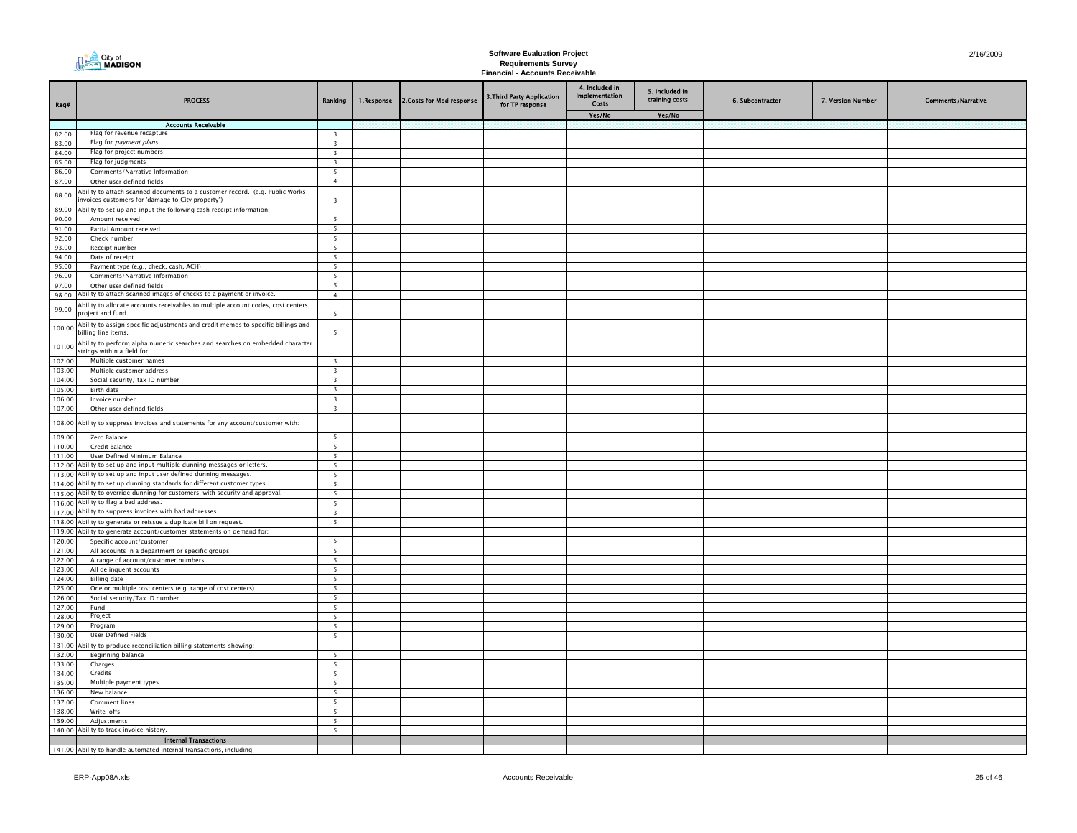| Req#             | <b>PROCESS</b>                                                                                                                   | Ranking                       | 1.Response | 2.Costs for Mod response | 3. Third Party Application<br>for TP response | 4. Included in<br>Implementation<br>Costs | 5. Included in<br>training costs | 6. Subcontractor | 7. Version Number | <b>Comments/Narrative</b> |
|------------------|----------------------------------------------------------------------------------------------------------------------------------|-------------------------------|------------|--------------------------|-----------------------------------------------|-------------------------------------------|----------------------------------|------------------|-------------------|---------------------------|
|                  |                                                                                                                                  |                               |            |                          |                                               | Yes/No                                    | Yes/No                           |                  |                   |                           |
| 82.00            | <b>Accounts Receivable</b><br>Flag for revenue recapture                                                                         | $\overline{\mathbf{3}}$       |            |                          |                                               |                                           |                                  |                  |                   |                           |
| 83.00            | Flag for <i>payment plans</i>                                                                                                    | $\overline{\mathbf{3}}$       |            |                          |                                               |                                           |                                  |                  |                   |                           |
| 84.00            | Flag for project numbers                                                                                                         | $\overline{\mathbf{3}}$       |            |                          |                                               |                                           |                                  |                  |                   |                           |
| 85.00            | Flag for judgments                                                                                                               | $\overline{\mathbf{3}}$       |            |                          |                                               |                                           |                                  |                  |                   |                           |
| 86.00            | Comments/Narrative Information                                                                                                   | 5 <sup>5</sup>                |            |                          |                                               |                                           |                                  |                  |                   |                           |
| 87.00            | Other user defined fields                                                                                                        | $\overline{4}$                |            |                          |                                               |                                           |                                  |                  |                   |                           |
| 88.00            | Ability to attach scanned documents to a customer record. (e.g. Public Works<br>nvoices customers for 'damage to City property") | $\overline{\mathbf{3}}$       |            |                          |                                               |                                           |                                  |                  |                   |                           |
| 89.00            | Ability to set up and input the following cash receipt information:                                                              |                               |            |                          |                                               |                                           |                                  |                  |                   |                           |
| 90.00            | Amount received                                                                                                                  | 5                             |            |                          |                                               |                                           |                                  |                  |                   |                           |
| 91.00            | Partial Amount received                                                                                                          | 5                             |            |                          |                                               |                                           |                                  |                  |                   |                           |
| 92.00            | Check number                                                                                                                     | 5                             |            |                          |                                               |                                           |                                  |                  |                   |                           |
| 93.00<br>94.00   | Receipt number<br>Date of receipt                                                                                                | 5<br>$\overline{\phantom{0}}$ |            |                          |                                               |                                           |                                  |                  |                   |                           |
| 95.00            | Payment type (e.g., check, cash, ACH)                                                                                            | $\overline{\phantom{0}}$      |            |                          |                                               |                                           |                                  |                  |                   |                           |
| 96.00            | Comments/Narrative Information                                                                                                   | $\overline{\phantom{0}}$      |            |                          |                                               |                                           |                                  |                  |                   |                           |
| 97.00            | Other user defined fields                                                                                                        | 5                             |            |                          |                                               |                                           |                                  |                  |                   |                           |
| 98.00            | Ability to attach scanned images of checks to a payment or invoice.                                                              | $\overline{4}$                |            |                          |                                               |                                           |                                  |                  |                   |                           |
| 99.00            | Ability to allocate accounts receivables to multiple account codes, cost centers,<br>project and fund.                           | - 5                           |            |                          |                                               |                                           |                                  |                  |                   |                           |
| 100.00           | Ability to assign specific adjustments and credit memos to specific billings and<br>billing line items.                          | 5                             |            |                          |                                               |                                           |                                  |                  |                   |                           |
| 101.00           | Ability to perform alpha numeric searches and searches on embedded character<br>strings within a field for:                      |                               |            |                          |                                               |                                           |                                  |                  |                   |                           |
| 102.00           | Multiple customer names                                                                                                          | $\overline{3}$                |            |                          |                                               |                                           |                                  |                  |                   |                           |
| 103.00           | Multiple customer address                                                                                                        | $\overline{\mathbf{3}}$       |            |                          |                                               |                                           |                                  |                  |                   |                           |
| 104.00           | Social security/ tax ID number                                                                                                   | $\overline{\mathbf{3}}$       |            |                          |                                               |                                           |                                  |                  |                   |                           |
| 105.00           | Birth date                                                                                                                       | $\overline{\mathbf{3}}$       |            |                          |                                               |                                           |                                  |                  |                   |                           |
| 106.00           | Invoice number                                                                                                                   | $\overline{\mathbf{3}}$       |            |                          |                                               |                                           |                                  |                  |                   |                           |
| 107.00           | Other user defined fields                                                                                                        | $\overline{\mathbf{3}}$       |            |                          |                                               |                                           |                                  |                  |                   |                           |
| 108.00           | Ability to suppress invoices and statements for any account/customer with:                                                       |                               |            |                          |                                               |                                           |                                  |                  |                   |                           |
| 109.00           | Zero Balance                                                                                                                     | $\overline{\phantom{0}}$      |            |                          |                                               |                                           |                                  |                  |                   |                           |
| 110.00           | Credit Balance                                                                                                                   | $\overline{\phantom{0}}$      |            |                          |                                               |                                           |                                  |                  |                   |                           |
| 111.00           | User Defined Minimum Balance<br>112.00 Ability to set up and input multiple dunning messages or letters.                         | $5\overline{ }$<br>5          |            |                          |                                               |                                           |                                  |                  |                   |                           |
|                  | 113.00 Ability to set up and input user defined dunning messages.                                                                | $\overline{\phantom{a}}$      |            |                          |                                               |                                           |                                  |                  |                   |                           |
| 114.00           | Ability to set up dunning standards for different customer types.                                                                | 5                             |            |                          |                                               |                                           |                                  |                  |                   |                           |
|                  | 115.00 Ability to override dunning for customers, with security and approval.                                                    | - 5                           |            |                          |                                               |                                           |                                  |                  |                   |                           |
| 116.00           | Ability to flag a bad address.                                                                                                   | - 5                           |            |                          |                                               |                                           |                                  |                  |                   |                           |
|                  | 117.00 Ability to suppress invoices with bad addresses.                                                                          | $\overline{\mathbf{3}}$       |            |                          |                                               |                                           |                                  |                  |                   |                           |
| 118.00           | Ability to generate or reissue a duplicate bill on request.                                                                      | 5                             |            |                          |                                               |                                           |                                  |                  |                   |                           |
|                  | 119.00 Ability to generate account/customer statements on demand for:                                                            |                               |            |                          |                                               |                                           |                                  |                  |                   |                           |
| 120.00           | Specific account/customer                                                                                                        | $\overline{\phantom{0}}$      |            |                          |                                               |                                           |                                  |                  |                   |                           |
| 121.00<br>122.00 | All accounts in a department or specific groups<br>A range of account/customer numbers                                           | 5<br>5                        |            |                          |                                               |                                           |                                  |                  |                   |                           |
| 123.00           | All delinquent accounts                                                                                                          | 5                             |            |                          |                                               |                                           |                                  |                  |                   |                           |
| 124.00           | <b>Billing date</b>                                                                                                              | 5                             |            |                          |                                               |                                           |                                  |                  |                   |                           |
| 125.00           | One or multiple cost centers (e.g. range of cost centers)                                                                        | 5                             |            |                          |                                               |                                           |                                  |                  |                   |                           |
| 126.00           | Social security/Tax ID number                                                                                                    | 5                             |            |                          |                                               |                                           |                                  |                  |                   |                           |
| 127.00           | Fund                                                                                                                             | 5                             |            |                          |                                               |                                           |                                  |                  |                   |                           |
| 128.00           | Project                                                                                                                          | 5                             |            |                          |                                               |                                           |                                  |                  |                   |                           |
| 129.00           | Program                                                                                                                          | 5                             |            |                          |                                               |                                           |                                  |                  |                   |                           |
| 130.00           | User Defined Fields                                                                                                              | $\overline{\phantom{0}}$      |            |                          |                                               |                                           |                                  |                  |                   |                           |
| 131.00           | Ability to produce reconciliation billing statements showing:                                                                    |                               |            |                          |                                               |                                           |                                  |                  |                   |                           |
| 132.00           | Beginning balance                                                                                                                | 5                             |            |                          |                                               |                                           |                                  |                  |                   |                           |
| 133.00<br>134.00 | Charges<br>Credits                                                                                                               | 5<br>$\overline{\phantom{0}}$ |            |                          |                                               |                                           |                                  |                  |                   |                           |
| 135.00           | Multiple payment types                                                                                                           | 5                             |            |                          |                                               |                                           |                                  |                  |                   |                           |
| 136.00           | New balance                                                                                                                      | 5                             |            |                          |                                               |                                           |                                  |                  |                   |                           |
| 137.00           | <b>Comment lines</b>                                                                                                             | $\overline{5}$                |            |                          |                                               |                                           |                                  |                  |                   |                           |
| 138.00           | Write-offs                                                                                                                       | 5                             |            |                          |                                               |                                           |                                  |                  |                   |                           |
| 139.00           | Adjustments                                                                                                                      | $\overline{\phantom{0}}$      |            |                          |                                               |                                           |                                  |                  |                   |                           |
|                  | 140.00 Ability to track invoice history.                                                                                         | $\overline{\phantom{a}}$      |            |                          |                                               |                                           |                                  |                  |                   |                           |
|                  | <b>Internal Transactions</b>                                                                                                     |                               |            |                          |                                               |                                           |                                  |                  |                   |                           |
|                  | 141.00 Ability to handle automated internal transactions, including:                                                             |                               |            |                          |                                               |                                           |                                  |                  |                   |                           |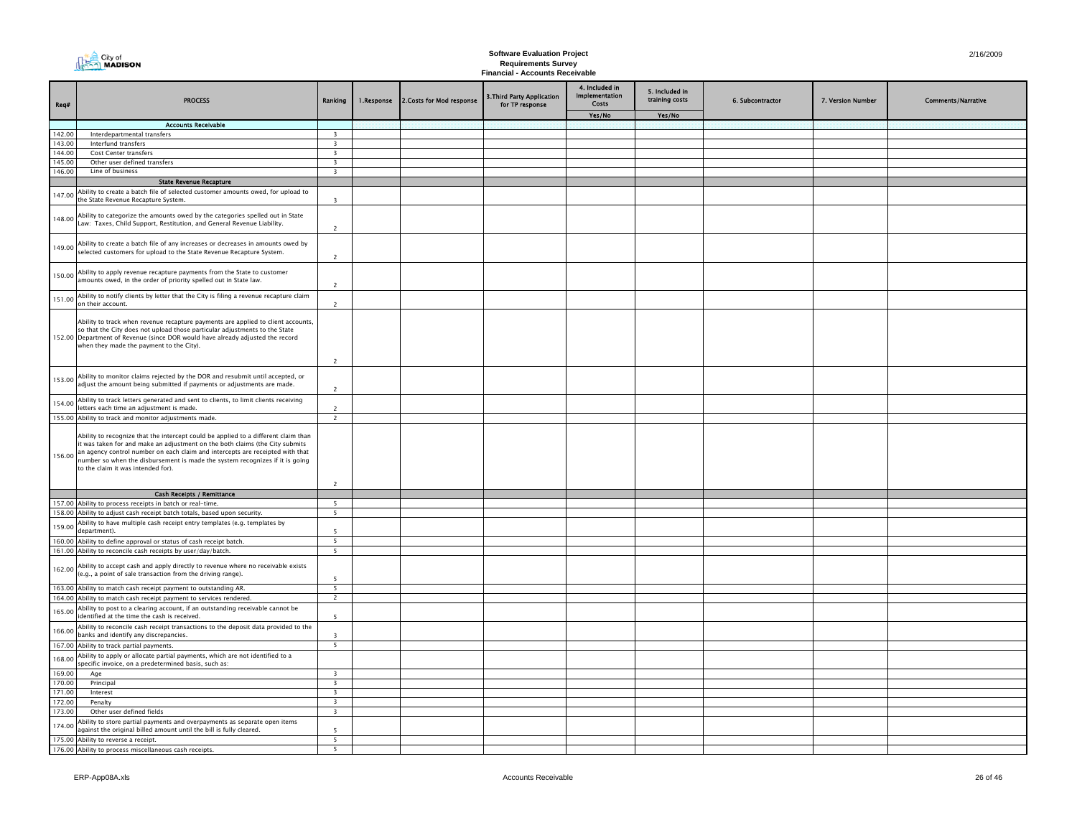| City of<br>MADISON |
|--------------------|
|                    |

| Req#   | <b>PROCESS</b>                                                                                                                                                                                                                                                                                                                                                            | Ranking                  | 1.Response | 2. Costs for Mod response | 3. Third Party Application<br>for TP response | 4. Included in<br><b>Implementation</b><br>Costs | 5. Included in<br>training costs | 6. Subcontractor | 7. Version Number | <b>Comments/Narrative</b> |
|--------|---------------------------------------------------------------------------------------------------------------------------------------------------------------------------------------------------------------------------------------------------------------------------------------------------------------------------------------------------------------------------|--------------------------|------------|---------------------------|-----------------------------------------------|--------------------------------------------------|----------------------------------|------------------|-------------------|---------------------------|
|        |                                                                                                                                                                                                                                                                                                                                                                           |                          |            |                           |                                               | Yes/No                                           | Yes/No                           |                  |                   |                           |
|        | <b>Accounts Receivable</b>                                                                                                                                                                                                                                                                                                                                                |                          |            |                           |                                               |                                                  |                                  |                  |                   |                           |
| 142.00 | Interdepartmental transfers                                                                                                                                                                                                                                                                                                                                               | $\overline{3}$           |            |                           |                                               |                                                  |                                  |                  |                   |                           |
| 143.00 | Interfund transfers                                                                                                                                                                                                                                                                                                                                                       | $\overline{\mathbf{3}}$  |            |                           |                                               |                                                  |                                  |                  |                   |                           |
| 144.00 | Cost Center transfers                                                                                                                                                                                                                                                                                                                                                     | $\overline{\mathbf{3}}$  |            |                           |                                               |                                                  |                                  |                  |                   |                           |
| 145.00 | Other user defined transfers                                                                                                                                                                                                                                                                                                                                              | $\overline{\mathbf{3}}$  |            |                           |                                               |                                                  |                                  |                  |                   |                           |
| 146.00 | Line of business                                                                                                                                                                                                                                                                                                                                                          | $\overline{\mathbf{3}}$  |            |                           |                                               |                                                  |                                  |                  |                   |                           |
|        | <b>State Revenue Recapture</b>                                                                                                                                                                                                                                                                                                                                            |                          |            |                           |                                               |                                                  |                                  |                  |                   |                           |
| 147.00 | Ability to create a batch file of selected customer amounts owed, for upload to                                                                                                                                                                                                                                                                                           |                          |            |                           |                                               |                                                  |                                  |                  |                   |                           |
|        | the State Revenue Recapture System.                                                                                                                                                                                                                                                                                                                                       | $\overline{3}$           |            |                           |                                               |                                                  |                                  |                  |                   |                           |
| 148.00 | Ability to categorize the amounts owed by the categories spelled out in State<br>Law: Taxes, Child Support, Restitution, and General Revenue Liability.                                                                                                                                                                                                                   | $\overline{2}$           |            |                           |                                               |                                                  |                                  |                  |                   |                           |
| 149.00 | Ability to create a batch file of any increases or decreases in amounts owed by<br>selected customers for upload to the State Revenue Recapture System.                                                                                                                                                                                                                   | $\overline{2}$           |            |                           |                                               |                                                  |                                  |                  |                   |                           |
| 150.00 | Ability to apply revenue recapture payments from the State to customer<br>amounts owed, in the order of priority spelled out in State law.                                                                                                                                                                                                                                | $\overline{2}$           |            |                           |                                               |                                                  |                                  |                  |                   |                           |
| 151.00 | Ability to notify clients by letter that the City is filing a revenue recapture claim<br>on their account.                                                                                                                                                                                                                                                                | $\overline{2}$           |            |                           |                                               |                                                  |                                  |                  |                   |                           |
|        | Ability to track when revenue recapture payments are applied to client accounts,<br>so that the City does not upload those particular adjustments to the State<br>152.00 Department of Revenue (since DOR would have already adjusted the record<br>when they made the payment to the City).                                                                              | $\overline{2}$           |            |                           |                                               |                                                  |                                  |                  |                   |                           |
| 153.00 | Ability to monitor claims rejected by the DOR and resubmit until accepted, or<br>adjust the amount being submitted if payments or adjustments are made.                                                                                                                                                                                                                   | $\overline{2}$           |            |                           |                                               |                                                  |                                  |                  |                   |                           |
| 154.00 | Ability to track letters generated and sent to clients, to limit clients receiving<br>letters each time an adjustment is made.                                                                                                                                                                                                                                            | $\overline{2}$           |            |                           |                                               |                                                  |                                  |                  |                   |                           |
|        | 155.00 Ability to track and monitor adjustments made.                                                                                                                                                                                                                                                                                                                     | $\overline{2}$           |            |                           |                                               |                                                  |                                  |                  |                   |                           |
| 156.00 | Ability to recognize that the intercept could be applied to a different claim than<br>it was taken for and make an adjustment on the both claims (the City submits<br>an agency control number on each claim and intercepts are receipted with that<br>number so when the disbursement is made the system recognizes if it is going<br>to the claim it was intended for). | 2                        |            |                           |                                               |                                                  |                                  |                  |                   |                           |
|        | <b>Cash Receipts / Remittance</b>                                                                                                                                                                                                                                                                                                                                         |                          |            |                           |                                               |                                                  |                                  |                  |                   |                           |
|        | 157.00 Ability to process receipts in batch or real-time.                                                                                                                                                                                                                                                                                                                 | 5                        |            |                           |                                               |                                                  |                                  |                  |                   |                           |
|        | 158.00 Ability to adjust cash receipt batch totals, based upon security.                                                                                                                                                                                                                                                                                                  | 5                        |            |                           |                                               |                                                  |                                  |                  |                   |                           |
| 159.00 | Ability to have multiple cash receipt entry templates (e.g. templates by<br>department).                                                                                                                                                                                                                                                                                  | $\overline{\phantom{a}}$ |            |                           |                                               |                                                  |                                  |                  |                   |                           |
| 160.00 | Ability to define approval or status of cash receipt batch.                                                                                                                                                                                                                                                                                                               | 5 <sub>1</sub>           |            |                           |                                               |                                                  |                                  |                  |                   |                           |
|        | 161.00 Ability to reconcile cash receipts by user/day/batch.                                                                                                                                                                                                                                                                                                              | $\overline{\phantom{0}}$ |            |                           |                                               |                                                  |                                  |                  |                   |                           |
| 162.00 | Ability to accept cash and apply directly to revenue where no receivable exists<br>(e.g., a point of sale transaction from the driving range).                                                                                                                                                                                                                            | 5                        |            |                           |                                               |                                                  |                                  |                  |                   |                           |
|        | 163.00 Ability to match cash receipt payment to outstanding AR.                                                                                                                                                                                                                                                                                                           | 5 <sup>5</sup>           |            |                           |                                               |                                                  |                                  |                  |                   |                           |
|        | 164.00 Ability to match cash receipt payment to services rendered.                                                                                                                                                                                                                                                                                                        | $\overline{2}$           |            |                           |                                               |                                                  |                                  |                  |                   |                           |
| 165.00 | Ability to post to a clearing account, if an outstanding receivable cannot be<br>identified at the time the cash is received.                                                                                                                                                                                                                                             | $\overline{5}$           |            |                           |                                               |                                                  |                                  |                  |                   |                           |
| 166.00 | Ability to reconcile cash receipt transactions to the deposit data provided to the<br>banks and identify any discrepancies.                                                                                                                                                                                                                                               | $\overline{3}$           |            |                           |                                               |                                                  |                                  |                  |                   |                           |
|        | 167.00 Ability to track partial payments.                                                                                                                                                                                                                                                                                                                                 | 5                        |            |                           |                                               |                                                  |                                  |                  |                   |                           |
| 168.00 | Ability to apply or allocate partial payments, which are not identified to a<br>specific invoice, on a predetermined basis, such as:                                                                                                                                                                                                                                      |                          |            |                           |                                               |                                                  |                                  |                  |                   |                           |
| 169.00 | Age                                                                                                                                                                                                                                                                                                                                                                       | $\overline{\mathbf{3}}$  |            |                           |                                               |                                                  |                                  |                  |                   |                           |
| 170.00 | Principal                                                                                                                                                                                                                                                                                                                                                                 | $\overline{\mathbf{3}}$  |            |                           |                                               |                                                  |                                  |                  |                   |                           |
| 171.00 | Interest                                                                                                                                                                                                                                                                                                                                                                  | $\overline{\mathbf{3}}$  |            |                           |                                               |                                                  |                                  |                  |                   |                           |
| 172.00 | Penalty                                                                                                                                                                                                                                                                                                                                                                   | $\overline{\mathbf{3}}$  |            |                           |                                               |                                                  |                                  |                  |                   |                           |
| 173.00 | Other user defined fields                                                                                                                                                                                                                                                                                                                                                 | $\overline{\mathbf{3}}$  |            |                           |                                               |                                                  |                                  |                  |                   |                           |
| 174.00 | Ability to store partial payments and overpayments as separate open items<br>against the original billed amount until the bill is fully cleared.                                                                                                                                                                                                                          | 5                        |            |                           |                                               |                                                  |                                  |                  |                   |                           |
|        | 175.00 Ability to reverse a receipt.                                                                                                                                                                                                                                                                                                                                      | $\overline{\phantom{0}}$ |            |                           |                                               |                                                  |                                  |                  |                   |                           |
|        | 176.00 Ability to process miscellaneous cash receipts.                                                                                                                                                                                                                                                                                                                    | 5                        |            |                           |                                               |                                                  |                                  |                  |                   |                           |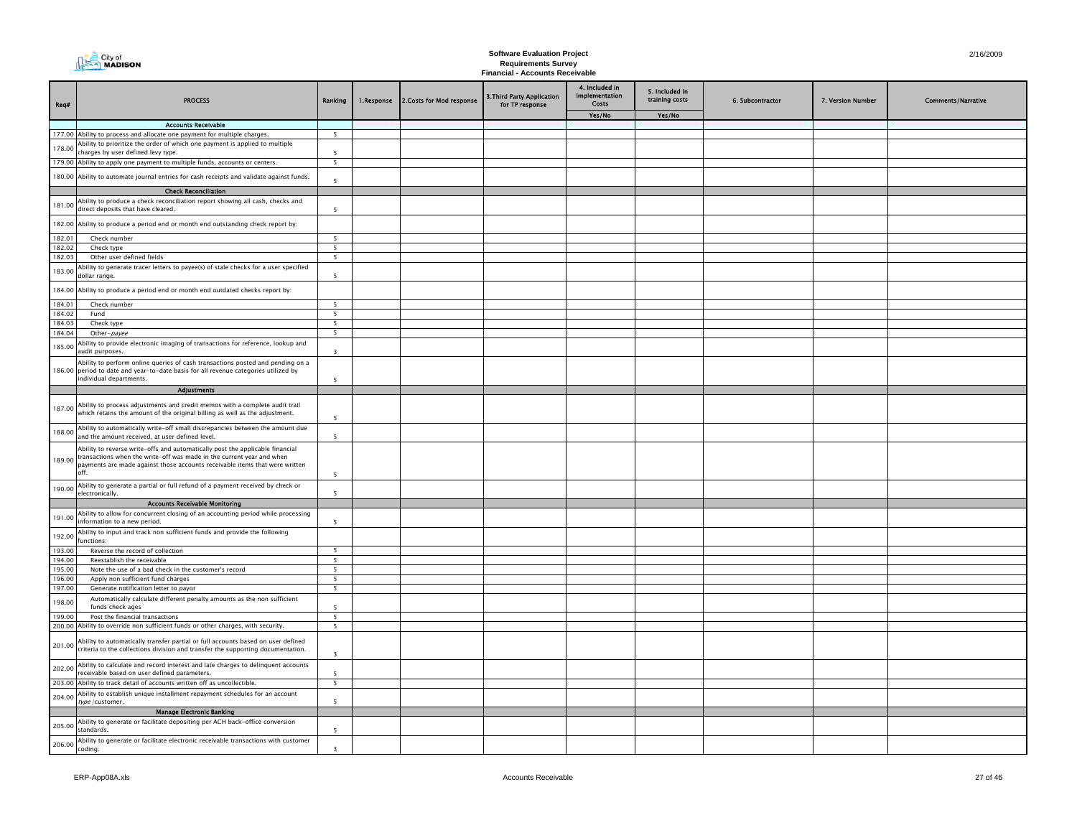|                  | MADISON<br><b>Requirements Survey</b><br>Financial - Accounts Receivable                                                                                                                                                                      |                                            |            |                           |                                               |                                           |                                  |                  |                   |                           |
|------------------|-----------------------------------------------------------------------------------------------------------------------------------------------------------------------------------------------------------------------------------------------|--------------------------------------------|------------|---------------------------|-----------------------------------------------|-------------------------------------------|----------------------------------|------------------|-------------------|---------------------------|
| Req#             | <b>PROCESS</b>                                                                                                                                                                                                                                | Ranking                                    | 1.Response | 2. Costs for Mod response | 3. Third Party Application<br>for TP response | 4. Included in<br>Implementation<br>Costs | 5. Included in<br>training costs | 6. Subcontractor | 7. Version Number | <b>Comments/Narrative</b> |
|                  |                                                                                                                                                                                                                                               |                                            |            |                           |                                               | Yes/No                                    | Yes/No                           |                  |                   |                           |
|                  | <b>Accounts Receivable</b>                                                                                                                                                                                                                    |                                            |            |                           |                                               |                                           |                                  |                  |                   |                           |
|                  | 177.00 Ability to process and allocate one payment for multiple charges.                                                                                                                                                                      | 5                                          |            |                           |                                               |                                           |                                  |                  |                   |                           |
| 178.00           | Ability to prioritize the order of which one payment is applied to multiple<br>charges by user defined levy type.                                                                                                                             |                                            |            |                           |                                               |                                           |                                  |                  |                   |                           |
|                  | 179.00 Ability to apply one payment to multiple funds, accounts or centers.                                                                                                                                                                   | 5                                          |            |                           |                                               |                                           |                                  |                  |                   |                           |
|                  |                                                                                                                                                                                                                                               |                                            |            |                           |                                               |                                           |                                  |                  |                   |                           |
|                  | 180.00 Ability to automate journal entries for cash receipts and validate against funds.                                                                                                                                                      | 5                                          |            |                           |                                               |                                           |                                  |                  |                   |                           |
|                  | <b>Check Reconciliation</b>                                                                                                                                                                                                                   |                                            |            |                           |                                               |                                           |                                  |                  |                   |                           |
| 181.00           | Ability to produce a check reconciliation report showing all cash, checks and<br>direct deposits that have cleared.                                                                                                                           | $\overline{\phantom{a}}$                   |            |                           |                                               |                                           |                                  |                  |                   |                           |
|                  | 182.00 Ability to produce a period end or month end outstanding check report by:                                                                                                                                                              |                                            |            |                           |                                               |                                           |                                  |                  |                   |                           |
| 182.01           | Check number                                                                                                                                                                                                                                  | 5                                          |            |                           |                                               |                                           |                                  |                  |                   |                           |
| 182.02<br>182.03 | Check type<br>Other user defined fields                                                                                                                                                                                                       | 5 <sup>5</sup><br>5                        |            |                           |                                               |                                           |                                  |                  |                   |                           |
|                  | Ability to generate tracer letters to payee(s) of stale checks for a user specified                                                                                                                                                           |                                            |            |                           |                                               |                                           |                                  |                  |                   |                           |
| 183.00           | dollar range.                                                                                                                                                                                                                                 | -5                                         |            |                           |                                               |                                           |                                  |                  |                   |                           |
|                  | 184.00 Ability to produce a period end or month end outdated checks report by:                                                                                                                                                                |                                            |            |                           |                                               |                                           |                                  |                  |                   |                           |
| 184.01<br>184.02 | Check number<br>Fund                                                                                                                                                                                                                          | 5 <sup>5</sup><br>$\overline{\phantom{a}}$ |            |                           |                                               |                                           |                                  |                  |                   |                           |
| 184.03           | Check type                                                                                                                                                                                                                                    | 5                                          |            |                           |                                               |                                           |                                  |                  |                   |                           |
| 184.04           | Other-payee                                                                                                                                                                                                                                   | $\overline{\phantom{a}}$                   |            |                           |                                               |                                           |                                  |                  |                   |                           |
| 185.00           | Ability to provide electronic imaging of transactions for reference, lookup and<br>audit purposes.                                                                                                                                            | $\overline{\mathbf{3}}$                    |            |                           |                                               |                                           |                                  |                  |                   |                           |
| 186.00           | Ability to perform online queries of cash transactions posted and pending on a<br>period to date and year-to-date basis for all revenue categories utilized by<br>individual departments.                                                     | 5                                          |            |                           |                                               |                                           |                                  |                  |                   |                           |
|                  | Adjustments                                                                                                                                                                                                                                   |                                            |            |                           |                                               |                                           |                                  |                  |                   |                           |
| 187.00           | Ability to process adjustments and credit memos with a complete audit trail<br>which retains the amount of the original billing as well as the adjustment.                                                                                    | 5                                          |            |                           |                                               |                                           |                                  |                  |                   |                           |
| 188.00           | Ability to automatically write-off small discrepancies between the amount due<br>and the amount received, at user defined level.                                                                                                              | -5                                         |            |                           |                                               |                                           |                                  |                  |                   |                           |
| 189.00           | Ability to reverse write-offs and automatically post the applicable financial<br>transactions when the write-off was made in the current year and when<br>payments are made against those accounts receivable items that were written<br>off. |                                            |            |                           |                                               |                                           |                                  |                  |                   |                           |
| 190.00           | Ability to generate a partial or full refund of a payment received by check or                                                                                                                                                                | 5                                          |            |                           |                                               |                                           |                                  |                  |                   |                           |
|                  | electronically.<br><b>Accounts Receivable Monitoring</b>                                                                                                                                                                                      | 5                                          |            |                           |                                               |                                           |                                  |                  |                   |                           |
|                  | Ability to allow for concurrent closing of an accounting period while processing                                                                                                                                                              |                                            |            |                           |                                               |                                           |                                  |                  |                   |                           |
| 191.00           | information to a new period.<br>Ability to input and track non sufficient funds and provide the following                                                                                                                                     | $\overline{5}$                             |            |                           |                                               |                                           |                                  |                  |                   |                           |
| 192.00           | functions:                                                                                                                                                                                                                                    |                                            |            |                           |                                               |                                           |                                  |                  |                   |                           |
| 193.00<br>194.00 | Reverse the record of collection<br>Reestablish the receivable                                                                                                                                                                                | - 5<br>5                                   |            |                           |                                               |                                           |                                  |                  |                   |                           |
| 195.00           | Note the use of a bad check in the customer's record                                                                                                                                                                                          | 5                                          |            |                           |                                               |                                           |                                  |                  |                   |                           |
| 196.00           | Apply non sufficient fund charges                                                                                                                                                                                                             | $\overline{5}$                             |            |                           |                                               |                                           |                                  |                  |                   |                           |
| 197.00           | Generate notification letter to payor                                                                                                                                                                                                         | 5                                          |            |                           |                                               |                                           |                                  |                  |                   |                           |
| 198.00           | Automatically calculate different penalty amounts as the non sufficient<br>funds check ages                                                                                                                                                   | $\overline{\phantom{a}}$                   |            |                           |                                               |                                           |                                  |                  |                   |                           |
| 199.00           | Post the financial transactions                                                                                                                                                                                                               | 5                                          |            |                           |                                               |                                           |                                  |                  |                   |                           |
|                  | 200.00 Ability to override non sufficient funds or other charges, with security.                                                                                                                                                              | 5                                          |            |                           |                                               |                                           |                                  |                  |                   |                           |
| 201.00           | Ability to automatically transfer partial or full accounts based on user defined<br>criteria to the collections division and transfer the supporting documentation.                                                                           | $\overline{\mathbf{z}}$                    |            |                           |                                               |                                           |                                  |                  |                   |                           |
| 202.00           | Ability to calculate and record interest and late charges to delinquent accounts<br>receivable based on user defined parameters.                                                                                                              | $\overline{5}$                             |            |                           |                                               |                                           |                                  |                  |                   |                           |
|                  | 203.00 Ability to track detail of accounts written off as uncollectible.                                                                                                                                                                      | -5                                         |            |                           |                                               |                                           |                                  |                  |                   |                           |
| 204.00           | Ability to establish unique installment repayment schedules for an account<br>type/customer.                                                                                                                                                  | 5                                          |            |                           |                                               |                                           |                                  |                  |                   |                           |
|                  | <b>Manage Electronic Banking</b>                                                                                                                                                                                                              |                                            |            |                           |                                               |                                           |                                  |                  |                   |                           |
| 205.00           | Ability to generate or facilitate depositing per ACH back-office conversion<br>standards.                                                                                                                                                     | $\overline{\phantom{a}}$                   |            |                           |                                               |                                           |                                  |                  |                   |                           |
| 206.00           | Ability to generate or facilitate electronic receivable transactions with customer<br>coding.                                                                                                                                                 | $\overline{z}$                             |            |                           |                                               |                                           |                                  |                  |                   |                           |

**The City of**<br> **The City of**<br> **MADISON**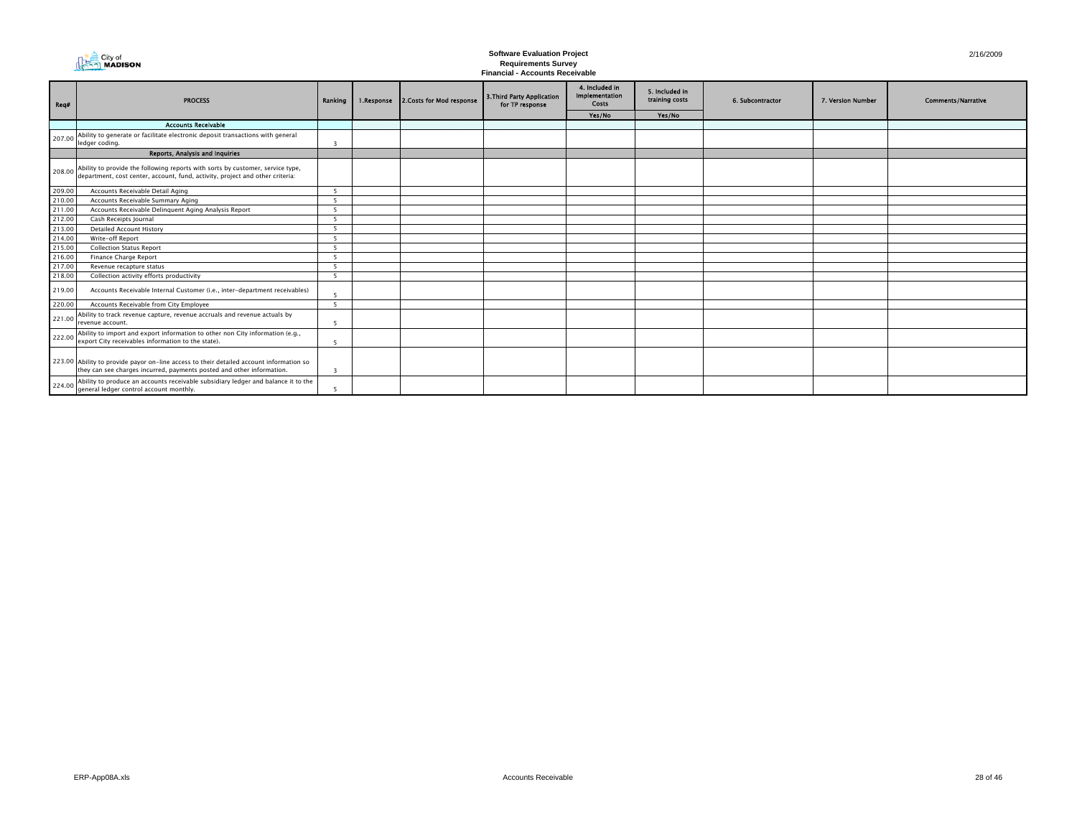|        | City of<br><b>MADISON</b>                                                                                                                                        |                          | 2/16/2009  |                           |                                               |                                           |                                  |                  |                   |                           |
|--------|------------------------------------------------------------------------------------------------------------------------------------------------------------------|--------------------------|------------|---------------------------|-----------------------------------------------|-------------------------------------------|----------------------------------|------------------|-------------------|---------------------------|
| Req#   | <b>PROCESS</b>                                                                                                                                                   | Ranking                  | 1.Response | 2. Costs for Mod response | 3. Third Party Application<br>for TP response | 4. Included in<br>Implementation<br>Costs | 5. Included in<br>training costs | 6. Subcontractor | 7. Version Number | <b>Comments/Narrative</b> |
|        |                                                                                                                                                                  |                          |            |                           |                                               | Yes/No                                    | Yes/No                           |                  |                   |                           |
|        | <b>Accounts Receivable</b>                                                                                                                                       |                          |            |                           |                                               |                                           |                                  |                  |                   |                           |
| 207.00 | Ability to generate or facilitate electronic deposit transactions with general<br>ledger coding.                                                                 | 3                        |            |                           |                                               |                                           |                                  |                  |                   |                           |
|        | Reports, Analysis and Inquiries                                                                                                                                  |                          |            |                           |                                               |                                           |                                  |                  |                   |                           |
| 208.00 | Ability to provide the following reports with sorts by customer, service type,<br>department, cost center, account, fund, activity, project and other criteria:  |                          |            |                           |                                               |                                           |                                  |                  |                   |                           |
| 209.00 | Accounts Receivable Detail Aging                                                                                                                                 | -5                       |            |                           |                                               |                                           |                                  |                  |                   |                           |
| 210.00 | Accounts Receivable Summary Aging                                                                                                                                | -5                       |            |                           |                                               |                                           |                                  |                  |                   |                           |
| 211.00 | Accounts Receivable Delinguent Aging Analysis Report                                                                                                             | -5                       |            |                           |                                               |                                           |                                  |                  |                   |                           |
| 212.00 | Cash Receipts Journal                                                                                                                                            | -5                       |            |                           |                                               |                                           |                                  |                  |                   |                           |
| 213.00 | <b>Detailed Account History</b>                                                                                                                                  | -5                       |            |                           |                                               |                                           |                                  |                  |                   |                           |
| 214.00 | Write-off Report                                                                                                                                                 | -5                       |            |                           |                                               |                                           |                                  |                  |                   |                           |
| 215.00 | <b>Collection Status Report</b>                                                                                                                                  | -5                       |            |                           |                                               |                                           |                                  |                  |                   |                           |
| 216.00 | Finance Charge Report                                                                                                                                            | $\overline{\phantom{a}}$ |            |                           |                                               |                                           |                                  |                  |                   |                           |
| 217.00 | Revenue recapture status                                                                                                                                         | -5                       |            |                           |                                               |                                           |                                  |                  |                   |                           |
| 218.00 | Collection activity efforts productivity                                                                                                                         | 5 <sup>5</sup>           |            |                           |                                               |                                           |                                  |                  |                   |                           |
| 219.00 | Accounts Receivable Internal Customer (i.e., inter-department receivables)                                                                                       |                          |            |                           |                                               |                                           |                                  |                  |                   |                           |
| 220.00 | Accounts Receivable from City Employee                                                                                                                           | -5                       |            |                           |                                               |                                           |                                  |                  |                   |                           |
| 221.00 | Ability to track revenue capture, revenue accruals and revenue actuals by<br>revenue account                                                                     | 5                        |            |                           |                                               |                                           |                                  |                  |                   |                           |
| 222.00 | Ability to import and export information to other non City information (e.g.,<br>export City receivables information to the state)                               | 5                        |            |                           |                                               |                                           |                                  |                  |                   |                           |
|        | 223.00 Ability to provide payor on-line access to their detailed account information so<br>they can see charges incurred, payments posted and other information. | $\overline{3}$           |            |                           |                                               |                                           |                                  |                  |                   |                           |
| 224.00 | Ability to produce an accounts receivable subsidiary ledger and balance it to the<br>general ledger control account monthly.                                     | 5                        |            |                           |                                               |                                           |                                  |                  |                   |                           |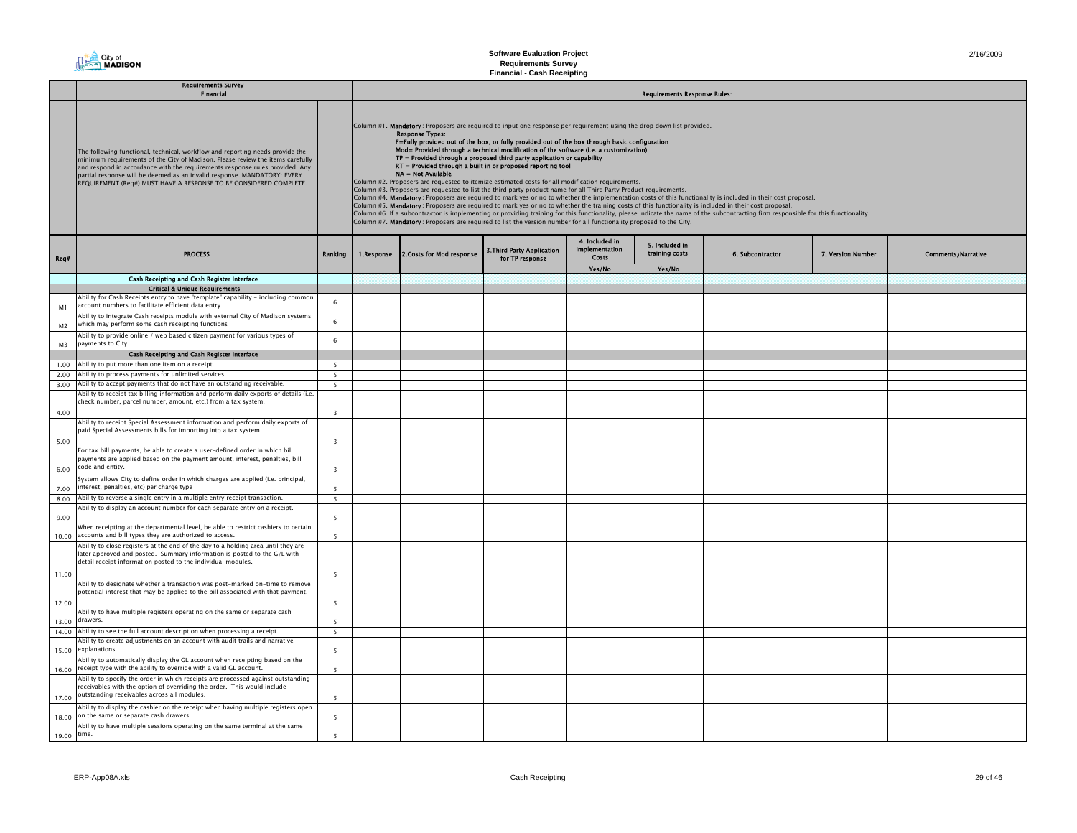# **The City of**<br>The **MADISON**

# **Software Evaluation Project Requirements Survey Financial - Cash Receipting**

|                | <b>Requirements Survey</b><br><b>Financial</b>                                                                                                                                                                                                                                                                                                                                                    |                          |            | <b>Requirements Response Rules:</b>                                                                                                                                                                                                                                                         |                                               |                                                                                                                                                                                                                                                                                                                                                                                                                                                                                                                                                                                                                                                                                                                                                                                                                                                                                                                                                                                                                                                                              |                                  |                  |                   |                           |  |
|----------------|---------------------------------------------------------------------------------------------------------------------------------------------------------------------------------------------------------------------------------------------------------------------------------------------------------------------------------------------------------------------------------------------------|--------------------------|------------|---------------------------------------------------------------------------------------------------------------------------------------------------------------------------------------------------------------------------------------------------------------------------------------------|-----------------------------------------------|------------------------------------------------------------------------------------------------------------------------------------------------------------------------------------------------------------------------------------------------------------------------------------------------------------------------------------------------------------------------------------------------------------------------------------------------------------------------------------------------------------------------------------------------------------------------------------------------------------------------------------------------------------------------------------------------------------------------------------------------------------------------------------------------------------------------------------------------------------------------------------------------------------------------------------------------------------------------------------------------------------------------------------------------------------------------------|----------------------------------|------------------|-------------------|---------------------------|--|
|                | The following functional, technical, workflow and reporting needs provide the<br>minimum requirements of the City of Madison. Please review the items carefully<br>and respond in accordance with the requirements response rules provided. Any<br>partial response will be deemed as an invalid response. MANDATORY: EVERY<br>REQUIREMENT (Req#) MUST HAVE A RESPONSE TO BE CONSIDERED COMPLETE. |                          |            | <b>Response Types:</b><br>$TP =$ Provided through a proposed third party application or capability<br>RT = Provided through a built in or proposed reporting tool<br>NA = Not Available<br>Column #2. Proposers are requested to itemize estimated costs for all modification requirements. |                                               | Column #1. Mandatory: Proposers are required to input one response per requirement using the drop down list provided.<br>F=Fully provided out of the box, or fully provided out of the box through basic configuration<br>Mod= Provided through a technical modification of the software (i.e. a customization)<br>Column #3. Proposers are requested to list the third party product name for all Third Party Product requirements.<br>Column #4. Mandatory: Proposers are required to mark yes or no to whether the implementation costs of this functionality is included in their cost proposal.<br>Column #5. Mandatory: Proposers are required to mark yes or no to whether the training costs of this functionality is included in their cost proposal.<br>Column #6. If a subcontractor is implementing or providing training for this functionality, please indicate the name of the subcontracting firm responsible for this functionality.<br>Column #7. Mandatory: Proposers are required to list the version number for all functionality proposed to the City. |                                  |                  |                   |                           |  |
| Req#           | <b>PROCESS</b>                                                                                                                                                                                                                                                                                                                                                                                    | Ranking                  | 1.Response | 2. Costs for Mod response                                                                                                                                                                                                                                                                   | 3. Third Party Application<br>for TP response | 4. Included in<br><b>Implementation</b><br>Costs                                                                                                                                                                                                                                                                                                                                                                                                                                                                                                                                                                                                                                                                                                                                                                                                                                                                                                                                                                                                                             | 5. Included in<br>training costs | 6. Subcontractor | 7. Version Number | <b>Comments/Narrative</b> |  |
|                |                                                                                                                                                                                                                                                                                                                                                                                                   |                          |            |                                                                                                                                                                                                                                                                                             |                                               | Yes/No                                                                                                                                                                                                                                                                                                                                                                                                                                                                                                                                                                                                                                                                                                                                                                                                                                                                                                                                                                                                                                                                       | Yes/No                           |                  |                   |                           |  |
|                | Cash Receipting and Cash Register Interface                                                                                                                                                                                                                                                                                                                                                       |                          |            |                                                                                                                                                                                                                                                                                             |                                               |                                                                                                                                                                                                                                                                                                                                                                                                                                                                                                                                                                                                                                                                                                                                                                                                                                                                                                                                                                                                                                                                              |                                  |                  |                   |                           |  |
|                | <b>Critical &amp; Unique Requirements</b>                                                                                                                                                                                                                                                                                                                                                         |                          |            |                                                                                                                                                                                                                                                                                             |                                               |                                                                                                                                                                                                                                                                                                                                                                                                                                                                                                                                                                                                                                                                                                                                                                                                                                                                                                                                                                                                                                                                              |                                  |                  |                   |                           |  |
| M1             | Ability for Cash Receipts entry to have "template" capability - including common<br>account numbers to facilitate efficient data entry                                                                                                                                                                                                                                                            | -6                       |            |                                                                                                                                                                                                                                                                                             |                                               |                                                                                                                                                                                                                                                                                                                                                                                                                                                                                                                                                                                                                                                                                                                                                                                                                                                                                                                                                                                                                                                                              |                                  |                  |                   |                           |  |
| M <sub>2</sub> | Ability to integrate Cash receipts module with external City of Madison systems<br>which may perform some cash receipting functions                                                                                                                                                                                                                                                               | 6                        |            |                                                                                                                                                                                                                                                                                             |                                               |                                                                                                                                                                                                                                                                                                                                                                                                                                                                                                                                                                                                                                                                                                                                                                                                                                                                                                                                                                                                                                                                              |                                  |                  |                   |                           |  |
| M3             | Ability to provide online / web based citizen payment for various types of<br>payments to City                                                                                                                                                                                                                                                                                                    | 6                        |            |                                                                                                                                                                                                                                                                                             |                                               |                                                                                                                                                                                                                                                                                                                                                                                                                                                                                                                                                                                                                                                                                                                                                                                                                                                                                                                                                                                                                                                                              |                                  |                  |                   |                           |  |
|                | Cash Receipting and Cash Register Interface                                                                                                                                                                                                                                                                                                                                                       |                          |            |                                                                                                                                                                                                                                                                                             |                                               |                                                                                                                                                                                                                                                                                                                                                                                                                                                                                                                                                                                                                                                                                                                                                                                                                                                                                                                                                                                                                                                                              |                                  |                  |                   |                           |  |
|                | 1.00 Ability to put more than one item on a receipt.                                                                                                                                                                                                                                                                                                                                              | 5                        |            |                                                                                                                                                                                                                                                                                             |                                               |                                                                                                                                                                                                                                                                                                                                                                                                                                                                                                                                                                                                                                                                                                                                                                                                                                                                                                                                                                                                                                                                              |                                  |                  |                   |                           |  |
| 2.00           | Ability to process payments for unlimited services.                                                                                                                                                                                                                                                                                                                                               | 5                        |            |                                                                                                                                                                                                                                                                                             |                                               |                                                                                                                                                                                                                                                                                                                                                                                                                                                                                                                                                                                                                                                                                                                                                                                                                                                                                                                                                                                                                                                                              |                                  |                  |                   |                           |  |
|                | 3.00 Ability to accept payments that do not have an outstanding receivable.                                                                                                                                                                                                                                                                                                                       | $\overline{\phantom{a}}$ |            |                                                                                                                                                                                                                                                                                             |                                               |                                                                                                                                                                                                                                                                                                                                                                                                                                                                                                                                                                                                                                                                                                                                                                                                                                                                                                                                                                                                                                                                              |                                  |                  |                   |                           |  |
|                | Ability to receipt tax billing information and perform daily exports of details (i.e.                                                                                                                                                                                                                                                                                                             |                          |            |                                                                                                                                                                                                                                                                                             |                                               |                                                                                                                                                                                                                                                                                                                                                                                                                                                                                                                                                                                                                                                                                                                                                                                                                                                                                                                                                                                                                                                                              |                                  |                  |                   |                           |  |
| 4.00           | check number, parcel number, amount, etc.) from a tax system.                                                                                                                                                                                                                                                                                                                                     | $\overline{3}$           |            |                                                                                                                                                                                                                                                                                             |                                               |                                                                                                                                                                                                                                                                                                                                                                                                                                                                                                                                                                                                                                                                                                                                                                                                                                                                                                                                                                                                                                                                              |                                  |                  |                   |                           |  |
|                | Ability to receipt Special Assessment information and perform daily exports of<br>paid Special Assessments bills for importing into a tax system.                                                                                                                                                                                                                                                 |                          |            |                                                                                                                                                                                                                                                                                             |                                               |                                                                                                                                                                                                                                                                                                                                                                                                                                                                                                                                                                                                                                                                                                                                                                                                                                                                                                                                                                                                                                                                              |                                  |                  |                   |                           |  |
| 5.00           | For tax bill payments, be able to create a user-defined order in which bill                                                                                                                                                                                                                                                                                                                       | $\overline{\mathbf{z}}$  |            |                                                                                                                                                                                                                                                                                             |                                               |                                                                                                                                                                                                                                                                                                                                                                                                                                                                                                                                                                                                                                                                                                                                                                                                                                                                                                                                                                                                                                                                              |                                  |                  |                   |                           |  |
| 6.00           | payments are applied based on the payment amount, interest, penalties, bill<br>code and entity.                                                                                                                                                                                                                                                                                                   | $\overline{\mathbf{3}}$  |            |                                                                                                                                                                                                                                                                                             |                                               |                                                                                                                                                                                                                                                                                                                                                                                                                                                                                                                                                                                                                                                                                                                                                                                                                                                                                                                                                                                                                                                                              |                                  |                  |                   |                           |  |
|                | System allows City to define order in which charges are applied (i.e. principal,                                                                                                                                                                                                                                                                                                                  |                          |            |                                                                                                                                                                                                                                                                                             |                                               |                                                                                                                                                                                                                                                                                                                                                                                                                                                                                                                                                                                                                                                                                                                                                                                                                                                                                                                                                                                                                                                                              |                                  |                  |                   |                           |  |
| 7.00           | interest, penalties, etc) per charge type                                                                                                                                                                                                                                                                                                                                                         |                          |            |                                                                                                                                                                                                                                                                                             |                                               |                                                                                                                                                                                                                                                                                                                                                                                                                                                                                                                                                                                                                                                                                                                                                                                                                                                                                                                                                                                                                                                                              |                                  |                  |                   |                           |  |
| 8.00           | Ability to reverse a single entry in a multiple entry receipt transaction.                                                                                                                                                                                                                                                                                                                        | $5 -$                    |            |                                                                                                                                                                                                                                                                                             |                                               |                                                                                                                                                                                                                                                                                                                                                                                                                                                                                                                                                                                                                                                                                                                                                                                                                                                                                                                                                                                                                                                                              |                                  |                  |                   |                           |  |
| 9.00           | Ability to display an account number for each separate entry on a receipt.                                                                                                                                                                                                                                                                                                                        | 5                        |            |                                                                                                                                                                                                                                                                                             |                                               |                                                                                                                                                                                                                                                                                                                                                                                                                                                                                                                                                                                                                                                                                                                                                                                                                                                                                                                                                                                                                                                                              |                                  |                  |                   |                           |  |
| 10.00          | When receipting at the departmental level, be able to restrict cashiers to certain<br>accounts and bill types they are authorized to access.                                                                                                                                                                                                                                                      | - 5                      |            |                                                                                                                                                                                                                                                                                             |                                               |                                                                                                                                                                                                                                                                                                                                                                                                                                                                                                                                                                                                                                                                                                                                                                                                                                                                                                                                                                                                                                                                              |                                  |                  |                   |                           |  |
|                | Ability to close registers at the end of the day to a holding area until they are<br>later approved and posted. Summary information is posted to the G/L with<br>detail receipt information posted to the individual modules.                                                                                                                                                                     |                          |            |                                                                                                                                                                                                                                                                                             |                                               |                                                                                                                                                                                                                                                                                                                                                                                                                                                                                                                                                                                                                                                                                                                                                                                                                                                                                                                                                                                                                                                                              |                                  |                  |                   |                           |  |
| 11.00          |                                                                                                                                                                                                                                                                                                                                                                                                   | - 5                      |            |                                                                                                                                                                                                                                                                                             |                                               |                                                                                                                                                                                                                                                                                                                                                                                                                                                                                                                                                                                                                                                                                                                                                                                                                                                                                                                                                                                                                                                                              |                                  |                  |                   |                           |  |
| 12.00          | Ability to designate whether a transaction was post-marked on-time to remove<br>potential interest that may be applied to the bill associated with that payment.                                                                                                                                                                                                                                  | - 5                      |            |                                                                                                                                                                                                                                                                                             |                                               |                                                                                                                                                                                                                                                                                                                                                                                                                                                                                                                                                                                                                                                                                                                                                                                                                                                                                                                                                                                                                                                                              |                                  |                  |                   |                           |  |
|                | Ability to have multiple registers operating on the same or separate cash<br>drawers.                                                                                                                                                                                                                                                                                                             |                          |            |                                                                                                                                                                                                                                                                                             |                                               |                                                                                                                                                                                                                                                                                                                                                                                                                                                                                                                                                                                                                                                                                                                                                                                                                                                                                                                                                                                                                                                                              |                                  |                  |                   |                           |  |
| 13.00<br>14.00 | Ability to see the full account description when processing a receipt.                                                                                                                                                                                                                                                                                                                            | 5<br>$5\overline{5}$     |            |                                                                                                                                                                                                                                                                                             |                                               |                                                                                                                                                                                                                                                                                                                                                                                                                                                                                                                                                                                                                                                                                                                                                                                                                                                                                                                                                                                                                                                                              |                                  |                  |                   |                           |  |
|                | Ability to create adjustments on an account with audit trails and narrative                                                                                                                                                                                                                                                                                                                       |                          |            |                                                                                                                                                                                                                                                                                             |                                               |                                                                                                                                                                                                                                                                                                                                                                                                                                                                                                                                                                                                                                                                                                                                                                                                                                                                                                                                                                                                                                                                              |                                  |                  |                   |                           |  |
| 15.00          | explanations.                                                                                                                                                                                                                                                                                                                                                                                     | 5                        |            |                                                                                                                                                                                                                                                                                             |                                               |                                                                                                                                                                                                                                                                                                                                                                                                                                                                                                                                                                                                                                                                                                                                                                                                                                                                                                                                                                                                                                                                              |                                  |                  |                   |                           |  |
| 16.00          | Ability to automatically display the GL account when receipting based on the<br>receipt type with the ability to override with a valid GL account.                                                                                                                                                                                                                                                | $\overline{\phantom{a}}$ |            |                                                                                                                                                                                                                                                                                             |                                               |                                                                                                                                                                                                                                                                                                                                                                                                                                                                                                                                                                                                                                                                                                                                                                                                                                                                                                                                                                                                                                                                              |                                  |                  |                   |                           |  |
| 17.00          | Ability to specify the order in which receipts are processed against outstanding<br>receivables with the option of overriding the order. This would include<br>outstanding receivables across all modules.                                                                                                                                                                                        | -5                       |            |                                                                                                                                                                                                                                                                                             |                                               |                                                                                                                                                                                                                                                                                                                                                                                                                                                                                                                                                                                                                                                                                                                                                                                                                                                                                                                                                                                                                                                                              |                                  |                  |                   |                           |  |
| 18.00          | Ability to display the cashier on the receipt when having multiple registers open<br>on the same or separate cash drawers.                                                                                                                                                                                                                                                                        | 5                        |            |                                                                                                                                                                                                                                                                                             |                                               |                                                                                                                                                                                                                                                                                                                                                                                                                                                                                                                                                                                                                                                                                                                                                                                                                                                                                                                                                                                                                                                                              |                                  |                  |                   |                           |  |
| 19.00          | Ability to have multiple sessions operating on the same terminal at the same<br>time.                                                                                                                                                                                                                                                                                                             |                          |            |                                                                                                                                                                                                                                                                                             |                                               |                                                                                                                                                                                                                                                                                                                                                                                                                                                                                                                                                                                                                                                                                                                                                                                                                                                                                                                                                                                                                                                                              |                                  |                  |                   |                           |  |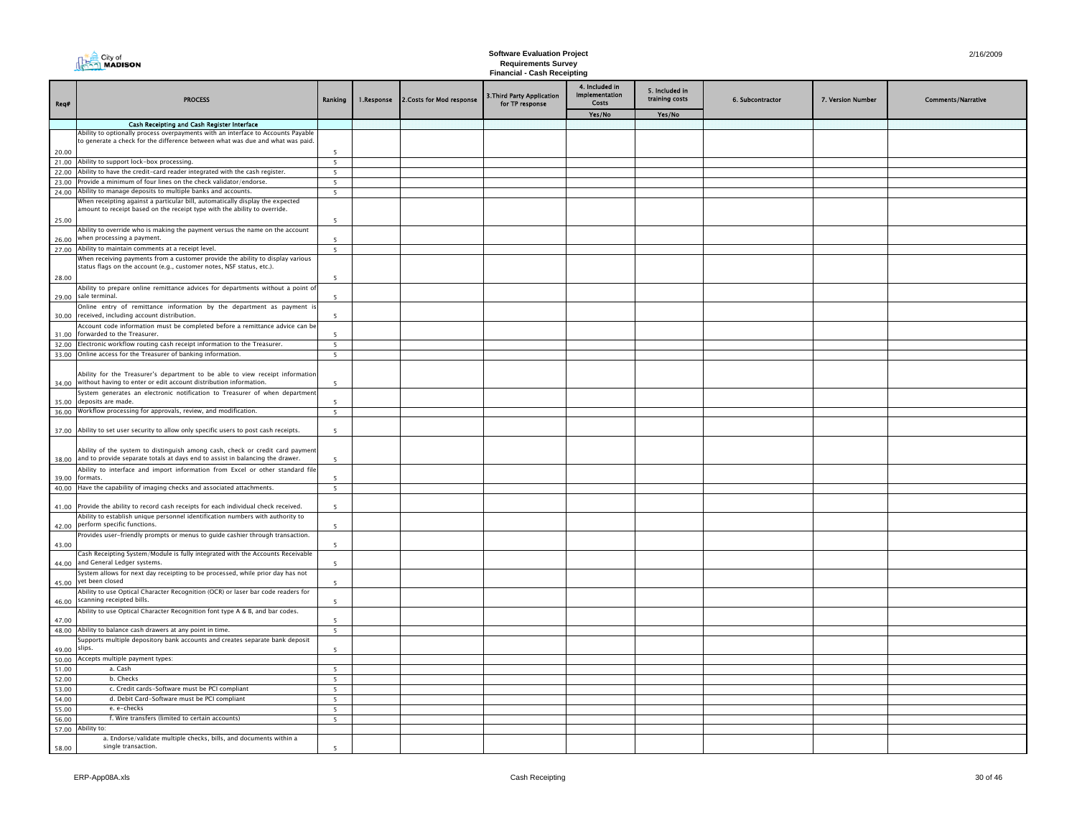|                | <b>DEA</b> City of                                                                                                                                      |                          |            |                          | <b>Software Evaluation Project</b>                               | 2/16/2009             |                                  |                  |                   |                           |
|----------------|---------------------------------------------------------------------------------------------------------------------------------------------------------|--------------------------|------------|--------------------------|------------------------------------------------------------------|-----------------------|----------------------------------|------------------|-------------------|---------------------------|
|                |                                                                                                                                                         |                          |            |                          | <b>Requirements Survey</b><br><b>Financial - Cash Receipting</b> |                       |                                  |                  |                   |                           |
|                |                                                                                                                                                         |                          |            |                          |                                                                  | 4. Included in        |                                  |                  |                   |                           |
|                | <b>PROCESS</b>                                                                                                                                          |                          |            |                          | 3. Third Party Application                                       | <b>Implementation</b> | 5. Included in<br>training costs |                  |                   |                           |
| Req#           |                                                                                                                                                         | Ranking                  | 1.Response | 2.Costs for Mod response | for TP response                                                  | <b>Costs</b>          |                                  | 6. Subcontractor | 7. Version Number | <b>Comments/Narrative</b> |
|                |                                                                                                                                                         |                          |            |                          |                                                                  | Yes/No                | Yes/No                           |                  |                   |                           |
|                | Cash Receipting and Cash Register Interface<br>Ability to optionally process overpayments with an interface to Accounts Payable                         |                          |            |                          |                                                                  |                       |                                  |                  |                   |                           |
|                | to generate a check for the difference between what was due and what was paid.                                                                          |                          |            |                          |                                                                  |                       |                                  |                  |                   |                           |
| 20.00          |                                                                                                                                                         | 5                        |            |                          |                                                                  |                       |                                  |                  |                   |                           |
|                | 21.00 Ability to support lock-box processing.                                                                                                           | $5\overline{ }$          |            |                          |                                                                  |                       |                                  |                  |                   |                           |
| 23.00          | 22.00 Ability to have the credit-card reader integrated with the cash register.<br>Provide a minimum of four lines on the check validator/endorse.      | 5<br>5                   |            |                          |                                                                  |                       |                                  |                  |                   |                           |
|                | 24.00 Ability to manage deposits to multiple banks and accounts.                                                                                        | 5                        |            |                          |                                                                  |                       |                                  |                  |                   |                           |
|                | When receipting against a particular bill, automatically display the expected                                                                           |                          |            |                          |                                                                  |                       |                                  |                  |                   |                           |
|                | amount to receipt based on the receipt type with the ability to override.                                                                               |                          |            |                          |                                                                  |                       |                                  |                  |                   |                           |
| 25.00          | Ability to override who is making the payment versus the name on the account                                                                            |                          |            |                          |                                                                  |                       |                                  |                  |                   |                           |
| 26.00          | when processing a payment.                                                                                                                              |                          |            |                          |                                                                  |                       |                                  |                  |                   |                           |
|                | 27.00 Ability to maintain comments at a receipt level.                                                                                                  | 5                        |            |                          |                                                                  |                       |                                  |                  |                   |                           |
|                | When receiving payments from a customer provide the ability to display various<br>status flags on the account (e.g., customer notes, NSF status, etc.). |                          |            |                          |                                                                  |                       |                                  |                  |                   |                           |
| 28.00          |                                                                                                                                                         | $\overline{\phantom{a}}$ |            |                          |                                                                  |                       |                                  |                  |                   |                           |
|                | Ability to prepare online remittance advices for departments without a point of                                                                         |                          |            |                          |                                                                  |                       |                                  |                  |                   |                           |
| 29.00          | sale terminal.                                                                                                                                          | $\overline{\phantom{a}}$ |            |                          |                                                                  |                       |                                  |                  |                   |                           |
| 30.00          | Online entry of remittance information by the department as payment is<br>received, including account distribution.                                     | $\overline{\phantom{a}}$ |            |                          |                                                                  |                       |                                  |                  |                   |                           |
|                | Account code information must be completed before a remittance advice can be                                                                            |                          |            |                          |                                                                  |                       |                                  |                  |                   |                           |
| 31.00          | forwarded to the Treasurer.                                                                                                                             | $\overline{\phantom{a}}$ |            |                          |                                                                  |                       |                                  |                  |                   |                           |
|                | 32.00 Electronic workflow routing cash receipt information to the Treasurer.                                                                            | $5\overline{ }$          |            |                          |                                                                  |                       |                                  |                  |                   |                           |
|                | 33.00 Online access for the Treasurer of banking information.                                                                                           | 5                        |            |                          |                                                                  |                       |                                  |                  |                   |                           |
| 34.00          | Ability for the Treasurer's department to be able to view receipt information<br>without having to enter or edit account distribution information.      | 5                        |            |                          |                                                                  |                       |                                  |                  |                   |                           |
| 35.00          | System generates an electronic notification to Treasurer of when department<br>deposits are made                                                        |                          |            |                          |                                                                  |                       |                                  |                  |                   |                           |
| 36.00          | Workflow processing for approvals, review, and modification.                                                                                            | 5                        |            |                          |                                                                  |                       |                                  |                  |                   |                           |
|                |                                                                                                                                                         |                          |            |                          |                                                                  |                       |                                  |                  |                   |                           |
| 37.00          | Ability to set user security to allow only specific users to post cash receipts.                                                                        | 5                        |            |                          |                                                                  |                       |                                  |                  |                   |                           |
|                | Ability of the system to distinguish among cash, check or credit card payment                                                                           |                          |            |                          |                                                                  |                       |                                  |                  |                   |                           |
| 38.00          | and to provide separate totals at days end to assist in balancing the drawer.                                                                           | 5                        |            |                          |                                                                  |                       |                                  |                  |                   |                           |
|                | Ability to interface and import information from Excel or other standard file                                                                           |                          |            |                          |                                                                  |                       |                                  |                  |                   |                           |
| 39.00<br>40.00 | formats.<br>Have the capability of imaging checks and associated attachments.                                                                           | к<br>$5 -$               |            |                          |                                                                  |                       |                                  |                  |                   |                           |
|                |                                                                                                                                                         |                          |            |                          |                                                                  |                       |                                  |                  |                   |                           |
| 41.00          | Provide the ability to record cash receipts for each individual check received.                                                                         | 5                        |            |                          |                                                                  |                       |                                  |                  |                   |                           |
| 42.00          | Ability to establish unique personnel identification numbers with authority to<br>perform specific functions.                                           | -5                       |            |                          |                                                                  |                       |                                  |                  |                   |                           |
|                | Provides user-friendly prompts or menus to guide cashier through transaction.                                                                           |                          |            |                          |                                                                  |                       |                                  |                  |                   |                           |
| 43.00          |                                                                                                                                                         | 5                        |            |                          |                                                                  |                       |                                  |                  |                   |                           |
| 44.00          | Cash Receipting System/Module is fully integrated with the Accounts Receivable<br>and General Ledger systems.                                           | 5                        |            |                          |                                                                  |                       |                                  |                  |                   |                           |
|                | System allows for next day receipting to be processed, while prior day has not                                                                          |                          |            |                          |                                                                  |                       |                                  |                  |                   |                           |
| 45.00          | yet been closed                                                                                                                                         | 5                        |            |                          |                                                                  |                       |                                  |                  |                   |                           |
| 46.00          | Ability to use Optical Character Recognition (OCR) or laser bar code readers for<br>scanning receipted bills.                                           | 5                        |            |                          |                                                                  |                       |                                  |                  |                   |                           |
|                | Ability to use Optical Character Recognition font type A & B, and bar codes.                                                                            |                          |            |                          |                                                                  |                       |                                  |                  |                   |                           |
| 47.00          |                                                                                                                                                         | 5                        |            |                          |                                                                  |                       |                                  |                  |                   |                           |
|                | 48.00 Ability to balance cash drawers at any point in time.                                                                                             | 5                        |            |                          |                                                                  |                       |                                  |                  |                   |                           |
| 49.00          | Supports multiple depository bank accounts and creates separate bank deposit<br>slips.                                                                  | 5                        |            |                          |                                                                  |                       |                                  |                  |                   |                           |
| 50.00          | Accepts multiple payment types:                                                                                                                         |                          |            |                          |                                                                  |                       |                                  |                  |                   |                           |
| 51.00          | a. Cash                                                                                                                                                 | $\overline{\phantom{a}}$ |            |                          |                                                                  |                       |                                  |                  |                   |                           |
| 52.00          | b. Checks                                                                                                                                               | 5                        |            |                          |                                                                  |                       |                                  |                  |                   |                           |
| 53.00<br>54.00 | c. Credit cards-Software must be PCI compliant<br>d. Debit Card-Software must be PCI compliant                                                          | $\overline{5}$<br>5      |            |                          |                                                                  |                       |                                  |                  |                   |                           |
| 55.00          | e. e-checks                                                                                                                                             | 5                        |            |                          |                                                                  |                       |                                  |                  |                   |                           |
| 56.00          | f. Wire transfers (limited to certain accounts)                                                                                                         | 5 <sup>5</sup>           |            |                          |                                                                  |                       |                                  |                  |                   |                           |
|                | 57.00 Ability to:                                                                                                                                       |                          |            |                          |                                                                  |                       |                                  |                  |                   |                           |
| 58.00          | a. Endorse/validate multiple checks, bills, and documents within a<br>single transaction.                                                               | 5                        |            |                          |                                                                  |                       |                                  |                  |                   |                           |
|                |                                                                                                                                                         |                          |            |                          |                                                                  |                       |                                  |                  |                   |                           |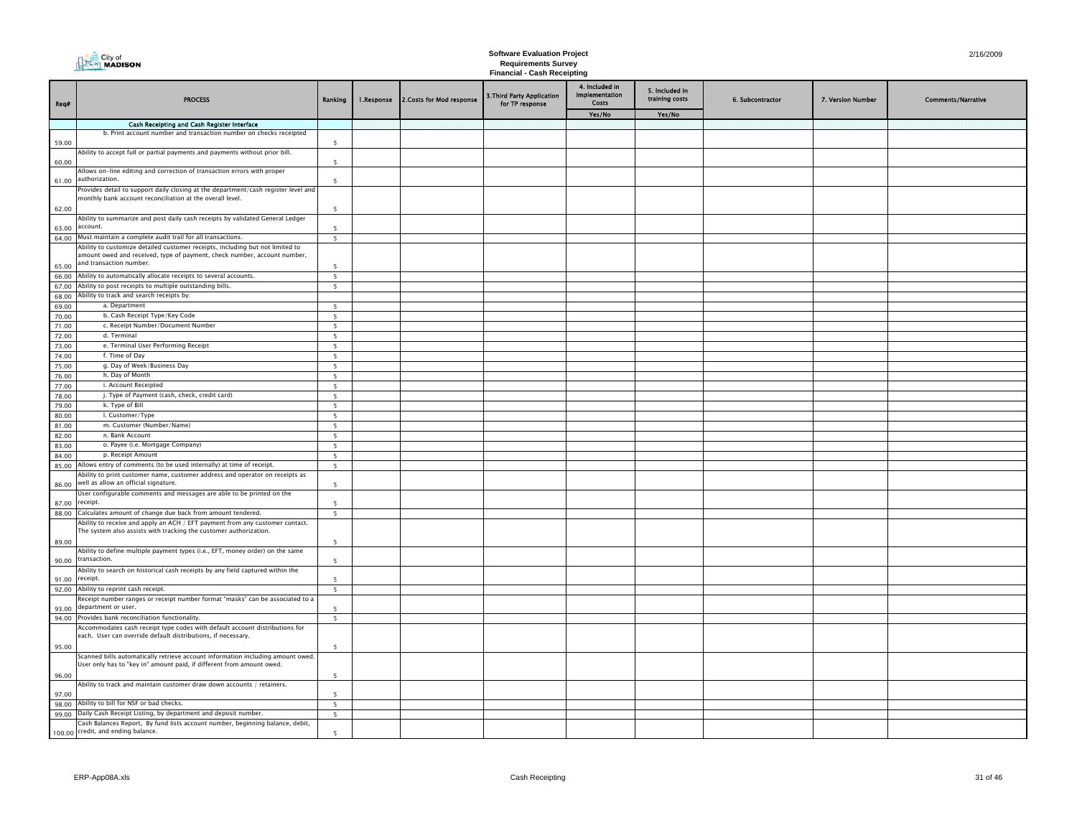|                | City of<br><b>THE CITY OF</b><br><b>MADISON</b>                                                                                                      |                          |            |                           | <b>Software Evaluation Project</b><br><b>Requirements Survey</b><br><b>Financial - Cash Receipting</b> | 2/16/2009                                           |                                            |                  |                   |                           |
|----------------|------------------------------------------------------------------------------------------------------------------------------------------------------|--------------------------|------------|---------------------------|--------------------------------------------------------------------------------------------------------|-----------------------------------------------------|--------------------------------------------|------------------|-------------------|---------------------------|
| Req#           | <b>PROCESS</b>                                                                                                                                       | Ranking                  | 1.Response | 2. Costs for Mod response | 3.Third Party Application<br>for TP response                                                           | 4. Included in<br>Implementation<br>Costs<br>Yes/No | 5. Included in<br>training costs<br>Yes/No | 6. Subcontractor | 7. Version Number | <b>Comments/Narrative</b> |
|                | Cash Receipting and Cash Register Interface                                                                                                          |                          |            |                           |                                                                                                        |                                                     |                                            |                  |                   |                           |
|                | b. Print account number and transaction number on checks receipted                                                                                   |                          |            |                           |                                                                                                        |                                                     |                                            |                  |                   |                           |
| 59.00          |                                                                                                                                                      | $\overline{\phantom{a}}$ |            |                           |                                                                                                        |                                                     |                                            |                  |                   |                           |
| 60.00          | Ability to accept full or partial payments and payments without prior bill.                                                                          | $\overline{\phantom{a}}$ |            |                           |                                                                                                        |                                                     |                                            |                  |                   |                           |
| 61.00          | Allows on-line editing and correction of transaction errors with proper<br>authorization.                                                            | $\overline{\phantom{a}}$ |            |                           |                                                                                                        |                                                     |                                            |                  |                   |                           |
|                | Provides detail to support daily closing at the department/cash register level and                                                                   |                          |            |                           |                                                                                                        |                                                     |                                            |                  |                   |                           |
|                | monthly bank account reconciliation at the overall level.                                                                                            | $\overline{\phantom{a}}$ |            |                           |                                                                                                        |                                                     |                                            |                  |                   |                           |
| 62.00          | Ability to summarize and post daily cash receipts by validated General Ledger                                                                        |                          |            |                           |                                                                                                        |                                                     |                                            |                  |                   |                           |
| 63.00          | account.                                                                                                                                             |                          |            |                           |                                                                                                        |                                                     |                                            |                  |                   |                           |
|                | 64.00 Must maintain a complete audit trail for all transactions.                                                                                     | $5\overline{5}$          |            |                           |                                                                                                        |                                                     |                                            |                  |                   |                           |
|                | Ability to customize detailed customer receipts, including but not limited to                                                                        |                          |            |                           |                                                                                                        |                                                     |                                            |                  |                   |                           |
|                | amount owed and received, type of payment, check number, account number,<br>and transaction number.                                                  |                          |            |                           |                                                                                                        |                                                     |                                            |                  |                   |                           |
| 65.00          |                                                                                                                                                      | -5                       |            |                           |                                                                                                        |                                                     |                                            |                  |                   |                           |
|                | 66.00 Ability to automatically allocate receipts to several accounts.<br>67.00 Ability to post receipts to multiple outstanding bills.               | $5^{\circ}$              |            |                           |                                                                                                        |                                                     |                                            |                  |                   |                           |
|                | 68.00 Ability to track and search receipts by:                                                                                                       | 5                        |            |                           |                                                                                                        |                                                     |                                            |                  |                   |                           |
| 69.00          | a. Department                                                                                                                                        | 5 <sup>5</sup>           |            |                           |                                                                                                        |                                                     |                                            |                  |                   |                           |
| 70.00          | b. Cash Receipt Type/Key Code                                                                                                                        | 5                        |            |                           |                                                                                                        |                                                     |                                            |                  |                   |                           |
| 71.00          | c. Receipt Number/Document Number                                                                                                                    | -5                       |            |                           |                                                                                                        |                                                     |                                            |                  |                   |                           |
| 72.00          | d. Terminal                                                                                                                                          | -5                       |            |                           |                                                                                                        |                                                     |                                            |                  |                   |                           |
| 73.00          | e. Terminal User Performing Receipt                                                                                                                  | -5                       |            |                           |                                                                                                        |                                                     |                                            |                  |                   |                           |
| 74.00          | f. Time of Day                                                                                                                                       | 5                        |            |                           |                                                                                                        |                                                     |                                            |                  |                   |                           |
| 75.00          | g. Day of Week/Business Day                                                                                                                          | 5 <sup>1</sup>           |            |                           |                                                                                                        |                                                     |                                            |                  |                   |                           |
| 76.00<br>77.00 | h. Day of Month<br>i. Account Receipted                                                                                                              | 5<br>5                   |            |                           |                                                                                                        |                                                     |                                            |                  |                   |                           |
| 78.00          | j. Type of Payment (cash, check, credit card)                                                                                                        | 5                        |            |                           |                                                                                                        |                                                     |                                            |                  |                   |                           |
| 79.00          | k. Type of Bill                                                                                                                                      | 5                        |            |                           |                                                                                                        |                                                     |                                            |                  |                   |                           |
| 80.00          | I. Customer/Type                                                                                                                                     | -5                       |            |                           |                                                                                                        |                                                     |                                            |                  |                   |                           |
| 81.00          | m. Customer (Number/Name)                                                                                                                            | 5                        |            |                           |                                                                                                        |                                                     |                                            |                  |                   |                           |
| 82.00          | n. Bank Account                                                                                                                                      | $\overline{\phantom{a}}$ |            |                           |                                                                                                        |                                                     |                                            |                  |                   |                           |
| 83.00          | o. Payee (i.e. Mortgage Company)                                                                                                                     | -5                       |            |                           |                                                                                                        |                                                     |                                            |                  |                   |                           |
| 84.00          | p. Receipt Amount                                                                                                                                    | - 5                      |            |                           |                                                                                                        |                                                     |                                            |                  |                   |                           |
| 85.00          | Allows entry of comments (to be used internally) at time of receipt.<br>Ability to print customer name, customer address and operator on receipts as | 5                        |            |                           |                                                                                                        |                                                     |                                            |                  |                   |                           |
| 86.00          | well as allow an official signature.                                                                                                                 | $\overline{\phantom{0}}$ |            |                           |                                                                                                        |                                                     |                                            |                  |                   |                           |
| 87.00          | User configurable comments and messages are able to be printed on the<br>receipt.                                                                    | $\overline{\phantom{a}}$ |            |                           |                                                                                                        |                                                     |                                            |                  |                   |                           |
|                | 88.00 Calculates amount of change due back from amount tendered.                                                                                     | 5                        |            |                           |                                                                                                        |                                                     |                                            |                  |                   |                           |
|                | Ability to receive and apply an ACH / EFT payment from any customer contact.<br>The system also assists with tracking the customer authorization.    |                          |            |                           |                                                                                                        |                                                     |                                            |                  |                   |                           |
| 89.00          |                                                                                                                                                      | $\overline{\phantom{a}}$ |            |                           |                                                                                                        |                                                     |                                            |                  |                   |                           |
|                | Ability to define multiple payment types (i.e., EFT, money order) on the same<br>90.00 transaction.                                                  | $\overline{\phantom{a}}$ |            |                           |                                                                                                        |                                                     |                                            |                  |                   |                           |
| 91.00          | Ability to search on historical cash receipts by any field captured within the<br>receipt.                                                           |                          |            |                           |                                                                                                        |                                                     |                                            |                  |                   |                           |
|                | 92.00 Ability to reprint cash receipt.                                                                                                               | $\overline{5}$           |            |                           |                                                                                                        |                                                     |                                            |                  |                   |                           |
| 93.00          | Receipt number ranges or receipt number format "masks" can be associated to a<br>department or user.                                                 | -5                       |            |                           |                                                                                                        |                                                     |                                            |                  |                   |                           |
|                | 94.00 Provides bank reconciliation functionality.                                                                                                    | $5\overline{5}$          |            |                           |                                                                                                        |                                                     |                                            |                  |                   |                           |
|                | Accommodates cash receipt type codes with default account distributions for                                                                          |                          |            |                           |                                                                                                        |                                                     |                                            |                  |                   |                           |
| 95.00          | each. User can override default distributions, if necessary.                                                                                         | - 5                      |            |                           |                                                                                                        |                                                     |                                            |                  |                   |                           |
|                | Scanned bills automatically retrieve account information including amount owed.                                                                      |                          |            |                           |                                                                                                        |                                                     |                                            |                  |                   |                           |
| 96.00          | User only has to "key in" amount paid, if different from amount owed.                                                                                | $\overline{\phantom{a}}$ |            |                           |                                                                                                        |                                                     |                                            |                  |                   |                           |
|                | Ability to track and maintain customer draw down accounts / retainers.                                                                               |                          |            |                           |                                                                                                        |                                                     |                                            |                  |                   |                           |
| 97.00          |                                                                                                                                                      | 5                        |            |                           |                                                                                                        |                                                     |                                            |                  |                   |                           |
|                | 98.00 Ability to bill for NSF or bad checks.                                                                                                         | 5 <sup>5</sup>           |            |                           |                                                                                                        |                                                     |                                            |                  |                   |                           |
|                | 99.00 Daily Cash Receipt Listing, by department and deposit number.<br>Cash Balances Report, By fund lists account number, beginning balance, debit, | 5                        |            |                           |                                                                                                        |                                                     |                                            |                  |                   |                           |
|                | 100.00 credit, and ending balance.                                                                                                                   | $\overline{\phantom{a}}$ |            |                           |                                                                                                        |                                                     |                                            |                  |                   |                           |
|                |                                                                                                                                                      |                          |            |                           |                                                                                                        |                                                     |                                            |                  |                   |                           |

H.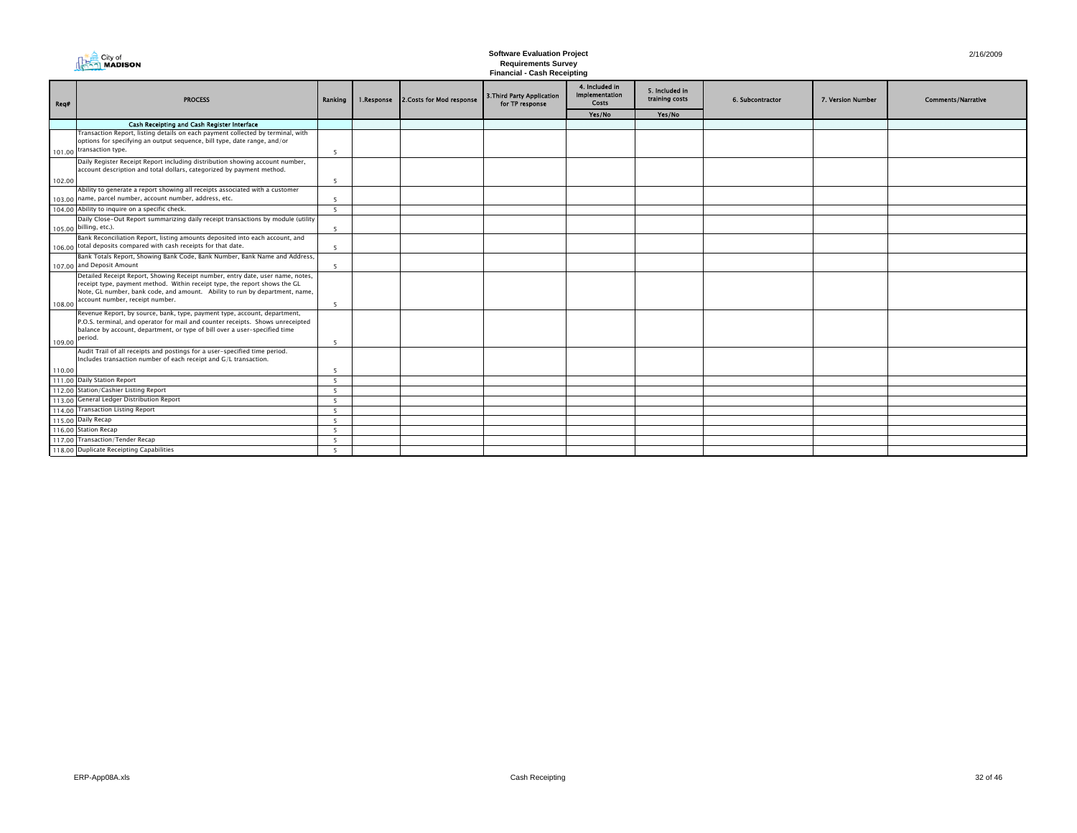|        | City of<br><b>MADISON</b>                                                                                                                                                                                                                                                      |                          |            |                           | <b>Software Evaluation Project</b><br><b>Requirements Survey</b><br><b>Financial - Cash Receipting</b> | 2/16/2009                                        |                                  |                  |                   |                           |
|--------|--------------------------------------------------------------------------------------------------------------------------------------------------------------------------------------------------------------------------------------------------------------------------------|--------------------------|------------|---------------------------|--------------------------------------------------------------------------------------------------------|--------------------------------------------------|----------------------------------|------------------|-------------------|---------------------------|
| Req#   | <b>PROCESS</b>                                                                                                                                                                                                                                                                 | Ranking                  | 1.Response | 2. Costs for Mod response | 3. Third Party Application<br>for TP response                                                          | 4. Included in<br><b>Implementation</b><br>Costs | 5. Included in<br>training costs | 6. Subcontractor | 7. Version Number | <b>Comments/Narrative</b> |
|        |                                                                                                                                                                                                                                                                                |                          |            |                           |                                                                                                        | Yes/No                                           | Yes/No                           |                  |                   |                           |
|        | Cash Receipting and Cash Register Interface                                                                                                                                                                                                                                    |                          |            |                           |                                                                                                        |                                                  |                                  |                  |                   |                           |
| 101.00 | Transaction Report, listing details on each payment collected by terminal, with<br>options for specifying an output sequence, bill type, date range, and/or<br>transaction type.                                                                                               | -5                       |            |                           |                                                                                                        |                                                  |                                  |                  |                   |                           |
|        | Daily Register Receipt Report including distribution showing account number,<br>account description and total dollars, categorized by payment method.                                                                                                                          |                          |            |                           |                                                                                                        |                                                  |                                  |                  |                   |                           |
| 102.00 |                                                                                                                                                                                                                                                                                | $\overline{5}$           |            |                           |                                                                                                        |                                                  |                                  |                  |                   |                           |
|        | Ability to generate a report showing all receipts associated with a customer<br>103.00 name, parcel number, account number, address, etc.                                                                                                                                      | 5                        |            |                           |                                                                                                        |                                                  |                                  |                  |                   |                           |
|        | 104.00 Ability to inquire on a specific check.                                                                                                                                                                                                                                 | -5                       |            |                           |                                                                                                        |                                                  |                                  |                  |                   |                           |
|        | Daily Close-Out Report summarizing daily receipt transactions by module (utility<br>105.00 billing, etc.).                                                                                                                                                                     | 5                        |            |                           |                                                                                                        |                                                  |                                  |                  |                   |                           |
|        | Bank Reconciliation Report, listing amounts deposited into each account, and<br>106.00 total deposits compared with cash receipts for that date.                                                                                                                               | 5                        |            |                           |                                                                                                        |                                                  |                                  |                  |                   |                           |
|        | Bank Totals Report, Showing Bank Code, Bank Number, Bank Name and Address,<br>107.00 and Deposit Amount                                                                                                                                                                        | -5                       |            |                           |                                                                                                        |                                                  |                                  |                  |                   |                           |
| 108.00 | Detailed Receipt Report, Showing Receipt number, entry date, user name, notes,<br>receipt type, payment method. Within receipt type, the report shows the GL<br>Note, GL number, bank code, and amount. Ability to run by department, name,<br>account number, receipt number. | $\overline{5}$           |            |                           |                                                                                                        |                                                  |                                  |                  |                   |                           |
| 109.00 | Revenue Report, by source, bank, type, payment type, account, department,<br>P.O.S. terminal, and operator for mail and counter receipts. Shows unreceipted<br>balance by account, department, or type of bill over a user-specified time<br>period.                           | - 5                      |            |                           |                                                                                                        |                                                  |                                  |                  |                   |                           |
|        | Audit Trail of all receipts and postings for a user-specified time period.<br>Includes transaction number of each receipt and G/L transaction.                                                                                                                                 |                          |            |                           |                                                                                                        |                                                  |                                  |                  |                   |                           |
| 110.00 |                                                                                                                                                                                                                                                                                | -5                       |            |                           |                                                                                                        |                                                  |                                  |                  |                   |                           |
|        | 111.00 Daily Station Report                                                                                                                                                                                                                                                    | - 5                      |            |                           |                                                                                                        |                                                  |                                  |                  |                   |                           |
|        | 112.00 Station/Cashier Listing Report                                                                                                                                                                                                                                          | $\overline{\phantom{0}}$ |            |                           |                                                                                                        |                                                  |                                  |                  |                   |                           |
|        | 113.00 General Ledger Distribution Report                                                                                                                                                                                                                                      | $\overline{\phantom{0}}$ |            |                           |                                                                                                        |                                                  |                                  |                  |                   |                           |
|        | 114.00 Transaction Listing Report                                                                                                                                                                                                                                              | - 5                      |            |                           |                                                                                                        |                                                  |                                  |                  |                   |                           |
|        | 115.00 Daily Recap                                                                                                                                                                                                                                                             | $\overline{\phantom{0}}$ |            |                           |                                                                                                        |                                                  |                                  |                  |                   |                           |
|        | 116.00 Station Recap                                                                                                                                                                                                                                                           | $\overline{\phantom{0}}$ |            |                           |                                                                                                        |                                                  |                                  |                  |                   |                           |
|        | 117.00 Transaction/Tender Recap                                                                                                                                                                                                                                                | -5                       |            |                           |                                                                                                        |                                                  |                                  |                  |                   |                           |
|        | 118.00 Duplicate Receipting Capabilities                                                                                                                                                                                                                                       | 5                        |            |                           |                                                                                                        |                                                  |                                  |                  |                   |                           |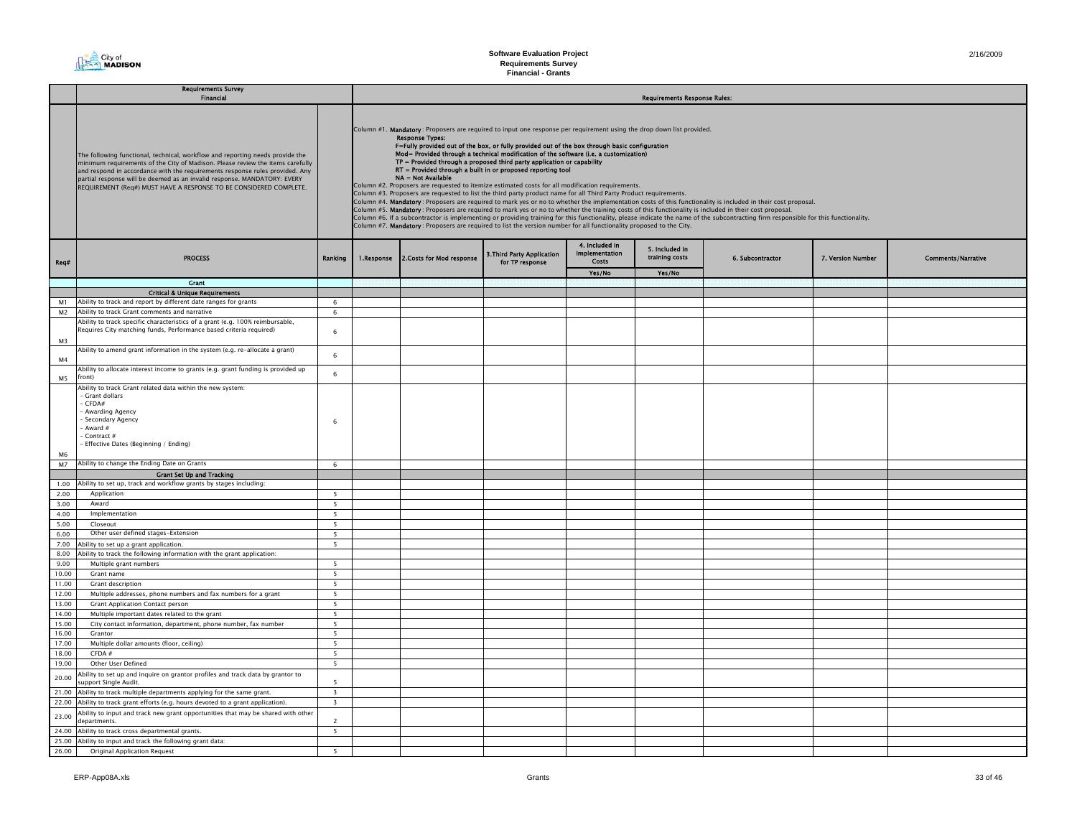**Requirements Survey Financial - Grants**

|                | Requirements Survey<br>Financial                                                                                                                                                                                                                                                                                                                                                                  |                         |  |                                                                                                                                                                                                                                                                                                                                                                                                                                                                                                                                                                                                                                                                                                                                                                                                                                                                                                                                                                                                                                                                                                                                                                                                                                                                                                                                                                           |                                               |                                                  |                                  |                  |                   |                           |  |  |  |
|----------------|---------------------------------------------------------------------------------------------------------------------------------------------------------------------------------------------------------------------------------------------------------------------------------------------------------------------------------------------------------------------------------------------------|-------------------------|--|---------------------------------------------------------------------------------------------------------------------------------------------------------------------------------------------------------------------------------------------------------------------------------------------------------------------------------------------------------------------------------------------------------------------------------------------------------------------------------------------------------------------------------------------------------------------------------------------------------------------------------------------------------------------------------------------------------------------------------------------------------------------------------------------------------------------------------------------------------------------------------------------------------------------------------------------------------------------------------------------------------------------------------------------------------------------------------------------------------------------------------------------------------------------------------------------------------------------------------------------------------------------------------------------------------------------------------------------------------------------------|-----------------------------------------------|--------------------------------------------------|----------------------------------|------------------|-------------------|---------------------------|--|--|--|
|                | The following functional, technical, workflow and reporting needs provide the<br>minimum requirements of the City of Madison. Please review the items carefully<br>and respond in accordance with the requirements response rules provided. Any<br>partial response will be deemed as an invalid response. MANDATORY: EVERY<br>REQUIREMENT (Req#) MUST HAVE A RESPONSE TO BE CONSIDERED COMPLETE. |                         |  | Column #1. Mandatory: Proposers are required to input one response per requirement using the drop down list provided.<br><b>Response Types:</b><br>F=Fully provided out of the box, or fully provided out of the box through basic configuration<br>Mod= Provided through a technical modification of the software (i.e. a customization)<br>TP = Provided through a proposed third party application or capability<br>RT = Provided through a built in or proposed reporting tool<br>NA = Not Available<br>Column #2. Proposers are requested to itemize estimated costs for all modification requirements.<br>Column #3. Proposers are requested to list the third party product name for all Third Party Product requirements.<br>Column #4. Mandatory: Proposers are required to mark yes or no to whether the implementation costs of this functionality is included in their cost proposal.<br>Column #5. Mandatory: Proposers are required to mark yes or no to whether the training costs of this functionality is included in their cost proposal.<br>Column #6. If a subcontractor is implementing or providing training for this functionality, please indicate the name of the subcontracting firm responsible for this functionality.<br>Column #7. Mandatory: Proposers are required to list the version number for all functionality proposed to the City. |                                               |                                                  |                                  |                  |                   |                           |  |  |  |
| Req#           | <b>PROCESS</b>                                                                                                                                                                                                                                                                                                                                                                                    | Ranking                 |  | 1.Response 2.Costs for Mod response                                                                                                                                                                                                                                                                                                                                                                                                                                                                                                                                                                                                                                                                                                                                                                                                                                                                                                                                                                                                                                                                                                                                                                                                                                                                                                                                       | 3. Third Party Application<br>for TP response | 4. Included in<br><b>Implementation</b><br>Costs | 5. Included in<br>training costs | 6. Subcontractor | 7. Version Number | <b>Comments/Narrative</b> |  |  |  |
|                |                                                                                                                                                                                                                                                                                                                                                                                                   |                         |  |                                                                                                                                                                                                                                                                                                                                                                                                                                                                                                                                                                                                                                                                                                                                                                                                                                                                                                                                                                                                                                                                                                                                                                                                                                                                                                                                                                           |                                               | Yes/No                                           | Yes/No                           |                  |                   |                           |  |  |  |
|                | Crant                                                                                                                                                                                                                                                                                                                                                                                             |                         |  |                                                                                                                                                                                                                                                                                                                                                                                                                                                                                                                                                                                                                                                                                                                                                                                                                                                                                                                                                                                                                                                                                                                                                                                                                                                                                                                                                                           |                                               |                                                  |                                  |                  |                   |                           |  |  |  |
|                | <b>Critical &amp; Unique Requirements</b>                                                                                                                                                                                                                                                                                                                                                         |                         |  |                                                                                                                                                                                                                                                                                                                                                                                                                                                                                                                                                                                                                                                                                                                                                                                                                                                                                                                                                                                                                                                                                                                                                                                                                                                                                                                                                                           |                                               |                                                  |                                  |                  |                   |                           |  |  |  |
| M1             | Ability to track and report by different date ranges for grants                                                                                                                                                                                                                                                                                                                                   | 6                       |  |                                                                                                                                                                                                                                                                                                                                                                                                                                                                                                                                                                                                                                                                                                                                                                                                                                                                                                                                                                                                                                                                                                                                                                                                                                                                                                                                                                           |                                               |                                                  |                                  |                  |                   |                           |  |  |  |
| M <sub>2</sub> | Ability to track Grant comments and narrative<br>Ability to track specific characteristics of a grant (e.g. 100% reimbursable,                                                                                                                                                                                                                                                                    | 6                       |  |                                                                                                                                                                                                                                                                                                                                                                                                                                                                                                                                                                                                                                                                                                                                                                                                                                                                                                                                                                                                                                                                                                                                                                                                                                                                                                                                                                           |                                               |                                                  |                                  |                  |                   |                           |  |  |  |
| M3             | Requires City matching funds, Performance based criteria required)                                                                                                                                                                                                                                                                                                                                | 6                       |  |                                                                                                                                                                                                                                                                                                                                                                                                                                                                                                                                                                                                                                                                                                                                                                                                                                                                                                                                                                                                                                                                                                                                                                                                                                                                                                                                                                           |                                               |                                                  |                                  |                  |                   |                           |  |  |  |
| M4             | Ability to amend grant information in the system (e.g. re-allocate a grant)                                                                                                                                                                                                                                                                                                                       | 6                       |  |                                                                                                                                                                                                                                                                                                                                                                                                                                                                                                                                                                                                                                                                                                                                                                                                                                                                                                                                                                                                                                                                                                                                                                                                                                                                                                                                                                           |                                               |                                                  |                                  |                  |                   |                           |  |  |  |
| M5             | Ability to allocate interest income to grants (e.g. grant funding is provided up<br>front)<br>Ability to track Grant related data within the new system:                                                                                                                                                                                                                                          | 6                       |  |                                                                                                                                                                                                                                                                                                                                                                                                                                                                                                                                                                                                                                                                                                                                                                                                                                                                                                                                                                                                                                                                                                                                                                                                                                                                                                                                                                           |                                               |                                                  |                                  |                  |                   |                           |  |  |  |
| M <sub>6</sub> | - Grant dollars<br>$-CFDA#$<br>- Awarding Agency<br>- Secondary Agency<br>- Award #<br>- Contract #<br>- Effective Dates (Beginning / Ending)                                                                                                                                                                                                                                                     | 6                       |  |                                                                                                                                                                                                                                                                                                                                                                                                                                                                                                                                                                                                                                                                                                                                                                                                                                                                                                                                                                                                                                                                                                                                                                                                                                                                                                                                                                           |                                               |                                                  |                                  |                  |                   |                           |  |  |  |
| M7             | Ability to change the Ending Date on Grants                                                                                                                                                                                                                                                                                                                                                       | 6                       |  |                                                                                                                                                                                                                                                                                                                                                                                                                                                                                                                                                                                                                                                                                                                                                                                                                                                                                                                                                                                                                                                                                                                                                                                                                                                                                                                                                                           |                                               |                                                  |                                  |                  |                   |                           |  |  |  |
|                | <b>Grant Set Up and Tracking</b>                                                                                                                                                                                                                                                                                                                                                                  |                         |  |                                                                                                                                                                                                                                                                                                                                                                                                                                                                                                                                                                                                                                                                                                                                                                                                                                                                                                                                                                                                                                                                                                                                                                                                                                                                                                                                                                           |                                               |                                                  |                                  |                  |                   |                           |  |  |  |
| 1.00           | Ability to set up, track and workflow grants by stages including:                                                                                                                                                                                                                                                                                                                                 |                         |  |                                                                                                                                                                                                                                                                                                                                                                                                                                                                                                                                                                                                                                                                                                                                                                                                                                                                                                                                                                                                                                                                                                                                                                                                                                                                                                                                                                           |                                               |                                                  |                                  |                  |                   |                           |  |  |  |
| 2.00           | Application                                                                                                                                                                                                                                                                                                                                                                                       | 5                       |  |                                                                                                                                                                                                                                                                                                                                                                                                                                                                                                                                                                                                                                                                                                                                                                                                                                                                                                                                                                                                                                                                                                                                                                                                                                                                                                                                                                           |                                               |                                                  |                                  |                  |                   |                           |  |  |  |
| 3.00           | Award                                                                                                                                                                                                                                                                                                                                                                                             | 5 <sup>5</sup>          |  |                                                                                                                                                                                                                                                                                                                                                                                                                                                                                                                                                                                                                                                                                                                                                                                                                                                                                                                                                                                                                                                                                                                                                                                                                                                                                                                                                                           |                                               |                                                  |                                  |                  |                   |                           |  |  |  |
| 4.00           | Implementation                                                                                                                                                                                                                                                                                                                                                                                    | 5                       |  |                                                                                                                                                                                                                                                                                                                                                                                                                                                                                                                                                                                                                                                                                                                                                                                                                                                                                                                                                                                                                                                                                                                                                                                                                                                                                                                                                                           |                                               |                                                  |                                  |                  |                   |                           |  |  |  |
| 5.00           | Closeout                                                                                                                                                                                                                                                                                                                                                                                          | 5                       |  |                                                                                                                                                                                                                                                                                                                                                                                                                                                                                                                                                                                                                                                                                                                                                                                                                                                                                                                                                                                                                                                                                                                                                                                                                                                                                                                                                                           |                                               |                                                  |                                  |                  |                   |                           |  |  |  |
| 6.00           | Other user defined stages-Extension                                                                                                                                                                                                                                                                                                                                                               | $\overline{5}$          |  |                                                                                                                                                                                                                                                                                                                                                                                                                                                                                                                                                                                                                                                                                                                                                                                                                                                                                                                                                                                                                                                                                                                                                                                                                                                                                                                                                                           |                                               |                                                  |                                  |                  |                   |                           |  |  |  |
| 7.00           | Ability to set up a grant application.                                                                                                                                                                                                                                                                                                                                                            | 5                       |  |                                                                                                                                                                                                                                                                                                                                                                                                                                                                                                                                                                                                                                                                                                                                                                                                                                                                                                                                                                                                                                                                                                                                                                                                                                                                                                                                                                           |                                               |                                                  |                                  |                  |                   |                           |  |  |  |
| 8.00           | Ability to track the following information with the grant application:                                                                                                                                                                                                                                                                                                                            |                         |  |                                                                                                                                                                                                                                                                                                                                                                                                                                                                                                                                                                                                                                                                                                                                                                                                                                                                                                                                                                                                                                                                                                                                                                                                                                                                                                                                                                           |                                               |                                                  |                                  |                  |                   |                           |  |  |  |
| 9.00           | Multiple grant numbers                                                                                                                                                                                                                                                                                                                                                                            | 5 <sup>7</sup>          |  |                                                                                                                                                                                                                                                                                                                                                                                                                                                                                                                                                                                                                                                                                                                                                                                                                                                                                                                                                                                                                                                                                                                                                                                                                                                                                                                                                                           |                                               |                                                  |                                  |                  |                   |                           |  |  |  |
| 10.00          | Grant name                                                                                                                                                                                                                                                                                                                                                                                        | 5                       |  |                                                                                                                                                                                                                                                                                                                                                                                                                                                                                                                                                                                                                                                                                                                                                                                                                                                                                                                                                                                                                                                                                                                                                                                                                                                                                                                                                                           |                                               |                                                  |                                  |                  |                   |                           |  |  |  |
| 11.00          | Grant description                                                                                                                                                                                                                                                                                                                                                                                 | 5                       |  |                                                                                                                                                                                                                                                                                                                                                                                                                                                                                                                                                                                                                                                                                                                                                                                                                                                                                                                                                                                                                                                                                                                                                                                                                                                                                                                                                                           |                                               |                                                  |                                  |                  |                   |                           |  |  |  |
| 12.00          | Multiple addresses, phone numbers and fax numbers for a grant                                                                                                                                                                                                                                                                                                                                     | 5                       |  |                                                                                                                                                                                                                                                                                                                                                                                                                                                                                                                                                                                                                                                                                                                                                                                                                                                                                                                                                                                                                                                                                                                                                                                                                                                                                                                                                                           |                                               |                                                  |                                  |                  |                   |                           |  |  |  |
| 13.00<br>14.00 | <b>Grant Application Contact person</b><br>Multiple important dates related to the grant                                                                                                                                                                                                                                                                                                          | 5<br>5                  |  |                                                                                                                                                                                                                                                                                                                                                                                                                                                                                                                                                                                                                                                                                                                                                                                                                                                                                                                                                                                                                                                                                                                                                                                                                                                                                                                                                                           |                                               |                                                  |                                  |                  |                   |                           |  |  |  |
| 15.00          | City contact information, department, phone number, fax number                                                                                                                                                                                                                                                                                                                                    | $\overline{5}$          |  |                                                                                                                                                                                                                                                                                                                                                                                                                                                                                                                                                                                                                                                                                                                                                                                                                                                                                                                                                                                                                                                                                                                                                                                                                                                                                                                                                                           |                                               |                                                  |                                  |                  |                   |                           |  |  |  |
| 16.00          | Grantor                                                                                                                                                                                                                                                                                                                                                                                           | 5                       |  |                                                                                                                                                                                                                                                                                                                                                                                                                                                                                                                                                                                                                                                                                                                                                                                                                                                                                                                                                                                                                                                                                                                                                                                                                                                                                                                                                                           |                                               |                                                  |                                  |                  |                   |                           |  |  |  |
| 17.00          | Multiple dollar amounts (floor, ceiling)                                                                                                                                                                                                                                                                                                                                                          | 5                       |  |                                                                                                                                                                                                                                                                                                                                                                                                                                                                                                                                                                                                                                                                                                                                                                                                                                                                                                                                                                                                                                                                                                                                                                                                                                                                                                                                                                           |                                               |                                                  |                                  |                  |                   |                           |  |  |  |
| 18.00          | CFDA#                                                                                                                                                                                                                                                                                                                                                                                             | 5                       |  |                                                                                                                                                                                                                                                                                                                                                                                                                                                                                                                                                                                                                                                                                                                                                                                                                                                                                                                                                                                                                                                                                                                                                                                                                                                                                                                                                                           |                                               |                                                  |                                  |                  |                   |                           |  |  |  |
| 19.00          | Other User Defined                                                                                                                                                                                                                                                                                                                                                                                | 5 <sup>5</sup>          |  |                                                                                                                                                                                                                                                                                                                                                                                                                                                                                                                                                                                                                                                                                                                                                                                                                                                                                                                                                                                                                                                                                                                                                                                                                                                                                                                                                                           |                                               |                                                  |                                  |                  |                   |                           |  |  |  |
| 20.00          | Ability to set up and inquire on grantor profiles and track data by grantor to<br>support Single Audit.                                                                                                                                                                                                                                                                                           | 5                       |  |                                                                                                                                                                                                                                                                                                                                                                                                                                                                                                                                                                                                                                                                                                                                                                                                                                                                                                                                                                                                                                                                                                                                                                                                                                                                                                                                                                           |                                               |                                                  |                                  |                  |                   |                           |  |  |  |
| 21.00          | Ability to track multiple departments applying for the same grant.                                                                                                                                                                                                                                                                                                                                | $\overline{\mathbf{3}}$ |  |                                                                                                                                                                                                                                                                                                                                                                                                                                                                                                                                                                                                                                                                                                                                                                                                                                                                                                                                                                                                                                                                                                                                                                                                                                                                                                                                                                           |                                               |                                                  |                                  |                  |                   |                           |  |  |  |
|                | 22.00 Ability to track grant efforts (e.g. hours devoted to a grant application).                                                                                                                                                                                                                                                                                                                 | $\overline{\mathbf{3}}$ |  |                                                                                                                                                                                                                                                                                                                                                                                                                                                                                                                                                                                                                                                                                                                                                                                                                                                                                                                                                                                                                                                                                                                                                                                                                                                                                                                                                                           |                                               |                                                  |                                  |                  |                   |                           |  |  |  |
| 23.00          | Ability to input and track new grant opportunities that may be shared with other<br>departments.                                                                                                                                                                                                                                                                                                  |                         |  |                                                                                                                                                                                                                                                                                                                                                                                                                                                                                                                                                                                                                                                                                                                                                                                                                                                                                                                                                                                                                                                                                                                                                                                                                                                                                                                                                                           |                                               |                                                  |                                  |                  |                   |                           |  |  |  |
| 24.00          | Ability to track cross departmental grants.                                                                                                                                                                                                                                                                                                                                                       | 5                       |  |                                                                                                                                                                                                                                                                                                                                                                                                                                                                                                                                                                                                                                                                                                                                                                                                                                                                                                                                                                                                                                                                                                                                                                                                                                                                                                                                                                           |                                               |                                                  |                                  |                  |                   |                           |  |  |  |
|                | 25.00 Ability to input and track the following grant data:                                                                                                                                                                                                                                                                                                                                        |                         |  |                                                                                                                                                                                                                                                                                                                                                                                                                                                                                                                                                                                                                                                                                                                                                                                                                                                                                                                                                                                                                                                                                                                                                                                                                                                                                                                                                                           |                                               |                                                  |                                  |                  |                   |                           |  |  |  |
| 26.00          | <b>Original Application Request</b>                                                                                                                                                                                                                                                                                                                                                               | 5                       |  |                                                                                                                                                                                                                                                                                                                                                                                                                                                                                                                                                                                                                                                                                                                                                                                                                                                                                                                                                                                                                                                                                                                                                                                                                                                                                                                                                                           |                                               |                                                  |                                  |                  |                   |                           |  |  |  |

**The City of**<br>The **MADISON**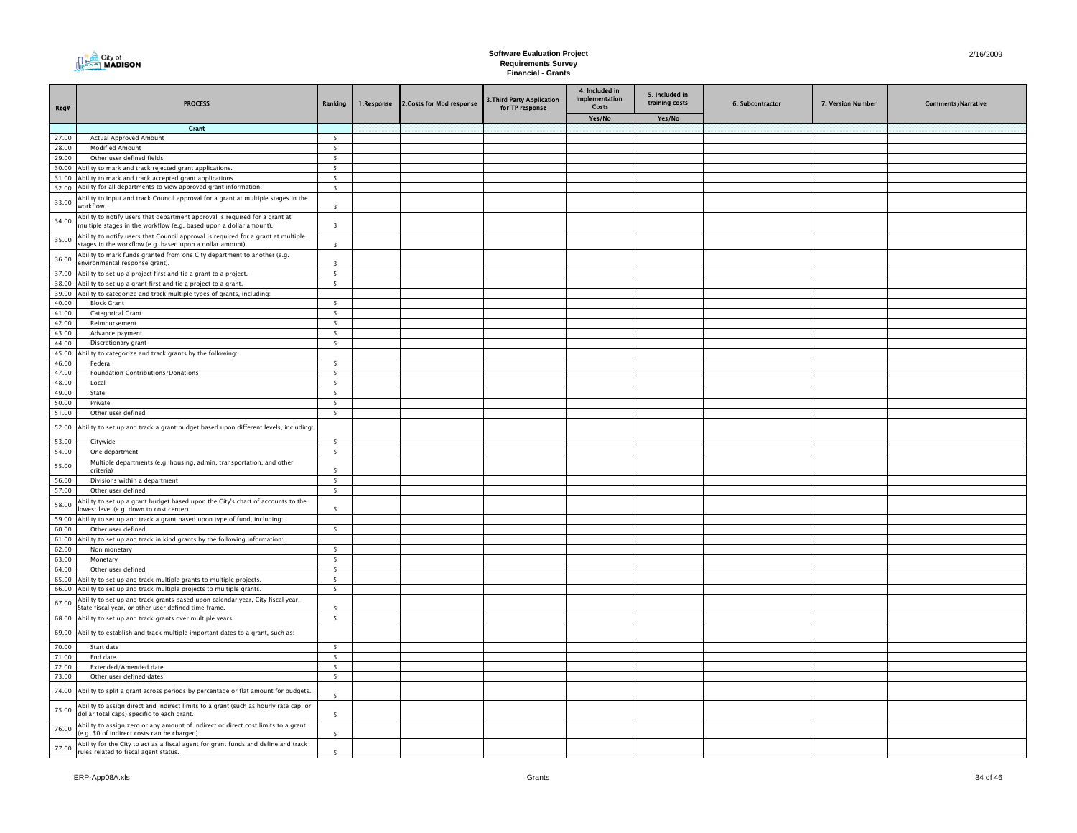

| Req#           | <b>PROCESS</b>                                                                                                                                 | Ranking                      | 1.Response | 2.Costs for Mod response | 3. Third Party Application<br>for TP response | 4. Included in<br>Implementation<br>Costs | 5. Included in<br>training costs | 6. Subcontractor | 7. Version Number | <b>Comments/Narrative</b> |
|----------------|------------------------------------------------------------------------------------------------------------------------------------------------|------------------------------|------------|--------------------------|-----------------------------------------------|-------------------------------------------|----------------------------------|------------------|-------------------|---------------------------|
|                |                                                                                                                                                |                              |            |                          |                                               | Yes/No                                    | Yes/No                           |                  |                   |                           |
|                | Crant                                                                                                                                          |                              |            |                          |                                               |                                           |                                  |                  |                   |                           |
| 27.00          | <b>Actual Approved Amount</b>                                                                                                                  | 5                            |            |                          |                                               |                                           |                                  |                  |                   |                           |
| 28.00          | <b>Modified Amount</b>                                                                                                                         | 5                            |            |                          |                                               |                                           |                                  |                  |                   |                           |
| 29.00          | Other user defined fields                                                                                                                      | $5\overline{5}$              |            |                          |                                               |                                           |                                  |                  |                   |                           |
| 30.00          | bility to mark and track rejected grant applications.                                                                                          | 5                            |            |                          |                                               |                                           |                                  |                  |                   |                           |
| 31.00<br>32.00 | Ability to mark and track accepted grant applications.<br>Ability for all departments to view approved grant information.                      | 5<br>$\overline{\mathbf{3}}$ |            |                          |                                               |                                           |                                  |                  |                   |                           |
|                | Ability to input and track Council approval for a grant at multiple stages in the                                                              |                              |            |                          |                                               |                                           |                                  |                  |                   |                           |
| 33.00          | workflow.<br>Ability to notify users that department approval is required for a grant at                                                       | $\overline{\mathbf{3}}$      |            |                          |                                               |                                           |                                  |                  |                   |                           |
| 34.00          | multiple stages in the workflow (e.g. based upon a dollar amount).                                                                             | $\overline{3}$               |            |                          |                                               |                                           |                                  |                  |                   |                           |
| 35.00          | Ability to notify users that Council approval is required for a grant at multiple<br>stages in the workflow (e.g. based upon a dollar amount). | $\overline{\mathbf{3}}$      |            |                          |                                               |                                           |                                  |                  |                   |                           |
| 36.00          | Ability to mark funds granted from one City department to another (e.g.<br>environmental response grant).                                      | $\overline{3}$               |            |                          |                                               |                                           |                                  |                  |                   |                           |
| 37.00<br>38.00 | Ability to set up a project first and tie a grant to a project.                                                                                | 5<br>$5\overline{5}$         |            |                          |                                               |                                           |                                  |                  |                   |                           |
| 39.00          | Ability to set up a grant first and tie a project to a grant.<br>Ability to categorize and track multiple types of grants, including:          |                              |            |                          |                                               |                                           |                                  |                  |                   |                           |
| 40.00          | <b>Block Grant</b>                                                                                                                             | 5                            |            |                          |                                               |                                           |                                  |                  |                   |                           |
| 41.00          | Categorical Grant                                                                                                                              | 5                            |            |                          |                                               |                                           |                                  |                  |                   |                           |
| 42.00          | Reimbursement                                                                                                                                  | 5                            |            |                          |                                               |                                           |                                  |                  |                   |                           |
| 43.00          | Advance payment                                                                                                                                | $\overline{\phantom{0}}$     |            |                          |                                               |                                           |                                  |                  |                   |                           |
| 44.00          | Discretionary grant                                                                                                                            | $5\overline{5}$              |            |                          |                                               |                                           |                                  |                  |                   |                           |
| 45.00          | Ability to categorize and track grants by the following:                                                                                       |                              |            |                          |                                               |                                           |                                  |                  |                   |                           |
| 46.00          | Federal                                                                                                                                        | 5                            |            |                          |                                               |                                           |                                  |                  |                   |                           |
| 47.00          | Foundation Contributions/Donations                                                                                                             | 5                            |            |                          |                                               |                                           |                                  |                  |                   |                           |
| 48.00          | Local                                                                                                                                          | $5\overline{5}$              |            |                          |                                               |                                           |                                  |                  |                   |                           |
| 49.00          | State                                                                                                                                          | 5 <sub>1</sub>               |            |                          |                                               |                                           |                                  |                  |                   |                           |
| 50.00          | Private                                                                                                                                        | 5                            |            |                          |                                               |                                           |                                  |                  |                   |                           |
| 51.00          | Other user defined                                                                                                                             | 5                            |            |                          |                                               |                                           |                                  |                  |                   |                           |
| 52.00          | Ability to set up and track a grant budget based upon different levels, including:                                                             |                              |            |                          |                                               |                                           |                                  |                  |                   |                           |
| 53.00          | Citywide                                                                                                                                       | $5\overline{5}$              |            |                          |                                               |                                           |                                  |                  |                   |                           |
| 54.00          | One department                                                                                                                                 | 5                            |            |                          |                                               |                                           |                                  |                  |                   |                           |
| 55.00          | Multiple departments (e.g. housing, admin, transportation, and other<br>criteria)                                                              | 5                            |            |                          |                                               |                                           |                                  |                  |                   |                           |
| 56.00          | Divisions within a department                                                                                                                  | 5 <sup>5</sup>               |            |                          |                                               |                                           |                                  |                  |                   |                           |
| 57.00          | Other user defined                                                                                                                             | $5\overline{5}$              |            |                          |                                               |                                           |                                  |                  |                   |                           |
| 58.00          | bility to set up a grant budget based upon the City's chart of accounts to the<br>owest level (e.g. down to cost center).                      | 5                            |            |                          |                                               |                                           |                                  |                  |                   |                           |
| 59.00          | Ability to set up and track a grant based upon type of fund, including:                                                                        |                              |            |                          |                                               |                                           |                                  |                  |                   |                           |
| 60.00<br>61.00 | Other user defined<br>Ability to set up and track in kind grants by the following information:                                                 | $5\overline{5}$              |            |                          |                                               |                                           |                                  |                  |                   |                           |
| 62.00          | Non monetary                                                                                                                                   | 5                            |            |                          |                                               |                                           |                                  |                  |                   |                           |
| 63.00          | Monetary                                                                                                                                       | 5                            |            |                          |                                               |                                           |                                  |                  |                   |                           |
| 64.00          | Other user defined                                                                                                                             | 5                            |            |                          |                                               |                                           |                                  |                  |                   |                           |
| 65.00          | Ability to set up and track multiple grants to multiple projects.                                                                              | 5                            |            |                          |                                               |                                           |                                  |                  |                   |                           |
| 66.00          | bility to set up and track multiple projects to multiple grants.                                                                               | 5                            |            |                          |                                               |                                           |                                  |                  |                   |                           |
| 67.00          | Ability to set up and track grants based upon calendar year, City fiscal year,<br>State fiscal year, or other user defined time frame.         | -5                           |            |                          |                                               |                                           |                                  |                  |                   |                           |
| 68.00          | Ability to set up and track grants over multiple years.                                                                                        | 5                            |            |                          |                                               |                                           |                                  |                  |                   |                           |
| 69.00          | Ability to establish and track multiple important dates to a grant, such as:                                                                   |                              |            |                          |                                               |                                           |                                  |                  |                   |                           |
| 70.00          | Start date                                                                                                                                     | 5                            |            |                          |                                               |                                           |                                  |                  |                   |                           |
| 71.00          | End date                                                                                                                                       | $5\overline{ }$              |            |                          |                                               |                                           |                                  |                  |                   |                           |
| 72.00          | Extended/Amended date                                                                                                                          | $5\overline{ }$              |            |                          |                                               |                                           |                                  |                  |                   |                           |
| 73.00          | Other user defined dates                                                                                                                       | 5                            |            |                          |                                               |                                           |                                  |                  |                   |                           |
| 74.00          | Ability to split a grant across periods by percentage or flat amount for budgets.                                                              | $\overline{\phantom{a}}$     |            |                          |                                               |                                           |                                  |                  |                   |                           |
| 75.00          | Ability to assign direct and indirect limits to a grant (such as hourly rate cap, or<br>dollar total caps) specific to each grant.             |                              |            |                          |                                               |                                           |                                  |                  |                   |                           |
| 76.00          | Ability to assign zero or any amount of indirect or direct cost limits to a grant<br>(e.g. \$0 of indirect costs can be charged).              | $\overline{5}$               |            |                          |                                               |                                           |                                  |                  |                   |                           |
| 77.00          | Ability for the City to act as a fiscal agent for grant funds and define and track<br>rules related to fiscal agent status.                    | $\overline{\phantom{a}}$     |            |                          |                                               |                                           |                                  |                  |                   |                           |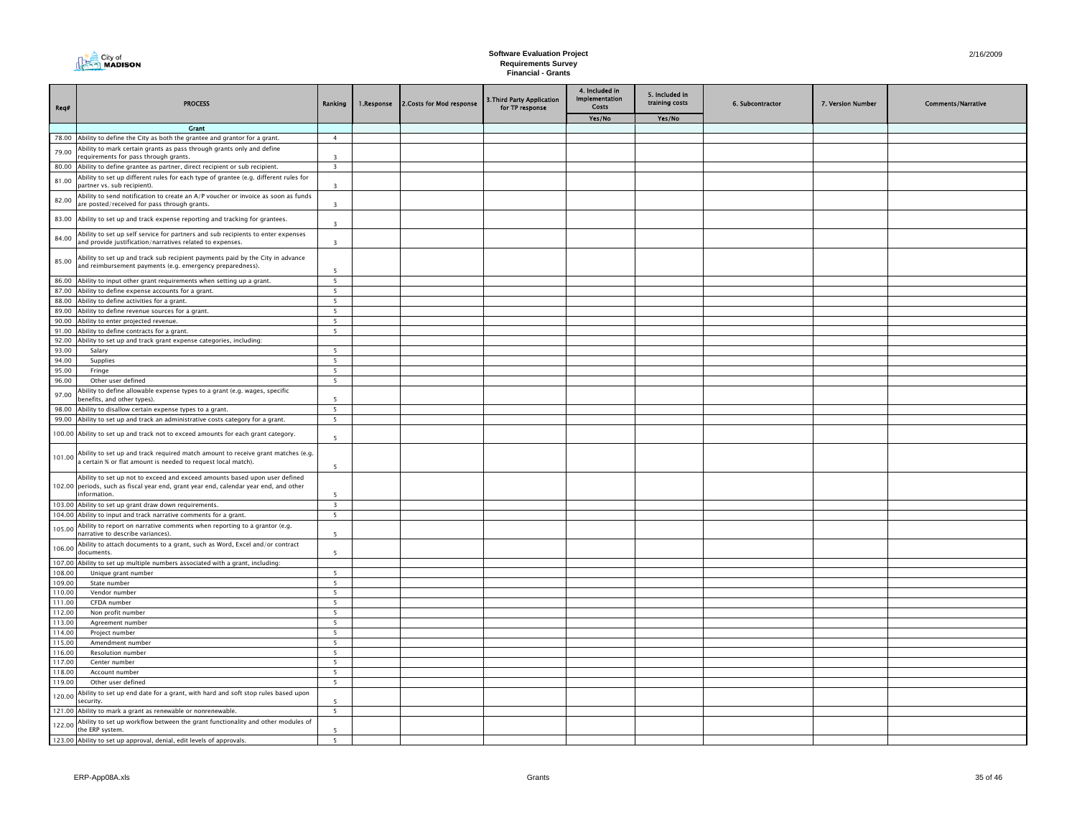| Req#             | <b>PROCESS</b>                                                                                                                                                                      | Ranking                  | 1.Response | 2. Costs for Mod response | 3. Third Party Application<br>for TP response | 4. Included in<br>Implementation<br>Costs | 5. Included in<br>training costs | 6. Subcontractor | 7. Version Number | <b>Comments/Narrative</b> |
|------------------|-------------------------------------------------------------------------------------------------------------------------------------------------------------------------------------|--------------------------|------------|---------------------------|-----------------------------------------------|-------------------------------------------|----------------------------------|------------------|-------------------|---------------------------|
|                  |                                                                                                                                                                                     |                          |            |                           |                                               | Yes/No                                    | Yes/No                           |                  |                   |                           |
|                  | <b>Grant</b>                                                                                                                                                                        |                          |            |                           |                                               |                                           |                                  |                  |                   |                           |
|                  | 78.00 Ability to define the City as both the grantee and grantor for a grant.                                                                                                       | $\overline{4}$           |            |                           |                                               |                                           |                                  |                  |                   |                           |
| 79.00            | Ability to mark certain grants as pass through grants only and define<br>requirements for pass through grants.                                                                      | $\overline{3}$           |            |                           |                                               |                                           |                                  |                  |                   |                           |
| 80.00            | Ability to define grantee as partner, direct recipient or sub recipient.                                                                                                            | $\overline{\mathbf{3}}$  |            |                           |                                               |                                           |                                  |                  |                   |                           |
| 81.00            | Ability to set up different rules for each type of grantee (e.g. different rules for<br>partner vs. sub recipient).                                                                 | $\overline{\mathbf{3}}$  |            |                           |                                               |                                           |                                  |                  |                   |                           |
| 82.00            | Ability to send notification to create an A/P voucher or invoice as soon as funds<br>are posted/received for pass through grants.                                                   | $\overline{\mathbf{3}}$  |            |                           |                                               |                                           |                                  |                  |                   |                           |
| 83.00            | Ability to set up and track expense reporting and tracking for grantees.                                                                                                            | $\overline{\mathbf{3}}$  |            |                           |                                               |                                           |                                  |                  |                   |                           |
| 84.00            | Ability to set up self service for partners and sub recipients to enter expenses<br>and provide justification/narratives related to expenses.                                       | $\overline{\mathbf{3}}$  |            |                           |                                               |                                           |                                  |                  |                   |                           |
| 85.00            | Ability to set up and track sub recipient payments paid by the City in advance<br>and reimbursement payments (e.g. emergency preparedness).                                         | -5                       |            |                           |                                               |                                           |                                  |                  |                   |                           |
|                  | 86.00 Ability to input other grant requirements when setting up a grant.                                                                                                            | 5                        |            |                           |                                               |                                           |                                  |                  |                   |                           |
|                  | 87.00 Ability to define expense accounts for a grant.                                                                                                                               | 5                        |            |                           |                                               |                                           |                                  |                  |                   |                           |
|                  | 88.00 Ability to define activities for a grant.                                                                                                                                     | 5 <sup>5</sup>           |            |                           |                                               |                                           |                                  |                  |                   |                           |
|                  | 89.00 Ability to define revenue sources for a grant.                                                                                                                                | 5 <sup>5</sup>           |            |                           |                                               |                                           |                                  |                  |                   |                           |
|                  | 90.00 Ability to enter projected revenue.                                                                                                                                           | 5                        |            |                           |                                               |                                           |                                  |                  |                   |                           |
| 91.00            | Ability to define contracts for a grant.                                                                                                                                            | $5^{\circ}$              |            |                           |                                               |                                           |                                  |                  |                   |                           |
| 92.00            | Ability to set up and track grant expense categories, including:                                                                                                                    |                          |            |                           |                                               |                                           |                                  |                  |                   |                           |
| 93.00            | Salary                                                                                                                                                                              | $5\phantom{.0}$          |            |                           |                                               |                                           |                                  |                  |                   |                           |
| 94.00            | Supplies                                                                                                                                                                            | $\overline{\phantom{0}}$ |            |                           |                                               |                                           |                                  |                  |                   |                           |
| 95.00            | Fringe                                                                                                                                                                              | 5 <sup>5</sup>           |            |                           |                                               |                                           |                                  |                  |                   |                           |
| 96.00            | Other user defined                                                                                                                                                                  | $5^{\circ}$              |            |                           |                                               |                                           |                                  |                  |                   |                           |
| 97.00            | Ability to define allowable expense types to a grant (e.g. wages, specific<br>benefits, and other types).                                                                           | 5                        |            |                           |                                               |                                           |                                  |                  |                   |                           |
|                  | 98.00 Ability to disallow certain expense types to a grant.                                                                                                                         | 5                        |            |                           |                                               |                                           |                                  |                  |                   |                           |
|                  | 99.00 Ability to set up and track an administrative costs category for a grant.                                                                                                     | 5                        |            |                           |                                               |                                           |                                  |                  |                   |                           |
|                  | 100.00 Ability to set up and track not to exceed amounts for each grant category.                                                                                                   | 5                        |            |                           |                                               |                                           |                                  |                  |                   |                           |
| 101.00           | Ability to set up and track required match amount to receive grant matches (e.g.<br>a certain % or flat amount is needed to request local match).                                   | 5                        |            |                           |                                               |                                           |                                  |                  |                   |                           |
|                  | Ability to set up not to exceed and exceed amounts based upon user defined<br>102.00 periods, such as fiscal year end, grant year end, calendar year end, and other<br>information. | 5                        |            |                           |                                               |                                           |                                  |                  |                   |                           |
|                  | 103.00 Ability to set up grant draw down requirements.                                                                                                                              | $\overline{\mathbf{3}}$  |            |                           |                                               |                                           |                                  |                  |                   |                           |
|                  | 104.00 Ability to input and track narrative comments for a grant.                                                                                                                   | 5                        |            |                           |                                               |                                           |                                  |                  |                   |                           |
| 105.00           | Ability to report on narrative comments when reporting to a grantor (e.g.<br>narrative to describe variances).                                                                      | 5                        |            |                           |                                               |                                           |                                  |                  |                   |                           |
| 106.00           | Ability to attach documents to a grant, such as Word, Excel and/or contract<br>documents.                                                                                           | 5                        |            |                           |                                               |                                           |                                  |                  |                   |                           |
| 107.00           | Ability to set up multiple numbers associated with a grant, including:                                                                                                              |                          |            |                           |                                               |                                           |                                  |                  |                   |                           |
| 108.00           | Unique grant number                                                                                                                                                                 | 5                        |            |                           |                                               |                                           |                                  |                  |                   |                           |
| 109.00           | State number                                                                                                                                                                        | 5                        |            |                           |                                               |                                           |                                  |                  |                   |                           |
| 110.00           | Vendor number                                                                                                                                                                       | $5\overline{5}$          |            |                           |                                               |                                           |                                  |                  |                   |                           |
| 111.00           | CFDA number                                                                                                                                                                         | $\overline{\mathbf{5}}$  |            |                           |                                               |                                           |                                  |                  |                   |                           |
| 112.00           | Non profit number                                                                                                                                                                   | 5                        |            |                           |                                               |                                           |                                  |                  |                   |                           |
| 113.00           | Agreement number                                                                                                                                                                    | 5                        |            |                           |                                               |                                           |                                  |                  |                   |                           |
| 114.00           | Project number                                                                                                                                                                      | 5                        |            |                           |                                               |                                           |                                  |                  |                   |                           |
| 115.00           | Amendment number                                                                                                                                                                    | $\overline{\phantom{a}}$ |            |                           |                                               |                                           |                                  |                  |                   |                           |
| 116.00<br>117.00 | Resolution number<br>Center number                                                                                                                                                  | 5<br>$5\overline{ }$     |            |                           |                                               |                                           |                                  |                  |                   |                           |
| 118.00           | Account number                                                                                                                                                                      | 5 <sup>5</sup>           |            |                           |                                               |                                           |                                  |                  |                   |                           |
| 119.00           | Other user defined                                                                                                                                                                  | 5                        |            |                           |                                               |                                           |                                  |                  |                   |                           |
|                  | Ability to set up end date for a grant, with hard and soft stop rules based upon                                                                                                    |                          |            |                           |                                               |                                           |                                  |                  |                   |                           |
| 120.00           | security.                                                                                                                                                                           | $\overline{\phantom{a}}$ |            |                           |                                               |                                           |                                  |                  |                   |                           |
|                  | 121.00 Ability to mark a grant as renewable or nonrenewable.                                                                                                                        | 5                        |            |                           |                                               |                                           |                                  |                  |                   |                           |
| 122.00           | Ability to set up workflow between the grant functionality and other modules of<br>the ERP system.                                                                                  | 5                        |            |                           |                                               |                                           |                                  |                  |                   |                           |
|                  | 123.00 Ability to set up approval, denial, edit levels of approvals.                                                                                                                | $\overline{\phantom{0}}$ |            |                           |                                               |                                           |                                  |                  |                   |                           |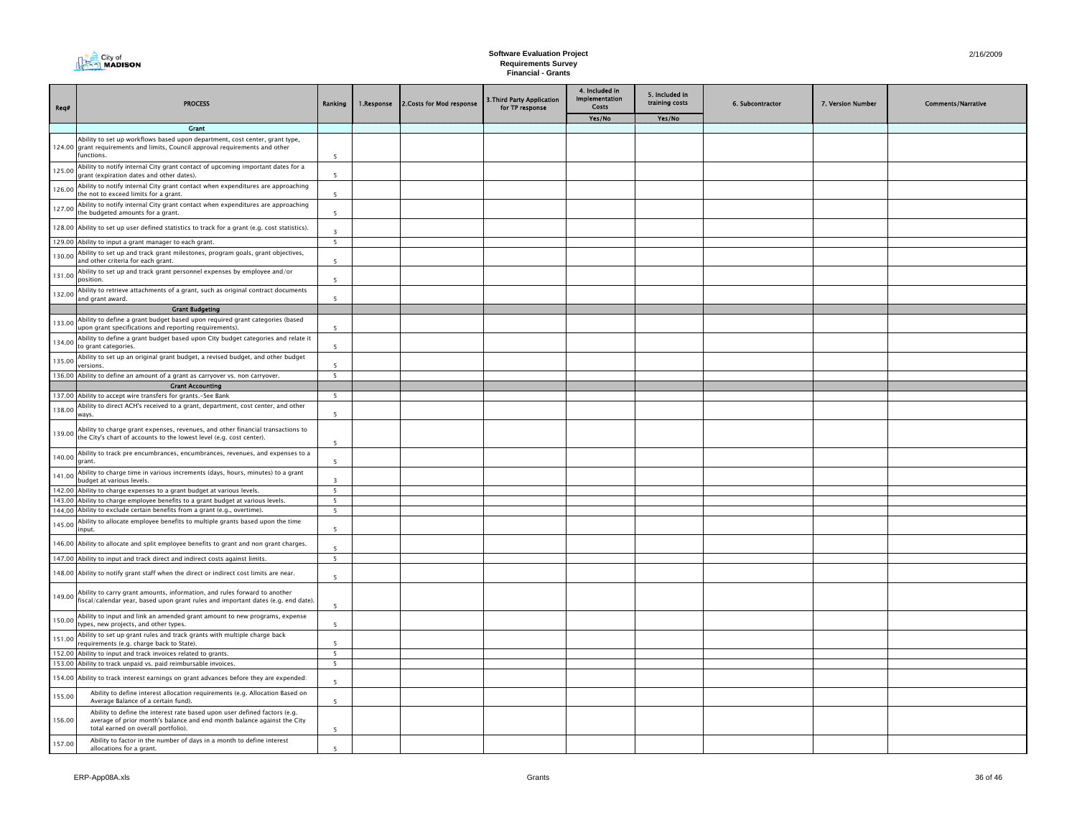| Req#   | <b>PROCESS</b>                                                                                                                                                                              | Ranking                       | 1.Response | 2. Costs for Mod response | 3. Third Party Application<br>for TP response | 4. Included in<br><b>Implementation</b><br>Costs | 5. Included in<br>training costs | 6. Subcontractor | 7. Version Number | <b>Comments/Narrative</b> |
|--------|---------------------------------------------------------------------------------------------------------------------------------------------------------------------------------------------|-------------------------------|------------|---------------------------|-----------------------------------------------|--------------------------------------------------|----------------------------------|------------------|-------------------|---------------------------|
|        |                                                                                                                                                                                             |                               |            |                           |                                               | Yes/No                                           | Yes/No                           |                  |                   |                           |
|        | <b>Grant</b>                                                                                                                                                                                |                               |            |                           |                                               |                                                  |                                  |                  |                   |                           |
|        | Ability to set up workflows based upon department, cost center, grant type,<br>124.00 grant requirements and limits, Council approval requirements and other<br>functions.                  | $\overline{\phantom{a}}$      |            |                           |                                               |                                                  |                                  |                  |                   |                           |
| 125.00 | Ability to notify internal City grant contact of upcoming important dates for a<br>grant (expiration dates and other dates).                                                                | $\overline{\phantom{a}}$      |            |                           |                                               |                                                  |                                  |                  |                   |                           |
| 126.00 | Ability to notify internal City grant contact when expenditures are approaching<br>the not to exceed limits for a grant.                                                                    | $\overline{\phantom{a}}$      |            |                           |                                               |                                                  |                                  |                  |                   |                           |
| 127.00 | Ability to notify internal City grant contact when expenditures are approaching<br>the budgeted amounts for a grant.                                                                        | 5                             |            |                           |                                               |                                                  |                                  |                  |                   |                           |
|        | 128.00 Ability to set up user defined statistics to track for a grant (e.g. cost statistics).                                                                                               | $\overline{3}$                |            |                           |                                               |                                                  |                                  |                  |                   |                           |
| 129.00 | Ability to input a grant manager to each grant.                                                                                                                                             | 5                             |            |                           |                                               |                                                  |                                  |                  |                   |                           |
| 130.00 | Ability to set up and track grant milestones, program goals, grant objectives,<br>and other criteria for each grant.                                                                        | $\overline{5}$                |            |                           |                                               |                                                  |                                  |                  |                   |                           |
| 131.00 | Ability to set up and track grant personnel expenses by employee and/or<br>position.                                                                                                        | $\overline{\phantom{a}}$      |            |                           |                                               |                                                  |                                  |                  |                   |                           |
| 132.00 | Ability to retrieve attachments of a grant, such as original contract documents<br>and grant award.                                                                                         | 5                             |            |                           |                                               |                                                  |                                  |                  |                   |                           |
|        | <b>Grant Budgeting</b>                                                                                                                                                                      |                               |            |                           |                                               |                                                  |                                  |                  |                   |                           |
| 133.00 | Ability to define a grant budget based upon required grant categories (based<br>upon grant specifications and reporting requirements).                                                      | -5                            |            |                           |                                               |                                                  |                                  |                  |                   |                           |
| 134.00 | Ability to define a grant budget based upon City budget categories and relate it<br>to grant categories.                                                                                    | $5^{\circ}$                   |            |                           |                                               |                                                  |                                  |                  |                   |                           |
| 135.00 | Ability to set up an original grant budget, a revised budget, and other budget<br>versions.                                                                                                 | 5<br>5                        |            |                           |                                               |                                                  |                                  |                  |                   |                           |
|        | 136.00 Ability to define an amount of a grant as carryover vs. non carryover.                                                                                                               |                               |            |                           |                                               |                                                  |                                  |                  |                   |                           |
|        | <b>Grant Accounting</b><br>137.00 Ability to accept wire transfers for grants.-See Bank                                                                                                     | 5                             |            |                           |                                               |                                                  |                                  |                  |                   |                           |
|        | Ability to direct ACH's received to a grant, department, cost center, and other                                                                                                             |                               |            |                           |                                               |                                                  |                                  |                  |                   |                           |
| 138.00 | ways.                                                                                                                                                                                       | 5                             |            |                           |                                               |                                                  |                                  |                  |                   |                           |
| 139.00 | Ability to charge grant expenses, revenues, and other financial transactions to<br>the City's chart of accounts to the lowest level (e.g. cost center).                                     | $\overline{\phantom{a}}$      |            |                           |                                               |                                                  |                                  |                  |                   |                           |
| 140.00 | Ability to track pre encumbrances, encumbrances, revenues, and expenses to a<br>grant.                                                                                                      | 5                             |            |                           |                                               |                                                  |                                  |                  |                   |                           |
| 141.00 | Ability to charge time in various increments (days, hours, minutes) to a grant<br>budget at various levels.                                                                                 | $\mathbf{R}$                  |            |                           |                                               |                                                  |                                  |                  |                   |                           |
|        | 142.00 Ability to charge expenses to a grant budget at various levels.                                                                                                                      | $5\overline{ }$               |            |                           |                                               |                                                  |                                  |                  |                   |                           |
|        | 143.00 Ability to charge employee benefits to a grant budget at various levels.<br>144.00 Ability to exclude certain benefits from a grant (e.g., overtime).                                | 5<br>5                        |            |                           |                                               |                                                  |                                  |                  |                   |                           |
|        | Ability to allocate employee benefits to multiple grants based upon the time                                                                                                                |                               |            |                           |                                               |                                                  |                                  |                  |                   |                           |
| 145.00 | input.                                                                                                                                                                                      | $\overline{5}$                |            |                           |                                               |                                                  |                                  |                  |                   |                           |
| 146.00 | Ability to allocate and split employee benefits to grant and non grant charges.<br>147.00 Ability to input and track direct and indirect costs against limits.                              | $\overline{\phantom{a}}$<br>5 |            |                           |                                               |                                                  |                                  |                  |                   |                           |
|        |                                                                                                                                                                                             |                               |            |                           |                                               |                                                  |                                  |                  |                   |                           |
|        | 148.00 Ability to notify grant staff when the direct or indirect cost limits are near.                                                                                                      | $\overline{5}$                |            |                           |                                               |                                                  |                                  |                  |                   |                           |
| 149.00 | Ability to carry grant amounts, information, and rules forward to another<br>fiscal/calendar year, based upon grant rules and important dates (e.g. end date).                              | $\overline{\phantom{a}}$      |            |                           |                                               |                                                  |                                  |                  |                   |                           |
| 150.00 | Ability to input and link an amended grant amount to new programs, expense<br>types, new projects, and other types.                                                                         | 5                             |            |                           |                                               |                                                  |                                  |                  |                   |                           |
| 151.00 | Ability to set up grant rules and track grants with multiple charge back<br>requirements (e.g. charge back to State).                                                                       | $\overline{5}$                |            |                           |                                               |                                                  |                                  |                  |                   |                           |
| 152.00 | Ability to input and track invoices related to grants.                                                                                                                                      | $\overline{\phantom{0}}$      |            |                           |                                               |                                                  |                                  |                  |                   |                           |
|        | 153.00 Ability to track unpaid vs. paid reimbursable invoices.                                                                                                                              | 5                             |            |                           |                                               |                                                  |                                  |                  |                   |                           |
| 154.00 | Ability to track interest earnings on grant advances before they are expended:                                                                                                              | $\overline{\phantom{a}}$      |            |                           |                                               |                                                  |                                  |                  |                   |                           |
| 155.00 | Ability to define interest allocation requirements (e.g. Allocation Based on<br>Average Balance of a certain fund).                                                                         | $\overline{\phantom{a}}$      |            |                           |                                               |                                                  |                                  |                  |                   |                           |
| 156.00 | Ability to define the interest rate based upon user defined factors (e.g.<br>average of prior month's balance and end month balance against the City<br>total earned on overall portfolio). | 5                             |            |                           |                                               |                                                  |                                  |                  |                   |                           |
| 157.00 | Ability to factor in the number of days in a month to define interest<br>allocations for a grant.                                                                                           | $\overline{\phantom{a}}$      |            |                           |                                               |                                                  |                                  |                  |                   |                           |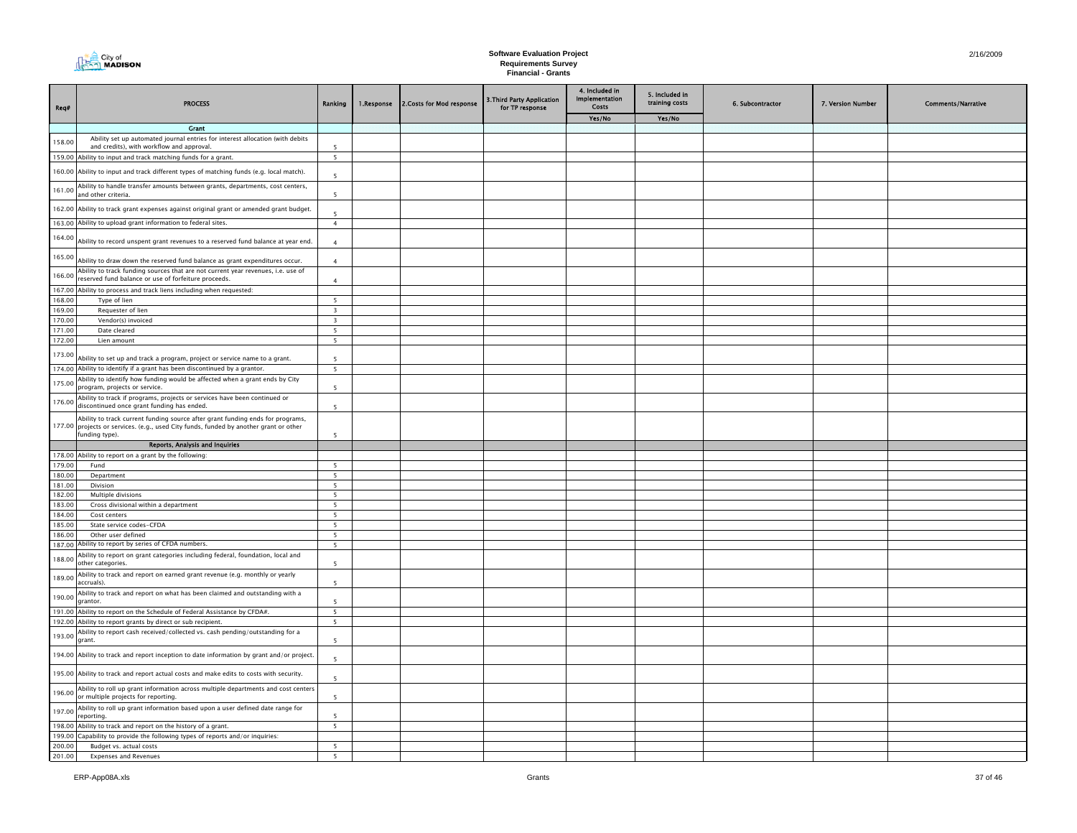| City of<br>MADISON |  |
|--------------------|--|
|--------------------|--|

| Req#   | <b>PROCESS</b>                                                                                                                                                                            | Ranking                  | 1.Response | 2.Costs for Mod response | 3. Third Party Application<br>for TP response | 4. Included in<br><b>Implementation</b><br><b>Costs</b> | 5. Included in<br>training costs | 6. Subcontractor | 7. Version Number | <b>Comments/Narrative</b> |
|--------|-------------------------------------------------------------------------------------------------------------------------------------------------------------------------------------------|--------------------------|------------|--------------------------|-----------------------------------------------|---------------------------------------------------------|----------------------------------|------------------|-------------------|---------------------------|
|        |                                                                                                                                                                                           |                          |            |                          |                                               | Yes/No                                                  | Yes/No                           |                  |                   |                           |
|        | <b>Grant</b>                                                                                                                                                                              |                          |            |                          |                                               |                                                         |                                  |                  |                   |                           |
| 158.00 | Ability set up automated journal entries for interest allocation (with debits<br>and credits), with workflow and approval.                                                                | 5                        |            |                          |                                               |                                                         |                                  |                  |                   |                           |
|        | 159.00 Ability to input and track matching funds for a grant.                                                                                                                             | $5\overline{5}$          |            |                          |                                               |                                                         |                                  |                  |                   |                           |
|        | 160.00 Ability to input and track different types of matching funds (e.g. local match).                                                                                                   | $\overline{\phantom{a}}$ |            |                          |                                               |                                                         |                                  |                  |                   |                           |
| 161.00 | Ability to handle transfer amounts between grants, departments, cost centers,<br>and other criteria.                                                                                      | 5                        |            |                          |                                               |                                                         |                                  |                  |                   |                           |
|        | 162.00 Ability to track grant expenses against original grant or amended grant budget.                                                                                                    | -5                       |            |                          |                                               |                                                         |                                  |                  |                   |                           |
|        | 163.00 Ability to upload grant information to federal sites.                                                                                                                              | $\overline{4}$           |            |                          |                                               |                                                         |                                  |                  |                   |                           |
| 164.00 | Ability to record unspent grant revenues to a reserved fund balance at year end.                                                                                                          | $\overline{4}$           |            |                          |                                               |                                                         |                                  |                  |                   |                           |
| 165.00 | Ability to draw down the reserved fund balance as grant expenditures occur.                                                                                                               | $\overline{a}$           |            |                          |                                               |                                                         |                                  |                  |                   |                           |
| 166.00 | Ability to track funding sources that are not current year revenues, i.e. use of<br>reserved fund balance or use of forfeiture proceeds.                                                  | $\overline{4}$           |            |                          |                                               |                                                         |                                  |                  |                   |                           |
|        | 167.00 Ability to process and track liens including when requested:                                                                                                                       |                          |            |                          |                                               |                                                         |                                  |                  |                   |                           |
| 168.00 | Type of lien                                                                                                                                                                              | -5                       |            |                          |                                               |                                                         |                                  |                  |                   |                           |
| 169.00 | Requester of lien                                                                                                                                                                         | $\overline{\mathbf{3}}$  |            |                          |                                               |                                                         |                                  |                  |                   |                           |
| 170.00 | Vendor(s) invoiced                                                                                                                                                                        | $\overline{\mathbf{3}}$  |            |                          |                                               |                                                         |                                  |                  |                   |                           |
| 171.00 | Date cleared                                                                                                                                                                              | $\overline{\phantom{0}}$ |            |                          |                                               |                                                         |                                  |                  |                   |                           |
| 172.00 | Lien amount                                                                                                                                                                               | $5\overline{ }$          |            |                          |                                               |                                                         |                                  |                  |                   |                           |
| 173.00 | Ability to set up and track a program, project or service name to a grant.                                                                                                                | $\overline{\phantom{a}}$ |            |                          |                                               |                                                         |                                  |                  |                   |                           |
|        | 174.00 Ability to identify if a grant has been discontinued by a grantor.                                                                                                                 | 5                        |            |                          |                                               |                                                         |                                  |                  |                   |                           |
| 175.00 | Ability to identify how funding would be affected when a grant ends by City<br>program, projects or service.                                                                              | 5                        |            |                          |                                               |                                                         |                                  |                  |                   |                           |
| 176.00 | Ability to track if programs, projects or services have been continued or<br>discontinued once grant funding has ended.                                                                   | 5                        |            |                          |                                               |                                                         |                                  |                  |                   |                           |
|        | Ability to track current funding source after grant funding ends for programs,<br>177.00 projects or services. (e.g., used City funds, funded by another grant or other<br>funding type). | 5                        |            |                          |                                               |                                                         |                                  |                  |                   |                           |
|        | <b>Reports, Analysis and Inquiries</b>                                                                                                                                                    |                          |            |                          |                                               |                                                         |                                  |                  |                   |                           |
|        | 178.00 Ability to report on a grant by the following                                                                                                                                      |                          |            |                          |                                               |                                                         |                                  |                  |                   |                           |
| 179.00 | Fund                                                                                                                                                                                      | 5                        |            |                          |                                               |                                                         |                                  |                  |                   |                           |
| 180.00 | Department                                                                                                                                                                                | 5                        |            |                          |                                               |                                                         |                                  |                  |                   |                           |
| 181.00 | Division                                                                                                                                                                                  | 5                        |            |                          |                                               |                                                         |                                  |                  |                   |                           |
| 182.00 | Multiple divisions                                                                                                                                                                        | 5                        |            |                          |                                               |                                                         |                                  |                  |                   |                           |
| 183.00 | Cross divisional within a department                                                                                                                                                      | 5                        |            |                          |                                               |                                                         |                                  |                  |                   |                           |
| 184.00 | Cost centers                                                                                                                                                                              | 5                        |            |                          |                                               |                                                         |                                  |                  |                   |                           |
| 185.00 | State service codes-CFDA                                                                                                                                                                  | 5<br>5                   |            |                          |                                               |                                                         |                                  |                  |                   |                           |
| 186.00 | Other user defined<br>187.00 Ability to report by series of CFDA numbers.                                                                                                                 | 5                        |            |                          |                                               |                                                         |                                  |                  |                   |                           |
|        | Ability to report on grant categories including federal, foundation, local and                                                                                                            |                          |            |                          |                                               |                                                         |                                  |                  |                   |                           |
| 188.00 | other categories.                                                                                                                                                                         | $\overline{5}$           |            |                          |                                               |                                                         |                                  |                  |                   |                           |
| 189.00 | Ability to track and report on earned grant revenue (e.g. monthly or yearly<br>accruals).                                                                                                 | $\overline{5}$           |            |                          |                                               |                                                         |                                  |                  |                   |                           |
| 190.00 | Ability to track and report on what has been claimed and outstanding with a<br>grantor.                                                                                                   | $\overline{\phantom{a}}$ |            |                          |                                               |                                                         |                                  |                  |                   |                           |
|        | 191.00 Ability to report on the Schedule of Federal Assistance by CFDA#.                                                                                                                  | 5                        |            |                          |                                               |                                                         |                                  |                  |                   |                           |
|        | 192.00 Ability to report grants by direct or sub recipient.                                                                                                                               | 5                        |            |                          |                                               |                                                         |                                  |                  |                   |                           |
| 193.00 | Ability to report cash received/collected vs. cash pending/outstanding for a<br>grant.                                                                                                    | 5                        |            |                          |                                               |                                                         |                                  |                  |                   |                           |
|        | 194.00 Ability to track and report inception to date information by grant and/or project.                                                                                                 | 5                        |            |                          |                                               |                                                         |                                  |                  |                   |                           |
|        | 195.00 Ability to track and report actual costs and make edits to costs with security.                                                                                                    | 5                        |            |                          |                                               |                                                         |                                  |                  |                   |                           |
| 196.00 | Ability to roll up grant information across multiple departments and cost centers<br>or multiple projects for reporting.                                                                  | 5                        |            |                          |                                               |                                                         |                                  |                  |                   |                           |
| 197.00 | Ability to roll up grant information based upon a user defined date range for<br>reporting.                                                                                               | 5                        |            |                          |                                               |                                                         |                                  |                  |                   |                           |
|        | 198.00 Ability to track and report on the history of a grant.                                                                                                                             | 5                        |            |                          |                                               |                                                         |                                  |                  |                   |                           |
|        | 199.00 Capability to provide the following types of reports and/or inquiries:                                                                                                             |                          |            |                          |                                               |                                                         |                                  |                  |                   |                           |
| 200.00 | Budget vs. actual costs                                                                                                                                                                   | 5                        |            |                          |                                               |                                                         |                                  |                  |                   |                           |
| 201.00 | <b>Expenses and Revenues</b>                                                                                                                                                              | $\overline{\phantom{0}}$ |            |                          |                                               |                                                         |                                  |                  |                   |                           |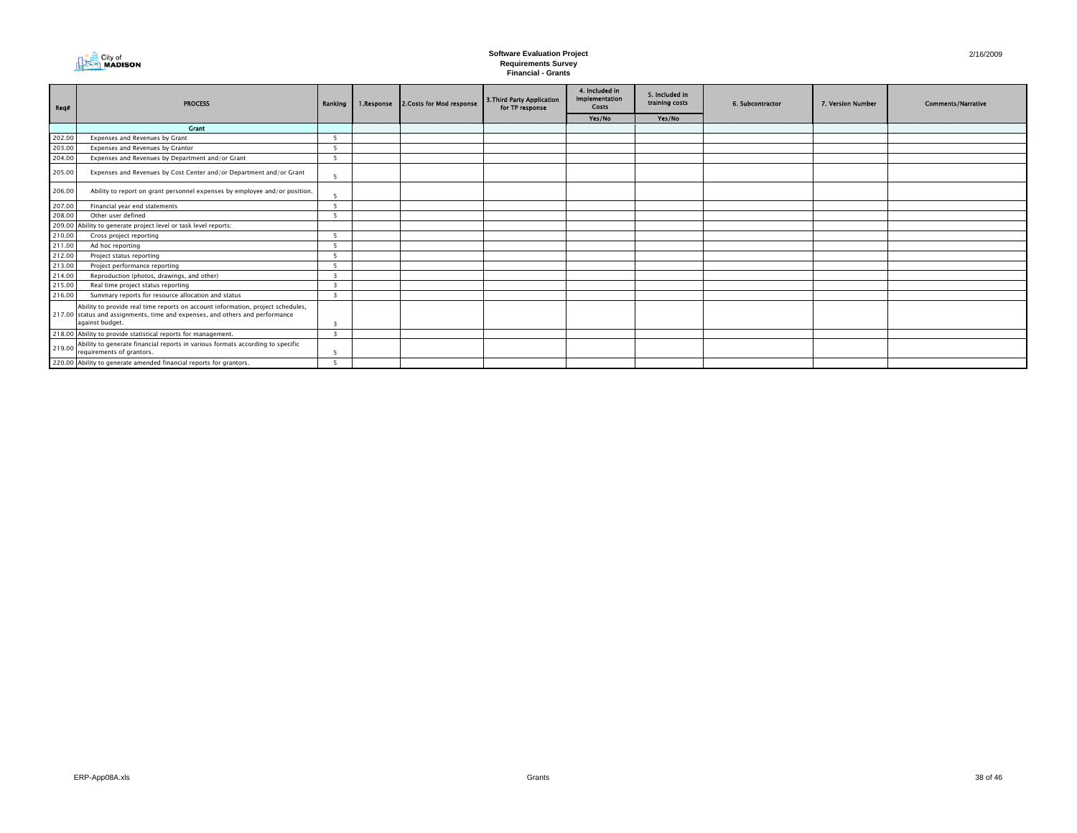

| Req#   | <b>PROCESS</b>                                                                                                                                                                     | Ranking I               | 1.Response | 2.Costs for Mod response | 3. Third Party Application<br>for TP response | 4. Included in<br><b>Implementation</b><br><b>Costs</b> | 5. Included in<br>training costs | 6. Subcontractor | 7. Version Number | <b>Comments/Narrative</b> |
|--------|------------------------------------------------------------------------------------------------------------------------------------------------------------------------------------|-------------------------|------------|--------------------------|-----------------------------------------------|---------------------------------------------------------|----------------------------------|------------------|-------------------|---------------------------|
|        | <b>Crant</b>                                                                                                                                                                       |                         |            |                          |                                               | Yes/No                                                  | Yes/No                           |                  |                   |                           |
| 202.00 | Expenses and Revenues by Grant                                                                                                                                                     |                         |            |                          |                                               |                                                         |                                  |                  |                   |                           |
| 203.00 | Expenses and Revenues by Grantor                                                                                                                                                   | 5                       |            |                          |                                               |                                                         |                                  |                  |                   |                           |
| 204.00 | Expenses and Revenues by Department and/or Grant                                                                                                                                   |                         |            |                          |                                               |                                                         |                                  |                  |                   |                           |
| 205.00 | Expenses and Revenues by Cost Center and/or Department and/or Grant                                                                                                                | 5                       |            |                          |                                               |                                                         |                                  |                  |                   |                           |
| 206.00 | Ability to report on grant personnel expenses by employee and/or position.                                                                                                         |                         |            |                          |                                               |                                                         |                                  |                  |                   |                           |
| 207.00 | Financial year end statements                                                                                                                                                      | 5                       |            |                          |                                               |                                                         |                                  |                  |                   |                           |
| 208.00 | Other user defined                                                                                                                                                                 |                         |            |                          |                                               |                                                         |                                  |                  |                   |                           |
|        | 209.00 Ability to generate project level or task level reports:                                                                                                                    |                         |            |                          |                                               |                                                         |                                  |                  |                   |                           |
| 210.00 | Cross project reporting                                                                                                                                                            |                         |            |                          |                                               |                                                         |                                  |                  |                   |                           |
| 211.00 | Ad hoc reporting                                                                                                                                                                   | 5                       |            |                          |                                               |                                                         |                                  |                  |                   |                           |
| 212.00 | Project status reporting                                                                                                                                                           |                         |            |                          |                                               |                                                         |                                  |                  |                   |                           |
| 213.00 | Project performance reporting                                                                                                                                                      |                         |            |                          |                                               |                                                         |                                  |                  |                   |                           |
| 214.00 | Reproduction (photos, drawings, and other)                                                                                                                                         | -3                      |            |                          |                                               |                                                         |                                  |                  |                   |                           |
| 215.00 | Real time project status reporting                                                                                                                                                 |                         |            |                          |                                               |                                                         |                                  |                  |                   |                           |
| 216.00 | Summary reports for resource allocation and status                                                                                                                                 | $\overline{3}$          |            |                          |                                               |                                                         |                                  |                  |                   |                           |
|        | Ability to provide real time reports on account information, project schedules,<br>217.00 status and assignments, time and expenses, and others and performance<br>against budget. |                         |            |                          |                                               |                                                         |                                  |                  |                   |                           |
|        | 218.00 Ability to provide statistical reports for management.                                                                                                                      | $\overline{\mathbf{3}}$ |            |                          |                                               |                                                         |                                  |                  |                   |                           |
| 219.00 | Ability to generate financial reports in various formats according to specific<br>requirements of grantors.                                                                        |                         |            |                          |                                               |                                                         |                                  |                  |                   |                           |
|        | 220.00 Ability to generate amended financial reports for grantors.                                                                                                                 |                         |            |                          |                                               |                                                         |                                  |                  |                   |                           |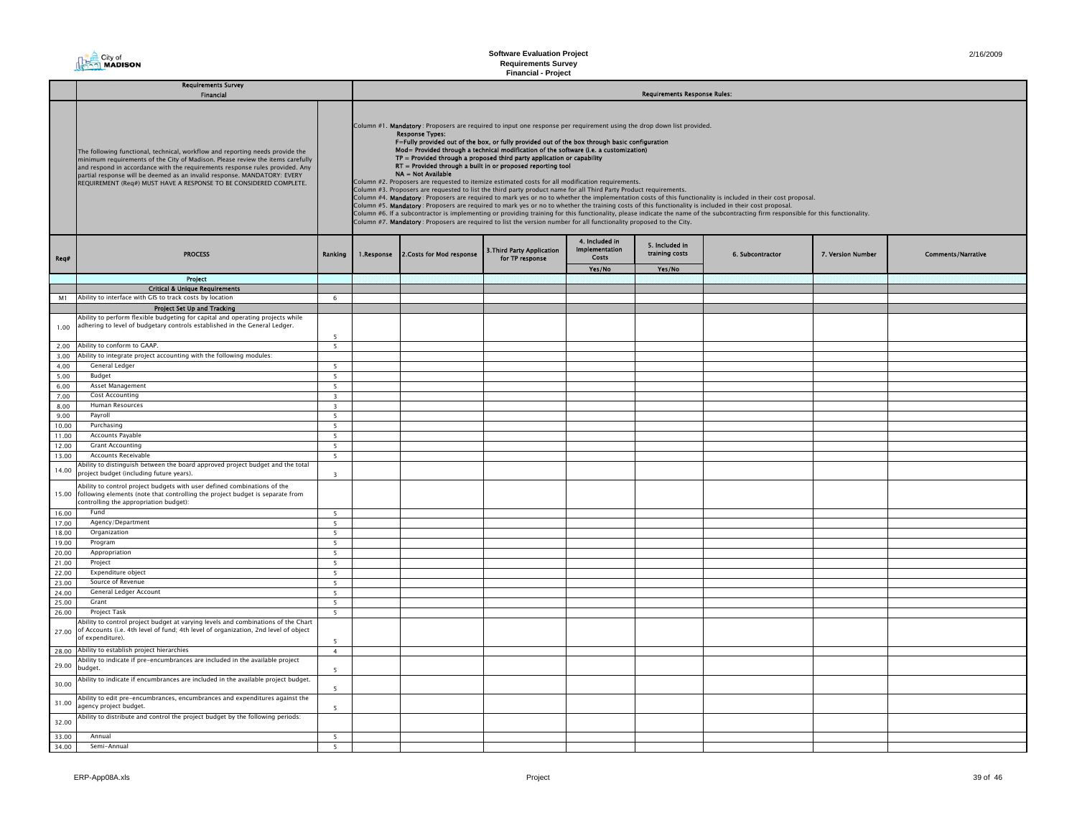**Requirements Survey Financial - Project**

|       | <b>Requirements Survey</b><br><b>Financial</b>                                                                                                                                                                                                                                                                                                                                                    |                         |            |                                                                                                                                                                                                                                                                                                                                                                                                                                                                                                                                                                                                                                                                                                                                                                                                                                                                                                                                                                                                                                                                                                                                                                                                                                                                                                                                                                           |                                               |                                                         | <b>Requirements Response Rules:</b> |                  |                   |                           |  |  |  |
|-------|---------------------------------------------------------------------------------------------------------------------------------------------------------------------------------------------------------------------------------------------------------------------------------------------------------------------------------------------------------------------------------------------------|-------------------------|------------|---------------------------------------------------------------------------------------------------------------------------------------------------------------------------------------------------------------------------------------------------------------------------------------------------------------------------------------------------------------------------------------------------------------------------------------------------------------------------------------------------------------------------------------------------------------------------------------------------------------------------------------------------------------------------------------------------------------------------------------------------------------------------------------------------------------------------------------------------------------------------------------------------------------------------------------------------------------------------------------------------------------------------------------------------------------------------------------------------------------------------------------------------------------------------------------------------------------------------------------------------------------------------------------------------------------------------------------------------------------------------|-----------------------------------------------|---------------------------------------------------------|-------------------------------------|------------------|-------------------|---------------------------|--|--|--|
|       | The following functional, technical, workflow and reporting needs provide the<br>minimum requirements of the City of Madison. Please review the items carefully<br>and respond in accordance with the requirements response rules provided. Any<br>partial response will be deemed as an invalid response. MANDATORY: EVERY<br>REQUIREMENT (Req#) MUST HAVE A RESPONSE TO BE CONSIDERED COMPLETE. |                         |            | Column #1. Mandatory: Proposers are required to input one response per requirement using the drop down list provided.<br><b>Response Types:</b><br>F=Fully provided out of the box, or fully provided out of the box through basic configuration<br>Mod= Provided through a technical modification of the software (i.e. a customization)<br>TP = Provided through a proposed third party application or capability<br>RT = Provided through a built in or proposed reporting tool<br>NA = Not Available<br>Column #2. Proposers are requested to itemize estimated costs for all modification requirements.<br>Column #3. Proposers are requested to list the third party product name for all Third Party Product requirements.<br>Column #4. Mandatory: Proposers are required to mark yes or no to whether the implementation costs of this functionality is included in their cost proposal.<br>Column #5. Mandatory: Proposers are required to mark yes or no to whether the training costs of this functionality is included in their cost proposal.<br>Column #6. If a subcontractor is implementing or providing training for this functionality, please indicate the name of the subcontracting firm responsible for this functionality.<br>Column #7. Mandatory: Proposers are required to list the version number for all functionality proposed to the City. |                                               |                                                         |                                     |                  |                   |                           |  |  |  |
| Req#  | <b>PROCESS</b>                                                                                                                                                                                                                                                                                                                                                                                    | Ranking                 | 1.Response | 2. Costs for Mod response                                                                                                                                                                                                                                                                                                                                                                                                                                                                                                                                                                                                                                                                                                                                                                                                                                                                                                                                                                                                                                                                                                                                                                                                                                                                                                                                                 | 3. Third Party Application<br>for TP response | 4. Included in<br><b>Implementation</b><br><b>Costs</b> | 5. Included in<br>training costs    | 6. Subcontractor | 7. Version Number | <b>Comments/Narrative</b> |  |  |  |
|       |                                                                                                                                                                                                                                                                                                                                                                                                   |                         |            |                                                                                                                                                                                                                                                                                                                                                                                                                                                                                                                                                                                                                                                                                                                                                                                                                                                                                                                                                                                                                                                                                                                                                                                                                                                                                                                                                                           |                                               | Yes/No                                                  | Yes/No                              |                  |                   |                           |  |  |  |
|       | <b>Project</b>                                                                                                                                                                                                                                                                                                                                                                                    |                         |            |                                                                                                                                                                                                                                                                                                                                                                                                                                                                                                                                                                                                                                                                                                                                                                                                                                                                                                                                                                                                                                                                                                                                                                                                                                                                                                                                                                           |                                               |                                                         |                                     |                  |                   |                           |  |  |  |
| M1    | <b>Critical &amp; Unique Requirements</b><br>Ability to interface with GIS to track costs by location                                                                                                                                                                                                                                                                                             | -6                      |            |                                                                                                                                                                                                                                                                                                                                                                                                                                                                                                                                                                                                                                                                                                                                                                                                                                                                                                                                                                                                                                                                                                                                                                                                                                                                                                                                                                           |                                               |                                                         |                                     |                  |                   |                           |  |  |  |
|       |                                                                                                                                                                                                                                                                                                                                                                                                   |                         |            |                                                                                                                                                                                                                                                                                                                                                                                                                                                                                                                                                                                                                                                                                                                                                                                                                                                                                                                                                                                                                                                                                                                                                                                                                                                                                                                                                                           |                                               |                                                         |                                     |                  |                   |                           |  |  |  |
|       | Project Set Up and Tracking<br>Ability to perform flexible budgeting for capital and operating projects while                                                                                                                                                                                                                                                                                     |                         |            |                                                                                                                                                                                                                                                                                                                                                                                                                                                                                                                                                                                                                                                                                                                                                                                                                                                                                                                                                                                                                                                                                                                                                                                                                                                                                                                                                                           |                                               |                                                         |                                     |                  |                   |                           |  |  |  |
| 1.00  | adhering to level of budgetary controls established in the General Ledger.                                                                                                                                                                                                                                                                                                                        | 5                       |            |                                                                                                                                                                                                                                                                                                                                                                                                                                                                                                                                                                                                                                                                                                                                                                                                                                                                                                                                                                                                                                                                                                                                                                                                                                                                                                                                                                           |                                               |                                                         |                                     |                  |                   |                           |  |  |  |
| 2.00  | Ability to conform to GAAP.                                                                                                                                                                                                                                                                                                                                                                       | $\overline{5}$          |            |                                                                                                                                                                                                                                                                                                                                                                                                                                                                                                                                                                                                                                                                                                                                                                                                                                                                                                                                                                                                                                                                                                                                                                                                                                                                                                                                                                           |                                               |                                                         |                                     |                  |                   |                           |  |  |  |
| 3.00  | Ability to integrate project accounting with the following modules:                                                                                                                                                                                                                                                                                                                               |                         |            |                                                                                                                                                                                                                                                                                                                                                                                                                                                                                                                                                                                                                                                                                                                                                                                                                                                                                                                                                                                                                                                                                                                                                                                                                                                                                                                                                                           |                                               |                                                         |                                     |                  |                   |                           |  |  |  |
| 4.00  | General Ledger                                                                                                                                                                                                                                                                                                                                                                                    | -5                      |            |                                                                                                                                                                                                                                                                                                                                                                                                                                                                                                                                                                                                                                                                                                                                                                                                                                                                                                                                                                                                                                                                                                                                                                                                                                                                                                                                                                           |                                               |                                                         |                                     |                  |                   |                           |  |  |  |
| 5.00  | Budget                                                                                                                                                                                                                                                                                                                                                                                            | 5                       |            |                                                                                                                                                                                                                                                                                                                                                                                                                                                                                                                                                                                                                                                                                                                                                                                                                                                                                                                                                                                                                                                                                                                                                                                                                                                                                                                                                                           |                                               |                                                         |                                     |                  |                   |                           |  |  |  |
| 6.00  | <b>Asset Management</b>                                                                                                                                                                                                                                                                                                                                                                           | $5 -$                   |            |                                                                                                                                                                                                                                                                                                                                                                                                                                                                                                                                                                                                                                                                                                                                                                                                                                                                                                                                                                                                                                                                                                                                                                                                                                                                                                                                                                           |                                               |                                                         |                                     |                  |                   |                           |  |  |  |
| 7.00  | <b>Cost Accounting</b>                                                                                                                                                                                                                                                                                                                                                                            | $\overline{\mathbf{3}}$ |            |                                                                                                                                                                                                                                                                                                                                                                                                                                                                                                                                                                                                                                                                                                                                                                                                                                                                                                                                                                                                                                                                                                                                                                                                                                                                                                                                                                           |                                               |                                                         |                                     |                  |                   |                           |  |  |  |
| 8.00  | Human Resources                                                                                                                                                                                                                                                                                                                                                                                   | $\overline{\mathbf{3}}$ |            |                                                                                                                                                                                                                                                                                                                                                                                                                                                                                                                                                                                                                                                                                                                                                                                                                                                                                                                                                                                                                                                                                                                                                                                                                                                                                                                                                                           |                                               |                                                         |                                     |                  |                   |                           |  |  |  |
| 9.00  | Pavroll                                                                                                                                                                                                                                                                                                                                                                                           | 5                       |            |                                                                                                                                                                                                                                                                                                                                                                                                                                                                                                                                                                                                                                                                                                                                                                                                                                                                                                                                                                                                                                                                                                                                                                                                                                                                                                                                                                           |                                               |                                                         |                                     |                  |                   |                           |  |  |  |
| 10.00 | Purchasing                                                                                                                                                                                                                                                                                                                                                                                        | 5                       |            |                                                                                                                                                                                                                                                                                                                                                                                                                                                                                                                                                                                                                                                                                                                                                                                                                                                                                                                                                                                                                                                                                                                                                                                                                                                                                                                                                                           |                                               |                                                         |                                     |                  |                   |                           |  |  |  |
| 11.00 | Accounts Payable                                                                                                                                                                                                                                                                                                                                                                                  | 5                       |            |                                                                                                                                                                                                                                                                                                                                                                                                                                                                                                                                                                                                                                                                                                                                                                                                                                                                                                                                                                                                                                                                                                                                                                                                                                                                                                                                                                           |                                               |                                                         |                                     |                  |                   |                           |  |  |  |
| 12.00 | <b>Grant Accounting</b>                                                                                                                                                                                                                                                                                                                                                                           | 5                       |            |                                                                                                                                                                                                                                                                                                                                                                                                                                                                                                                                                                                                                                                                                                                                                                                                                                                                                                                                                                                                                                                                                                                                                                                                                                                                                                                                                                           |                                               |                                                         |                                     |                  |                   |                           |  |  |  |
| 13.00 | Accounts Receivable                                                                                                                                                                                                                                                                                                                                                                               | $5^{\circ}$             |            |                                                                                                                                                                                                                                                                                                                                                                                                                                                                                                                                                                                                                                                                                                                                                                                                                                                                                                                                                                                                                                                                                                                                                                                                                                                                                                                                                                           |                                               |                                                         |                                     |                  |                   |                           |  |  |  |
| 14.00 | bility to distinguish between the board approved project budget and the total<br>project budget (including future years).                                                                                                                                                                                                                                                                         | $\overline{\mathbf{3}}$ |            |                                                                                                                                                                                                                                                                                                                                                                                                                                                                                                                                                                                                                                                                                                                                                                                                                                                                                                                                                                                                                                                                                                                                                                                                                                                                                                                                                                           |                                               |                                                         |                                     |                  |                   |                           |  |  |  |
|       | Ability to control project budgets with user defined combinations of the<br>15.00 following elements (note that controlling the project budget is separate from<br>controlling the appropriation budget):                                                                                                                                                                                         |                         |            |                                                                                                                                                                                                                                                                                                                                                                                                                                                                                                                                                                                                                                                                                                                                                                                                                                                                                                                                                                                                                                                                                                                                                                                                                                                                                                                                                                           |                                               |                                                         |                                     |                  |                   |                           |  |  |  |
| 16.00 | Fund                                                                                                                                                                                                                                                                                                                                                                                              | 5                       |            |                                                                                                                                                                                                                                                                                                                                                                                                                                                                                                                                                                                                                                                                                                                                                                                                                                                                                                                                                                                                                                                                                                                                                                                                                                                                                                                                                                           |                                               |                                                         |                                     |                  |                   |                           |  |  |  |
| 17.00 | Agency/Department                                                                                                                                                                                                                                                                                                                                                                                 | -5                      |            |                                                                                                                                                                                                                                                                                                                                                                                                                                                                                                                                                                                                                                                                                                                                                                                                                                                                                                                                                                                                                                                                                                                                                                                                                                                                                                                                                                           |                                               |                                                         |                                     |                  |                   |                           |  |  |  |
| 18.00 | Organization                                                                                                                                                                                                                                                                                                                                                                                      | 5                       |            |                                                                                                                                                                                                                                                                                                                                                                                                                                                                                                                                                                                                                                                                                                                                                                                                                                                                                                                                                                                                                                                                                                                                                                                                                                                                                                                                                                           |                                               |                                                         |                                     |                  |                   |                           |  |  |  |
| 19.00 | Program                                                                                                                                                                                                                                                                                                                                                                                           | 5                       |            |                                                                                                                                                                                                                                                                                                                                                                                                                                                                                                                                                                                                                                                                                                                                                                                                                                                                                                                                                                                                                                                                                                                                                                                                                                                                                                                                                                           |                                               |                                                         |                                     |                  |                   |                           |  |  |  |
| 20.00 | Appropriation                                                                                                                                                                                                                                                                                                                                                                                     | 5                       |            |                                                                                                                                                                                                                                                                                                                                                                                                                                                                                                                                                                                                                                                                                                                                                                                                                                                                                                                                                                                                                                                                                                                                                                                                                                                                                                                                                                           |                                               |                                                         |                                     |                  |                   |                           |  |  |  |
| 21.00 | Project                                                                                                                                                                                                                                                                                                                                                                                           | 5                       |            |                                                                                                                                                                                                                                                                                                                                                                                                                                                                                                                                                                                                                                                                                                                                                                                                                                                                                                                                                                                                                                                                                                                                                                                                                                                                                                                                                                           |                                               |                                                         |                                     |                  |                   |                           |  |  |  |
| 22.00 | Expenditure object                                                                                                                                                                                                                                                                                                                                                                                | $5 -$                   |            |                                                                                                                                                                                                                                                                                                                                                                                                                                                                                                                                                                                                                                                                                                                                                                                                                                                                                                                                                                                                                                                                                                                                                                                                                                                                                                                                                                           |                                               |                                                         |                                     |                  |                   |                           |  |  |  |
| 23.00 | Source of Revenue                                                                                                                                                                                                                                                                                                                                                                                 | 5                       |            |                                                                                                                                                                                                                                                                                                                                                                                                                                                                                                                                                                                                                                                                                                                                                                                                                                                                                                                                                                                                                                                                                                                                                                                                                                                                                                                                                                           |                                               |                                                         |                                     |                  |                   |                           |  |  |  |
| 24.00 | General Ledger Account                                                                                                                                                                                                                                                                                                                                                                            | $5 -$                   |            |                                                                                                                                                                                                                                                                                                                                                                                                                                                                                                                                                                                                                                                                                                                                                                                                                                                                                                                                                                                                                                                                                                                                                                                                                                                                                                                                                                           |                                               |                                                         |                                     |                  |                   |                           |  |  |  |
| 25.00 | Grant                                                                                                                                                                                                                                                                                                                                                                                             | 5                       |            |                                                                                                                                                                                                                                                                                                                                                                                                                                                                                                                                                                                                                                                                                                                                                                                                                                                                                                                                                                                                                                                                                                                                                                                                                                                                                                                                                                           |                                               |                                                         |                                     |                  |                   |                           |  |  |  |
| 26.00 | <b>Project Task</b>                                                                                                                                                                                                                                                                                                                                                                               | -5                      |            |                                                                                                                                                                                                                                                                                                                                                                                                                                                                                                                                                                                                                                                                                                                                                                                                                                                                                                                                                                                                                                                                                                                                                                                                                                                                                                                                                                           |                                               |                                                         |                                     |                  |                   |                           |  |  |  |
|       | Ability to control project budget at varying levels and combinations of the Chart<br>27.00 of Accounts (i.e. 4th level of fund; 4th level of organization, 2nd level of object<br>of expenditure).                                                                                                                                                                                                |                         |            |                                                                                                                                                                                                                                                                                                                                                                                                                                                                                                                                                                                                                                                                                                                                                                                                                                                                                                                                                                                                                                                                                                                                                                                                                                                                                                                                                                           |                                               |                                                         |                                     |                  |                   |                           |  |  |  |
|       | 28.00 Ability to establish project hierarchies                                                                                                                                                                                                                                                                                                                                                    | $\overline{4}$          |            |                                                                                                                                                                                                                                                                                                                                                                                                                                                                                                                                                                                                                                                                                                                                                                                                                                                                                                                                                                                                                                                                                                                                                                                                                                                                                                                                                                           |                                               |                                                         |                                     |                  |                   |                           |  |  |  |
| 29.00 | Ability to indicate if pre-encumbrances are included in the available project<br>budget.                                                                                                                                                                                                                                                                                                          | 5                       |            |                                                                                                                                                                                                                                                                                                                                                                                                                                                                                                                                                                                                                                                                                                                                                                                                                                                                                                                                                                                                                                                                                                                                                                                                                                                                                                                                                                           |                                               |                                                         |                                     |                  |                   |                           |  |  |  |
| 30.00 | Ability to indicate if encumbrances are included in the available project budget.                                                                                                                                                                                                                                                                                                                 | -5                      |            |                                                                                                                                                                                                                                                                                                                                                                                                                                                                                                                                                                                                                                                                                                                                                                                                                                                                                                                                                                                                                                                                                                                                                                                                                                                                                                                                                                           |                                               |                                                         |                                     |                  |                   |                           |  |  |  |
| 31.00 | Ability to edit pre-encumbrances, encumbrances and expenditures against the<br>agency project budget.                                                                                                                                                                                                                                                                                             | -5                      |            |                                                                                                                                                                                                                                                                                                                                                                                                                                                                                                                                                                                                                                                                                                                                                                                                                                                                                                                                                                                                                                                                                                                                                                                                                                                                                                                                                                           |                                               |                                                         |                                     |                  |                   |                           |  |  |  |
| 32.00 | Ability to distribute and control the project budget by the following periods:                                                                                                                                                                                                                                                                                                                    |                         |            |                                                                                                                                                                                                                                                                                                                                                                                                                                                                                                                                                                                                                                                                                                                                                                                                                                                                                                                                                                                                                                                                                                                                                                                                                                                                                                                                                                           |                                               |                                                         |                                     |                  |                   |                           |  |  |  |
| 33.00 | Annual                                                                                                                                                                                                                                                                                                                                                                                            | 5                       |            |                                                                                                                                                                                                                                                                                                                                                                                                                                                                                                                                                                                                                                                                                                                                                                                                                                                                                                                                                                                                                                                                                                                                                                                                                                                                                                                                                                           |                                               |                                                         |                                     |                  |                   |                           |  |  |  |
| 34.00 | Semi-Annual                                                                                                                                                                                                                                                                                                                                                                                       | $5 -$                   |            |                                                                                                                                                                                                                                                                                                                                                                                                                                                                                                                                                                                                                                                                                                                                                                                                                                                                                                                                                                                                                                                                                                                                                                                                                                                                                                                                                                           |                                               |                                                         |                                     |                  |                   |                           |  |  |  |

**City of**<br> **City of**<br> **MADISON** 

п.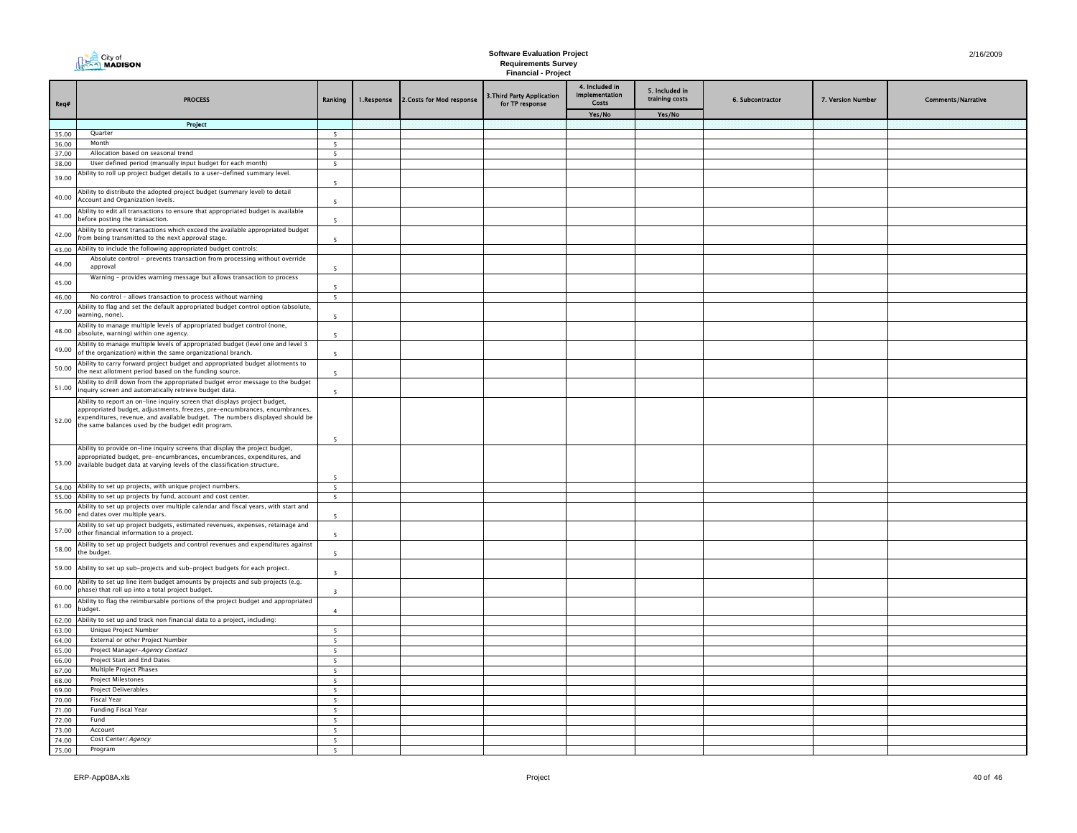| Req#           | <b>PROCESS</b>                                                                                                                                                                                                                                                                                | Ranking                                    | 1.Response | 2. Costs for Mod response | 3. Third Party Application<br>for TP response | 4. Included in<br>Implementation<br>Costs | 5. Included in<br>training costs | 6. Subcontractor | 7. Version Number | <b>Comments/Narrative</b> |
|----------------|-----------------------------------------------------------------------------------------------------------------------------------------------------------------------------------------------------------------------------------------------------------------------------------------------|--------------------------------------------|------------|---------------------------|-----------------------------------------------|-------------------------------------------|----------------------------------|------------------|-------------------|---------------------------|
|                |                                                                                                                                                                                                                                                                                               |                                            |            |                           |                                               | Yes/No                                    | Yes/No                           |                  |                   |                           |
|                | Project                                                                                                                                                                                                                                                                                       |                                            |            |                           |                                               |                                           |                                  |                  |                   |                           |
| 35.00<br>36.00 | Quarter<br>Month                                                                                                                                                                                                                                                                              | $\overline{\phantom{a}}$<br>5 <sup>5</sup> |            |                           |                                               |                                           |                                  |                  |                   |                           |
| 37.00          | Allocation based on seasonal trend                                                                                                                                                                                                                                                            | 5                                          |            |                           |                                               |                                           |                                  |                  |                   |                           |
| 38.00          | User defined period (manually input budget for each month)                                                                                                                                                                                                                                    | 5                                          |            |                           |                                               |                                           |                                  |                  |                   |                           |
| 39.00          | Ability to roll up project budget details to a user-defined summary level.                                                                                                                                                                                                                    | 5                                          |            |                           |                                               |                                           |                                  |                  |                   |                           |
| 40.00          | Ability to distribute the adopted project budget (summary level) to detail<br>Account and Organization levels.                                                                                                                                                                                | $\overline{\phantom{a}}$                   |            |                           |                                               |                                           |                                  |                  |                   |                           |
| 41.00          | Ability to edit all transactions to ensure that appropriated budget is available<br>before posting the transaction.                                                                                                                                                                           | 5                                          |            |                           |                                               |                                           |                                  |                  |                   |                           |
| 42.00          | Ability to prevent transactions which exceed the available appropriated budget<br>from being transmitted to the next approval stage.                                                                                                                                                          | $\overline{\phantom{a}}$                   |            |                           |                                               |                                           |                                  |                  |                   |                           |
|                | 43.00 Ability to include the following appropriated budget controls:                                                                                                                                                                                                                          |                                            |            |                           |                                               |                                           |                                  |                  |                   |                           |
| 44.00          | Absolute control - prevents transaction from processing without override<br>approval                                                                                                                                                                                                          | $\overline{\phantom{a}}$                   |            |                           |                                               |                                           |                                  |                  |                   |                           |
| 45.00          | Warning - provides warning message but allows transaction to process                                                                                                                                                                                                                          | 5                                          |            |                           |                                               |                                           |                                  |                  |                   |                           |
| 46.00          | No control - allows transaction to process without warning                                                                                                                                                                                                                                    | 5                                          |            |                           |                                               |                                           |                                  |                  |                   |                           |
| 47.00          | Ability to flag and set the default appropriated budget control option (absolute,<br>varning, none).                                                                                                                                                                                          | -5                                         |            |                           |                                               |                                           |                                  |                  |                   |                           |
| 48.00          | Ability to manage multiple levels of appropriated budget control (none,<br>absolute, warning) within one agency.                                                                                                                                                                              | 5                                          |            |                           |                                               |                                           |                                  |                  |                   |                           |
| 49.00          | Ability to manage multiple levels of appropriated budget (level one and level 3<br>of the organization) within the same organizational branch.                                                                                                                                                | $\overline{5}$                             |            |                           |                                               |                                           |                                  |                  |                   |                           |
| 50.00          | Ability to carry forward project budget and appropriated budget allotments to<br>the next allotment period based on the funding source.                                                                                                                                                       | 5                                          |            |                           |                                               |                                           |                                  |                  |                   |                           |
| 51.00          | Ability to drill down from the appropriated budget error message to the budget<br>inquiry screen and automatically retrieve budget data.                                                                                                                                                      | 5                                          |            |                           |                                               |                                           |                                  |                  |                   |                           |
| 52.00          | Ability to report an on-line inquiry screen that displays project budget,<br>appropriated budget, adjustments, freezes, pre-encumbrances, encumbrances,<br>expenditures, revenue, and available budget. The numbers displayed should be<br>the same balances used by the budget edit program. | 5                                          |            |                           |                                               |                                           |                                  |                  |                   |                           |
| 53.00          | Ability to provide on-line inquiry screens that display the project budget,<br>appropriated budget, pre-encumbrances, encumbrances, expenditures, and<br>available budget data at varying levels of the classification structure.                                                             | 5                                          |            |                           |                                               |                                           |                                  |                  |                   |                           |
|                | 54.00 Ability to set up projects, with unique project numbers.                                                                                                                                                                                                                                | 5                                          |            |                           |                                               |                                           |                                  |                  |                   |                           |
| 55.00          | Ability to set up projects by fund, account and cost center.                                                                                                                                                                                                                                  | 5                                          |            |                           |                                               |                                           |                                  |                  |                   |                           |
| 56.00          | Ability to set up projects over multiple calendar and fiscal years, with start and<br>end dates over multiple years.                                                                                                                                                                          | $\overline{\phantom{a}}$                   |            |                           |                                               |                                           |                                  |                  |                   |                           |
| 57.00          | Ability to set up project budgets, estimated revenues, expenses, retainage and<br>other financial information to a project.                                                                                                                                                                   | $\overline{5}$                             |            |                           |                                               |                                           |                                  |                  |                   |                           |
| 58.00          | Ability to set up project budgets and control revenues and expenditures against<br>the budget.                                                                                                                                                                                                | 5                                          |            |                           |                                               |                                           |                                  |                  |                   |                           |
| 59.00          | Ability to set up sub-projects and sub-project budgets for each project.                                                                                                                                                                                                                      | $\overline{\mathbf{3}}$                    |            |                           |                                               |                                           |                                  |                  |                   |                           |
| 60.00          | Ability to set up line item budget amounts by projects and sub projects (e.g.<br>phase) that roll up into a total project budget.                                                                                                                                                             | $\overline{\mathbf{3}}$                    |            |                           |                                               |                                           |                                  |                  |                   |                           |
| 61.00          | Ability to flag the reimbursable portions of the project budget and appropriated<br>budget.                                                                                                                                                                                                   | $\overline{4}$                             |            |                           |                                               |                                           |                                  |                  |                   |                           |
| 62.00          | Ability to set up and track non financial data to a project, including:                                                                                                                                                                                                                       |                                            |            |                           |                                               |                                           |                                  |                  |                   |                           |
| 63.00          | Unique Project Number                                                                                                                                                                                                                                                                         | 5                                          |            |                           |                                               |                                           |                                  |                  |                   |                           |
| 64.00          | External or other Project Number                                                                                                                                                                                                                                                              | 5                                          |            |                           |                                               |                                           |                                  |                  |                   |                           |
| 65.00          | Project Manager-Agency Contact<br>Project Start and End Dates                                                                                                                                                                                                                                 | 5                                          |            |                           |                                               |                                           |                                  |                  |                   |                           |
| 66.00          | Multiple Project Phases                                                                                                                                                                                                                                                                       | 5<br>5                                     |            |                           |                                               |                                           |                                  |                  |                   |                           |
| 67.00<br>68.00 | <b>Project Milestones</b>                                                                                                                                                                                                                                                                     | 5                                          |            |                           |                                               |                                           |                                  |                  |                   |                           |
| 69.00          | Project Deliverables                                                                                                                                                                                                                                                                          | 5                                          |            |                           |                                               |                                           |                                  |                  |                   |                           |
| 70.00          | <b>Fiscal Year</b>                                                                                                                                                                                                                                                                            | 5                                          |            |                           |                                               |                                           |                                  |                  |                   |                           |
| 71.00          | <b>Funding Fiscal Year</b>                                                                                                                                                                                                                                                                    | 5                                          |            |                           |                                               |                                           |                                  |                  |                   |                           |
| 72.00          | Fund                                                                                                                                                                                                                                                                                          | 5                                          |            |                           |                                               |                                           |                                  |                  |                   |                           |
| 73.00          | Account                                                                                                                                                                                                                                                                                       | 5 <sub>1</sub>                             |            |                           |                                               |                                           |                                  |                  |                   |                           |
| 74.00          | Cost Center/Agency                                                                                                                                                                                                                                                                            | 5 <sub>1</sub>                             |            |                           |                                               |                                           |                                  |                  |                   |                           |
| 75.00          | Program                                                                                                                                                                                                                                                                                       |                                            |            |                           |                                               |                                           |                                  |                  |                   |                           |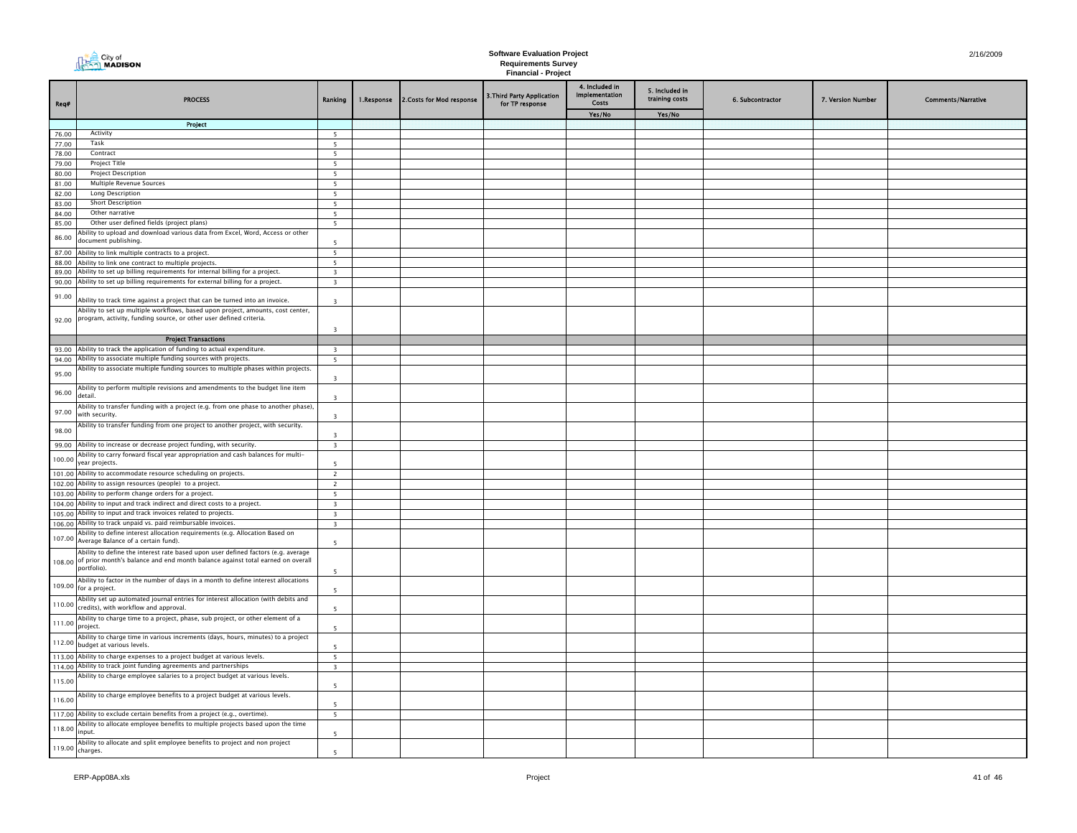| Req#           | <b>PROCESS</b>                                                                                                                                                                            | Ranking                                            | 1.Response | 2. Costs for Mod response | 3. Third Party Application<br>for TP response | 4. Included in<br>Implementation<br>Costs | 5. Included in<br>training costs | 6. Subcontractor | 7. Version Number | <b>Comments/Narrative</b> |
|----------------|-------------------------------------------------------------------------------------------------------------------------------------------------------------------------------------------|----------------------------------------------------|------------|---------------------------|-----------------------------------------------|-------------------------------------------|----------------------------------|------------------|-------------------|---------------------------|
|                |                                                                                                                                                                                           |                                                    |            |                           |                                               | Yes/No                                    | Yes/No                           |                  |                   |                           |
|                | Project                                                                                                                                                                                   |                                                    |            |                           |                                               |                                           |                                  |                  |                   |                           |
| 76.00          | Activity                                                                                                                                                                                  | 5                                                  |            |                           |                                               |                                           |                                  |                  |                   |                           |
| 77.00          | Task                                                                                                                                                                                      | 5                                                  |            |                           |                                               |                                           |                                  |                  |                   |                           |
| 78.00          | Contract                                                                                                                                                                                  | 5                                                  |            |                           |                                               |                                           |                                  |                  |                   |                           |
| 79.00<br>80.00 | Project Title<br><b>Project Description</b>                                                                                                                                               | 5<br>5                                             |            |                           |                                               |                                           |                                  |                  |                   |                           |
| 81.00          | Multiple Revenue Sources                                                                                                                                                                  | 5 <sup>5</sup>                                     |            |                           |                                               |                                           |                                  |                  |                   |                           |
| 82.00          | Long Description                                                                                                                                                                          | 5                                                  |            |                           |                                               |                                           |                                  |                  |                   |                           |
| 83.00          | <b>Short Description</b>                                                                                                                                                                  | 5                                                  |            |                           |                                               |                                           |                                  |                  |                   |                           |
| 84.00          | Other narrative                                                                                                                                                                           | 5                                                  |            |                           |                                               |                                           |                                  |                  |                   |                           |
| 85.00          | Other user defined fields (project plans)                                                                                                                                                 | 5                                                  |            |                           |                                               |                                           |                                  |                  |                   |                           |
| 86.00          | Ability to upload and download various data from Excel, Word, Access or other<br>document publishing.                                                                                     | $\overline{\phantom{a}}$                           |            |                           |                                               |                                           |                                  |                  |                   |                           |
| 87.00          | Ability to link multiple contracts to a project.                                                                                                                                          | 5                                                  |            |                           |                                               |                                           |                                  |                  |                   |                           |
| 88.00<br>89.00 | Ability to link one contract to multiple projects.<br>Ability to set up billing requirements for internal billing for a project.                                                          | 5                                                  |            |                           |                                               |                                           |                                  |                  |                   |                           |
| 90.00          | Ability to set up billing requirements for external billing for a project.                                                                                                                | $\overline{\mathbf{3}}$<br>$\overline{\mathbf{3}}$ |            |                           |                                               |                                           |                                  |                  |                   |                           |
| 91.00          | Ability to track time against a project that can be turned into an invoice.                                                                                                               | $\overline{3}$                                     |            |                           |                                               |                                           |                                  |                  |                   |                           |
| 92.00          | Ability to set up multiple workflows, based upon project, amounts, cost center,<br>program, activity, funding source, or other user defined criteria.                                     |                                                    |            |                           |                                               |                                           |                                  |                  |                   |                           |
|                |                                                                                                                                                                                           | $\overline{\mathbf{3}}$                            |            |                           |                                               |                                           |                                  |                  |                   |                           |
|                | <b>Project Transactions</b>                                                                                                                                                               |                                                    |            |                           |                                               |                                           |                                  |                  |                   |                           |
|                | 93.00 Ability to track the application of funding to actual expenditure.                                                                                                                  | $\overline{\mathbf{3}}$                            |            |                           |                                               |                                           |                                  |                  |                   |                           |
| 94.00          | Ability to associate multiple funding sources with projects.                                                                                                                              | 5 <sup>5</sup>                                     |            |                           |                                               |                                           |                                  |                  |                   |                           |
| 95.00          | Ability to associate multiple funding sources to multiple phases within projects.                                                                                                         | $\overline{3}$                                     |            |                           |                                               |                                           |                                  |                  |                   |                           |
| 96.00          | Ability to perform multiple revisions and amendments to the budget line item<br>detail.                                                                                                   | $\overline{\mathbf{3}}$                            |            |                           |                                               |                                           |                                  |                  |                   |                           |
| 97.00          | Ability to transfer funding with a project (e.g. from one phase to another phase),<br>with security.                                                                                      | $\overline{\mathbf{3}}$                            |            |                           |                                               |                                           |                                  |                  |                   |                           |
| 98.00          | Ability to transfer funding from one project to another project, with security.                                                                                                           | $\overline{3}$                                     |            |                           |                                               |                                           |                                  |                  |                   |                           |
| 99.00          | Ability to increase or decrease project funding, with security.                                                                                                                           | $\overline{\mathbf{3}}$                            |            |                           |                                               |                                           |                                  |                  |                   |                           |
| 100.00         | Ability to carry forward fiscal year appropriation and cash balances for multi-<br>year projects.                                                                                         | $\overline{5}$                                     |            |                           |                                               |                                           |                                  |                  |                   |                           |
|                | 101.00 Ability to accommodate resource scheduling on projects.<br>102.00 Ability to assign resources (people) to a project.                                                               | $\overline{2}$                                     |            |                           |                                               |                                           |                                  |                  |                   |                           |
|                | 103.00 Ability to perform change orders for a project.                                                                                                                                    | $\overline{2}$<br>5                                |            |                           |                                               |                                           |                                  |                  |                   |                           |
| 104.00         | Ability to input and track indirect and direct costs to a project.                                                                                                                        | $\overline{\mathbf{3}}$                            |            |                           |                                               |                                           |                                  |                  |                   |                           |
| 105.00         | Ability to input and track invoices related to projects.                                                                                                                                  | $\overline{\mathbf{3}}$                            |            |                           |                                               |                                           |                                  |                  |                   |                           |
|                | 106.00 Ability to track unpaid vs. paid reimbursable invoices.                                                                                                                            | $\overline{\mathbf{3}}$                            |            |                           |                                               |                                           |                                  |                  |                   |                           |
| 107.00         | Ability to define interest allocation requirements (e.g. Allocation Based on<br>Average Balance of a certain fund).                                                                       | -5                                                 |            |                           |                                               |                                           |                                  |                  |                   |                           |
|                | Ability to define the interest rate based upon user defined factors (e.g. average<br>108.00 of prior month's balance and end month balance against total earned on overall<br>portfolio). | 5                                                  |            |                           |                                               |                                           |                                  |                  |                   |                           |
| 109.00         | Ability to factor in the number of days in a month to define interest allocations<br>for a project.                                                                                       | - 5                                                |            |                           |                                               |                                           |                                  |                  |                   |                           |
| 110.00         | Ability set up automated journal entries for interest allocation (with debits and<br>credits), with workflow and approval.                                                                | - 5                                                |            |                           |                                               |                                           |                                  |                  |                   |                           |
| 111.00         | Ability to charge time to a project, phase, sub project, or other element of a<br>project.                                                                                                | 5                                                  |            |                           |                                               |                                           |                                  |                  |                   |                           |
| 112.00         | Ability to charge time in various increments (days, hours, minutes) to a project<br>budget at various levels                                                                              | $\overline{\phantom{0}}$                           |            |                           |                                               |                                           |                                  |                  |                   |                           |
|                | 113.00 Ability to charge expenses to a project budget at various levels.                                                                                                                  | 5                                                  |            |                           |                                               |                                           |                                  |                  |                   |                           |
| 114.00         | Ability to track joint funding agreements and partnerships                                                                                                                                | $\overline{\mathbf{3}}$                            |            |                           |                                               |                                           |                                  |                  |                   |                           |
| 115.00         | Ability to charge employee salaries to a project budget at various levels.                                                                                                                | $\overline{\phantom{a}}$                           |            |                           |                                               |                                           |                                  |                  |                   |                           |
| 116.00         | Ability to charge employee benefits to a project budget at various levels.                                                                                                                | 5                                                  |            |                           |                                               |                                           |                                  |                  |                   |                           |
|                | 117.00 Ability to exclude certain benefits from a project (e.g., overtime).                                                                                                               | 5                                                  |            |                           |                                               |                                           |                                  |                  |                   |                           |
| 118.00         | Ability to allocate employee benefits to multiple projects based upon the time<br>nput                                                                                                    | 5                                                  |            |                           |                                               |                                           |                                  |                  |                   |                           |
| 119.00         | Ability to allocate and split employee benefits to project and non project<br>charges.                                                                                                    |                                                    |            |                           |                                               |                                           |                                  |                  |                   |                           |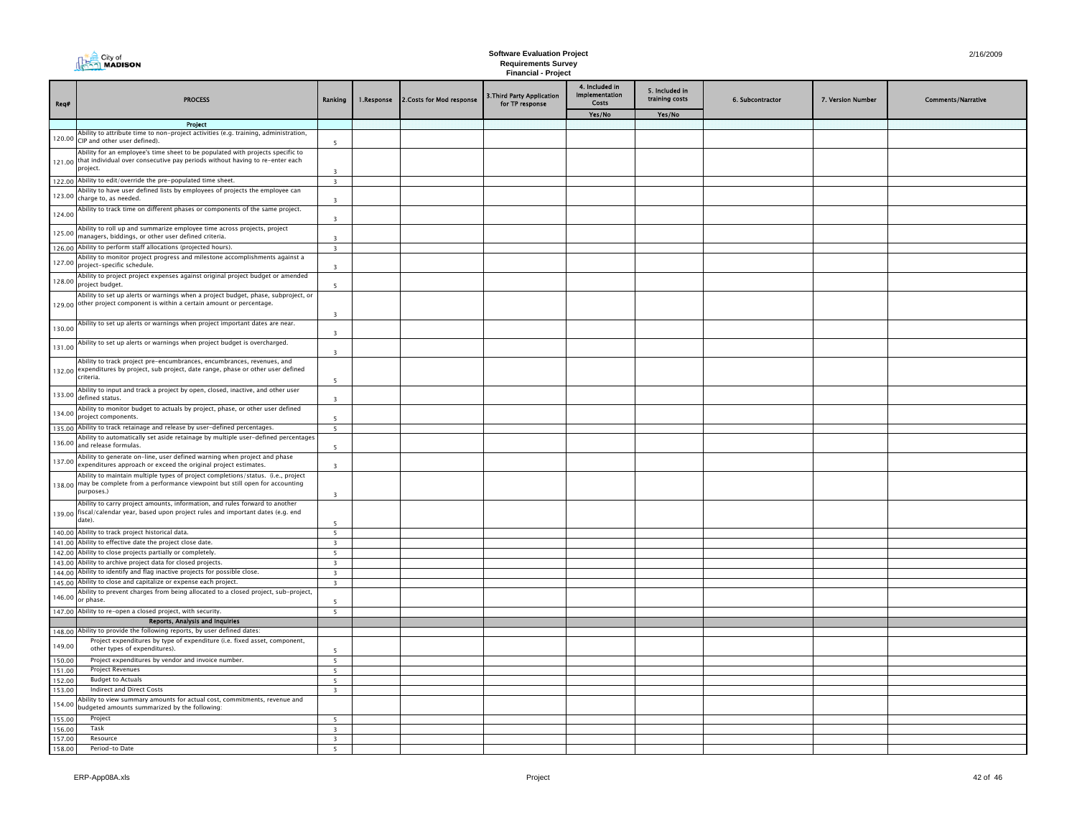|                  | $\triangleq$ City of<br><b>THE City of</b> City of                                                                                                                                  |                                                    |            |                           | <b>Software Evaluation Project</b><br><b>Requirements Survey</b> |                                           |                                  |                  |                   | 2/16/2009                 |
|------------------|-------------------------------------------------------------------------------------------------------------------------------------------------------------------------------------|----------------------------------------------------|------------|---------------------------|------------------------------------------------------------------|-------------------------------------------|----------------------------------|------------------|-------------------|---------------------------|
|                  |                                                                                                                                                                                     |                                                    |            |                           | <b>Financial - Project</b>                                       |                                           |                                  |                  |                   |                           |
| Req#             | <b>PROCESS</b>                                                                                                                                                                      | Ranking                                            | 1.Response | 2. Costs for Mod response | 3. Third Party Application<br>for TP response                    | 4. Included in<br>Implementation<br>Costs | 5. Included in<br>training costs | 6. Subcontractor | 7. Version Number | <b>Comments/Narrative</b> |
|                  |                                                                                                                                                                                     |                                                    |            |                           |                                                                  | Yes/No                                    | Yes/No                           |                  |                   |                           |
|                  | <b>Project</b><br>Ability to attribute time to non-project activities (e.g. training, administration,                                                                               |                                                    |            |                           |                                                                  |                                           |                                  |                  |                   |                           |
| 120.00           | CIP and other user defined).                                                                                                                                                        | -5                                                 |            |                           |                                                                  |                                           |                                  |                  |                   |                           |
|                  | Ability for an employee's time sheet to be populated with projects specific to<br>121.00 that individual over consecutive pay periods without having to re-enter each<br>project.   | $\overline{\mathbf{3}}$                            |            |                           |                                                                  |                                           |                                  |                  |                   |                           |
|                  | 122.00 Ability to edit/override the pre-populated time sheet.                                                                                                                       | $\overline{\mathbf{3}}$                            |            |                           |                                                                  |                                           |                                  |                  |                   |                           |
| 123.00           | Ability to have user defined lists by employees of projects the employee can<br>charge to, as needed.                                                                               | $\overline{z}$                                     |            |                           |                                                                  |                                           |                                  |                  |                   |                           |
| 124.00           | Ability to track time on different phases or components of the same project.                                                                                                        | $\overline{z}$                                     |            |                           |                                                                  |                                           |                                  |                  |                   |                           |
| 125.00           | Ability to roll up and summarize employee time across projects, project<br>managers, biddings, or other user defined criteria.                                                      | $\overline{z}$                                     |            |                           |                                                                  |                                           |                                  |                  |                   |                           |
|                  | 126.00 Ability to perform staff allocations (projected hours).                                                                                                                      | $\overline{\mathbf{3}}$                            |            |                           |                                                                  |                                           |                                  |                  |                   |                           |
| 127.00           | Ability to monitor project progress and milestone accomplishments against a<br>project-specific schedule.                                                                           | $\overline{3}$                                     |            |                           |                                                                  |                                           |                                  |                  |                   |                           |
| 128.00           | Ability to project project expenses against original project budget or amended<br>project budget.                                                                                   | $\overline{\phantom{a}}$                           |            |                           |                                                                  |                                           |                                  |                  |                   |                           |
|                  | Ability to set up alerts or warnings when a project budget, phase, subproject, or<br>129.00 other project component is within a certain amount or percentage.                       | $\overline{\mathbf{3}}$                            |            |                           |                                                                  |                                           |                                  |                  |                   |                           |
| 130.00           | Ability to set up alerts or warnings when project important dates are near.                                                                                                         | $\overline{3}$                                     |            |                           |                                                                  |                                           |                                  |                  |                   |                           |
| 131.00           | Ability to set up alerts or warnings when project budget is overcharged.                                                                                                            | $\overline{3}$                                     |            |                           |                                                                  |                                           |                                  |                  |                   |                           |
|                  | Ability to track project pre-encumbrances, encumbrances, revenues, and<br>132.00 expenditures by project, sub project, date range, phase or other user defined<br>criteria.         | 5                                                  |            |                           |                                                                  |                                           |                                  |                  |                   |                           |
| 133.00           | Ability to input and track a project by open, closed, inactive, and other user<br>defined status.                                                                                   | $\overline{\mathbf{3}}$                            |            |                           |                                                                  |                                           |                                  |                  |                   |                           |
| 134.00           | Ability to monitor budget to actuals by project, phase, or other user defined<br>project components.                                                                                | 5                                                  |            |                           |                                                                  |                                           |                                  |                  |                   |                           |
| 135.00           | Ability to track retainage and release by user-defined percentages.                                                                                                                 | 5                                                  |            |                           |                                                                  |                                           |                                  |                  |                   |                           |
| 136.00           | Ability to automatically set aside retainage by multiple user-defined percentages<br>and release formulas.                                                                          | $\overline{\phantom{0}}$                           |            |                           |                                                                  |                                           |                                  |                  |                   |                           |
| 137.00           | Ability to generate on-line, user defined warning when project and phase<br>expenditures approach or exceed the original project estimates.                                         | $\overline{3}$                                     |            |                           |                                                                  |                                           |                                  |                  |                   |                           |
|                  | Ability to maintain multiple types of project completions/status. (i.e., project<br>138.00 may be complete from a performance viewpoint but still open for accounting<br>purposes.) | $\overline{3}$                                     |            |                           |                                                                  |                                           |                                  |                  |                   |                           |
| 139.00           | Ability to carry project amounts, information, and rules forward to another<br>fiscal/calendar year, based upon project rules and important dates (e.g. end<br>date).               | $\overline{\phantom{a}}$                           |            |                           |                                                                  |                                           |                                  |                  |                   |                           |
|                  | 140.00 Ability to track project historical data.                                                                                                                                    | $\overline{\phantom{a}}$                           |            |                           |                                                                  |                                           |                                  |                  |                   |                           |
|                  | 141.00 Ability to effective date the project close date.                                                                                                                            | $\overline{\mathbf{3}}$                            |            |                           |                                                                  |                                           |                                  |                  |                   |                           |
| 142.00           | Ability to close projects partially or completely.                                                                                                                                  | 5                                                  |            |                           |                                                                  |                                           |                                  |                  |                   |                           |
|                  | 143.00 Ability to archive project data for closed projects.                                                                                                                         | $\overline{\mathbf{3}}$                            |            |                           |                                                                  |                                           |                                  |                  |                   |                           |
|                  | 144.00 Ability to identify and flag inactive projects for possible close.                                                                                                           | $\overline{\mathbf{3}}$                            |            |                           |                                                                  |                                           |                                  |                  |                   |                           |
| 146.00           | 145.00 Ability to close and capitalize or expense each project.<br>Ability to prevent charges from being allocated to a closed project, sub-project,<br>or phase.                   | $\overline{\mathbf{3}}$                            |            |                           |                                                                  |                                           |                                  |                  |                   |                           |
|                  | 147.00 Ability to re-open a closed project, with security.                                                                                                                          | 5 <sup>5</sup>                                     |            |                           |                                                                  |                                           |                                  |                  |                   |                           |
|                  | Reports, Analysis and Inquiries                                                                                                                                                     |                                                    |            |                           |                                                                  |                                           |                                  |                  |                   |                           |
|                  | 148.00 Ability to provide the following reports, by user defined dates:                                                                                                             |                                                    |            |                           |                                                                  |                                           |                                  |                  |                   |                           |
| 149.00           | Project expenditures by type of expenditure (i.e. fixed asset, component,<br>other types of expenditures).                                                                          | -5                                                 |            |                           |                                                                  |                                           |                                  |                  |                   |                           |
| 150.00           | Project expenditures by vendor and invoice number.                                                                                                                                  | 5                                                  |            |                           |                                                                  |                                           |                                  |                  |                   |                           |
| 151.00           | Project Revenues                                                                                                                                                                    | 5                                                  |            |                           |                                                                  |                                           |                                  |                  |                   |                           |
| 152.00           | <b>Budget to Actuals</b>                                                                                                                                                            | $\overline{\phantom{a}}$                           |            |                           |                                                                  |                                           |                                  |                  |                   |                           |
| 153.00           | <b>Indirect and Direct Costs</b>                                                                                                                                                    | $\overline{\mathbf{3}}$                            |            |                           |                                                                  |                                           |                                  |                  |                   |                           |
| 154.00           | Ability to view summary amounts for actual cost, commitments, revenue and<br>budgeted amounts summarized by the following:                                                          |                                                    |            |                           |                                                                  |                                           |                                  |                  |                   |                           |
| 155.00           | Project                                                                                                                                                                             | 5 <sup>5</sup>                                     |            |                           |                                                                  |                                           |                                  |                  |                   |                           |
| 156.00<br>157.00 | Task<br>Resource                                                                                                                                                                    | $\overline{\mathbf{3}}$<br>$\overline{\mathbf{3}}$ |            |                           |                                                                  |                                           |                                  |                  |                   |                           |
| 158.00           | Period-to Date                                                                                                                                                                      | 5                                                  |            |                           |                                                                  |                                           |                                  |                  |                   |                           |
|                  |                                                                                                                                                                                     |                                                    |            |                           |                                                                  |                                           |                                  |                  |                   |                           |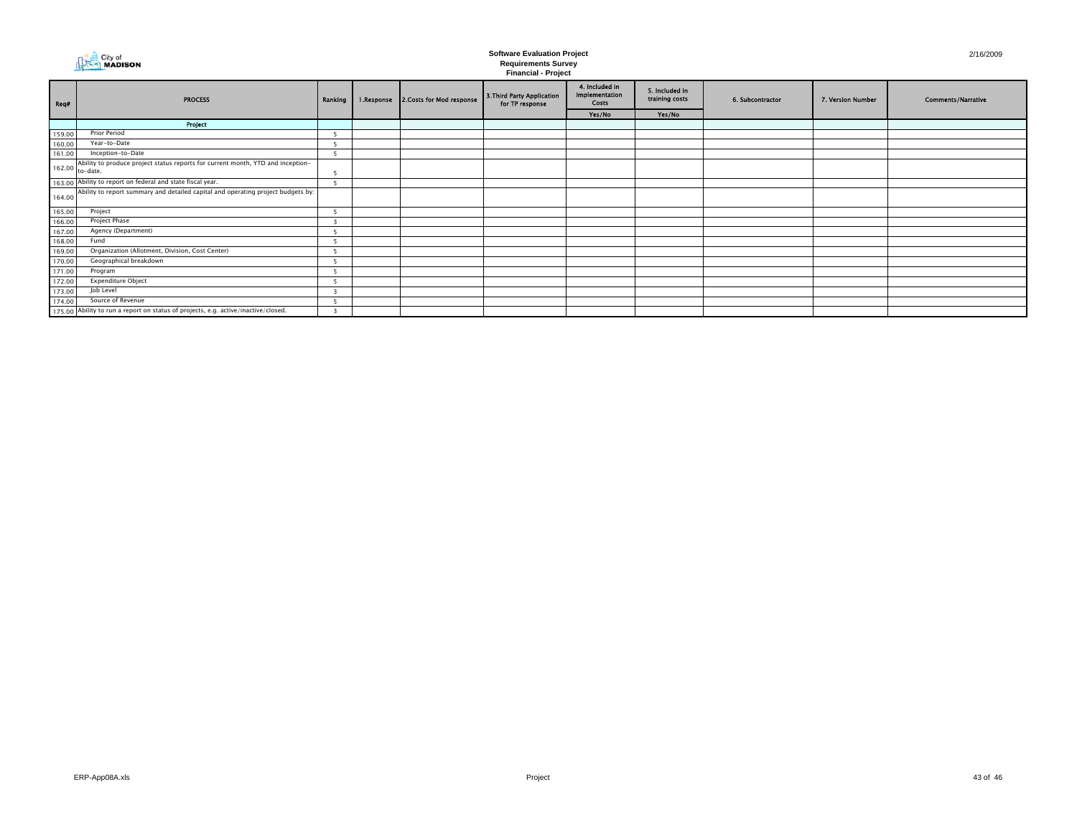| City of<br><b>NADISON</b> |
|---------------------------|
|                           |

|                  |                                                                                                    |         |            |                           | $\ldots$                                      |                                                  |                                  |                  |                   |                           |
|------------------|----------------------------------------------------------------------------------------------------|---------|------------|---------------------------|-----------------------------------------------|--------------------------------------------------|----------------------------------|------------------|-------------------|---------------------------|
| <br> <br>  Req#  | <b>PROCESS</b>                                                                                     | Ranking | 1.Response | 2. Costs for Mod response | 3. Third Party Application<br>for TP response | 4. Included in<br>Implementation<br><b>Costs</b> | 5. Included in<br>training costs | 6. Subcontractor | 7. Version Number | <b>Comments/Narrative</b> |
|                  |                                                                                                    |         |            |                           |                                               | Yes/No                                           | Yes/No                           |                  |                   |                           |
|                  | Project                                                                                            |         |            |                           |                                               |                                                  |                                  |                  |                   |                           |
| 159.00           | <b>Prior Period</b>                                                                                |         |            |                           |                                               |                                                  |                                  |                  |                   |                           |
| 160.00           | Year-to-Date                                                                                       |         |            |                           |                                               |                                                  |                                  |                  |                   |                           |
| 161.00           | Inception-to-Date                                                                                  |         |            |                           |                                               |                                                  |                                  |                  |                   |                           |
|                  | Ability to produce project status reports for current month, YTD and inception-<br>162.00 to-date. |         |            |                           |                                               |                                                  |                                  |                  |                   |                           |
|                  | 163.00 Ability to report on federal and state fiscal year.                                         |         |            |                           |                                               |                                                  |                                  |                  |                   |                           |
| 164.00           | Ability to report summary and detailed capital and operating project budgets by:                   |         |            |                           |                                               |                                                  |                                  |                  |                   |                           |
| 165.00           | Project                                                                                            |         |            |                           |                                               |                                                  |                                  |                  |                   |                           |
| 166.00           | Project Phase                                                                                      |         |            |                           |                                               |                                                  |                                  |                  |                   |                           |
| 167.00           | Agency (Department)                                                                                |         |            |                           |                                               |                                                  |                                  |                  |                   |                           |
| 168.00           | Fund                                                                                               |         |            |                           |                                               |                                                  |                                  |                  |                   |                           |
| 169.00           | Organization (Allotment, Division, Cost Center)                                                    |         |            |                           |                                               |                                                  |                                  |                  |                   |                           |
| 170.00           | Geographical breakdown                                                                             |         |            |                           |                                               |                                                  |                                  |                  |                   |                           |
| 171.00           | Program                                                                                            |         |            |                           |                                               |                                                  |                                  |                  |                   |                           |
| 172.00<br>173.00 | <b>Expenditure Object</b>                                                                          |         |            |                           |                                               |                                                  |                                  |                  |                   |                           |
|                  | Job Level                                                                                          |         |            |                           |                                               |                                                  |                                  |                  |                   |                           |
| 174.00           | Source of Revenue                                                                                  |         |            |                           |                                               |                                                  |                                  |                  |                   |                           |
|                  | 175.00 Ability to run a report on status of projects, e.g. active/inactive/closed.                 |         |            |                           |                                               |                                                  |                                  |                  |                   |                           |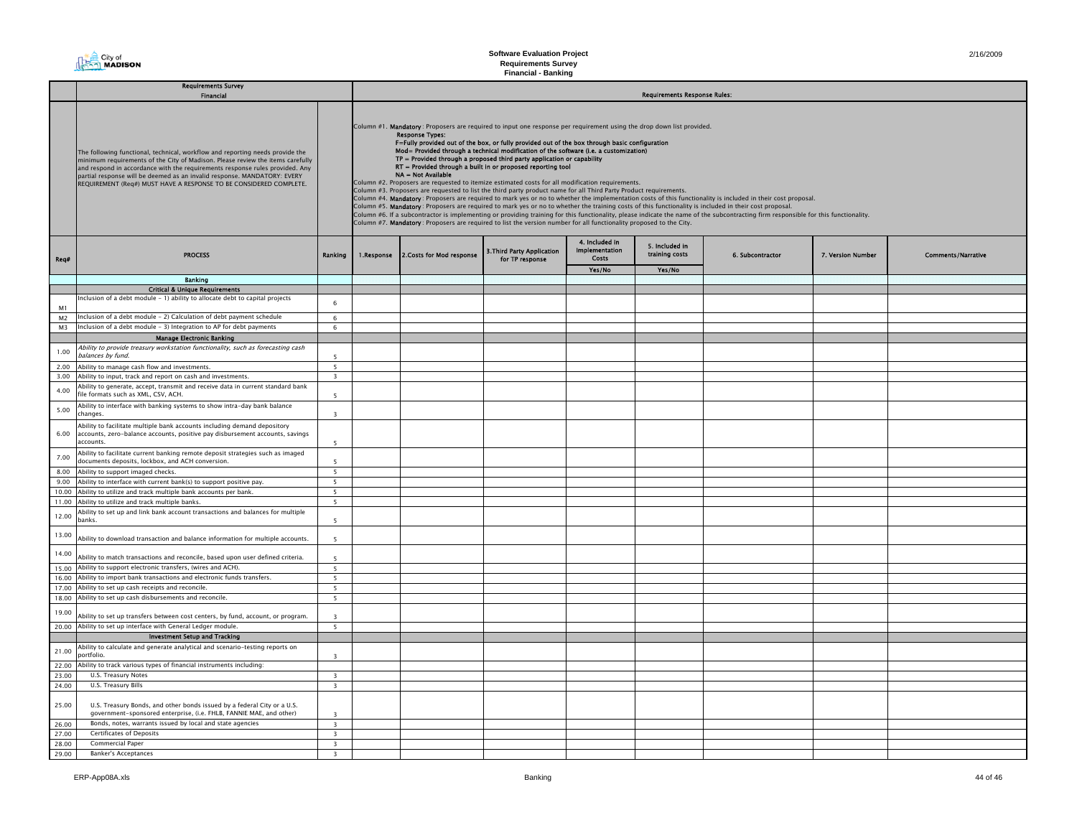# **Software Evaluation Project**

**Requirements Survey Financial - Banking**

|                | <b>Requirements Survey</b>                                                                                                                                                                                                                                                                                                                                                                        |                          |            |                                                                                                                                                                                                                                                                                                                                                                                                                                                                                                                                                                                                                                                                                                                                                                                                                                                                                                                                                                                                                                                                                                                                                                                                                                                                                                                                                                           |                                               |                                                         |                                     |                  |                   |                           |  |  |
|----------------|---------------------------------------------------------------------------------------------------------------------------------------------------------------------------------------------------------------------------------------------------------------------------------------------------------------------------------------------------------------------------------------------------|--------------------------|------------|---------------------------------------------------------------------------------------------------------------------------------------------------------------------------------------------------------------------------------------------------------------------------------------------------------------------------------------------------------------------------------------------------------------------------------------------------------------------------------------------------------------------------------------------------------------------------------------------------------------------------------------------------------------------------------------------------------------------------------------------------------------------------------------------------------------------------------------------------------------------------------------------------------------------------------------------------------------------------------------------------------------------------------------------------------------------------------------------------------------------------------------------------------------------------------------------------------------------------------------------------------------------------------------------------------------------------------------------------------------------------|-----------------------------------------------|---------------------------------------------------------|-------------------------------------|------------------|-------------------|---------------------------|--|--|
|                | Financial                                                                                                                                                                                                                                                                                                                                                                                         |                          |            |                                                                                                                                                                                                                                                                                                                                                                                                                                                                                                                                                                                                                                                                                                                                                                                                                                                                                                                                                                                                                                                                                                                                                                                                                                                                                                                                                                           |                                               |                                                         | <b>Requirements Response Rules:</b> |                  |                   |                           |  |  |
|                | The following functional, technical, workflow and reporting needs provide the<br>minimum requirements of the City of Madison. Please review the items carefully<br>and respond in accordance with the requirements response rules provided. Any<br>partial response will be deemed as an invalid response. MANDATORY: EVERY<br>REQUIREMENT (Req#) MUST HAVE A RESPONSE TO BE CONSIDERED COMPLETE. |                          |            | Column #1. Mandatory: Proposers are required to input one response per requirement using the drop down list provided.<br><b>Response Types:</b><br>F=Fully provided out of the box, or fully provided out of the box through basic configuration<br>Mod= Provided through a technical modification of the software (i.e. a customization)<br>TP = Provided through a proposed third party application or capability<br>RT = Provided through a built in or proposed reporting tool<br>NA = Not Available<br>Column #2. Proposers are requested to itemize estimated costs for all modification requirements.<br>Column #3. Proposers are requested to list the third party product name for all Third Party Product requirements.<br>Column #4. Mandatory: Proposers are required to mark yes or no to whether the implementation costs of this functionality is included in their cost proposal.<br>Column #5. Mandatory: Proposers are required to mark yes or no to whether the training costs of this functionality is included in their cost proposal.<br>Column #6. If a subcontractor is implementing or providing training for this functionality, please indicate the name of the subcontracting firm responsible for this functionality.<br>Column #7. Mandatory: Proposers are required to list the version number for all functionality proposed to the City. |                                               |                                                         |                                     |                  |                   |                           |  |  |
| Req#           | <b>PROCESS</b>                                                                                                                                                                                                                                                                                                                                                                                    | Ranking                  | 1.Response | 2. Costs for Mod response                                                                                                                                                                                                                                                                                                                                                                                                                                                                                                                                                                                                                                                                                                                                                                                                                                                                                                                                                                                                                                                                                                                                                                                                                                                                                                                                                 | 3. Third Party Application<br>for TP response | 4. Included in<br><b>Implementation</b><br><b>Costs</b> | 5. Included in<br>training costs    | 6. Subcontractor | 7. Version Number | <b>Comments/Narrative</b> |  |  |
|                |                                                                                                                                                                                                                                                                                                                                                                                                   |                          |            |                                                                                                                                                                                                                                                                                                                                                                                                                                                                                                                                                                                                                                                                                                                                                                                                                                                                                                                                                                                                                                                                                                                                                                                                                                                                                                                                                                           |                                               | Yes/No                                                  | Yes/No                              |                  |                   |                           |  |  |
|                | <b>Banking</b>                                                                                                                                                                                                                                                                                                                                                                                    |                          |            |                                                                                                                                                                                                                                                                                                                                                                                                                                                                                                                                                                                                                                                                                                                                                                                                                                                                                                                                                                                                                                                                                                                                                                                                                                                                                                                                                                           |                                               |                                                         |                                     |                  |                   |                           |  |  |
|                | <b>Critical &amp; Unique Requirements</b>                                                                                                                                                                                                                                                                                                                                                         |                          |            |                                                                                                                                                                                                                                                                                                                                                                                                                                                                                                                                                                                                                                                                                                                                                                                                                                                                                                                                                                                                                                                                                                                                                                                                                                                                                                                                                                           |                                               |                                                         |                                     |                  |                   |                           |  |  |
|                | Inclusion of a debt module - 1) ability to allocate debt to capital projects                                                                                                                                                                                                                                                                                                                      | 6                        |            |                                                                                                                                                                                                                                                                                                                                                                                                                                                                                                                                                                                                                                                                                                                                                                                                                                                                                                                                                                                                                                                                                                                                                                                                                                                                                                                                                                           |                                               |                                                         |                                     |                  |                   |                           |  |  |
| M <sub>2</sub> | Inclusion of a debt module - 2) Calculation of debt payment schedule                                                                                                                                                                                                                                                                                                                              | 6                        |            |                                                                                                                                                                                                                                                                                                                                                                                                                                                                                                                                                                                                                                                                                                                                                                                                                                                                                                                                                                                                                                                                                                                                                                                                                                                                                                                                                                           |                                               |                                                         |                                     |                  |                   |                           |  |  |
|                | Inclusion of a debt module - 3) Integration to AP for debt payments                                                                                                                                                                                                                                                                                                                               | 6                        |            |                                                                                                                                                                                                                                                                                                                                                                                                                                                                                                                                                                                                                                                                                                                                                                                                                                                                                                                                                                                                                                                                                                                                                                                                                                                                                                                                                                           |                                               |                                                         |                                     |                  |                   |                           |  |  |
| M3             |                                                                                                                                                                                                                                                                                                                                                                                                   |                          |            |                                                                                                                                                                                                                                                                                                                                                                                                                                                                                                                                                                                                                                                                                                                                                                                                                                                                                                                                                                                                                                                                                                                                                                                                                                                                                                                                                                           |                                               |                                                         |                                     |                  |                   |                           |  |  |
|                | <b>Manage Electronic Banking</b>                                                                                                                                                                                                                                                                                                                                                                  |                          |            |                                                                                                                                                                                                                                                                                                                                                                                                                                                                                                                                                                                                                                                                                                                                                                                                                                                                                                                                                                                                                                                                                                                                                                                                                                                                                                                                                                           |                                               |                                                         |                                     |                  |                   |                           |  |  |
| 1.00           | Ability to provide treasury workstation functionality, such as forecasting cash<br>balances by fund.                                                                                                                                                                                                                                                                                              | 5                        |            |                                                                                                                                                                                                                                                                                                                                                                                                                                                                                                                                                                                                                                                                                                                                                                                                                                                                                                                                                                                                                                                                                                                                                                                                                                                                                                                                                                           |                                               |                                                         |                                     |                  |                   |                           |  |  |
| 2.00           | Ability to manage cash flow and investments.                                                                                                                                                                                                                                                                                                                                                      | 5                        |            |                                                                                                                                                                                                                                                                                                                                                                                                                                                                                                                                                                                                                                                                                                                                                                                                                                                                                                                                                                                                                                                                                                                                                                                                                                                                                                                                                                           |                                               |                                                         |                                     |                  |                   |                           |  |  |
| 3.00           | Ability to input, track and report on cash and investments.                                                                                                                                                                                                                                                                                                                                       | $\overline{\mathbf{3}}$  |            |                                                                                                                                                                                                                                                                                                                                                                                                                                                                                                                                                                                                                                                                                                                                                                                                                                                                                                                                                                                                                                                                                                                                                                                                                                                                                                                                                                           |                                               |                                                         |                                     |                  |                   |                           |  |  |
| 4.00           | Ability to generate, accept, transmit and receive data in current standard bank                                                                                                                                                                                                                                                                                                                   |                          |            |                                                                                                                                                                                                                                                                                                                                                                                                                                                                                                                                                                                                                                                                                                                                                                                                                                                                                                                                                                                                                                                                                                                                                                                                                                                                                                                                                                           |                                               |                                                         |                                     |                  |                   |                           |  |  |
|                | ile formats such as XML, CSV, ACH.                                                                                                                                                                                                                                                                                                                                                                | 5                        |            |                                                                                                                                                                                                                                                                                                                                                                                                                                                                                                                                                                                                                                                                                                                                                                                                                                                                                                                                                                                                                                                                                                                                                                                                                                                                                                                                                                           |                                               |                                                         |                                     |                  |                   |                           |  |  |
| 5.00           | Ability to interface with banking systems to show intra-day bank balance<br>changes.                                                                                                                                                                                                                                                                                                              | $\mathbf{R}$             |            |                                                                                                                                                                                                                                                                                                                                                                                                                                                                                                                                                                                                                                                                                                                                                                                                                                                                                                                                                                                                                                                                                                                                                                                                                                                                                                                                                                           |                                               |                                                         |                                     |                  |                   |                           |  |  |
| 6.00           | Ability to facilitate multiple bank accounts including demand depository<br>accounts, zero-balance accounts, positive pay disbursement accounts, savings<br>accounts.                                                                                                                                                                                                                             | 5                        |            |                                                                                                                                                                                                                                                                                                                                                                                                                                                                                                                                                                                                                                                                                                                                                                                                                                                                                                                                                                                                                                                                                                                                                                                                                                                                                                                                                                           |                                               |                                                         |                                     |                  |                   |                           |  |  |
| 7.00           | Ability to facilitate current banking remote deposit strategies such as imaged<br>documents deposits, lockbox, and ACH conversion.                                                                                                                                                                                                                                                                | $\overline{\phantom{a}}$ |            |                                                                                                                                                                                                                                                                                                                                                                                                                                                                                                                                                                                                                                                                                                                                                                                                                                                                                                                                                                                                                                                                                                                                                                                                                                                                                                                                                                           |                                               |                                                         |                                     |                  |                   |                           |  |  |
| 8.00           | Ability to support imaged checks.                                                                                                                                                                                                                                                                                                                                                                 | 5 <sup>5</sup>           |            |                                                                                                                                                                                                                                                                                                                                                                                                                                                                                                                                                                                                                                                                                                                                                                                                                                                                                                                                                                                                                                                                                                                                                                                                                                                                                                                                                                           |                                               |                                                         |                                     |                  |                   |                           |  |  |
| 9.00           | Ability to interface with current bank(s) to support positive pay.                                                                                                                                                                                                                                                                                                                                | $5\overline{ }$          |            |                                                                                                                                                                                                                                                                                                                                                                                                                                                                                                                                                                                                                                                                                                                                                                                                                                                                                                                                                                                                                                                                                                                                                                                                                                                                                                                                                                           |                                               |                                                         |                                     |                  |                   |                           |  |  |
| 10.00          | Ability to utilize and track multiple bank accounts per bank.                                                                                                                                                                                                                                                                                                                                     | 5                        |            |                                                                                                                                                                                                                                                                                                                                                                                                                                                                                                                                                                                                                                                                                                                                                                                                                                                                                                                                                                                                                                                                                                                                                                                                                                                                                                                                                                           |                                               |                                                         |                                     |                  |                   |                           |  |  |
| 11.00          | Ability to utilize and track multiple banks.                                                                                                                                                                                                                                                                                                                                                      | $\overline{\phantom{a}}$ |            |                                                                                                                                                                                                                                                                                                                                                                                                                                                                                                                                                                                                                                                                                                                                                                                                                                                                                                                                                                                                                                                                                                                                                                                                                                                                                                                                                                           |                                               |                                                         |                                     |                  |                   |                           |  |  |
| 12.00          | Ability to set up and link bank account transactions and balances for multiple<br>panks.                                                                                                                                                                                                                                                                                                          | 5                        |            |                                                                                                                                                                                                                                                                                                                                                                                                                                                                                                                                                                                                                                                                                                                                                                                                                                                                                                                                                                                                                                                                                                                                                                                                                                                                                                                                                                           |                                               |                                                         |                                     |                  |                   |                           |  |  |
| 13.00          |                                                                                                                                                                                                                                                                                                                                                                                                   |                          |            |                                                                                                                                                                                                                                                                                                                                                                                                                                                                                                                                                                                                                                                                                                                                                                                                                                                                                                                                                                                                                                                                                                                                                                                                                                                                                                                                                                           |                                               |                                                         |                                     |                  |                   |                           |  |  |
|                | Ability to download transaction and balance information for multiple accounts.                                                                                                                                                                                                                                                                                                                    | 5                        |            |                                                                                                                                                                                                                                                                                                                                                                                                                                                                                                                                                                                                                                                                                                                                                                                                                                                                                                                                                                                                                                                                                                                                                                                                                                                                                                                                                                           |                                               |                                                         |                                     |                  |                   |                           |  |  |
| 14.00          | Ability to match transactions and reconcile, based upon user defined criteria.                                                                                                                                                                                                                                                                                                                    | $\overline{5}$           |            |                                                                                                                                                                                                                                                                                                                                                                                                                                                                                                                                                                                                                                                                                                                                                                                                                                                                                                                                                                                                                                                                                                                                                                                                                                                                                                                                                                           |                                               |                                                         |                                     |                  |                   |                           |  |  |
| 15.00          | Ability to support electronic transfers, (wires and ACH).                                                                                                                                                                                                                                                                                                                                         | 5                        |            |                                                                                                                                                                                                                                                                                                                                                                                                                                                                                                                                                                                                                                                                                                                                                                                                                                                                                                                                                                                                                                                                                                                                                                                                                                                                                                                                                                           |                                               |                                                         |                                     |                  |                   |                           |  |  |
| 16.00          | Ability to import bank transactions and electronic funds transfers.                                                                                                                                                                                                                                                                                                                               | 5 <sup>5</sup>           |            |                                                                                                                                                                                                                                                                                                                                                                                                                                                                                                                                                                                                                                                                                                                                                                                                                                                                                                                                                                                                                                                                                                                                                                                                                                                                                                                                                                           |                                               |                                                         |                                     |                  |                   |                           |  |  |
| 17.00          | Ability to set up cash receipts and reconcile                                                                                                                                                                                                                                                                                                                                                     | 5 <sup>5</sup>           |            |                                                                                                                                                                                                                                                                                                                                                                                                                                                                                                                                                                                                                                                                                                                                                                                                                                                                                                                                                                                                                                                                                                                                                                                                                                                                                                                                                                           |                                               |                                                         |                                     |                  |                   |                           |  |  |
| 18.00          | Ability to set up cash disbursements and reconcile.                                                                                                                                                                                                                                                                                                                                               | 5                        |            |                                                                                                                                                                                                                                                                                                                                                                                                                                                                                                                                                                                                                                                                                                                                                                                                                                                                                                                                                                                                                                                                                                                                                                                                                                                                                                                                                                           |                                               |                                                         |                                     |                  |                   |                           |  |  |
| 19.00          | Ability to set up transfers between cost centers, by fund, account, or program.                                                                                                                                                                                                                                                                                                                   | $\overline{3}$           |            |                                                                                                                                                                                                                                                                                                                                                                                                                                                                                                                                                                                                                                                                                                                                                                                                                                                                                                                                                                                                                                                                                                                                                                                                                                                                                                                                                                           |                                               |                                                         |                                     |                  |                   |                           |  |  |
| 20.00          | Ability to set up interface with General Ledger module.                                                                                                                                                                                                                                                                                                                                           | $5\overline{5}$          |            |                                                                                                                                                                                                                                                                                                                                                                                                                                                                                                                                                                                                                                                                                                                                                                                                                                                                                                                                                                                                                                                                                                                                                                                                                                                                                                                                                                           |                                               |                                                         |                                     |                  |                   |                           |  |  |
|                | <b>Investment Setup and Tracking</b>                                                                                                                                                                                                                                                                                                                                                              |                          |            |                                                                                                                                                                                                                                                                                                                                                                                                                                                                                                                                                                                                                                                                                                                                                                                                                                                                                                                                                                                                                                                                                                                                                                                                                                                                                                                                                                           |                                               |                                                         |                                     |                  |                   |                           |  |  |
| 21.00          | Ability to calculate and generate analytical and scenario-testing reports on<br>portfolio.                                                                                                                                                                                                                                                                                                        | $\overline{3}$           |            |                                                                                                                                                                                                                                                                                                                                                                                                                                                                                                                                                                                                                                                                                                                                                                                                                                                                                                                                                                                                                                                                                                                                                                                                                                                                                                                                                                           |                                               |                                                         |                                     |                  |                   |                           |  |  |
| 22.00          | Ability to track various types of financial instruments including:                                                                                                                                                                                                                                                                                                                                |                          |            |                                                                                                                                                                                                                                                                                                                                                                                                                                                                                                                                                                                                                                                                                                                                                                                                                                                                                                                                                                                                                                                                                                                                                                                                                                                                                                                                                                           |                                               |                                                         |                                     |                  |                   |                           |  |  |
| 23.00          | U.S. Treasury Notes                                                                                                                                                                                                                                                                                                                                                                               | $\overline{3}$           |            |                                                                                                                                                                                                                                                                                                                                                                                                                                                                                                                                                                                                                                                                                                                                                                                                                                                                                                                                                                                                                                                                                                                                                                                                                                                                                                                                                                           |                                               |                                                         |                                     |                  |                   |                           |  |  |
| 24.00          | U.S. Treasury Bills                                                                                                                                                                                                                                                                                                                                                                               | $\overline{\mathbf{3}}$  |            |                                                                                                                                                                                                                                                                                                                                                                                                                                                                                                                                                                                                                                                                                                                                                                                                                                                                                                                                                                                                                                                                                                                                                                                                                                                                                                                                                                           |                                               |                                                         |                                     |                  |                   |                           |  |  |
| 25.00          | U.S. Treasury Bonds, and other bonds issued by a federal City or a U.S.<br>government-sponsored enterprise, (i.e. FHLB, FANNIE MAE, and other)                                                                                                                                                                                                                                                    | $\mathbf{R}$             |            |                                                                                                                                                                                                                                                                                                                                                                                                                                                                                                                                                                                                                                                                                                                                                                                                                                                                                                                                                                                                                                                                                                                                                                                                                                                                                                                                                                           |                                               |                                                         |                                     |                  |                   |                           |  |  |
| 26.00          | Bonds, notes, warrants issued by local and state agencies                                                                                                                                                                                                                                                                                                                                         | $\overline{\mathbf{3}}$  |            |                                                                                                                                                                                                                                                                                                                                                                                                                                                                                                                                                                                                                                                                                                                                                                                                                                                                                                                                                                                                                                                                                                                                                                                                                                                                                                                                                                           |                                               |                                                         |                                     |                  |                   |                           |  |  |
| 27.00          | <b>Certificates of Deposits</b>                                                                                                                                                                                                                                                                                                                                                                   | $\overline{\mathbf{3}}$  |            |                                                                                                                                                                                                                                                                                                                                                                                                                                                                                                                                                                                                                                                                                                                                                                                                                                                                                                                                                                                                                                                                                                                                                                                                                                                                                                                                                                           |                                               |                                                         |                                     |                  |                   |                           |  |  |
| 28.00          | Commercial Paper                                                                                                                                                                                                                                                                                                                                                                                  | $\overline{\mathbf{3}}$  |            |                                                                                                                                                                                                                                                                                                                                                                                                                                                                                                                                                                                                                                                                                                                                                                                                                                                                                                                                                                                                                                                                                                                                                                                                                                                                                                                                                                           |                                               |                                                         |                                     |                  |                   |                           |  |  |
| 29.00          | <b>Banker's Acceptances</b>                                                                                                                                                                                                                                                                                                                                                                       | $\overline{3}$           |            |                                                                                                                                                                                                                                                                                                                                                                                                                                                                                                                                                                                                                                                                                                                                                                                                                                                                                                                                                                                                                                                                                                                                                                                                                                                                                                                                                                           |                                               |                                                         |                                     |                  |                   |                           |  |  |
|                |                                                                                                                                                                                                                                                                                                                                                                                                   |                          |            |                                                                                                                                                                                                                                                                                                                                                                                                                                                                                                                                                                                                                                                                                                                                                                                                                                                                                                                                                                                                                                                                                                                                                                                                                                                                                                                                                                           |                                               |                                                         |                                     |                  |                   |                           |  |  |

**City of**<br> **City of**<br> **MADISON**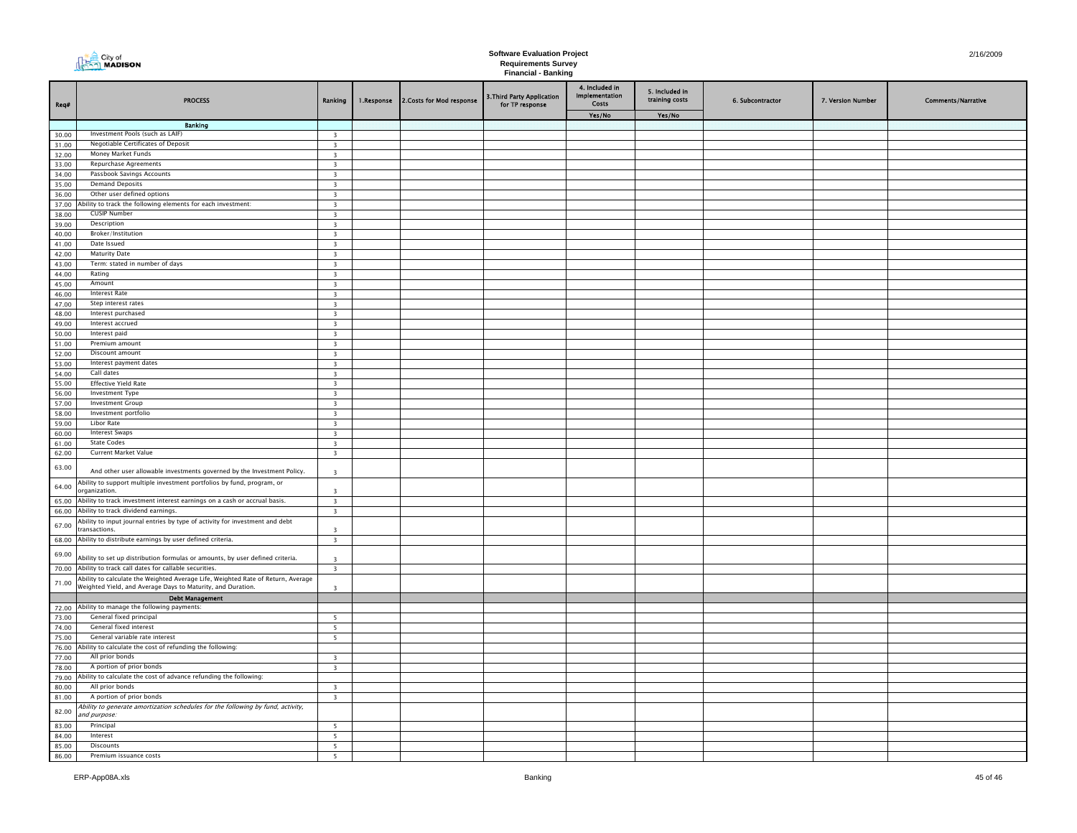| Req#           | <b>PROCESS</b>                                                                                | Ranking                                            | 1.Response | 2.Costs for Mod response | 3. Third Party Application<br>for TP response | 4. Included in<br>Implementation<br>Costs | 5. Included in<br>training costs | 6. Subcontractor | 7. Version Number | <b>Comments/Narrative</b> |
|----------------|-----------------------------------------------------------------------------------------------|----------------------------------------------------|------------|--------------------------|-----------------------------------------------|-------------------------------------------|----------------------------------|------------------|-------------------|---------------------------|
|                |                                                                                               |                                                    |            |                          |                                               | Yes/No                                    | Yes/No                           |                  |                   |                           |
|                | <b>Banking</b>                                                                                |                                                    |            |                          |                                               |                                           |                                  |                  |                   |                           |
| 30.00          | Investment Pools (such as LAIF)<br>Negotiable Certificates of Deposit                         | $\overline{\mathbf{3}}$                            |            |                          |                                               |                                           |                                  |                  |                   |                           |
| 31.00<br>32.00 | Money Market Funds                                                                            | $\overline{\mathbf{3}}$<br>$\overline{\mathbf{3}}$ |            |                          |                                               |                                           |                                  |                  |                   |                           |
| 33.00          | Repurchase Agreements                                                                         | $\overline{\mathbf{3}}$                            |            |                          |                                               |                                           |                                  |                  |                   |                           |
| 34.00          | Passbook Savings Accounts                                                                     | $\overline{\mathbf{3}}$                            |            |                          |                                               |                                           |                                  |                  |                   |                           |
| 35.00          | <b>Demand Deposits</b>                                                                        | $\overline{\mathbf{3}}$                            |            |                          |                                               |                                           |                                  |                  |                   |                           |
| 36.00          | Other user defined options                                                                    | $\overline{\mathbf{3}}$                            |            |                          |                                               |                                           |                                  |                  |                   |                           |
| 37.00          | bility to track the following elements for each investment:                                   | $\overline{\phantom{a}}$                           |            |                          |                                               |                                           |                                  |                  |                   |                           |
| 38.00          | <b>CUSIP Number</b>                                                                           | $\overline{\mathbf{3}}$                            |            |                          |                                               |                                           |                                  |                  |                   |                           |
| 39.00          | Description                                                                                   | $\overline{\mathbf{3}}$                            |            |                          |                                               |                                           |                                  |                  |                   |                           |
| 40.00          | Broker/Institution                                                                            | $\overline{\mathbf{3}}$                            |            |                          |                                               |                                           |                                  |                  |                   |                           |
| 41.00          | Date Issued                                                                                   | $\overline{\mathbf{3}}$                            |            |                          |                                               |                                           |                                  |                  |                   |                           |
| 42.00          | <b>Maturity Date</b>                                                                          | $\overline{\mathbf{3}}$                            |            |                          |                                               |                                           |                                  |                  |                   |                           |
| 43.00          | Term: stated in number of days                                                                | $\overline{\mathbf{3}}$                            |            |                          |                                               |                                           |                                  |                  |                   |                           |
| 44.00          | Rating                                                                                        | $\overline{3}$                                     |            |                          |                                               |                                           |                                  |                  |                   |                           |
| 45.00          | Amount                                                                                        | $\overline{\mathbf{3}}$                            |            |                          |                                               |                                           |                                  |                  |                   |                           |
| 46.00          | <b>Interest Rate</b>                                                                          | $\overline{\mathbf{3}}$                            |            |                          |                                               |                                           |                                  |                  |                   |                           |
| 47.00          | Step interest rates<br>Interest purchased                                                     | $\overline{\mathbf{3}}$                            |            |                          |                                               |                                           |                                  |                  |                   |                           |
| 48.00          | Interest accrued                                                                              | $\overline{\mathbf{3}}$                            |            |                          |                                               |                                           |                                  |                  |                   |                           |
| 49.00<br>50.00 | Interest paid                                                                                 | $\overline{\mathbf{3}}$                            |            |                          |                                               |                                           |                                  |                  |                   |                           |
| 51.00          | Premium amount                                                                                | $\overline{\mathbf{3}}$<br>$\overline{\mathbf{3}}$ |            |                          |                                               |                                           |                                  |                  |                   |                           |
| 52.00          | Discount amount                                                                               | $\overline{\mathbf{3}}$                            |            |                          |                                               |                                           |                                  |                  |                   |                           |
| 53.00          | Interest payment dates                                                                        | $\overline{\mathbf{3}}$                            |            |                          |                                               |                                           |                                  |                  |                   |                           |
| 54.00          | Call dates                                                                                    | $\overline{\mathbf{3}}$                            |            |                          |                                               |                                           |                                  |                  |                   |                           |
| 55.00          | <b>Effective Yield Rate</b>                                                                   | $\overline{\mathbf{3}}$                            |            |                          |                                               |                                           |                                  |                  |                   |                           |
| 56.00          | Investment Type                                                                               | $\overline{\mathbf{3}}$                            |            |                          |                                               |                                           |                                  |                  |                   |                           |
| 57.00          | <b>Investment Group</b>                                                                       | $\overline{\mathbf{3}}$                            |            |                          |                                               |                                           |                                  |                  |                   |                           |
| 58.00          | Investment portfolio                                                                          | $\overline{\mathbf{3}}$                            |            |                          |                                               |                                           |                                  |                  |                   |                           |
| 59.00          | <b>Libor Rate</b>                                                                             | $\overline{\mathbf{3}}$                            |            |                          |                                               |                                           |                                  |                  |                   |                           |
| 60.00          | <b>Interest Swaps</b>                                                                         | $\overline{\mathbf{3}}$                            |            |                          |                                               |                                           |                                  |                  |                   |                           |
| 61.00          | <b>State Codes</b>                                                                            | $\overline{\mathbf{3}}$                            |            |                          |                                               |                                           |                                  |                  |                   |                           |
| 62.00          | Current Market Value                                                                          | $\overline{\mathbf{3}}$                            |            |                          |                                               |                                           |                                  |                  |                   |                           |
| 63.00          | And other user allowable investments governed by the Investment Policy.                       | $\overline{\mathbf{3}}$                            |            |                          |                                               |                                           |                                  |                  |                   |                           |
| 64.00          | Ability to support multiple investment portfolios by fund, program, or<br>organization.       | $\overline{\mathbf{z}}$                            |            |                          |                                               |                                           |                                  |                  |                   |                           |
| 65.00          | Ability to track investment interest earnings on a cash or accrual basis.                     | $\overline{\mathbf{3}}$                            |            |                          |                                               |                                           |                                  |                  |                   |                           |
| 66.00          | Ability to track dividend earnings.                                                           | $\overline{\mathbf{3}}$                            |            |                          |                                               |                                           |                                  |                  |                   |                           |
| 67.00          | Ability to input journal entries by type of activity for investment and debt<br>transactions. | $\overline{3}$                                     |            |                          |                                               |                                           |                                  |                  |                   |                           |
| 68.00          | Ability to distribute earnings by user defined criteria.                                      | $\overline{\mathbf{3}}$                            |            |                          |                                               |                                           |                                  |                  |                   |                           |
| 69.00          | Ability to set up distribution formulas or amounts, by user defined criteria.                 | $\mathbf{R}$                                       |            |                          |                                               |                                           |                                  |                  |                   |                           |
| 70.00          | Ability to track call dates for callable securities.                                          | $\overline{\mathbf{3}}$                            |            |                          |                                               |                                           |                                  |                  |                   |                           |
|                | Ability to calculate the Weighted Average Life, Weighted Rate of Return, Average              |                                                    |            |                          |                                               |                                           |                                  |                  |                   |                           |
| 71.00          | Weighted Yield, and Average Days to Maturity, and Duration.                                   | $\overline{\mathbf{3}}$                            |            |                          |                                               |                                           |                                  |                  |                   |                           |
|                | <b>Debt Management</b>                                                                        |                                                    |            |                          |                                               |                                           |                                  |                  |                   |                           |
|                | 72.00 Ability to manage the following payments:                                               |                                                    |            |                          |                                               |                                           |                                  |                  |                   |                           |
| 73.00          | General fixed principal                                                                       | $5\phantom{.0}$                                    |            |                          |                                               |                                           |                                  |                  |                   |                           |
| 74.00          | General fixed interest                                                                        | $\overline{\mathbf{5}}$                            |            |                          |                                               |                                           |                                  |                  |                   |                           |
| 75.00          | General variable rate interest                                                                | $5\overline{ }$                                    |            |                          |                                               |                                           |                                  |                  |                   |                           |
| 76.00          | Ability to calculate the cost of refunding the following:                                     |                                                    |            |                          |                                               |                                           |                                  |                  |                   |                           |
| 77.00          | All prior bonds                                                                               | $\overline{\mathbf{3}}$                            |            |                          |                                               |                                           |                                  |                  |                   |                           |
| 78.00          | A portion of prior bonds                                                                      | $\overline{3}$                                     |            |                          |                                               |                                           |                                  |                  |                   |                           |
| 79.00          | Ability to calculate the cost of advance refunding the following:<br>All prior bonds          |                                                    |            |                          |                                               |                                           |                                  |                  |                   |                           |
| 80.00<br>81.00 | A portion of prior bonds                                                                      | $\overline{\mathbf{3}}$<br>$\overline{\mathbf{3}}$ |            |                          |                                               |                                           |                                  |                  |                   |                           |
|                | Ability to generate amortization schedules for the following by fund, activity,               |                                                    |            |                          |                                               |                                           |                                  |                  |                   |                           |
| 82.00          | and purpose:                                                                                  |                                                    |            |                          |                                               |                                           |                                  |                  |                   |                           |
| 83.00          | Principal                                                                                     | 5                                                  |            |                          |                                               |                                           |                                  |                  |                   |                           |
| 84.00          | Interest                                                                                      | 5                                                  |            |                          |                                               |                                           |                                  |                  |                   |                           |
| 85.00          | <b>Discounts</b>                                                                              | 5 <sub>1</sub>                                     |            |                          |                                               |                                           |                                  |                  |                   |                           |
| 86.00          | Premium issuance costs                                                                        | 5                                                  |            |                          |                                               |                                           |                                  |                  |                   |                           |